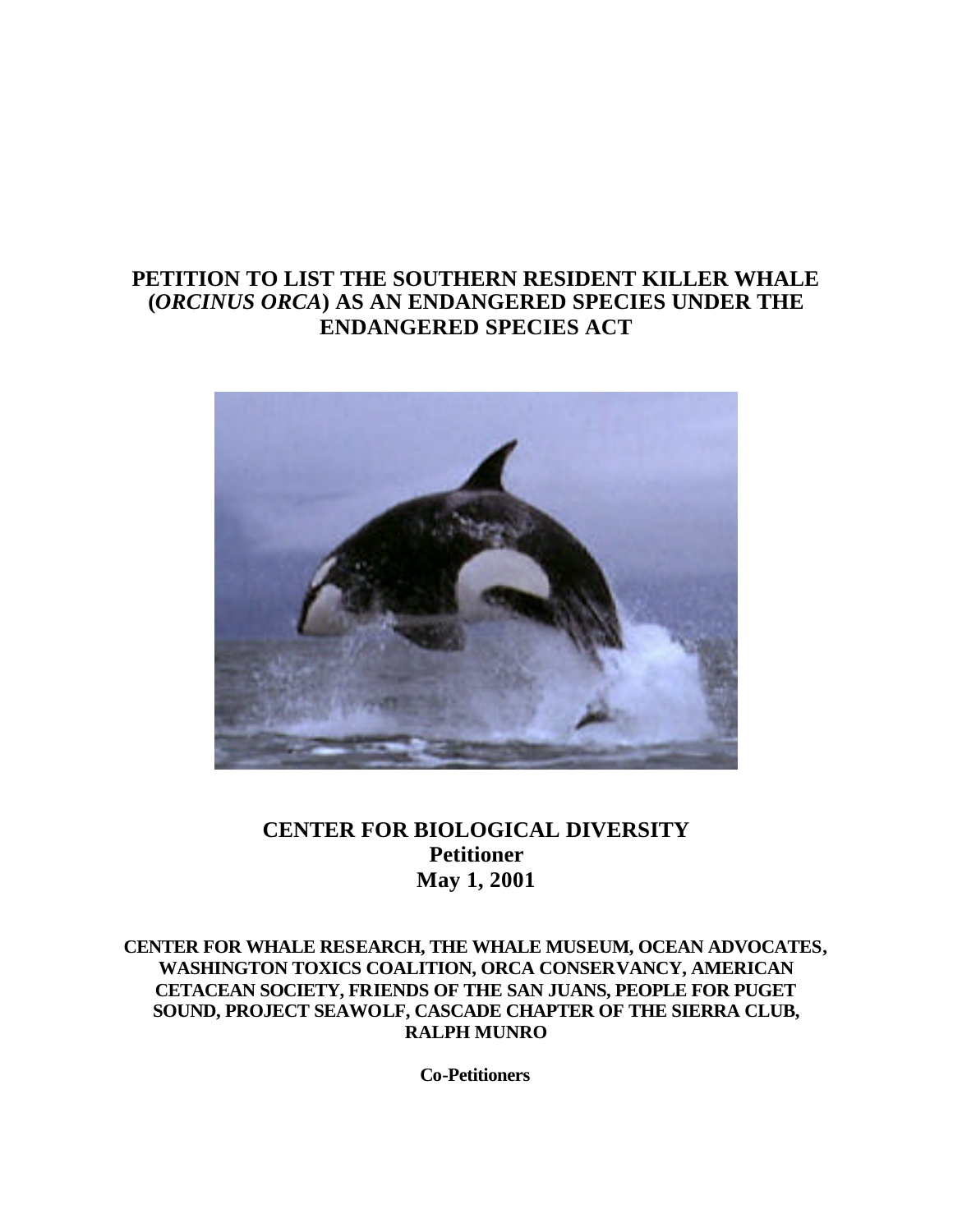# **PETITION TO LIST THE SOUTHERN RESIDENT KILLER WHALE (***ORCINUS ORCA***) AS AN ENDANGERED SPECIES UNDER THE ENDANGERED SPECIES ACT**



# **CENTER FOR BIOLOGICAL DIVERSITY Petitioner May 1, 2001**

**CENTER FOR WHALE RESEARCH, THE WHALE MUSEUM, OCEAN ADVOCATES, WASHINGTON TOXICS COALITION, ORCA CONSERVANCY, AMERICAN CETACEAN SOCIETY, FRIENDS OF THE SAN JUANS, PEOPLE FOR PUGET SOUND, PROJECT SEAWOLF, CASCADE CHAPTER OF THE SIERRA CLUB, RALPH MUNRO**

**Co-Petitioners**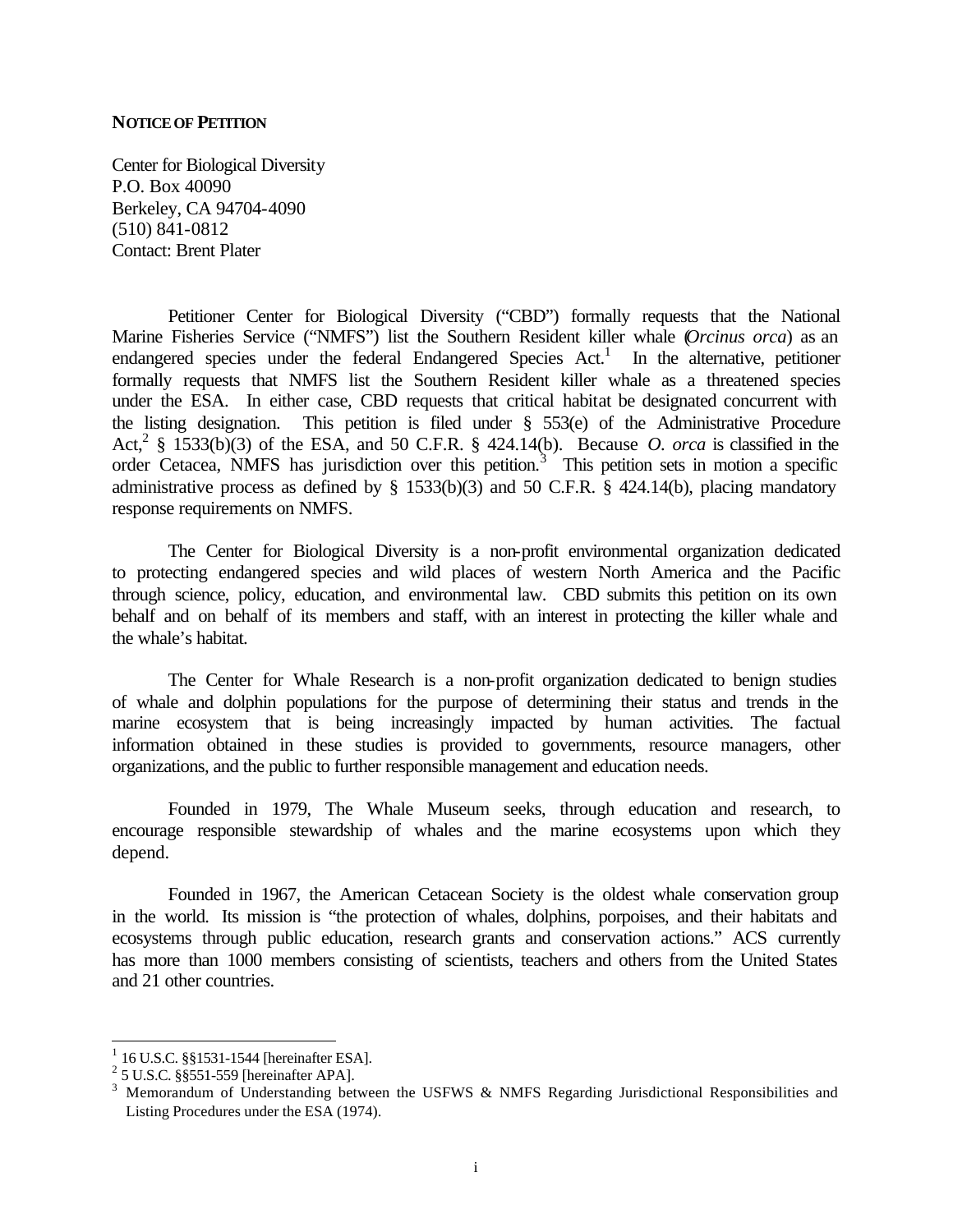#### **NOTICE OF PETITION**

Center for Biological Diversity P.O. Box 40090 Berkeley, CA 94704-4090 (510) 841-0812 Contact: Brent Plater

Petitioner Center for Biological Diversity ("CBD") formally requests that the National Marine Fisheries Service ("NMFS") list the Southern Resident killer whale (*Orcinus orca*) as an endangered species under the federal Endangered Species Act.<sup>1</sup> In the alternative, petitioner formally requests that NMFS list the Southern Resident killer whale as a threatened species under the ESA. In either case, CBD requests that critical habitat be designated concurrent with the listing designation. This petition is filed under § 553(e) of the Administrative Procedure Act,<sup>2</sup> § 1533(b)(3) of the ESA, and 50 C.F.R. § 424.14(b). Because *O. orca* is classified in the order Cetacea, NMFS has jurisdiction over this petition.<sup>3</sup> This petition sets in motion a specific administrative process as defined by § 1533(b)(3) and 50 C.F.R. § 424.14(b), placing mandatory response requirements on NMFS.

The Center for Biological Diversity is a non-profit environmental organization dedicated to protecting endangered species and wild places of western North America and the Pacific through science, policy, education, and environmental law. CBD submits this petition on its own behalf and on behalf of its members and staff, with an interest in protecting the killer whale and the whale's habitat.

The Center for Whale Research is a non-profit organization dedicated to benign studies of whale and dolphin populations for the purpose of determining their status and trends in the marine ecosystem that is being increasingly impacted by human activities. The factual information obtained in these studies is provided to governments, resource managers, other organizations, and the public to further responsible management and education needs.

Founded in 1979, The Whale Museum seeks, through education and research, to encourage responsible stewardship of whales and the marine ecosystems upon which they depend.

Founded in 1967, the American Cetacean Society is the oldest whale conservation group in the world. Its mission is "the protection of whales, dolphins, porpoises, and their habitats and ecosystems through public education, research grants and conservation actions." ACS currently has more than 1000 members consisting of scientists, teachers and others from the United States and 21 other countries.

 1 16 U.S.C. §§1531-1544 [hereinafter ESA].

<sup>2</sup> 5 U.S.C. §§551-559 [hereinafter APA].

<sup>&</sup>lt;sup>3</sup> Memorandum of Understanding between the USFWS & NMFS Regarding Jurisdictional Responsibilities and Listing Procedures under the ESA (1974).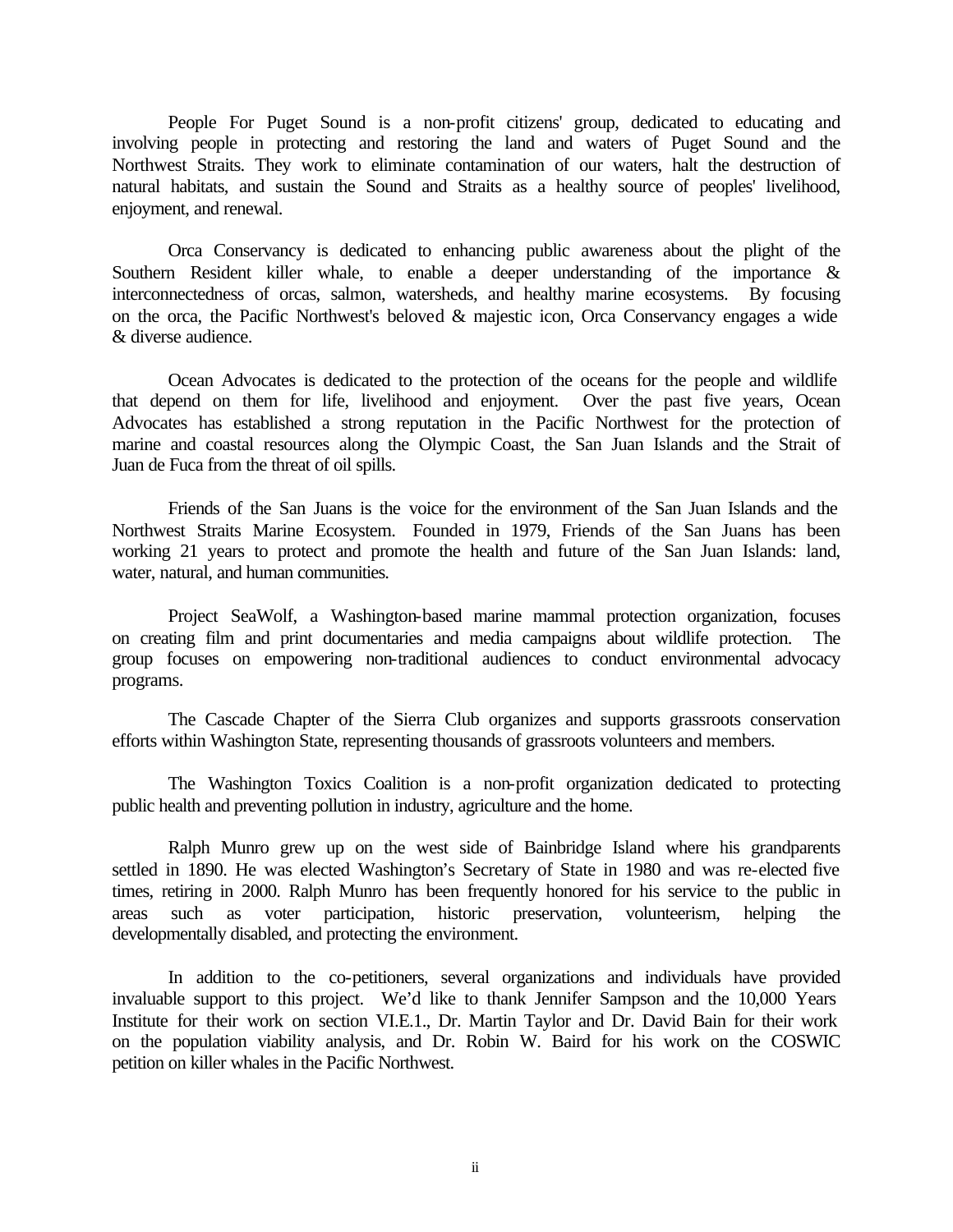People For Puget Sound is a non-profit citizens' group, dedicated to educating and involving people in protecting and restoring the land and waters of Puget Sound and the Northwest Straits. They work to eliminate contamination of our waters, halt the destruction of natural habitats, and sustain the Sound and Straits as a healthy source of peoples' livelihood, enjoyment, and renewal.

Orca Conservancy is dedicated to enhancing public awareness about the plight of the Southern Resident killer whale, to enable a deeper understanding of the importance & interconnectedness of orcas, salmon, watersheds, and healthy marine ecosystems. By focusing on the orca, the Pacific Northwest's beloved & majestic icon, Orca Conservancy engages a wide & diverse audience.

Ocean Advocates is dedicated to the protection of the oceans for the people and wildlife that depend on them for life, livelihood and enjoyment. Over the past five years, Ocean Advocates has established a strong reputation in the Pacific Northwest for the protection of marine and coastal resources along the Olympic Coast, the San Juan Islands and the Strait of Juan de Fuca from the threat of oil spills.

Friends of the San Juans is the voice for the environment of the San Juan Islands and the Northwest Straits Marine Ecosystem. Founded in 1979, Friends of the San Juans has been working 21 years to protect and promote the health and future of the San Juan Islands: land, water, natural, and human communities.

Project SeaWolf, a Washington-based marine mammal protection organization, focuses on creating film and print documentaries and media campaigns about wildlife protection. The group focuses on empowering non-traditional audiences to conduct environmental advocacy programs.

The Cascade Chapter of the Sierra Club organizes and supports grassroots conservation efforts within Washington State, representing thousands of grassroots volunteers and members.

The Washington Toxics Coalition is a non-profit organization dedicated to protecting public health and preventing pollution in industry, agriculture and the home.

Ralph Munro grew up on the west side of Bainbridge Island where his grandparents settled in 1890. He was elected Washington's Secretary of State in 1980 and was re-elected five times, retiring in 2000. Ralph Munro has been frequently honored for his service to the public in areas such as voter participation, historic preservation, volunteerism, helping the developmentally disabled, and protecting the environment.

In addition to the co-petitioners, several organizations and individuals have provided invaluable support to this project. We'd like to thank Jennifer Sampson and the 10,000 Years Institute for their work on section VI.E.1., Dr. Martin Taylor and Dr. David Bain for their work on the population viability analysis, and Dr. Robin W. Baird for his work on the COSWIC petition on killer whales in the Pacific Northwest.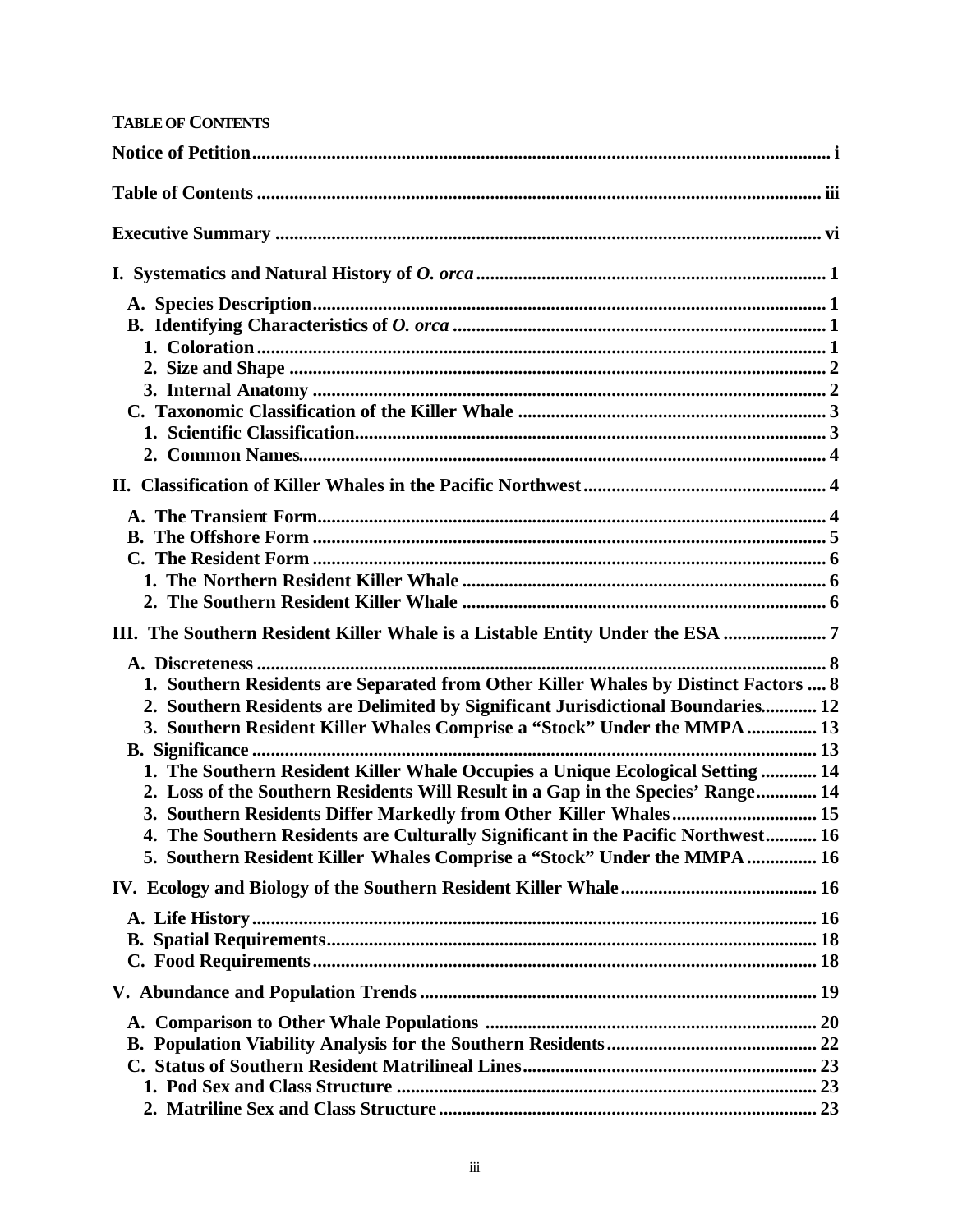| <b>TABLE OF CONTENTS</b>                                                                                                                                          |  |
|-------------------------------------------------------------------------------------------------------------------------------------------------------------------|--|
|                                                                                                                                                                   |  |
|                                                                                                                                                                   |  |
|                                                                                                                                                                   |  |
|                                                                                                                                                                   |  |
|                                                                                                                                                                   |  |
|                                                                                                                                                                   |  |
|                                                                                                                                                                   |  |
|                                                                                                                                                                   |  |
|                                                                                                                                                                   |  |
|                                                                                                                                                                   |  |
|                                                                                                                                                                   |  |
|                                                                                                                                                                   |  |
|                                                                                                                                                                   |  |
|                                                                                                                                                                   |  |
|                                                                                                                                                                   |  |
|                                                                                                                                                                   |  |
|                                                                                                                                                                   |  |
| III. The Southern Resident Killer Whale is a Listable Entity Under the ESA 7                                                                                      |  |
|                                                                                                                                                                   |  |
| 1. Southern Residents are Separated from Other Killer Whales by Distinct Factors  8                                                                               |  |
| 2. Southern Residents are Delimited by Significant Jurisdictional Boundaries 12                                                                                   |  |
| 3. Southern Resident Killer Whales Comprise a "Stock" Under the MMPA  13                                                                                          |  |
|                                                                                                                                                                   |  |
| 1. The Southern Resident Killer Whale Occupies a Unique Ecological Setting  14<br>2. Loss of the Southern Residents Will Result in a Gap in the Species' Range 14 |  |
| 3. Southern Residents Differ Markedly from Other Killer Whales 15                                                                                                 |  |
| 4. The Southern Residents are Culturally Significant in the Pacific Northwest 16                                                                                  |  |
| 5. Southern Resident Killer Whales Comprise a "Stock" Under the MMPA  16                                                                                          |  |
|                                                                                                                                                                   |  |
|                                                                                                                                                                   |  |
|                                                                                                                                                                   |  |
|                                                                                                                                                                   |  |
|                                                                                                                                                                   |  |
|                                                                                                                                                                   |  |
|                                                                                                                                                                   |  |
|                                                                                                                                                                   |  |
|                                                                                                                                                                   |  |
|                                                                                                                                                                   |  |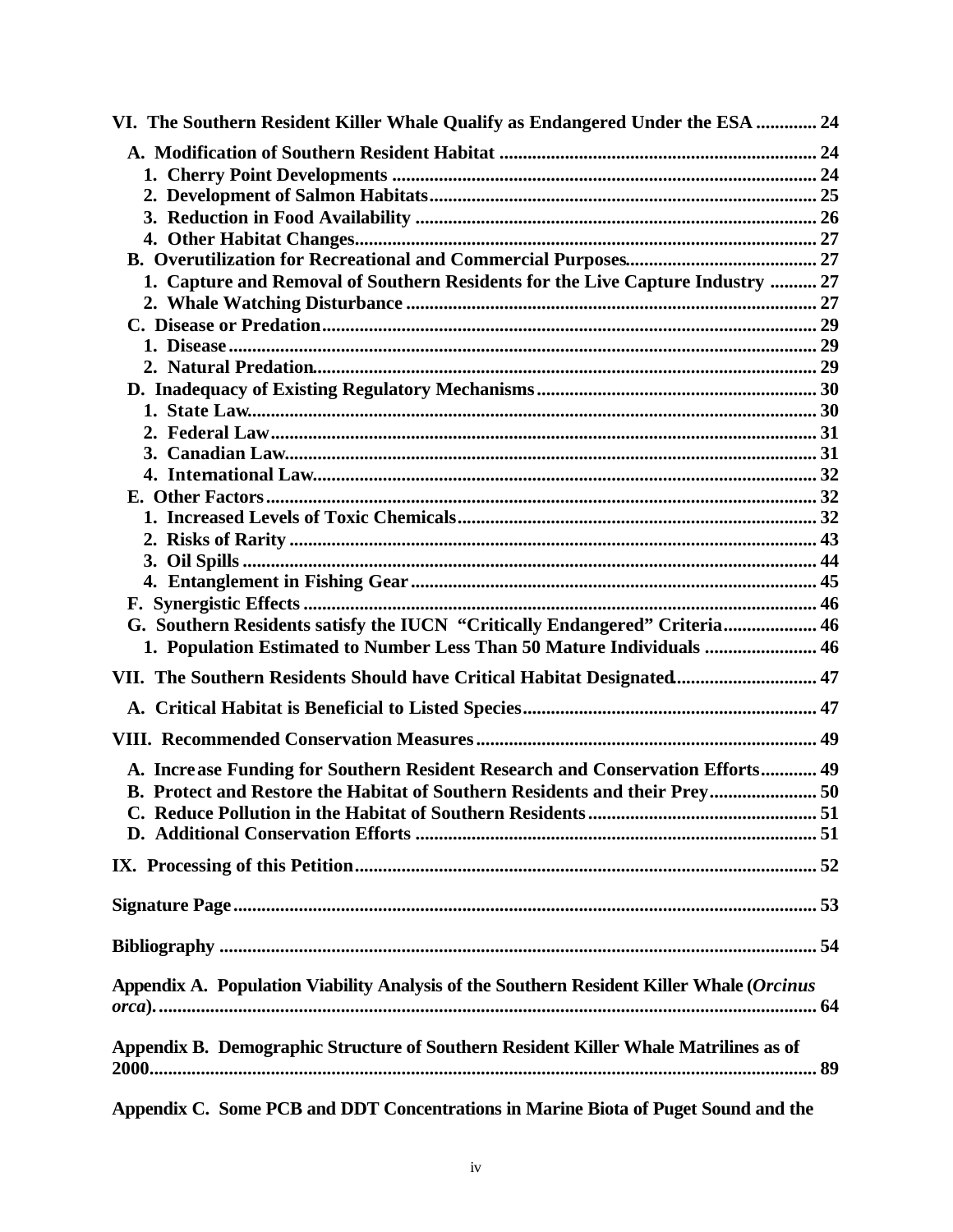| VI. The Southern Resident Killer Whale Qualify as Endangered Under the ESA  24           |  |
|------------------------------------------------------------------------------------------|--|
|                                                                                          |  |
|                                                                                          |  |
|                                                                                          |  |
|                                                                                          |  |
|                                                                                          |  |
|                                                                                          |  |
| 1. Capture and Removal of Southern Residents for the Live Capture Industry  27           |  |
|                                                                                          |  |
|                                                                                          |  |
|                                                                                          |  |
|                                                                                          |  |
|                                                                                          |  |
|                                                                                          |  |
|                                                                                          |  |
|                                                                                          |  |
|                                                                                          |  |
|                                                                                          |  |
|                                                                                          |  |
|                                                                                          |  |
|                                                                                          |  |
|                                                                                          |  |
| G. Southern Residents satisfy the IUCN "Critically Endangered" Criteria 46               |  |
| 1. Population Estimated to Number Less Than 50 Mature Individuals  46                    |  |
| VII. The Southern Residents Should have Critical Habitat Designated 47                   |  |
|                                                                                          |  |
|                                                                                          |  |
| A. Increase Funding for Southern Resident Research and Conservation Efforts 49           |  |
| B. Protect and Restore the Habitat of Southern Residents and their Prey 50               |  |
|                                                                                          |  |
|                                                                                          |  |
|                                                                                          |  |
|                                                                                          |  |
|                                                                                          |  |
|                                                                                          |  |
| Appendix A. Population Viability Analysis of the Southern Resident Killer Whale (Orcinus |  |
|                                                                                          |  |
| Appendix B. Demographic Structure of Southern Resident Killer Whale Matrilines as of     |  |
|                                                                                          |  |

**Appendix C. Some PCB and DDT Concentrations in Marine Biota of Puget Sound and the**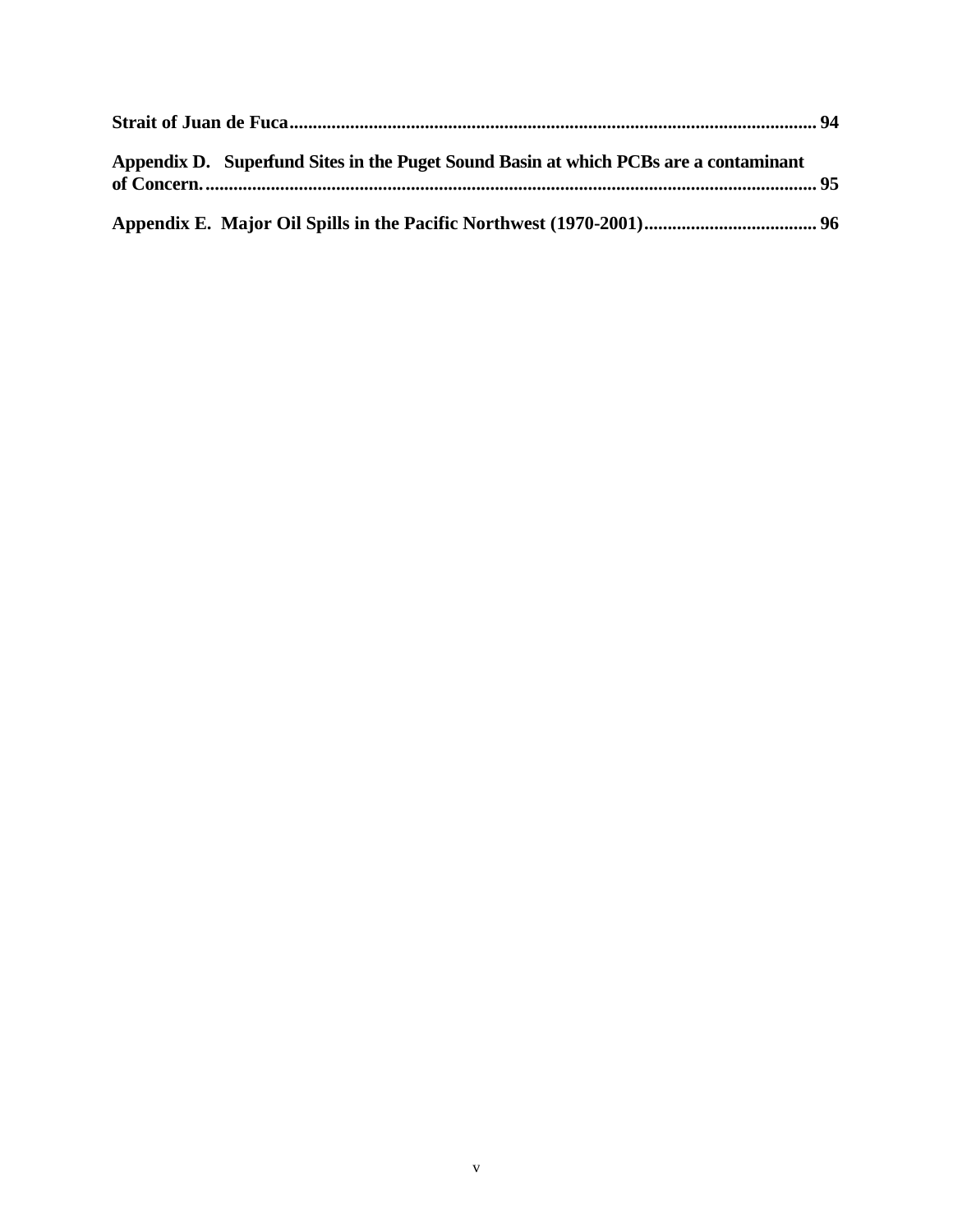| Appendix D. Superfund Sites in the Puget Sound Basin at which PCBs are a contaminant |  |
|--------------------------------------------------------------------------------------|--|
|                                                                                      |  |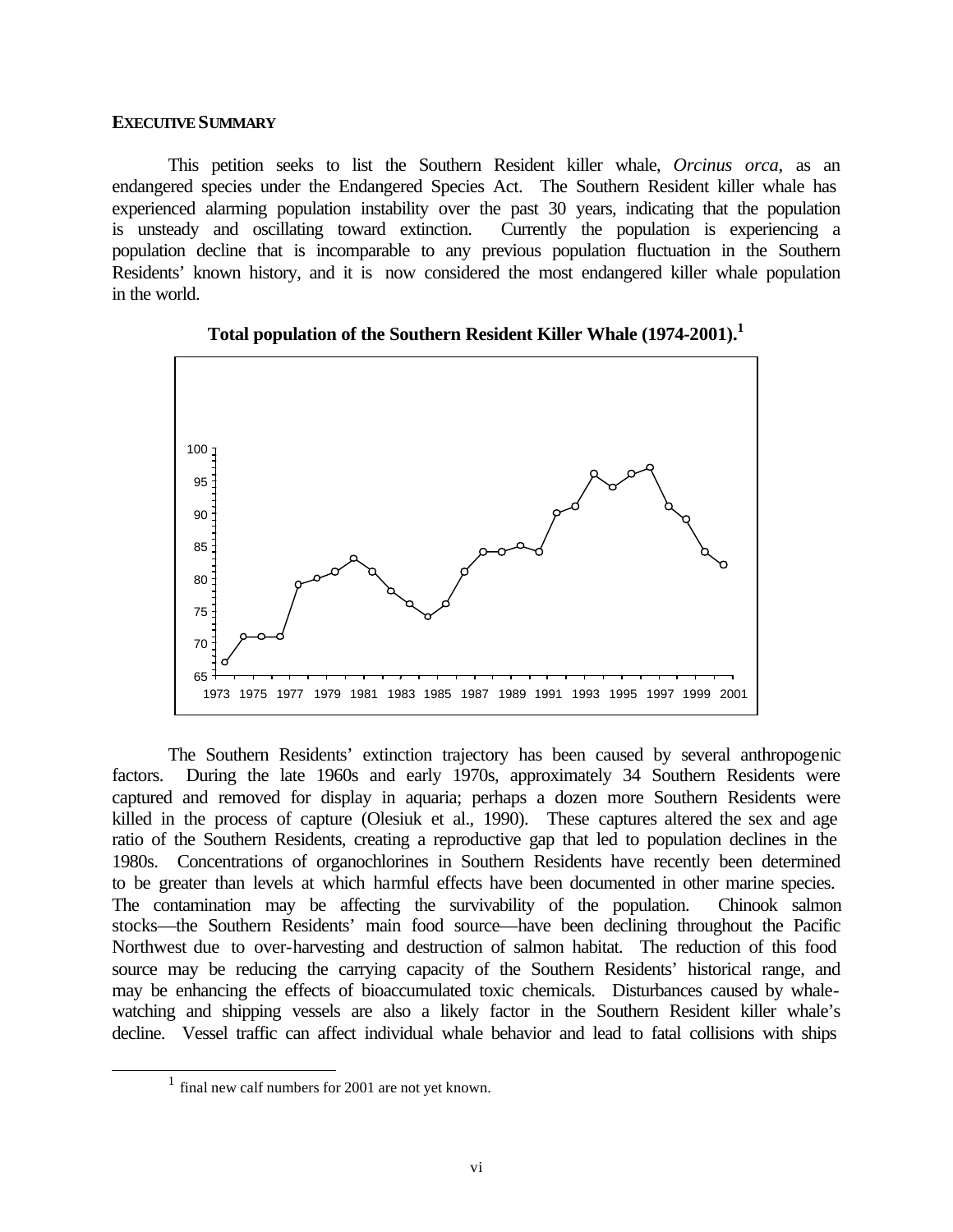#### **EXECUTIVE SUMMARY**

This petition seeks to list the Southern Resident killer whale, *Orcinus orca,* as an endangered species under the Endangered Species Act. The Southern Resident killer whale has experienced alarming population instability over the past 30 years, indicating that the population is unsteady and oscillating toward extinction. Currently the population is experiencing a population decline that is incomparable to any previous population fluctuation in the Southern Residents' known history, and it is now considered the most endangered killer whale population in the world.





The Southern Residents' extinction trajectory has been caused by several anthropogenic factors. During the late 1960s and early 1970s, approximately 34 Southern Residents were captured and removed for display in aquaria; perhaps a dozen more Southern Residents were killed in the process of capture (Olesiuk et al., 1990). These captures altered the sex and age ratio of the Southern Residents, creating a reproductive gap that led to population declines in the 1980s. Concentrations of organochlorines in Southern Residents have recently been determined to be greater than levels at which harmful effects have been documented in other marine species. The contamination may be affecting the survivability of the population. Chinook salmon stocks—the Southern Residents' main food source—have been declining throughout the Pacific Northwest due to over-harvesting and destruction of salmon habitat. The reduction of this food source may be reducing the carrying capacity of the Southern Residents' historical range, and may be enhancing the effects of bioaccumulated toxic chemicals. Disturbances caused by whalewatching and shipping vessels are also a likely factor in the Southern Resident killer whale's decline. Vessel traffic can affect individual whale behavior and lead to fatal collisions with ships

l

<sup>&</sup>lt;sup>1</sup> final new calf numbers for 2001 are not yet known.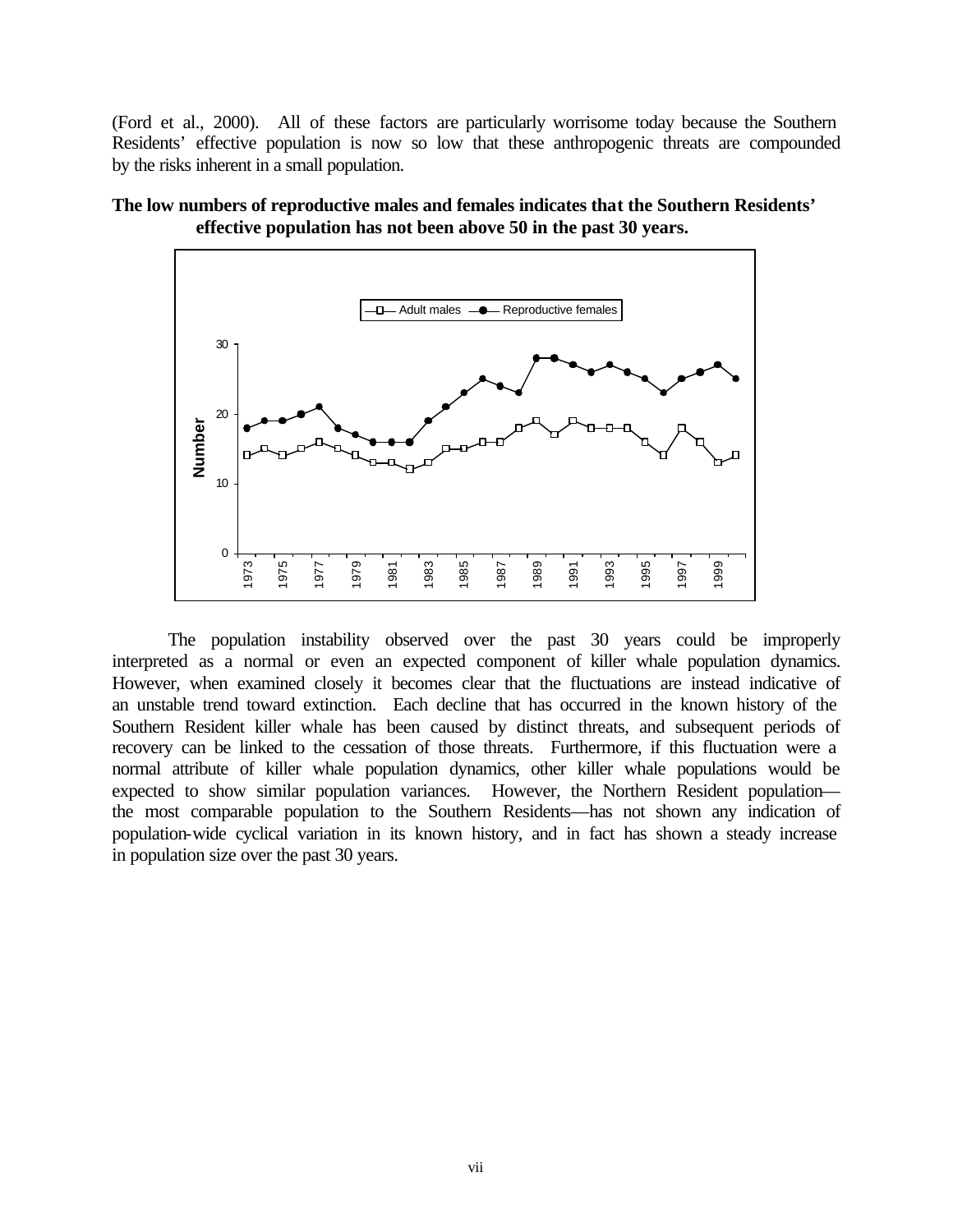(Ford et al., 2000). All of these factors are particularly worrisome today because the Southern Residents' effective population is now so low that these anthropogenic threats are compounded by the risks inherent in a small population.





The population instability observed over the past 30 years could be improperly interpreted as a normal or even an expected component of killer whale population dynamics. However, when examined closely it becomes clear that the fluctuations are instead indicative of an unstable trend toward extinction. Each decline that has occurred in the known history of the Southern Resident killer whale has been caused by distinct threats, and subsequent periods of recovery can be linked to the cessation of those threats. Furthermore, if this fluctuation were a normal attribute of killer whale population dynamics, other killer whale populations would be expected to show similar population variances. However, the Northern Resident population the most comparable population to the Southern Residents—has not shown any indication of population-wide cyclical variation in its known history, and in fact has shown a steady increase in population size over the past 30 years.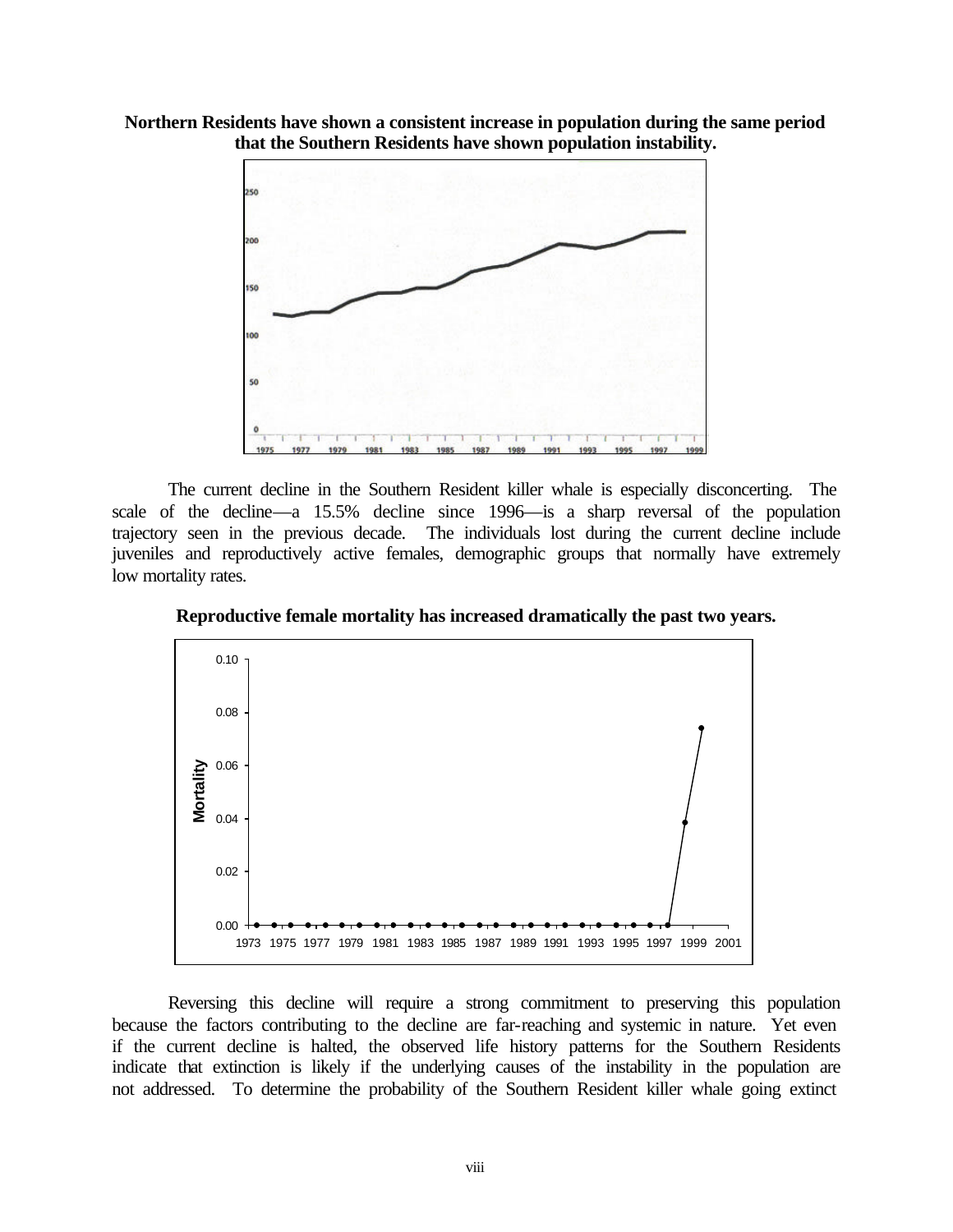



The current decline in the Southern Resident killer whale is especially disconcerting. The scale of the decline—a 15.5% decline since 1996—is a sharp reversal of the population trajectory seen in the previous decade. The individuals lost during the current decline include juveniles and reproductively active females, demographic groups that normally have extremely low mortality rates.



**Reproductive female mortality has increased dramatically the past two years.**

Reversing this decline will require a strong commitment to preserving this population because the factors contributing to the decline are far-reaching and systemic in nature. Yet even if the current decline is halted, the observed life history patterns for the Southern Residents indicate that extinction is likely if the underlying causes of the instability in the population are not addressed. To determine the probability of the Southern Resident killer whale going extinct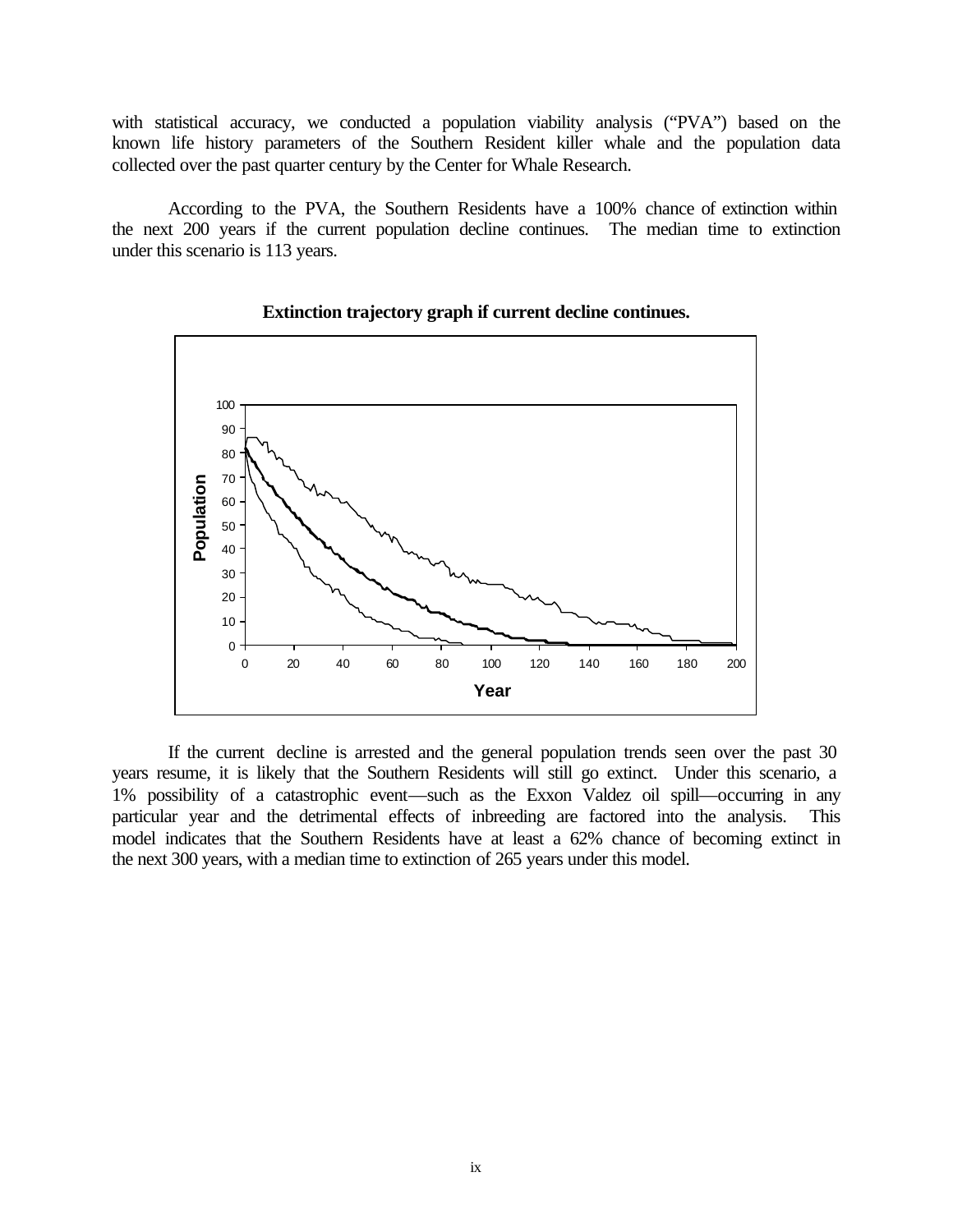with statistical accuracy, we conducted a population viability analysis ("PVA") based on the known life history parameters of the Southern Resident killer whale and the population data collected over the past quarter century by the Center for Whale Research.

According to the PVA, the Southern Residents have a 100% chance of extinction within the next 200 years if the current population decline continues. The median time to extinction under this scenario is 113 years.



## **Extinction trajectory graph if current decline continues.**

If the current decline is arrested and the general population trends seen over the past 30 years resume, it is likely that the Southern Residents will still go extinct. Under this scenario, a 1% possibility of a catastrophic event—such as the Exxon Valdez oil spill—occurring in any particular year and the detrimental effects of inbreeding are factored into the analysis. This model indicates that the Southern Residents have at least a 62% chance of becoming extinct in the next 300 years, with a median time to extinction of 265 years under this model.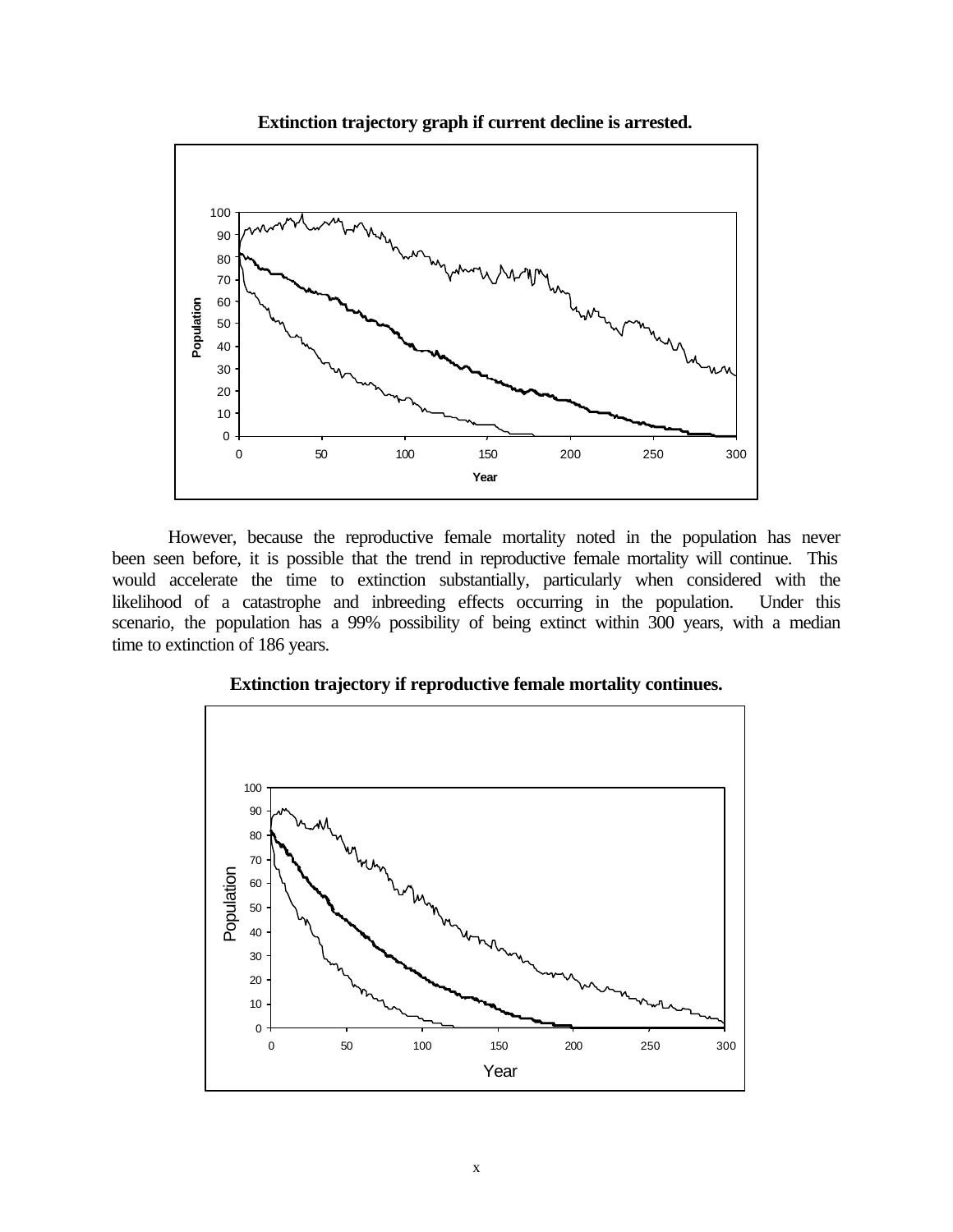**Extinction trajectory graph if current decline is arrested.**



However, because the reproductive female mortality noted in the population has never been seen before, it is possible that the trend in reproductive female mortality will continue. This would accelerate the time to extinction substantially, particularly when considered with the likelihood of a catastrophe and inbreeding effects occurring in the population. Under this scenario, the population has a 99% possibility of being extinct within 300 years, with a median time to extinction of 186 years.



## **Extinction trajectory if reproductive female mortality continues.**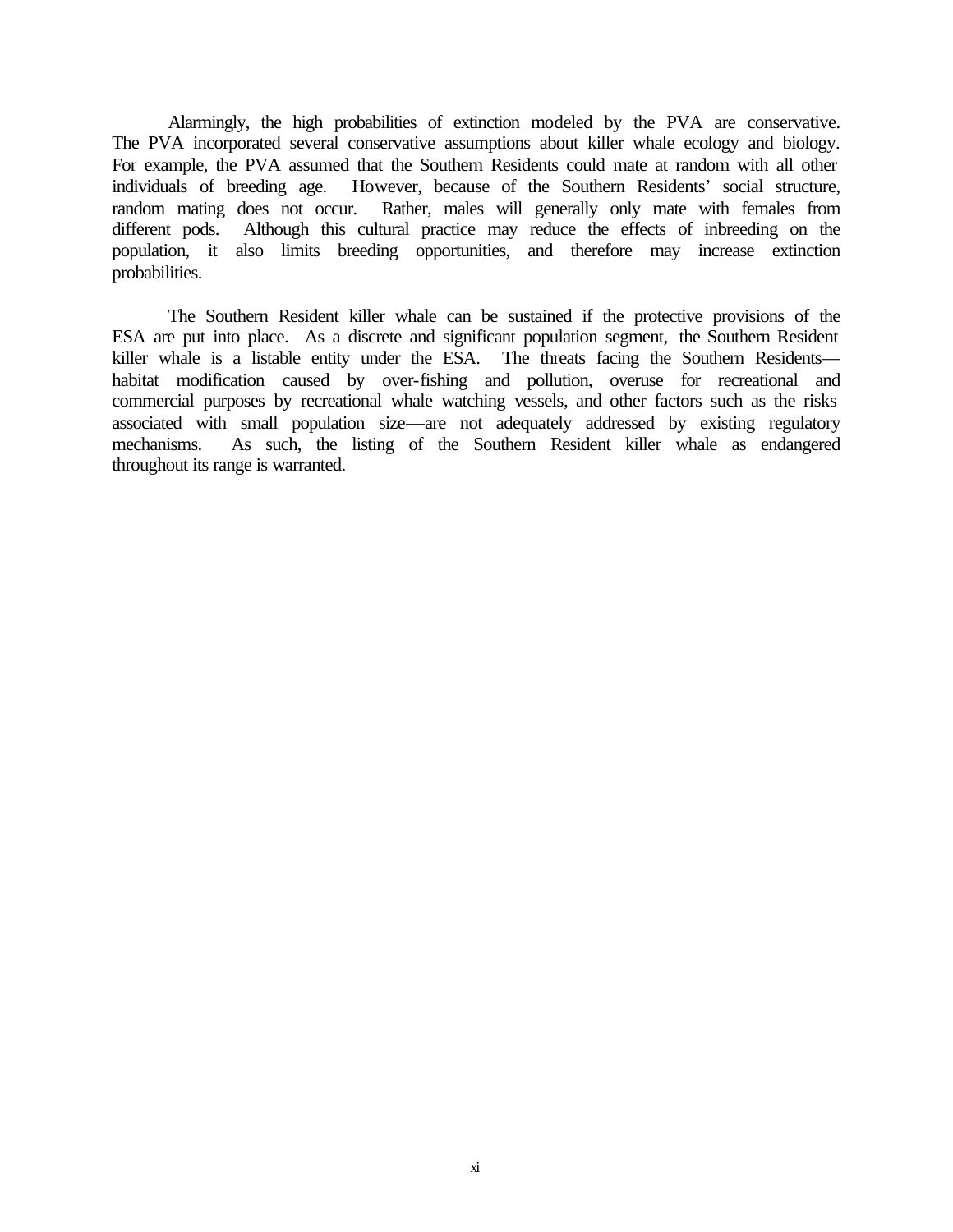Alarmingly, the high probabilities of extinction modeled by the PVA are conservative. The PVA incorporated several conservative assumptions about killer whale ecology and biology. For example, the PVA assumed that the Southern Residents could mate at random with all other individuals of breeding age. However, because of the Southern Residents' social structure, random mating does not occur. Rather, males will generally only mate with females from different pods. Although this cultural practice may reduce the effects of inbreeding on the population, it also limits breeding opportunities, and therefore may increase extinction probabilities.

The Southern Resident killer whale can be sustained if the protective provisions of the ESA are put into place. As a discrete and significant population segment, the Southern Resident killer whale is a listable entity under the ESA. The threats facing the Southern Residents habitat modification caused by over-fishing and pollution, overuse for recreational and commercial purposes by recreational whale watching vessels, and other factors such as the risks associated with small population size—are not adequately addressed by existing regulatory mechanisms. As such, the listing of the Southern Resident killer whale as endangered throughout its range is warranted.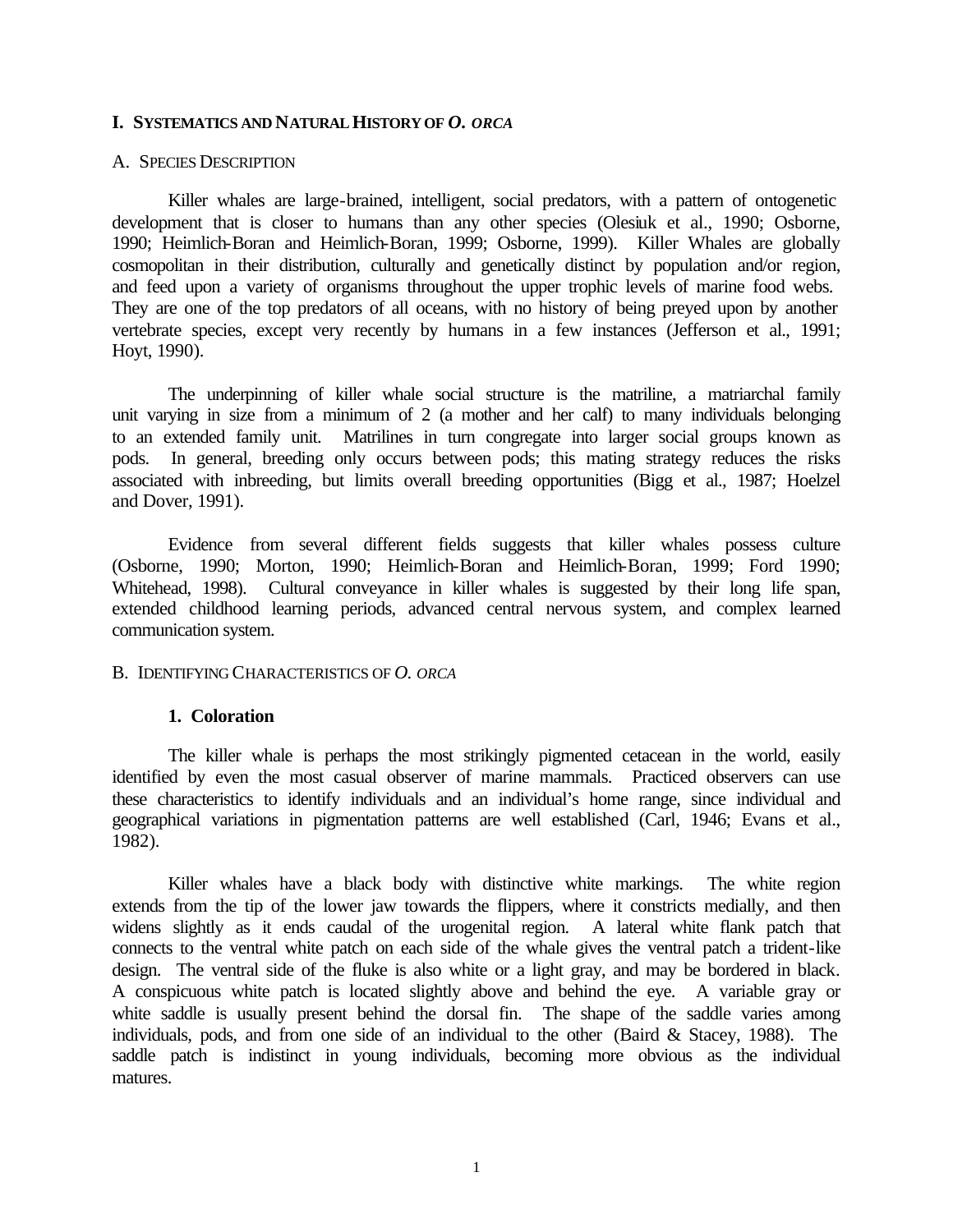#### **I. SYSTEMATICS AND NATURAL HISTORY OF** *O. ORCA*

#### A. SPECIES DESCRIPTION

Killer whales are large-brained, intelligent, social predators, with a pattern of ontogenetic development that is closer to humans than any other species (Olesiuk et al., 1990; Osborne, 1990; Heimlich-Boran and Heimlich-Boran, 1999; Osborne, 1999). Killer Whales are globally cosmopolitan in their distribution, culturally and genetically distinct by population and/or region, and feed upon a variety of organisms throughout the upper trophic levels of marine food webs. They are one of the top predators of all oceans, with no history of being preyed upon by another vertebrate species, except very recently by humans in a few instances (Jefferson et al., 1991; Hoyt, 1990).

The underpinning of killer whale social structure is the matriline, a matriarchal family unit varying in size from a minimum of 2 (a mother and her calf) to many individuals belonging to an extended family unit. Matrilines in turn congregate into larger social groups known as pods. In general, breeding only occurs between pods; this mating strategy reduces the risks associated with inbreeding, but limits overall breeding opportunities (Bigg et al., 1987; Hoelzel and Dover, 1991).

Evidence from several different fields suggests that killer whales possess culture (Osborne, 1990; Morton, 1990; Heimlich-Boran and Heimlich-Boran, 1999; Ford 1990; Whitehead, 1998). Cultural conveyance in killer whales is suggested by their long life span, extended childhood learning periods, advanced central nervous system, and complex learned communication system.

#### B. IDENTIFYING CHARACTERISTICS OF *O. ORCA*

#### **1. Coloration**

The killer whale is perhaps the most strikingly pigmented cetacean in the world, easily identified by even the most casual observer of marine mammals. Practiced observers can use these characteristics to identify individuals and an individual's home range, since individual and geographical variations in pigmentation patterns are well established (Carl, 1946; Evans et al., 1982).

Killer whales have a black body with distinctive white markings. The white region extends from the tip of the lower jaw towards the flippers, where it constricts medially, and then widens slightly as it ends caudal of the urogenital region. A lateral white flank patch that connects to the ventral white patch on each side of the whale gives the ventral patch a trident-like design. The ventral side of the fluke is also white or a light gray, and may be bordered in black. A conspicuous white patch is located slightly above and behind the eye. A variable gray or white saddle is usually present behind the dorsal fin. The shape of the saddle varies among individuals, pods, and from one side of an individual to the other (Baird & Stacey, 1988). The saddle patch is indistinct in young individuals, becoming more obvious as the individual matures.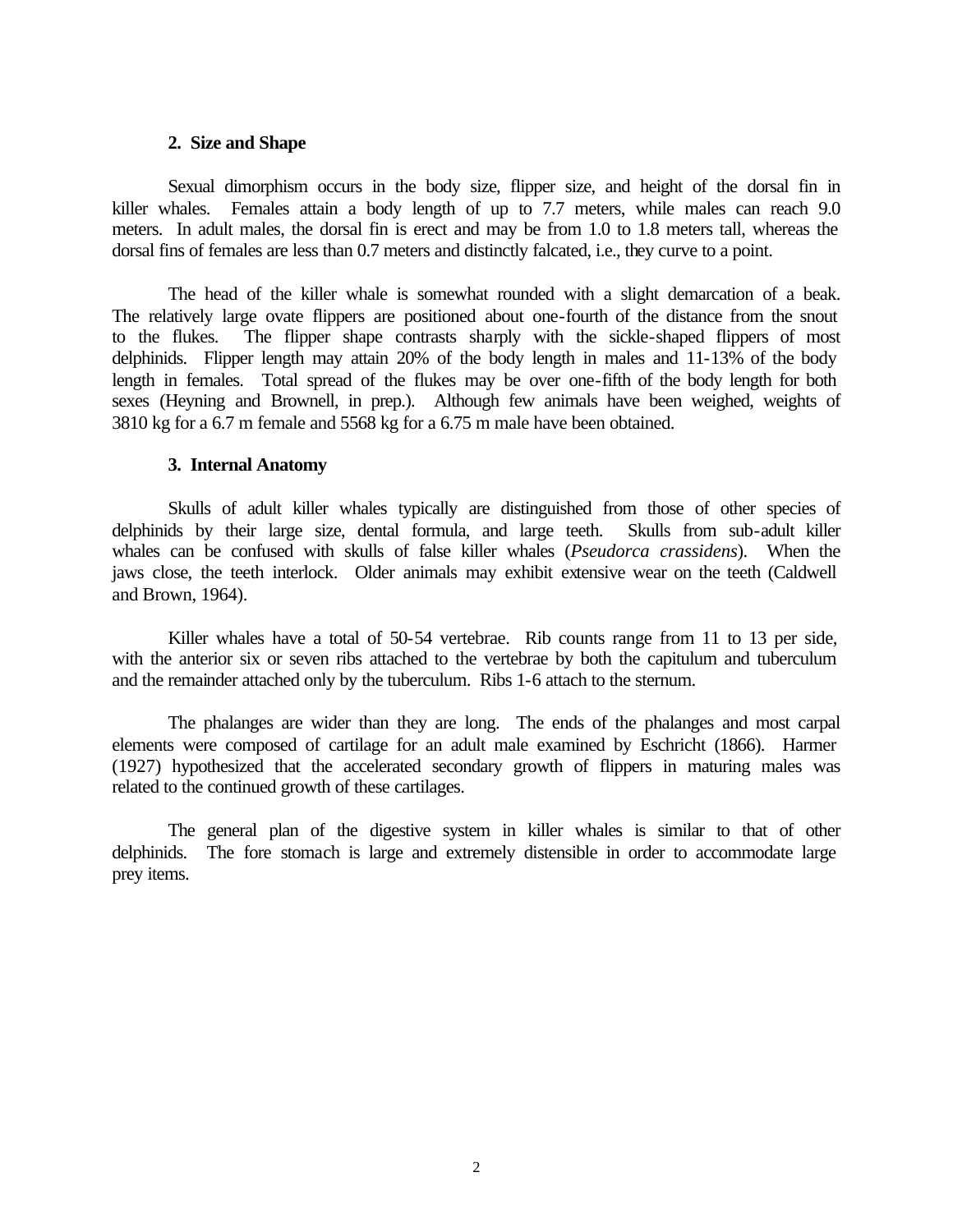#### **2. Size and Shape**

Sexual dimorphism occurs in the body size, flipper size, and height of the dorsal fin in killer whales. Females attain a body length of up to 7.7 meters, while males can reach 9.0 meters. In adult males, the dorsal fin is erect and may be from 1.0 to 1.8 meters tall, whereas the dorsal fins of females are less than 0.7 meters and distinctly falcated, i.e., they curve to a point.

The head of the killer whale is somewhat rounded with a slight demarcation of a beak. The relatively large ovate flippers are positioned about one-fourth of the distance from the snout to the flukes. The flipper shape contrasts sharply with the sickle-shaped flippers of most delphinids. Flipper length may attain 20% of the body length in males and 11-13% of the body length in females. Total spread of the flukes may be over one-fifth of the body length for both sexes (Heyning and Brownell, in prep.). Although few animals have been weighed, weights of 3810 kg for a 6.7 m female and 5568 kg for a 6.75 m male have been obtained.

#### **3. Internal Anatomy**

Skulls of adult killer whales typically are distinguished from those of other species of delphinids by their large size, dental formula, and large teeth. Skulls from sub-adult killer whales can be confused with skulls of false killer whales (*Pseudorca crassidens*). When the jaws close, the teeth interlock. Older animals may exhibit extensive wear on the teeth (Caldwell and Brown, 1964).

Killer whales have a total of 50-54 vertebrae. Rib counts range from 11 to 13 per side, with the anterior six or seven ribs attached to the vertebrae by both the capitulum and tuberculum and the remainder attached only by the tuberculum. Ribs 1-6 attach to the sternum.

The phalanges are wider than they are long. The ends of the phalanges and most carpal elements were composed of cartilage for an adult male examined by Eschricht (1866). Harmer (1927) hypothesized that the accelerated secondary growth of flippers in maturing males was related to the continued growth of these cartilages.

The general plan of the digestive system in killer whales is similar to that of other delphinids. The fore stomach is large and extremely distensible in order to accommodate large prey items.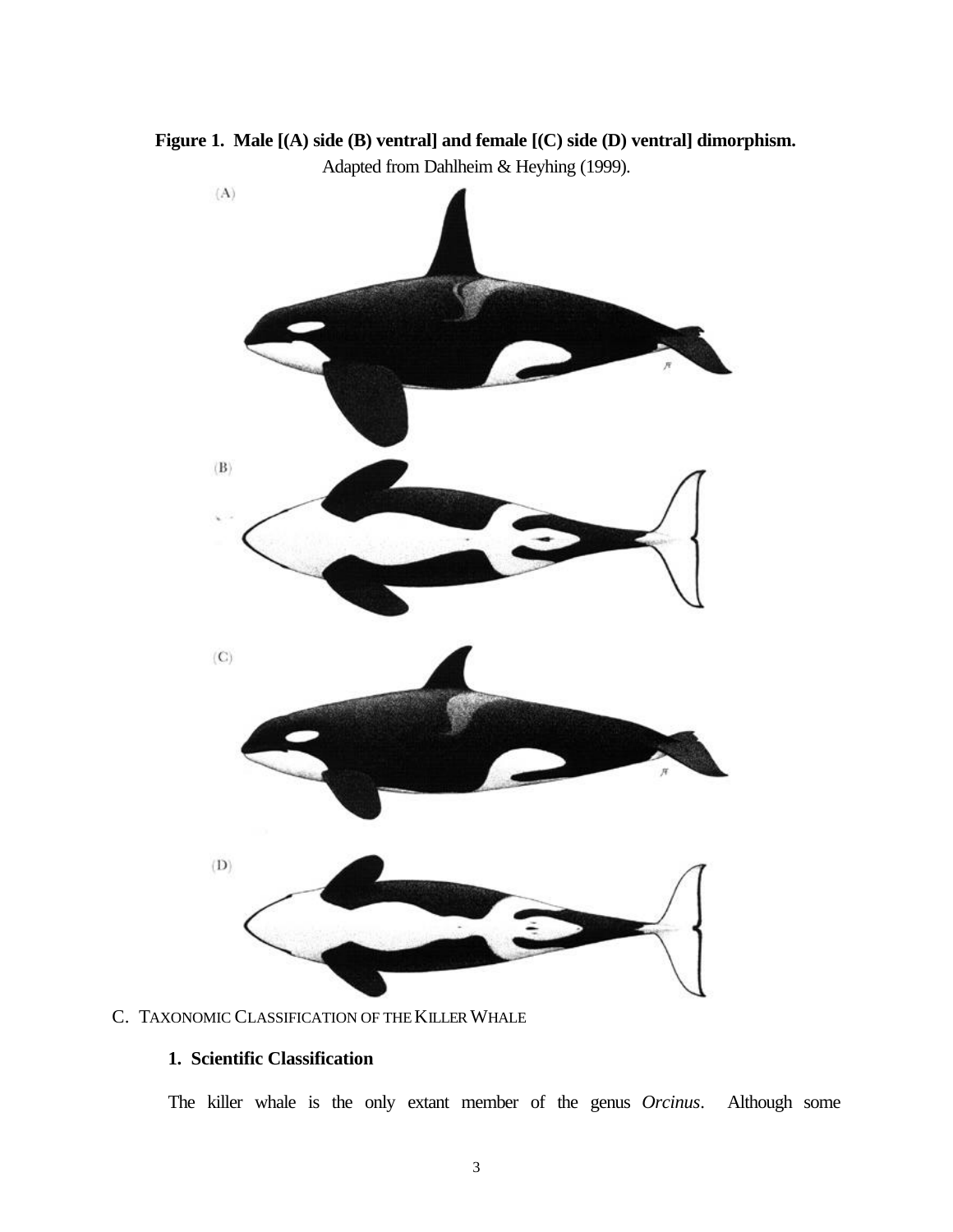**Figure 1. Male [(A) side (B) ventral] and female [(C) side (D) ventral] dimorphism.** Adapted from Dahlheim & Heyhing (1999).



## C. TAXONOMIC CLASSIFICATION OF THEKILLER WHALE

# **1. Scientific Classification**

The killer whale is the only extant member of the genus *Orcinus*. Although some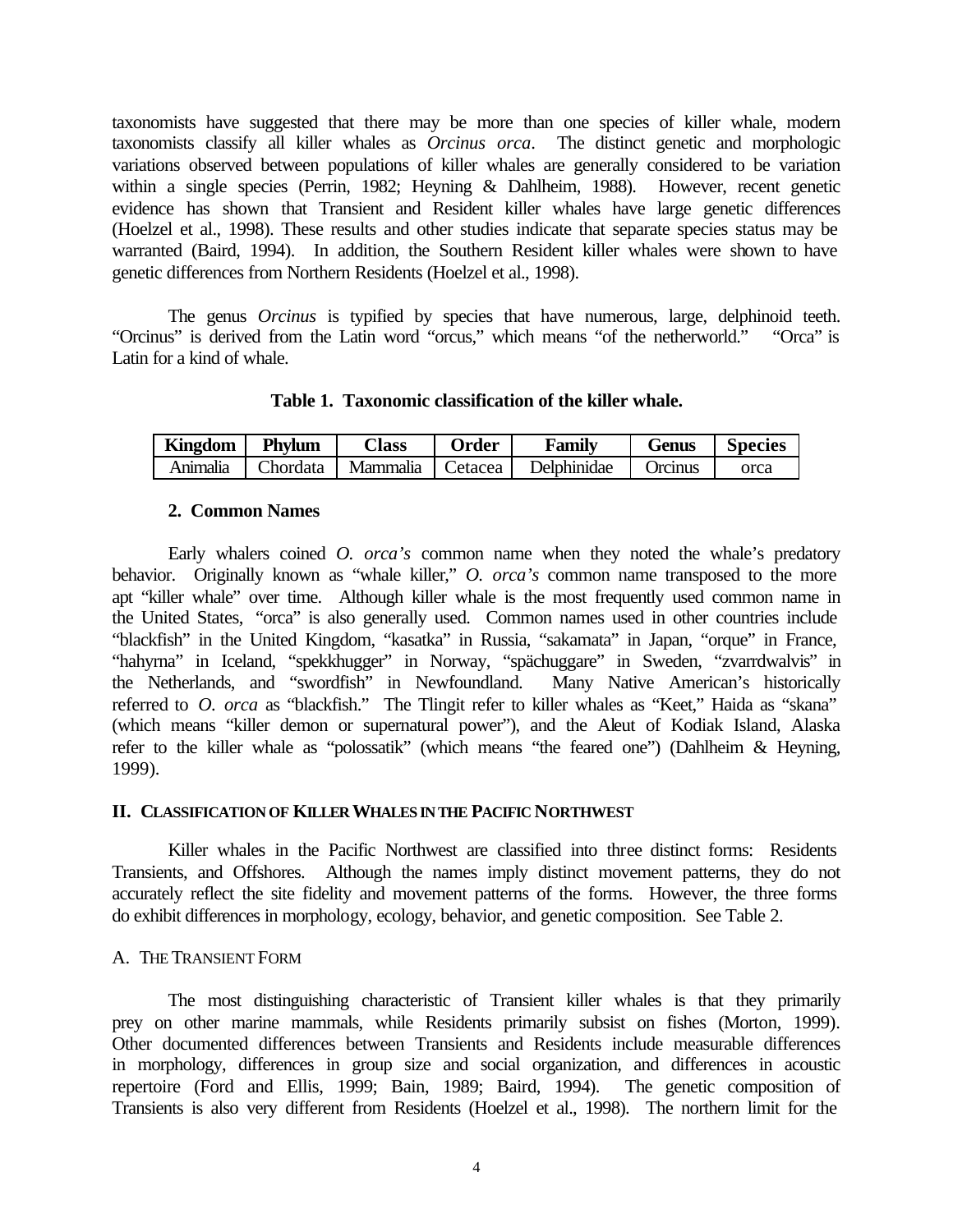taxonomists have suggested that there may be more than one species of killer whale, modern taxonomists classify all killer whales as *Orcinus orca*. The distinct genetic and morphologic variations observed between populations of killer whales are generally considered to be variation within a single species (Perrin, 1982; Heyning & Dahlheim, 1988). However, recent genetic evidence has shown that Transient and Resident killer whales have large genetic differences (Hoelzel et al., 1998). These results and other studies indicate that separate species status may be warranted (Baird, 1994). In addition, the Southern Resident killer whales were shown to have genetic differences from Northern Residents (Hoelzel et al., 1998).

The genus *Orcinus* is typified by species that have numerous, large, delphinoid teeth. "Orcinus" is derived from the Latin word "orcus," which means "of the netherworld." "Orca" is Latin for a kind of whale.

**Table 1. Taxonomic classification of the killer whale.**

| <b>Kingdom</b> | Phylum          | $\bigcap$ ass | <b>Order</b>  | Family      | Genus   | <b>Species</b> |
|----------------|-----------------|---------------|---------------|-------------|---------|----------------|
| Anımalıa       | <b>Chordata</b> | Mammalia      | ⊥ I Cetacea ' | Delphinidae | Orcinus | orca           |

## **2. Common Names**

Early whalers coined *O. orca's* common name when they noted the whale's predatory behavior. Originally known as "whale killer," *O. orca's* common name transposed to the more apt "killer whale" over time. Although killer whale is the most frequently used common name in the United States, "orca" is also generally used. Common names used in other countries include "blackfish" in the United Kingdom, "kasatka" in Russia, "sakamata" in Japan, "orque" in France, "hahyrna" in Iceland, "spekkhugger" in Norway, "spächuggare" in Sweden, "zvarrdwalvis" in the Netherlands, and "swordfish" in Newfoundland. Many Native American's historically the Netherlands, and "swordfish" in Newfoundland. referred to *O. orca* as "blackfish." The Tlingit refer to killer whales as "Keet," Haida as "skana" (which means "killer demon or supernatural power"), and the Aleut of Kodiak Island, Alaska refer to the killer whale as "polossatik" (which means "the feared one") (Dahlheim & Heyning, 1999).

## **II. CLASSIFICATION OF KILLER WHALES IN THE PACIFIC NORTHWEST**

Killer whales in the Pacific Northwest are classified into three distinct forms: Residents Transients, and Offshores. Although the names imply distinct movement patterns, they do not accurately reflect the site fidelity and movement patterns of the forms. However, the three forms do exhibit differences in morphology, ecology, behavior, and genetic composition. See Table 2.

## A. THE TRANSIENT FORM

The most distinguishing characteristic of Transient killer whales is that they primarily prey on other marine mammals, while Residents primarily subsist on fishes (Morton, 1999). Other documented differences between Transients and Residents include measurable differences in morphology, differences in group size and social organization, and differences in acoustic repertoire (Ford and Ellis, 1999; Bain, 1989; Baird, 1994). The genetic composition of Transients is also very different from Residents (Hoelzel et al., 1998). The northern limit for the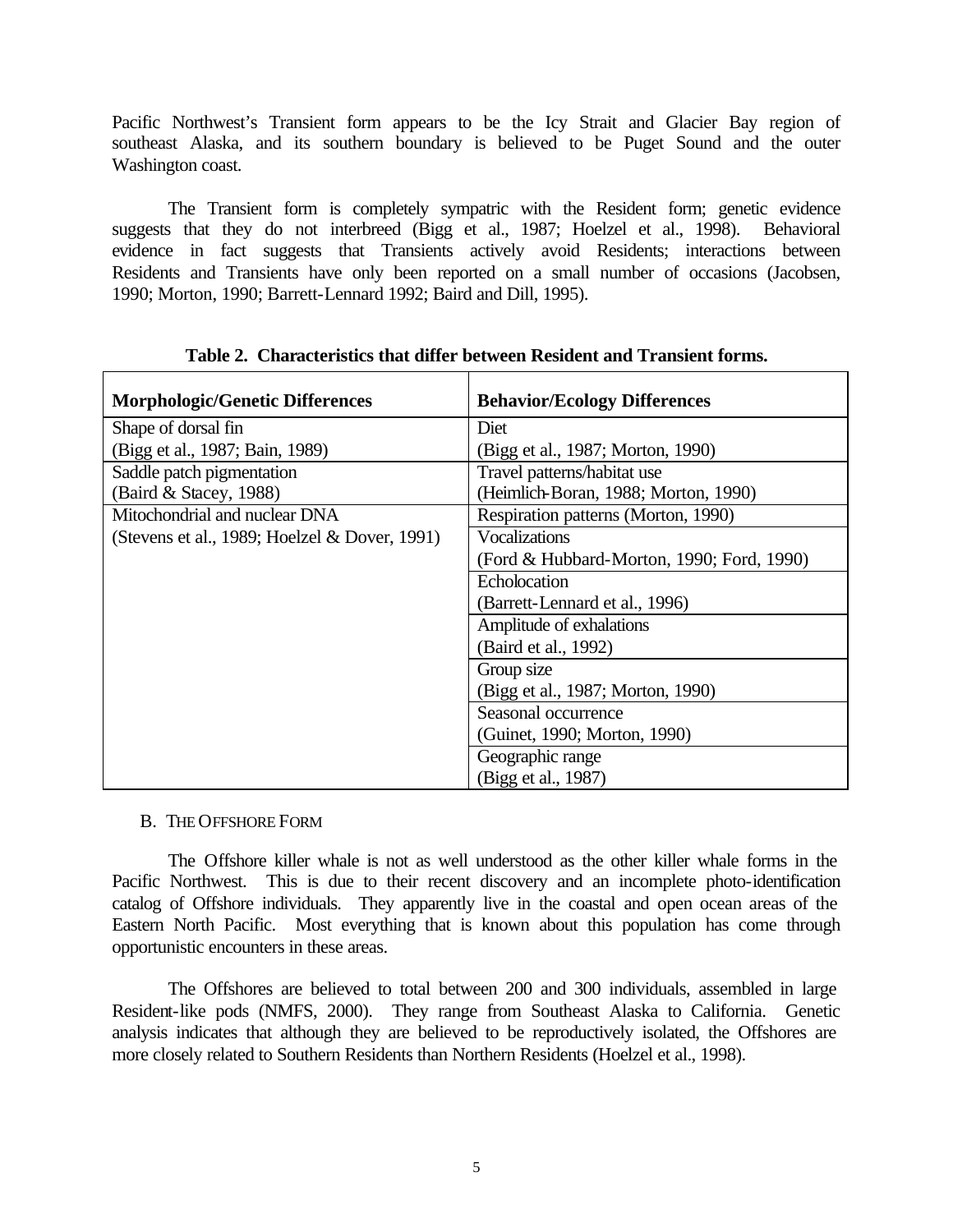Pacific Northwest's Transient form appears to be the Icy Strait and Glacier Bay region of southeast Alaska, and its southern boundary is believed to be Puget Sound and the outer Washington coast.

The Transient form is completely sympatric with the Resident form; genetic evidence suggests that they do not interbreed (Bigg et al., 1987; Hoelzel et al., 1998). Behavioral evidence in fact suggests that Transients actively avoid Residents; interactions between Residents and Transients have only been reported on a small number of occasions (Jacobsen, 1990; Morton, 1990; Barrett-Lennard 1992; Baird and Dill, 1995).

| <b>Morphologic/Genetic Differences</b>        | <b>Behavior/Ecology Differences</b>       |
|-----------------------------------------------|-------------------------------------------|
| Shape of dorsal fin                           | Diet                                      |
| (Bigg et al., 1987; Bain, 1989)               | (Bigg et al., 1987; Morton, 1990)         |
| Saddle patch pigmentation                     | Travel patterns/habitat use               |
| (Baird & Stacey, 1988)                        | (Heimlich-Boran, 1988; Morton, 1990)      |
| Mitochondrial and nuclear DNA                 | Respiration patterns (Morton, 1990)       |
| (Stevens et al., 1989; Hoelzel & Dover, 1991) | <b>Vocalizations</b>                      |
|                                               | (Ford & Hubbard-Morton, 1990; Ford, 1990) |
|                                               | Echolocation                              |
|                                               | (Barrett-Lennard et al., 1996)            |
|                                               | Amplitude of exhalations                  |
|                                               | (Baird et al., 1992)                      |
|                                               | Group size                                |
|                                               | (Bigg et al., 1987; Morton, 1990)         |
|                                               | Seasonal occurrence                       |
|                                               | (Guinet, 1990; Morton, 1990)              |
|                                               | Geographic range                          |
|                                               | (Bigg et al., 1987)                       |

**Table 2. Characteristics that differ between Resident and Transient forms.**

## B. THE OFFSHORE FORM

The Offshore killer whale is not as well understood as the other killer whale forms in the Pacific Northwest. This is due to their recent discovery and an incomplete photo-identification catalog of Offshore individuals. They apparently live in the coastal and open ocean areas of the Eastern North Pacific. Most everything that is known about this population has come through opportunistic encounters in these areas.

The Offshores are believed to total between 200 and 300 individuals, assembled in large Resident-like pods (NMFS, 2000). They range from Southeast Alaska to California. Genetic analysis indicates that although they are believed to be reproductively isolated, the Offshores are more closely related to Southern Residents than Northern Residents (Hoelzel et al., 1998).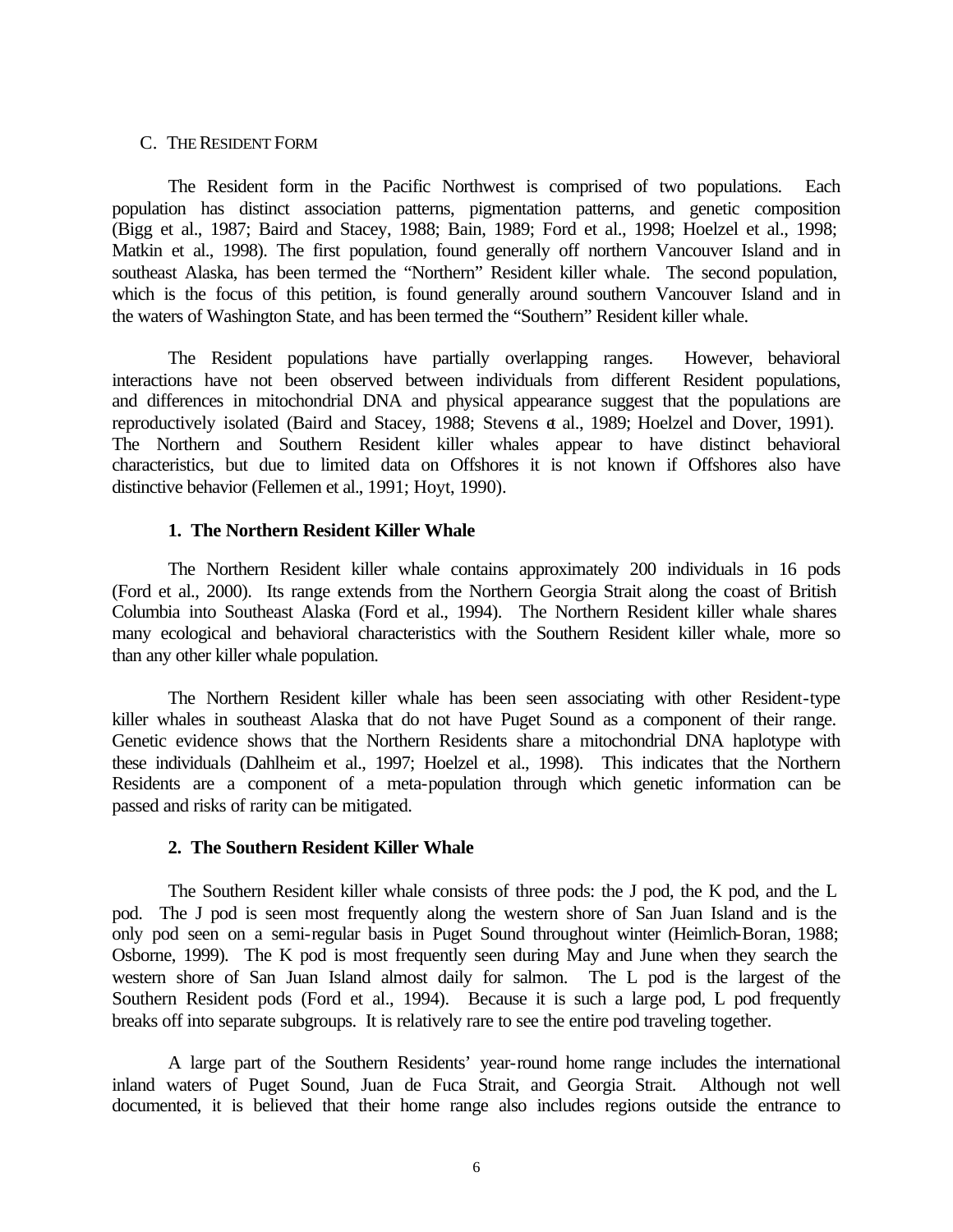#### C. THE RESIDENT FORM

The Resident form in the Pacific Northwest is comprised of two populations. Each population has distinct association patterns, pigmentation patterns, and genetic composition (Bigg et al., 1987; Baird and Stacey, 1988; Bain, 1989; Ford et al., 1998; Hoelzel et al., 1998; Matkin et al., 1998). The first population, found generally off northern Vancouver Island and in southeast Alaska, has been termed the "Northern" Resident killer whale. The second population, which is the focus of this petition, is found generally around southern Vancouver Island and in the waters of Washington State, and has been termed the "Southern" Resident killer whale.

The Resident populations have partially overlapping ranges. However, behavioral interactions have not been observed between individuals from different Resident populations, and differences in mitochondrial DNA and physical appearance suggest that the populations are reproductively isolated (Baird and Stacey, 1988; Stevens et al., 1989; Hoelzel and Dover, 1991). The Northern and Southern Resident killer whales appear to have distinct behavioral characteristics, but due to limited data on Offshores it is not known if Offshores also have distinctive behavior (Fellemen et al., 1991; Hoyt, 1990).

## **1. The Northern Resident Killer Whale**

The Northern Resident killer whale contains approximately 200 individuals in 16 pods (Ford et al., 2000). Its range extends from the Northern Georgia Strait along the coast of British Columbia into Southeast Alaska (Ford et al., 1994). The Northern Resident killer whale shares many ecological and behavioral characteristics with the Southern Resident killer whale, more so than any other killer whale population.

The Northern Resident killer whale has been seen associating with other Resident-type killer whales in southeast Alaska that do not have Puget Sound as a component of their range. Genetic evidence shows that the Northern Residents share a mitochondrial DNA haplotype with these individuals (Dahlheim et al., 1997; Hoelzel et al., 1998). This indicates that the Northern Residents are a component of a meta-population through which genetic information can be passed and risks of rarity can be mitigated.

# **2. The Southern Resident Killer Whale**

The Southern Resident killer whale consists of three pods: the J pod, the K pod, and the L pod. The J pod is seen most frequently along the western shore of San Juan Island and is the only pod seen on a semi-regular basis in Puget Sound throughout winter (Heimlich-Boran, 1988; Osborne, 1999). The K pod is most frequently seen during May and June when they search the western shore of San Juan Island almost daily for salmon. The L pod is the largest of the Southern Resident pods (Ford et al., 1994). Because it is such a large pod, L pod frequently breaks off into separate subgroups. It is relatively rare to see the entire pod traveling together.

A large part of the Southern Residents' year-round home range includes the international inland waters of Puget Sound, Juan de Fuca Strait, and Georgia Strait. Although not well documented, it is believed that their home range also includes regions outside the entrance to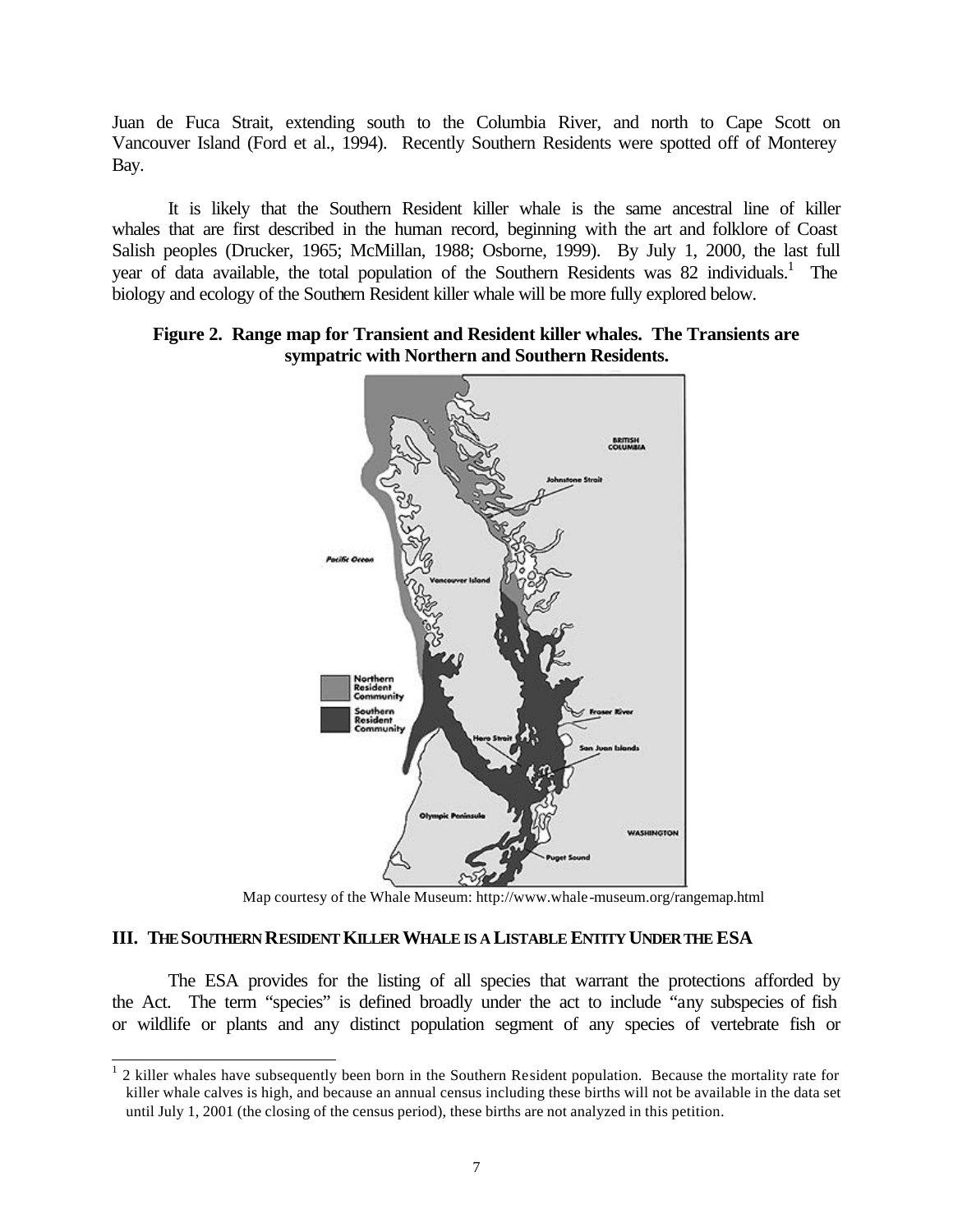Juan de Fuca Strait, extending south to the Columbia River, and north to Cape Scott on Vancouver Island (Ford et al., 1994). Recently Southern Residents were spotted off of Monterey Bay.

It is likely that the Southern Resident killer whale is the same ancestral line of killer whales that are first described in the human record, beginning with the art and folklore of Coast Salish peoples (Drucker, 1965; McMillan, 1988; Osborne, 1999). By July 1, 2000, the last full year of data available, the total population of the Southern Residents was 82 individuals.<sup>1</sup> The biology and ecology of the Southern Resident killer whale will be more fully explored below.

# **Figure 2. Range map for Transient and Resident killer whales. The Transients are sympatric with Northern and Southern Residents.**



Map courtesy of the Whale Museum: http://www.whale-museum.org/rangemap.html

# **III. THE SOUTHERN RESIDENT KILLER WHALE IS A LISTABLE ENTITY UNDER THE ESA**

The ESA provides for the listing of all species that warrant the protections afforded by the Act. The term "species" is defined broadly under the act to include "any subspecies of fish or wildlife or plants and any distinct population segment of any species of vertebrate fish or

<sup>&</sup>lt;sup>1</sup> 2 killer whales have subsequently been born in the Southern Resident population. Because the mortality rate for killer whale calves is high, and because an annual census including these births will not be available in the data set until July 1, 2001 (the closing of the census period), these births are not analyzed in this petition.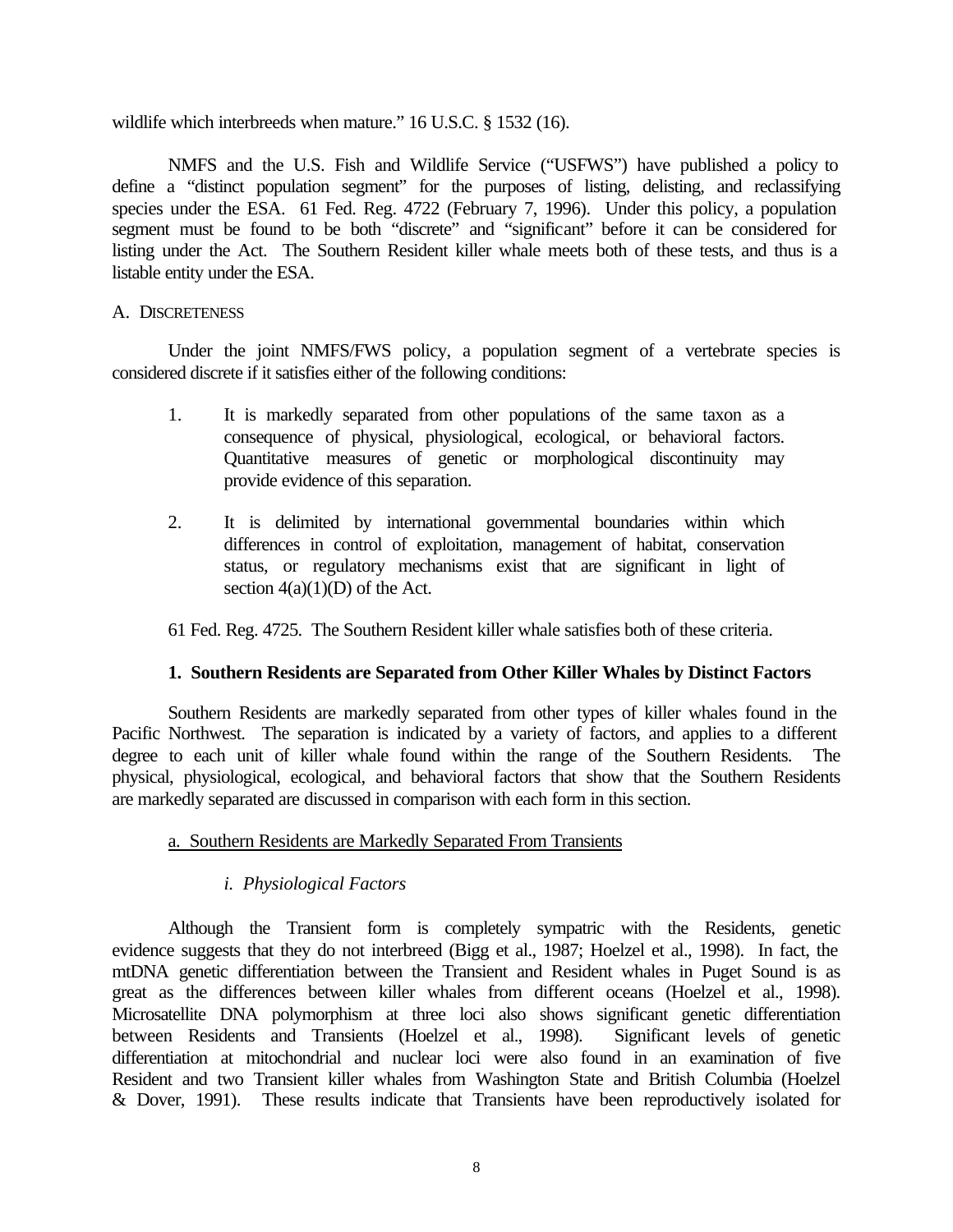wildlife which interbreeds when mature." 16 U.S.C. § 1532 (16).

NMFS and the U.S. Fish and Wildlife Service ("USFWS") have published a policy to define a "distinct population segment" for the purposes of listing, delisting, and reclassifying species under the ESA. 61 Fed. Reg. 4722 (February 7, 1996). Under this policy, a population segment must be found to be both "discrete" and "significant" before it can be considered for listing under the Act. The Southern Resident killer whale meets both of these tests, and thus is a listable entity under the ESA.

# A. DISCRETENESS

Under the joint NMFS/FWS policy, a population segment of a vertebrate species is considered discrete if it satisfies either of the following conditions:

- 1. It is markedly separated from other populations of the same taxon as a consequence of physical, physiological, ecological, or behavioral factors. Quantitative measures of genetic or morphological discontinuity may provide evidence of this separation.
- 2. It is delimited by international governmental boundaries within which differences in control of exploitation, management of habitat, conservation status, or regulatory mechanisms exist that are significant in light of section  $4(a)(1)(D)$  of the Act.

61 Fed. Reg. 4725. The Southern Resident killer whale satisfies both of these criteria.

# **1. Southern Residents are Separated from Other Killer Whales by Distinct Factors**

Southern Residents are markedly separated from other types of killer whales found in the Pacific Northwest. The separation is indicated by a variety of factors, and applies to a different degree to each unit of killer whale found within the range of the Southern Residents. The physical, physiological, ecological, and behavioral factors that show that the Southern Residents are markedly separated are discussed in comparison with each form in this section.

# a. Southern Residents are Markedly Separated From Transients

# *i. Physiological Factors*

Although the Transient form is completely sympatric with the Residents, genetic evidence suggests that they do not interbreed (Bigg et al., 1987; Hoelzel et al., 1998). In fact, the mtDNA genetic differentiation between the Transient and Resident whales in Puget Sound is as great as the differences between killer whales from different oceans (Hoelzel et al., 1998). Microsatellite DNA polymorphism at three loci also shows significant genetic differentiation between Residents and Transients (Hoelzel et al., 1998). Significant levels of genetic differentiation at mitochondrial and nuclear loci were also found in an examination of five Resident and two Transient killer whales from Washington State and British Columbia (Hoelzel & Dover, 1991). These results indicate that Transients have been reproductively isolated for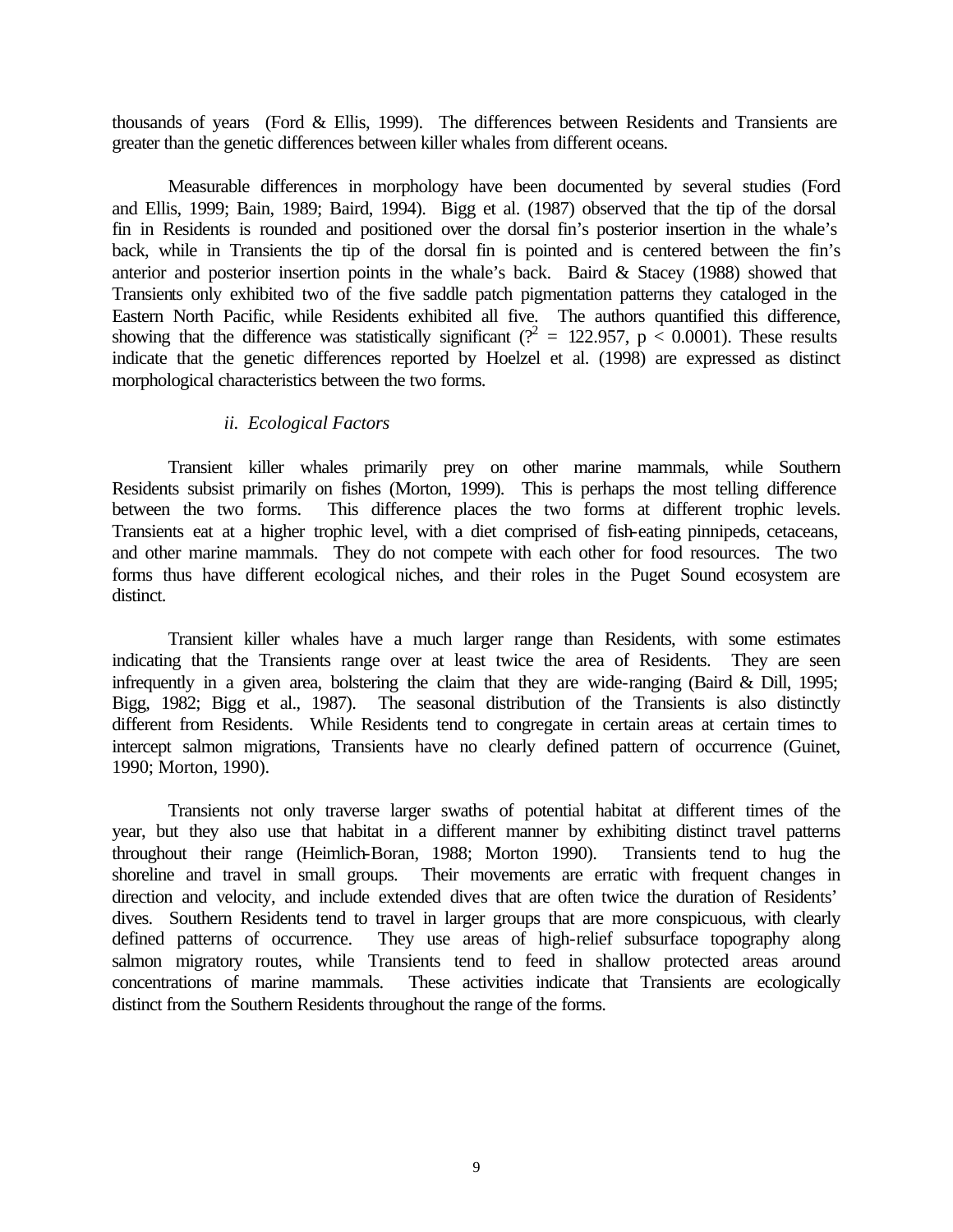thousands of years (Ford & Ellis, 1999). The differences between Residents and Transients are greater than the genetic differences between killer whales from different oceans.

Measurable differences in morphology have been documented by several studies (Ford and Ellis, 1999; Bain, 1989; Baird, 1994). Bigg et al. (1987) observed that the tip of the dorsal fin in Residents is rounded and positioned over the dorsal fin's posterior insertion in the whale's back, while in Transients the tip of the dorsal fin is pointed and is centered between the fin's anterior and posterior insertion points in the whale's back. Baird & Stacey (1988) showed that Transients only exhibited two of the five saddle patch pigmentation patterns they cataloged in the Eastern North Pacific, while Residents exhibited all five. The authors quantified this difference, showing that the difference was statistically significant ( $\frac{r^2}{r^2} = 122.957$ , p < 0.0001). These results indicate that the genetic differences reported by Hoelzel et al. (1998) are expressed as distinct morphological characteristics between the two forms.

## *ii. Ecological Factors*

Transient killer whales primarily prey on other marine mammals, while Southern Residents subsist primarily on fishes (Morton, 1999). This is perhaps the most telling difference between the two forms. This difference places the two forms at different trophic levels. Transients eat at a higher trophic level, with a diet comprised of fish-eating pinnipeds, cetaceans, and other marine mammals. They do not compete with each other for food resources. The two forms thus have different ecological niches, and their roles in the Puget Sound ecosystem are distinct.

Transient killer whales have a much larger range than Residents, with some estimates indicating that the Transients range over at least twice the area of Residents. They are seen infrequently in a given area, bolstering the claim that they are wide-ranging (Baird & Dill, 1995; Bigg, 1982; Bigg et al., 1987). The seasonal distribution of the Transients is also distinctly different from Residents. While Residents tend to congregate in certain areas at certain times to intercept salmon migrations, Transients have no clearly defined pattern of occurrence (Guinet, 1990; Morton, 1990).

Transients not only traverse larger swaths of potential habitat at different times of the year, but they also use that habitat in a different manner by exhibiting distinct travel patterns throughout their range (Heimlich-Boran, 1988; Morton 1990). Transients tend to hug the shoreline and travel in small groups. Their movements are erratic with frequent changes in direction and velocity, and include extended dives that are often twice the duration of Residents' dives. Southern Residents tend to travel in larger groups that are more conspicuous, with clearly defined patterns of occurrence. They use areas of high-relief subsurface topography along salmon migratory routes, while Transients tend to feed in shallow protected areas around concentrations of marine mammals. These activities indicate that Transients are ecologically distinct from the Southern Residents throughout the range of the forms.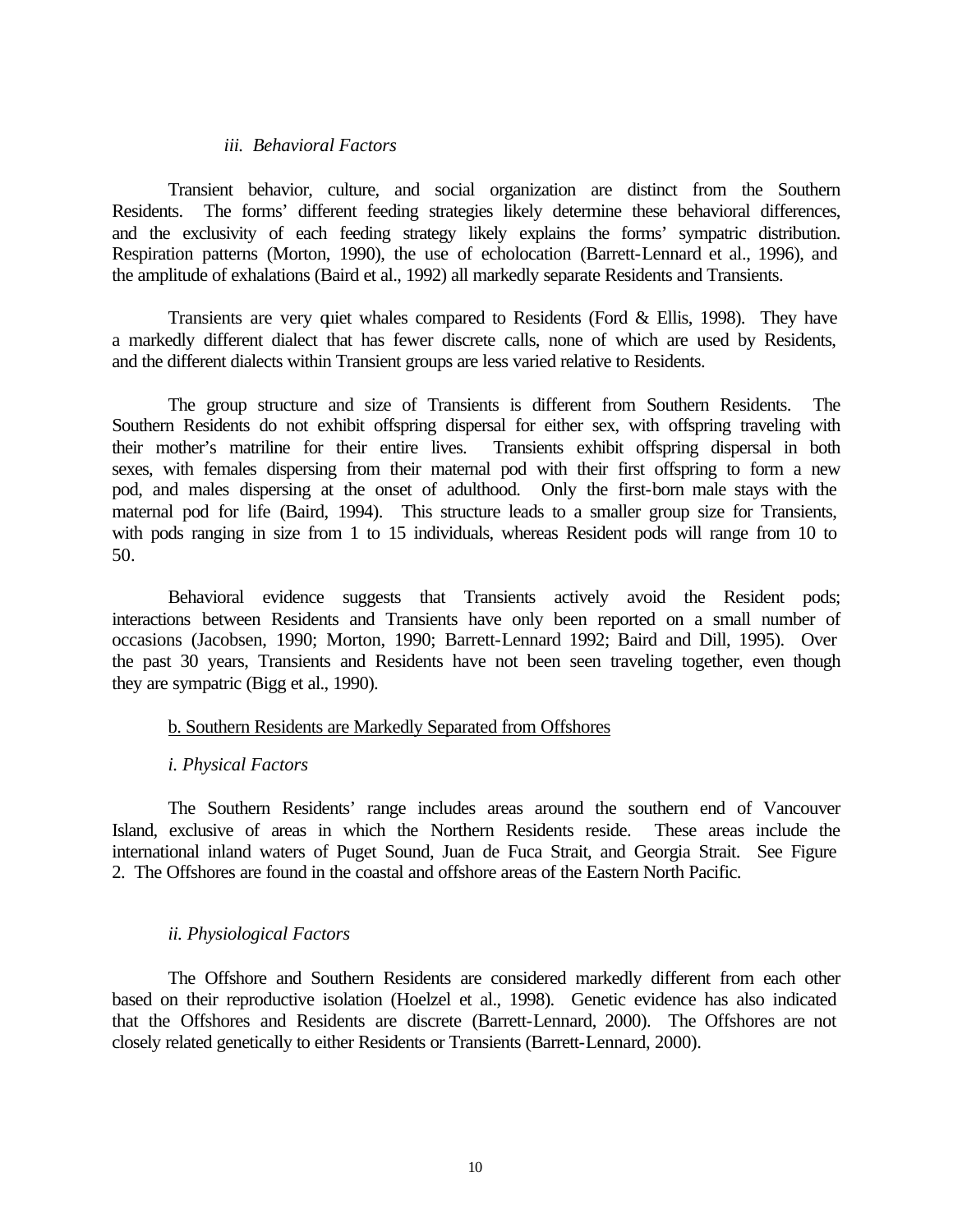## *iii. Behavioral Factors*

Transient behavior, culture, and social organization are distinct from the Southern Residents. The forms' different feeding strategies likely determine these behavioral differences, and the exclusivity of each feeding strategy likely explains the forms' sympatric distribution. Respiration patterns (Morton, 1990), the use of echolocation (Barrett-Lennard et al., 1996), and the amplitude of exhalations (Baird et al., 1992) all markedly separate Residents and Transients.

Transients are very quiet whales compared to Residents (Ford & Ellis, 1998). They have a markedly different dialect that has fewer discrete calls, none of which are used by Residents, and the different dialects within Transient groups are less varied relative to Residents.

The group structure and size of Transients is different from Southern Residents. The Southern Residents do not exhibit offspring dispersal for either sex, with offspring traveling with their mother's matriline for their entire lives. Transients exhibit offspring dispersal in both sexes, with females dispersing from their maternal pod with their first offspring to form a new pod, and males dispersing at the onset of adulthood. Only the first-born male stays with the maternal pod for life (Baird, 1994). This structure leads to a smaller group size for Transients, with pods ranging in size from 1 to 15 individuals, whereas Resident pods will range from 10 to 50.

Behavioral evidence suggests that Transients actively avoid the Resident pods; interactions between Residents and Transients have only been reported on a small number of occasions (Jacobsen, 1990; Morton, 1990; Barrett-Lennard 1992; Baird and Dill, 1995). Over the past 30 years, Transients and Residents have not been seen traveling together, even though they are sympatric (Bigg et al., 1990).

## b. Southern Residents are Markedly Separated from Offshores

## *i. Physical Factors*

The Southern Residents' range includes areas around the southern end of Vancouver Island, exclusive of areas in which the Northern Residents reside. These areas include the international inland waters of Puget Sound, Juan de Fuca Strait, and Georgia Strait. See Figure 2. The Offshores are found in the coastal and offshore areas of the Eastern North Pacific.

## *ii. Physiological Factors*

The Offshore and Southern Residents are considered markedly different from each other based on their reproductive isolation (Hoelzel et al., 1998). Genetic evidence has also indicated that the Offshores and Residents are discrete (Barrett-Lennard, 2000). The Offshores are not closely related genetically to either Residents or Transients (Barrett-Lennard, 2000).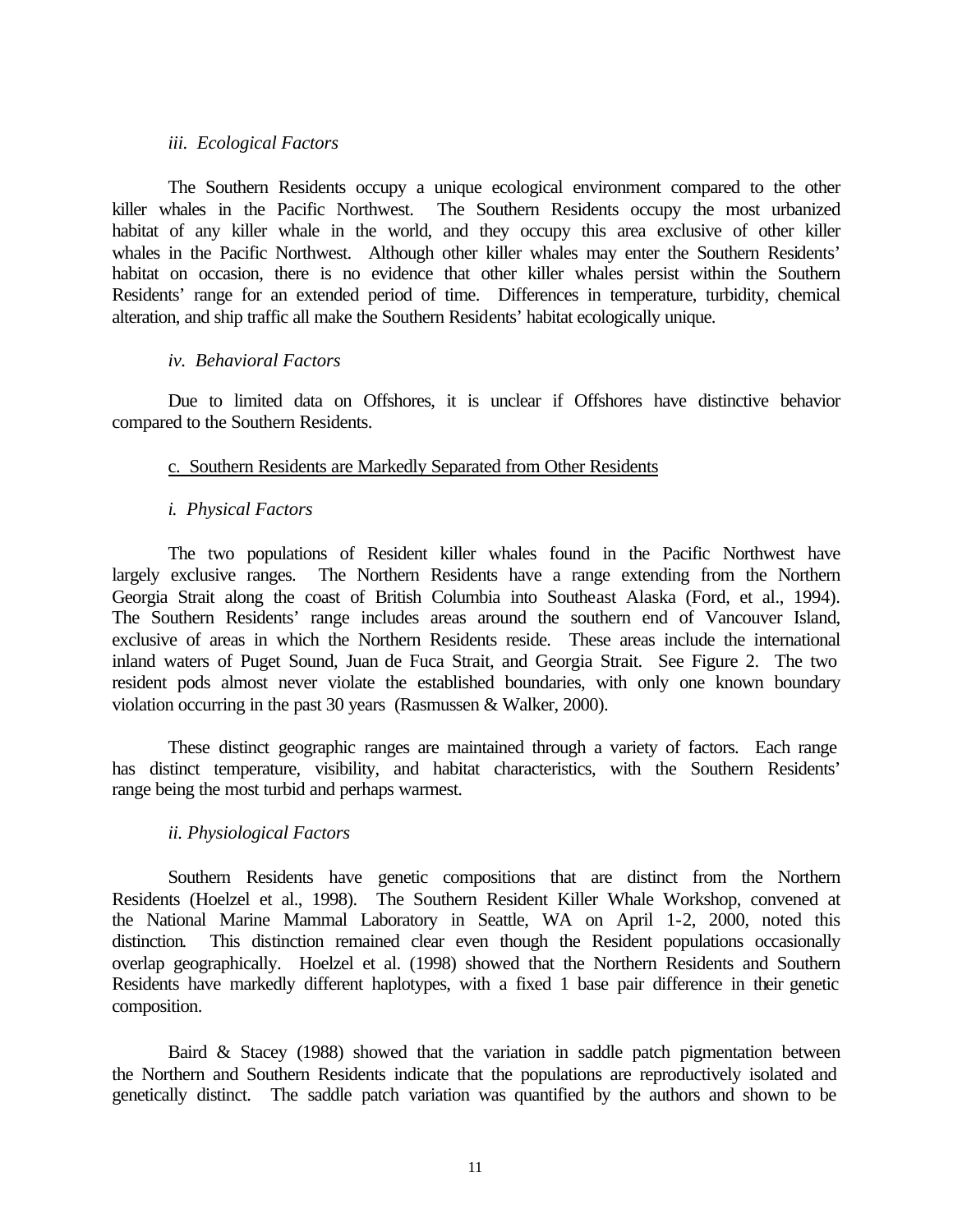## *iii. Ecological Factors*

The Southern Residents occupy a unique ecological environment compared to the other killer whales in the Pacific Northwest. The Southern Residents occupy the most urbanized habitat of any killer whale in the world, and they occupy this area exclusive of other killer whales in the Pacific Northwest. Although other killer whales may enter the Southern Residents' habitat on occasion, there is no evidence that other killer whales persist within the Southern Residents' range for an extended period of time. Differences in temperature, turbidity, chemical alteration, and ship traffic all make the Southern Residents' habitat ecologically unique.

## *iv. Behavioral Factors*

Due to limited data on Offshores, it is unclear if Offshores have distinctive behavior compared to the Southern Residents.

## c. Southern Residents are Markedly Separated from Other Residents

## *i. Physical Factors*

The two populations of Resident killer whales found in the Pacific Northwest have largely exclusive ranges. The Northern Residents have a range extending from the Northern Georgia Strait along the coast of British Columbia into Southeast Alaska (Ford, et al., 1994). The Southern Residents' range includes areas around the southern end of Vancouver Island, exclusive of areas in which the Northern Residents reside. These areas include the international inland waters of Puget Sound, Juan de Fuca Strait, and Georgia Strait. See Figure 2. The two resident pods almost never violate the established boundaries, with only one known boundary violation occurring in the past 30 years (Rasmussen & Walker, 2000).

These distinct geographic ranges are maintained through a variety of factors. Each range has distinct temperature, visibility, and habitat characteristics, with the Southern Residents' range being the most turbid and perhaps warmest.

# *ii. Physiological Factors*

Southern Residents have genetic compositions that are distinct from the Northern Residents (Hoelzel et al., 1998). The Southern Resident Killer Whale Workshop, convened at the National Marine Mammal Laboratory in Seattle, WA on April 1-2, 2000, noted this distinction. This distinction remained clear even though the Resident populations occasionally overlap geographically. Hoelzel et al. (1998) showed that the Northern Residents and Southern Residents have markedly different haplotypes, with a fixed 1 base pair difference in their genetic composition.

Baird & Stacey (1988) showed that the variation in saddle patch pigmentation between the Northern and Southern Residents indicate that the populations are reproductively isolated and genetically distinct. The saddle patch variation was quantified by the authors and shown to be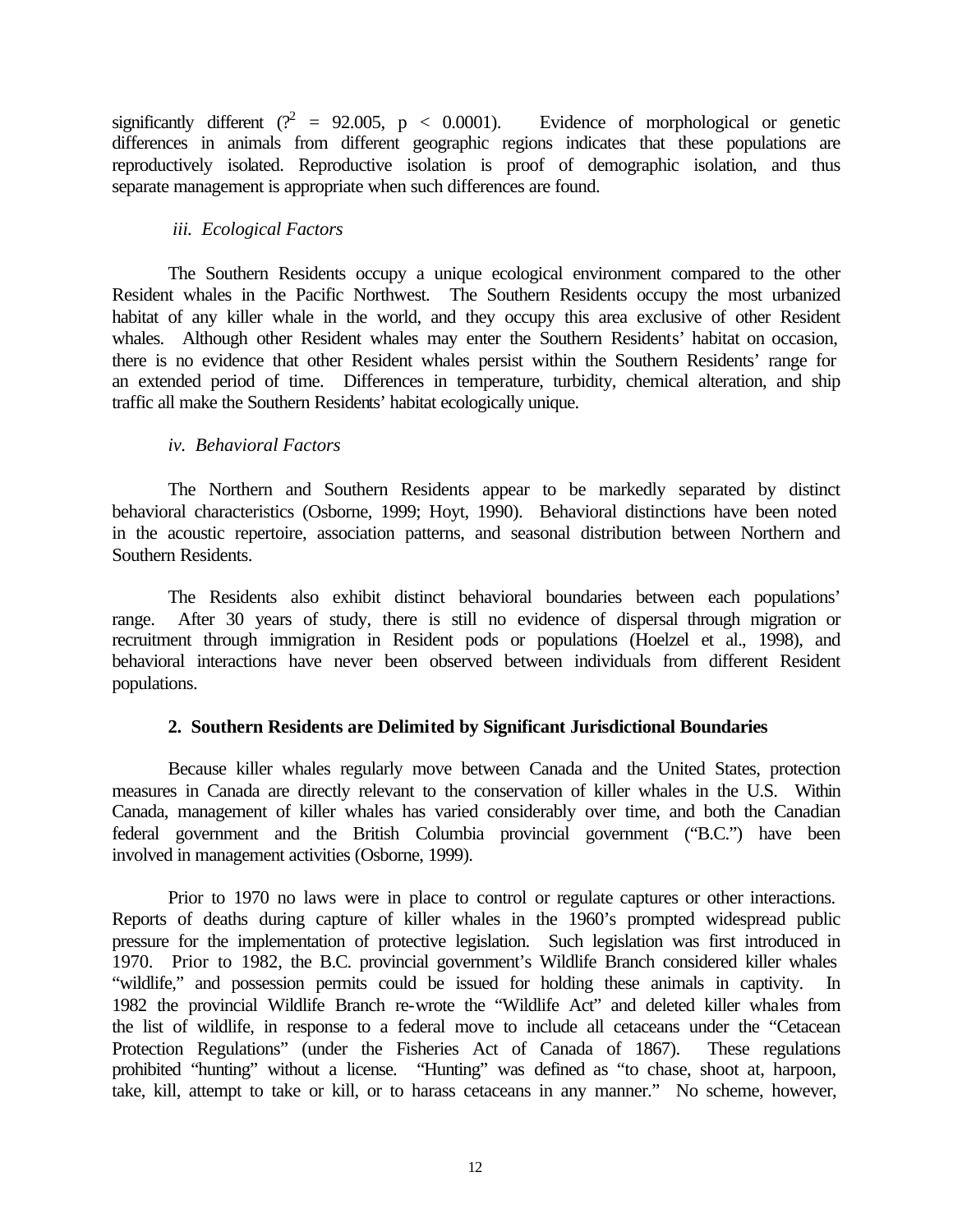significantly different ( $\mathcal{C}^2 = 92.005$ , p < 0.0001). Evidence of morphological or genetic differences in animals from different geographic regions indicates that these populations are reproductively isolated. Reproductive isolation is proof of demographic isolation, and thus separate management is appropriate when such differences are found.

## *iii. Ecological Factors*

The Southern Residents occupy a unique ecological environment compared to the other Resident whales in the Pacific Northwest. The Southern Residents occupy the most urbanized habitat of any killer whale in the world, and they occupy this area exclusive of other Resident whales. Although other Resident whales may enter the Southern Residents' habitat on occasion, there is no evidence that other Resident whales persist within the Southern Residents' range for an extended period of time. Differences in temperature, turbidity, chemical alteration, and ship traffic all make the Southern Residents' habitat ecologically unique.

# *iv. Behavioral Factors*

The Northern and Southern Residents appear to be markedly separated by distinct behavioral characteristics (Osborne, 1999; Hoyt, 1990). Behavioral distinctions have been noted in the acoustic repertoire, association patterns, and seasonal distribution between Northern and Southern Residents.

The Residents also exhibit distinct behavioral boundaries between each populations' range. After 30 years of study, there is still no evidence of dispersal through migration or recruitment through immigration in Resident pods or populations (Hoelzel et al., 1998), and behavioral interactions have never been observed between individuals from different Resident populations.

# **2. Southern Residents are Delimited by Significant Jurisdictional Boundaries**

Because killer whales regularly move between Canada and the United States, protection measures in Canada are directly relevant to the conservation of killer whales in the U.S. Within Canada, management of killer whales has varied considerably over time, and both the Canadian federal government and the British Columbia provincial government ("B.C.") have been involved in management activities (Osborne, 1999).

Prior to 1970 no laws were in place to control or regulate captures or other interactions. Reports of deaths during capture of killer whales in the 1960's prompted widespread public pressure for the implementation of protective legislation. Such legislation was first introduced in 1970. Prior to 1982, the B.C. provincial government's Wildlife Branch considered killer whales "wildlife," and possession permits could be issued for holding these animals in captivity. In 1982 the provincial Wildlife Branch re-wrote the "Wildlife Act" and deleted killer whales from the list of wildlife, in response to a federal move to include all cetaceans under the "Cetacean Protection Regulations" (under the Fisheries Act of Canada of 1867). These regulations prohibited "hunting" without a license. "Hunting" was defined as "to chase, shoot at, harpoon, take, kill, attempt to take or kill, or to harass cetaceans in any manner." No scheme, however,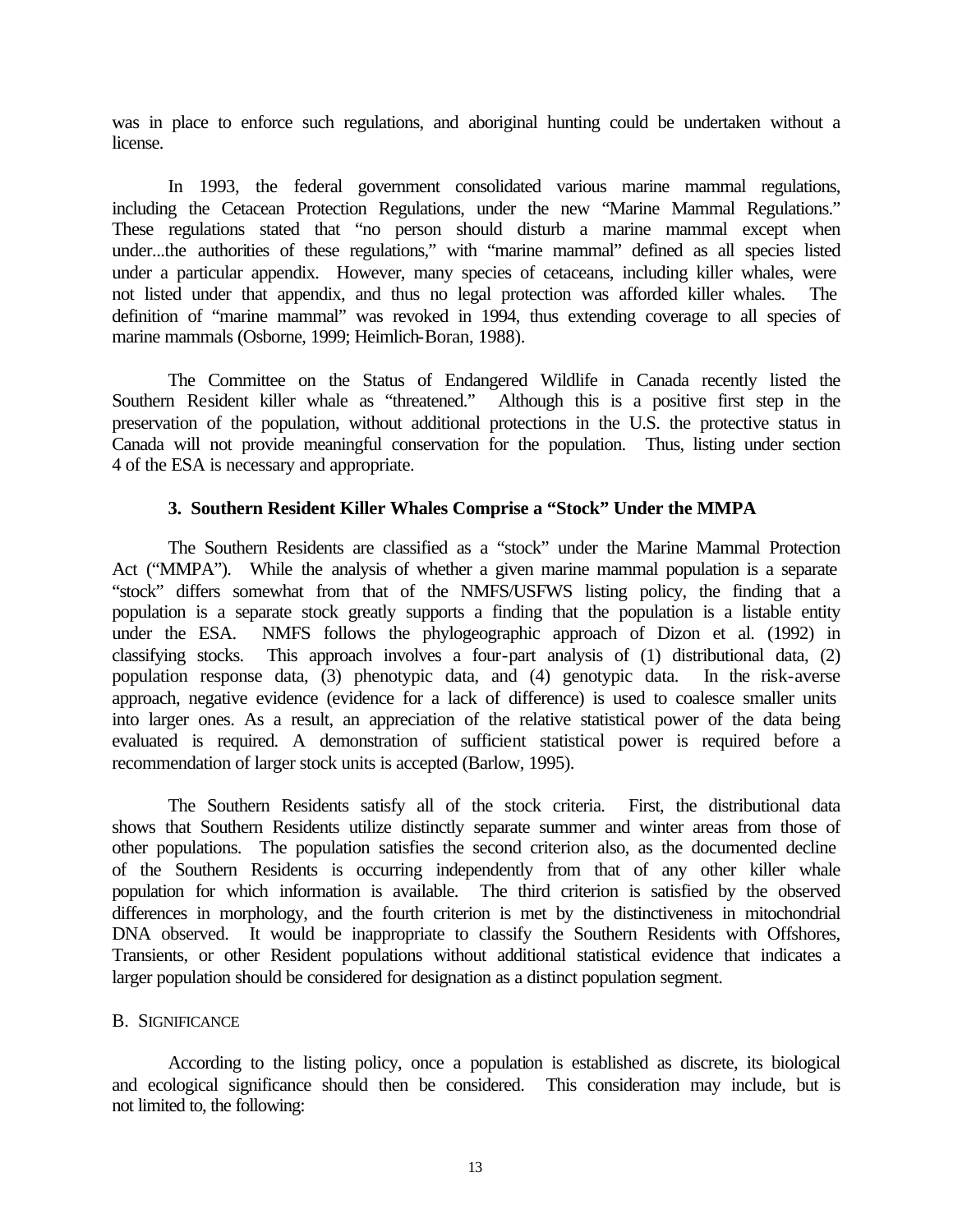was in place to enforce such regulations, and aboriginal hunting could be undertaken without a license.

In 1993, the federal government consolidated various marine mammal regulations, including the Cetacean Protection Regulations, under the new "Marine Mammal Regulations." These regulations stated that "no person should disturb a marine mammal except when under...the authorities of these regulations," with "marine mammal" defined as all species listed under a particular appendix. However, many species of cetaceans, including killer whales, were not listed under that appendix, and thus no legal protection was afforded killer whales. The definition of "marine mammal" was revoked in 1994, thus extending coverage to all species of marine mammals (Osborne, 1999; Heimlich-Boran, 1988).

The Committee on the Status of Endangered Wildlife in Canada recently listed the Southern Resident killer whale as "threatened." Although this is a positive first step in the preservation of the population, without additional protections in the U.S. the protective status in Canada will not provide meaningful conservation for the population. Thus, listing under section 4 of the ESA is necessary and appropriate.

## **3. Southern Resident Killer Whales Comprise a "Stock" Under the MMPA**

The Southern Residents are classified as a "stock" under the Marine Mammal Protection Act ("MMPA"). While the analysis of whether a given marine mammal population is a separate "stock" differs somewhat from that of the NMFS/USFWS listing policy, the finding that a population is a separate stock greatly supports a finding that the population is a listable entity under the ESA. NMFS follows the phylogeographic approach of Dizon et al. (1992) in classifying stocks. This approach involves a four-part analysis of (1) distributional data, (2) population response data, (3) phenotypic data, and (4) genotypic data. In the risk-averse approach, negative evidence (evidence for a lack of difference) is used to coalesce smaller units into larger ones. As a result, an appreciation of the relative statistical power of the data being evaluated is required. A demonstration of sufficient statistical power is required before a recommendation of larger stock units is accepted (Barlow, 1995).

The Southern Residents satisfy all of the stock criteria. First, the distributional data shows that Southern Residents utilize distinctly separate summer and winter areas from those of other populations. The population satisfies the second criterion also, as the documented decline of the Southern Residents is occurring independently from that of any other killer whale population for which information is available. The third criterion is satisfied by the observed differences in morphology, and the fourth criterion is met by the distinctiveness in mitochondrial DNA observed. It would be inappropriate to classify the Southern Residents with Offshores, Transients, or other Resident populations without additional statistical evidence that indicates a larger population should be considered for designation as a distinct population segment.

## B. SIGNIFICANCE

According to the listing policy, once a population is established as discrete, its biological and ecological significance should then be considered. This consideration may include, but is not limited to, the following: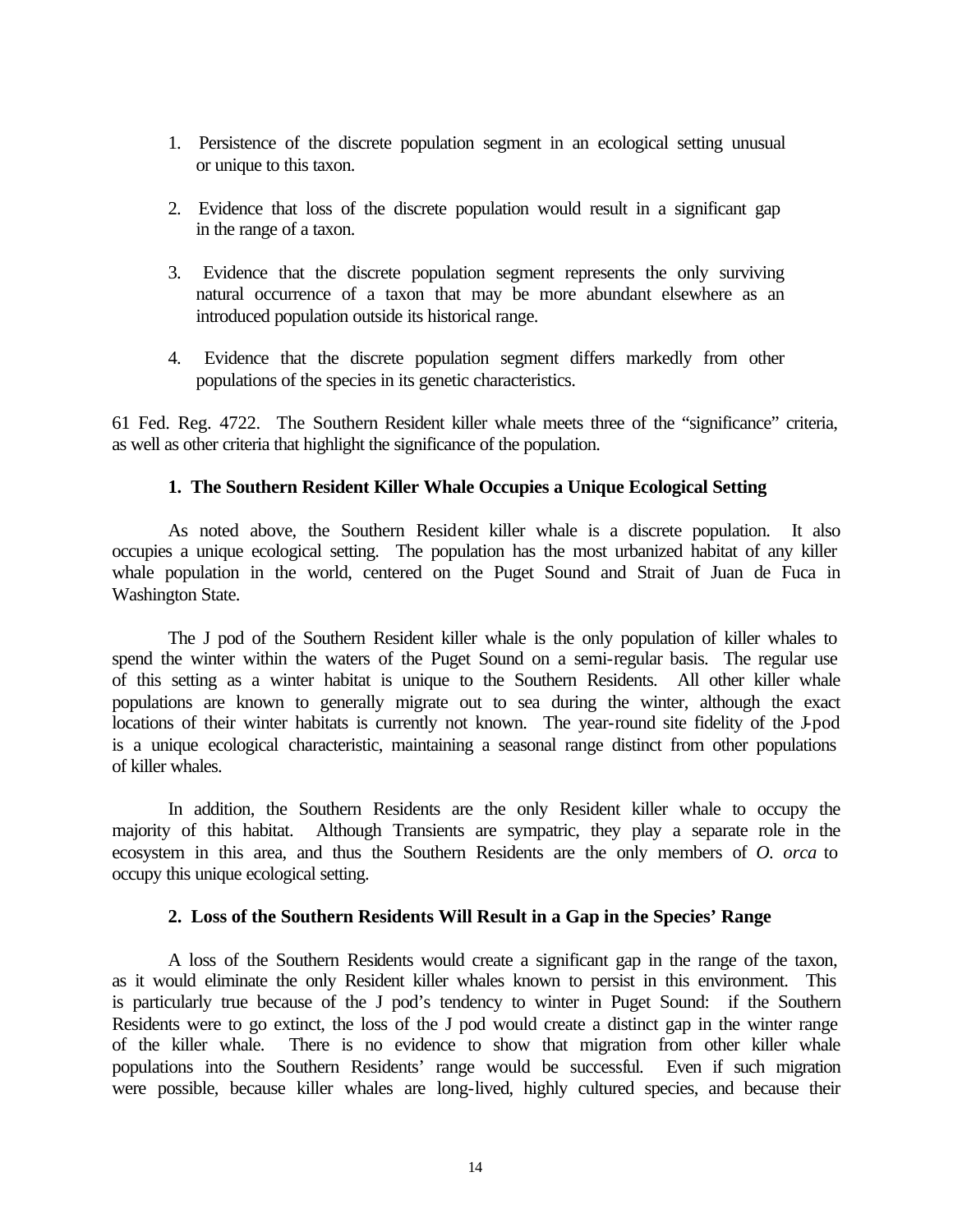- 1. Persistence of the discrete population segment in an ecological setting unusual or unique to this taxon.
- 2. Evidence that loss of the discrete population would result in a significant gap in the range of a taxon.
- 3. Evidence that the discrete population segment represents the only surviving natural occurrence of a taxon that may be more abundant elsewhere as an introduced population outside its historical range.
- 4. Evidence that the discrete population segment differs markedly from other populations of the species in its genetic characteristics.

61 Fed. Reg. 4722. The Southern Resident killer whale meets three of the "significance" criteria, as well as other criteria that highlight the significance of the population.

# **1. The Southern Resident Killer Whale Occupies a Unique Ecological Setting**

As noted above, the Southern Resident killer whale is a discrete population. It also occupies a unique ecological setting. The population has the most urbanized habitat of any killer whale population in the world, centered on the Puget Sound and Strait of Juan de Fuca in Washington State.

The J pod of the Southern Resident killer whale is the only population of killer whales to spend the winter within the waters of the Puget Sound on a semi-regular basis. The regular use of this setting as a winter habitat is unique to the Southern Residents. All other killer whale populations are known to generally migrate out to sea during the winter, although the exact locations of their winter habitats is currently not known. The year-round site fidelity of the J-pod is a unique ecological characteristic, maintaining a seasonal range distinct from other populations of killer whales.

In addition, the Southern Residents are the only Resident killer whale to occupy the majority of this habitat. Although Transients are sympatric, they play a separate role in the ecosystem in this area, and thus the Southern Residents are the only members of *O. orca* to occupy this unique ecological setting.

# **2. Loss of the Southern Residents Will Result in a Gap in the Species' Range**

A loss of the Southern Residents would create a significant gap in the range of the taxon, as it would eliminate the only Resident killer whales known to persist in this environment. This is particularly true because of the J pod's tendency to winter in Puget Sound: if the Southern Residents were to go extinct, the loss of the J pod would create a distinct gap in the winter range of the killer whale. There is no evidence to show that migration from other killer whale populations into the Southern Residents' range would be successful. Even if such migration were possible, because killer whales are long-lived, highly cultured species, and because their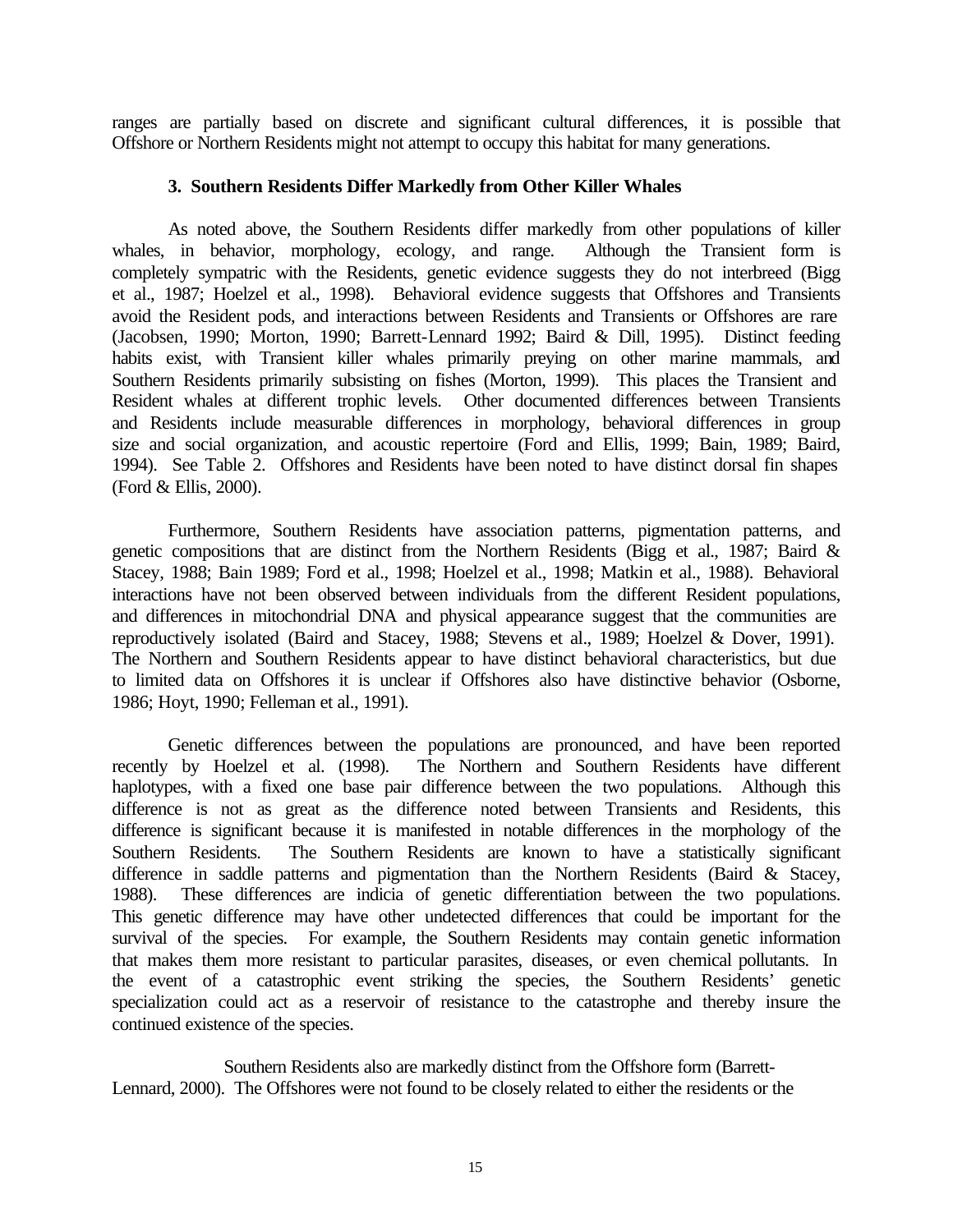ranges are partially based on discrete and significant cultural differences, it is possible that Offshore or Northern Residents might not attempt to occupy this habitat for many generations.

## **3. Southern Residents Differ Markedly from Other Killer Whales**

As noted above, the Southern Residents differ markedly from other populations of killer whales, in behavior, morphology, ecology, and range. Although the Transient form is completely sympatric with the Residents, genetic evidence suggests they do not interbreed (Bigg et al., 1987; Hoelzel et al., 1998). Behavioral evidence suggests that Offshores and Transients avoid the Resident pods, and interactions between Residents and Transients or Offshores are rare (Jacobsen, 1990; Morton, 1990; Barrett-Lennard 1992; Baird & Dill, 1995). Distinct feeding habits exist, with Transient killer whales primarily preying on other marine mammals, and Southern Residents primarily subsisting on fishes (Morton, 1999). This places the Transient and Resident whales at different trophic levels. Other documented differences between Transients and Residents include measurable differences in morphology, behavioral differences in group size and social organization, and acoustic repertoire (Ford and Ellis, 1999; Bain, 1989; Baird, 1994). See Table 2. Offshores and Residents have been noted to have distinct dorsal fin shapes (Ford & Ellis, 2000).

Furthermore, Southern Residents have association patterns, pigmentation patterns, and genetic compositions that are distinct from the Northern Residents (Bigg et al., 1987; Baird & Stacey, 1988; Bain 1989; Ford et al., 1998; Hoelzel et al., 1998; Matkin et al., 1988). Behavioral interactions have not been observed between individuals from the different Resident populations, and differences in mitochondrial DNA and physical appearance suggest that the communities are reproductively isolated (Baird and Stacey, 1988; Stevens et al., 1989; Hoelzel & Dover, 1991). The Northern and Southern Residents appear to have distinct behavioral characteristics, but due to limited data on Offshores it is unclear if Offshores also have distinctive behavior (Osborne, 1986; Hoyt, 1990; Felleman et al., 1991).

Genetic differences between the populations are pronounced, and have been reported recently by Hoelzel et al. (1998). The Northern and Southern Residents have different haplotypes, with a fixed one base pair difference between the two populations. Although this difference is not as great as the difference noted between Transients and Residents, this difference is significant because it is manifested in notable differences in the morphology of the Southern Residents. The Southern Residents are known to have a statistically significant difference in saddle patterns and pigmentation than the Northern Residents (Baird & Stacey, 1988). These differences are indicia of genetic differentiation between the two populations. This genetic difference may have other undetected differences that could be important for the survival of the species. For example, the Southern Residents may contain genetic information that makes them more resistant to particular parasites, diseases, or even chemical pollutants. In the event of a catastrophic event striking the species, the Southern Residents' genetic specialization could act as a reservoir of resistance to the catastrophe and thereby insure the continued existence of the species.

Southern Residents also are markedly distinct from the Offshore form (Barrett-Lennard, 2000). The Offshores were not found to be closely related to either the residents or the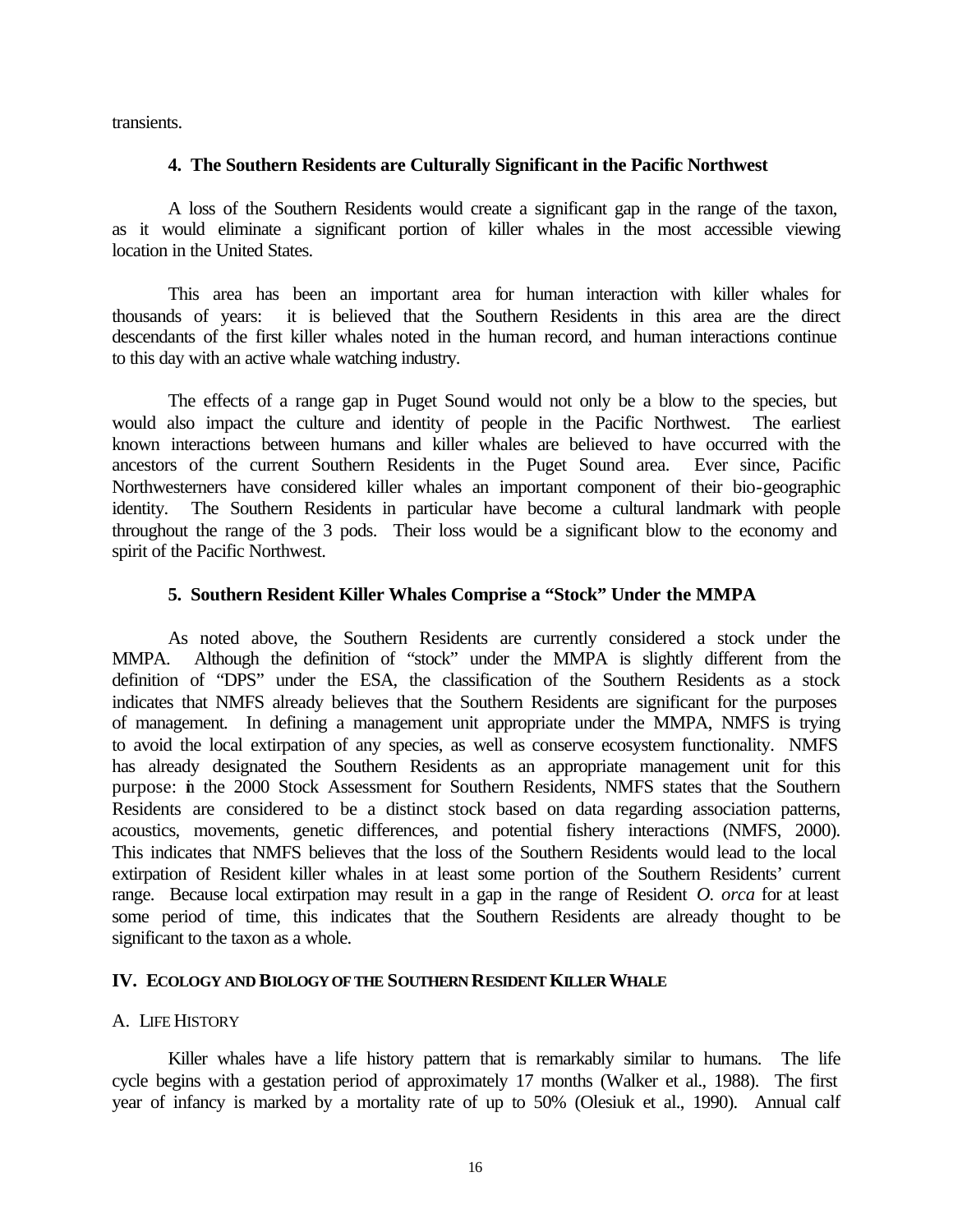transients.

## **4. The Southern Residents are Culturally Significant in the Pacific Northwest**

A loss of the Southern Residents would create a significant gap in the range of the taxon, as it would eliminate a significant portion of killer whales in the most accessible viewing location in the United States.

This area has been an important area for human interaction with killer whales for thousands of years: it is believed that the Southern Residents in this area are the direct descendants of the first killer whales noted in the human record, and human interactions continue to this day with an active whale watching industry.

The effects of a range gap in Puget Sound would not only be a blow to the species, but would also impact the culture and identity of people in the Pacific Northwest. The earliest known interactions between humans and killer whales are believed to have occurred with the ancestors of the current Southern Residents in the Puget Sound area. Ever since, Pacific Northwesterners have considered killer whales an important component of their bio-geographic identity. The Southern Residents in particular have become a cultural landmark with people throughout the range of the 3 pods. Their loss would be a significant blow to the economy and spirit of the Pacific Northwest.

# **5. Southern Resident Killer Whales Comprise a "Stock" Under the MMPA**

As noted above, the Southern Residents are currently considered a stock under the MMPA. Although the definition of "stock" under the MMPA is slightly different from the definition of "DPS" under the ESA, the classification of the Southern Residents as a stock indicates that NMFS already believes that the Southern Residents are significant for the purposes of management. In defining a management unit appropriate under the MMPA, NMFS is trying to avoid the local extirpation of any species, as well as conserve ecosystem functionality. NMFS has already designated the Southern Residents as an appropriate management unit for this purpose: in the 2000 Stock Assessment for Southern Residents, NMFS states that the Southern Residents are considered to be a distinct stock based on data regarding association patterns, acoustics, movements, genetic differences, and potential fishery interactions (NMFS, 2000). This indicates that NMFS believes that the loss of the Southern Residents would lead to the local extirpation of Resident killer whales in at least some portion of the Southern Residents' current range. Because local extirpation may result in a gap in the range of Resident *O. orca* for at least some period of time, this indicates that the Southern Residents are already thought to be significant to the taxon as a whole.

# **IV. ECOLOGY AND BIOLOGY OF THE SOUTHERN RESIDENT KILLER WHALE**

# A. LIFE HISTORY

Killer whales have a life history pattern that is remarkably similar to humans. The life cycle begins with a gestation period of approximately 17 months (Walker et al., 1988). The first year of infancy is marked by a mortality rate of up to 50% (Olesiuk et al., 1990). Annual calf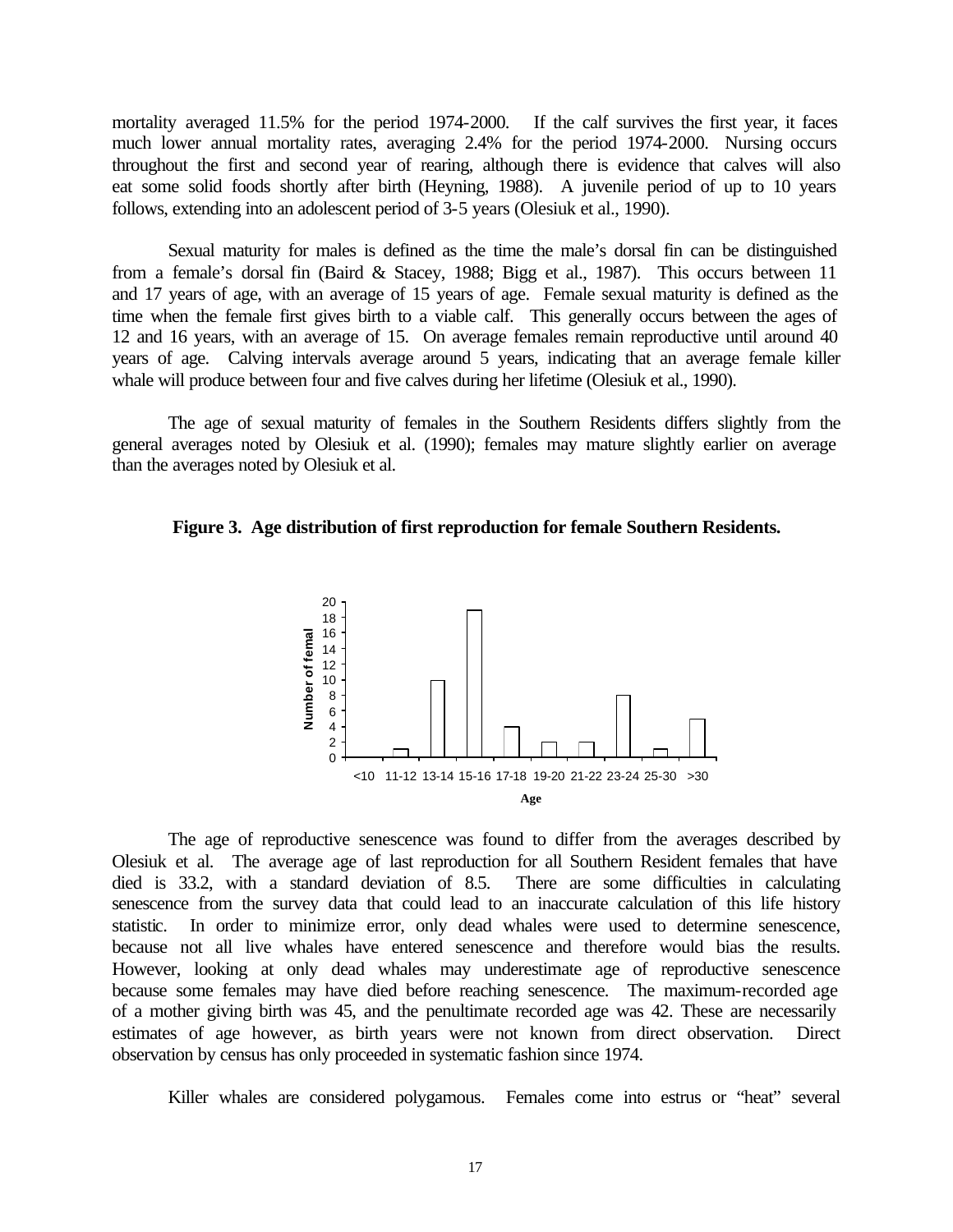mortality averaged 11.5% for the period 1974-2000. If the calf survives the first year, it faces much lower annual mortality rates, averaging 2.4% for the period 1974-2000. Nursing occurs throughout the first and second year of rearing, although there is evidence that calves will also eat some solid foods shortly after birth (Heyning, 1988). A juvenile period of up to 10 years follows, extending into an adolescent period of 3-5 years (Olesiuk et al., 1990).

Sexual maturity for males is defined as the time the male's dorsal fin can be distinguished from a female's dorsal fin (Baird & Stacey, 1988; Bigg et al., 1987). This occurs between 11 and 17 years of age, with an average of 15 years of age. Female sexual maturity is defined as the time when the female first gives birth to a viable calf. This generally occurs between the ages of 12 and 16 years, with an average of 15. On average females remain reproductive until around 40 years of age. Calving intervals average around 5 years, indicating that an average female killer whale will produce between four and five calves during her lifetime (Olesiuk et al., 1990).

The age of sexual maturity of females in the Southern Residents differs slightly from the general averages noted by Olesiuk et al. (1990); females may mature slightly earlier on average than the averages noted by Olesiuk et al.





The age of reproductive senescence was found to differ from the averages described by Olesiuk et al. The average age of last reproduction for all Southern Resident females that have died is 33.2, with a standard deviation of 8.5. There are some difficulties in calculating senescence from the survey data that could lead to an inaccurate calculation of this life history statistic. In order to minimize error, only dead whales were used to determine senescence, because not all live whales have entered senescence and therefore would bias the results. However, looking at only dead whales may underestimate age of reproductive senescence because some females may have died before reaching senescence. The maximum-recorded age of a mother giving birth was 45, and the penultimate recorded age was 42. These are necessarily estimates of age however, as birth years were not known from direct observation. Direct observation by census has only proceeded in systematic fashion since 1974.

Killer whales are considered polygamous. Females come into estrus or "heat" several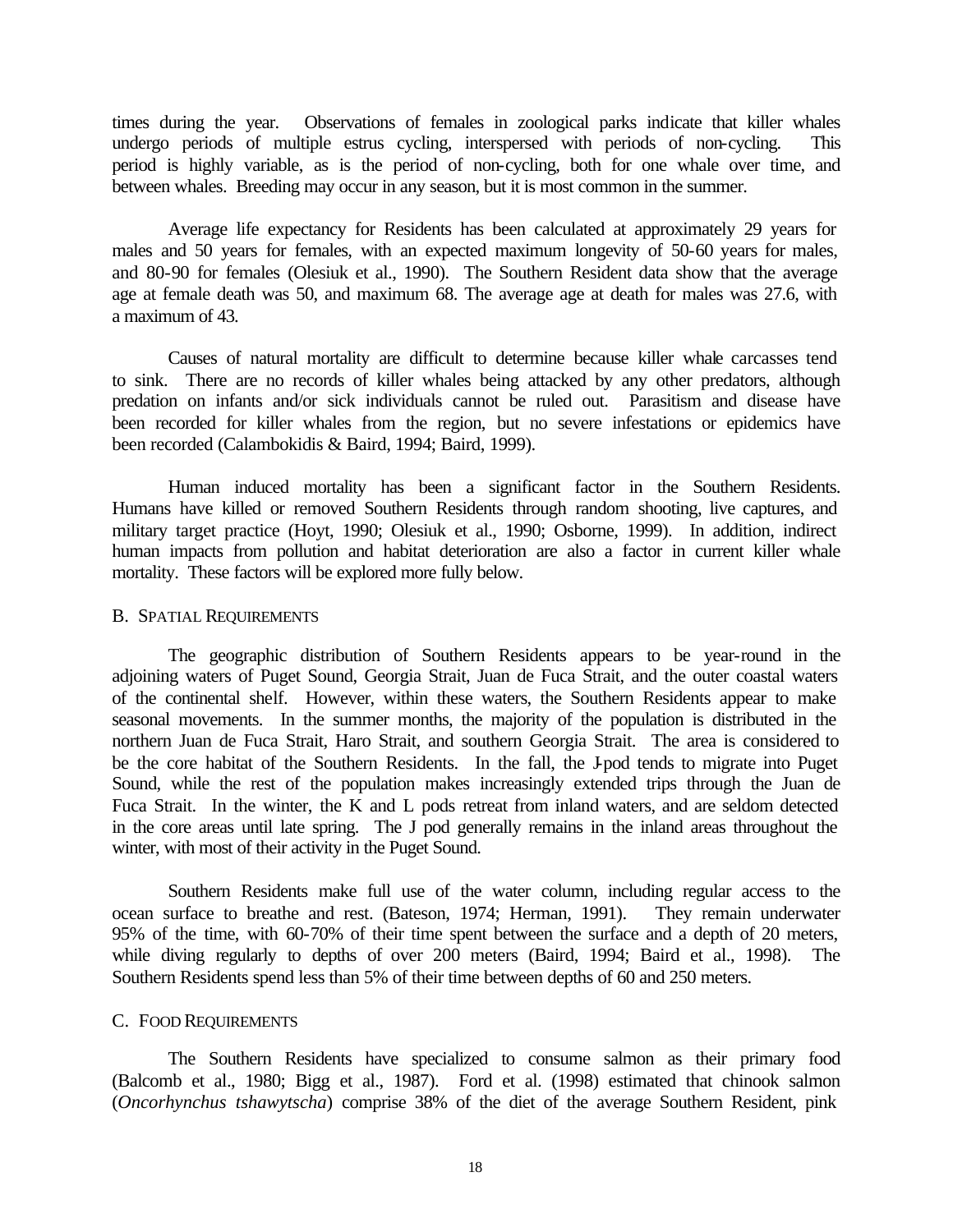times during the year. Observations of females in zoological parks indicate that killer whales undergo periods of multiple estrus cycling, interspersed with periods of non-cycling. This period is highly variable, as is the period of non-cycling, both for one whale over time, and between whales. Breeding may occur in any season, but it is most common in the summer.

Average life expectancy for Residents has been calculated at approximately 29 years for males and 50 years for females, with an expected maximum longevity of 50-60 years for males, and 80-90 for females (Olesiuk et al., 1990). The Southern Resident data show that the average age at female death was 50, and maximum 68. The average age at death for males was 27.6, with a maximum of 43.

Causes of natural mortality are difficult to determine because killer whale carcasses tend to sink. There are no records of killer whales being attacked by any other predators, although predation on infants and/or sick individuals cannot be ruled out. Parasitism and disease have been recorded for killer whales from the region, but no severe infestations or epidemics have been recorded (Calambokidis & Baird, 1994; Baird, 1999).

Human induced mortality has been a significant factor in the Southern Residents. Humans have killed or removed Southern Residents through random shooting, live captures, and military target practice (Hoyt, 1990; Olesiuk et al., 1990; Osborne, 1999). In addition, indirect human impacts from pollution and habitat deterioration are also a factor in current killer whale mortality. These factors will be explored more fully below.

#### B. SPATIAL REQUIREMENTS

The geographic distribution of Southern Residents appears to be year-round in the adjoining waters of Puget Sound, Georgia Strait, Juan de Fuca Strait, and the outer coastal waters of the continental shelf. However, within these waters, the Southern Residents appear to make seasonal movements. In the summer months, the majority of the population is distributed in the northern Juan de Fuca Strait, Haro Strait, and southern Georgia Strait. The area is considered to be the core habitat of the Southern Residents. In the fall, the J-pod tends to migrate into Puget Sound, while the rest of the population makes increasingly extended trips through the Juan de Fuca Strait. In the winter, the K and L pods retreat from inland waters, and are seldom detected in the core areas until late spring. The J pod generally remains in the inland areas throughout the winter, with most of their activity in the Puget Sound.

Southern Residents make full use of the water column, including regular access to the ocean surface to breathe and rest. (Bateson, 1974; Herman, 1991). They remain underwater 95% of the time, with 60-70% of their time spent between the surface and a depth of 20 meters, while diving regularly to depths of over 200 meters (Baird, 1994; Baird et al., 1998). The Southern Residents spend less than 5% of their time between depths of 60 and 250 meters.

#### C. FOOD REQUIREMENTS

The Southern Residents have specialized to consume salmon as their primary food (Balcomb et al., 1980; Bigg et al., 1987). Ford et al. (1998) estimated that chinook salmon (*Oncorhynchus tshawytscha*) comprise 38% of the diet of the average Southern Resident, pink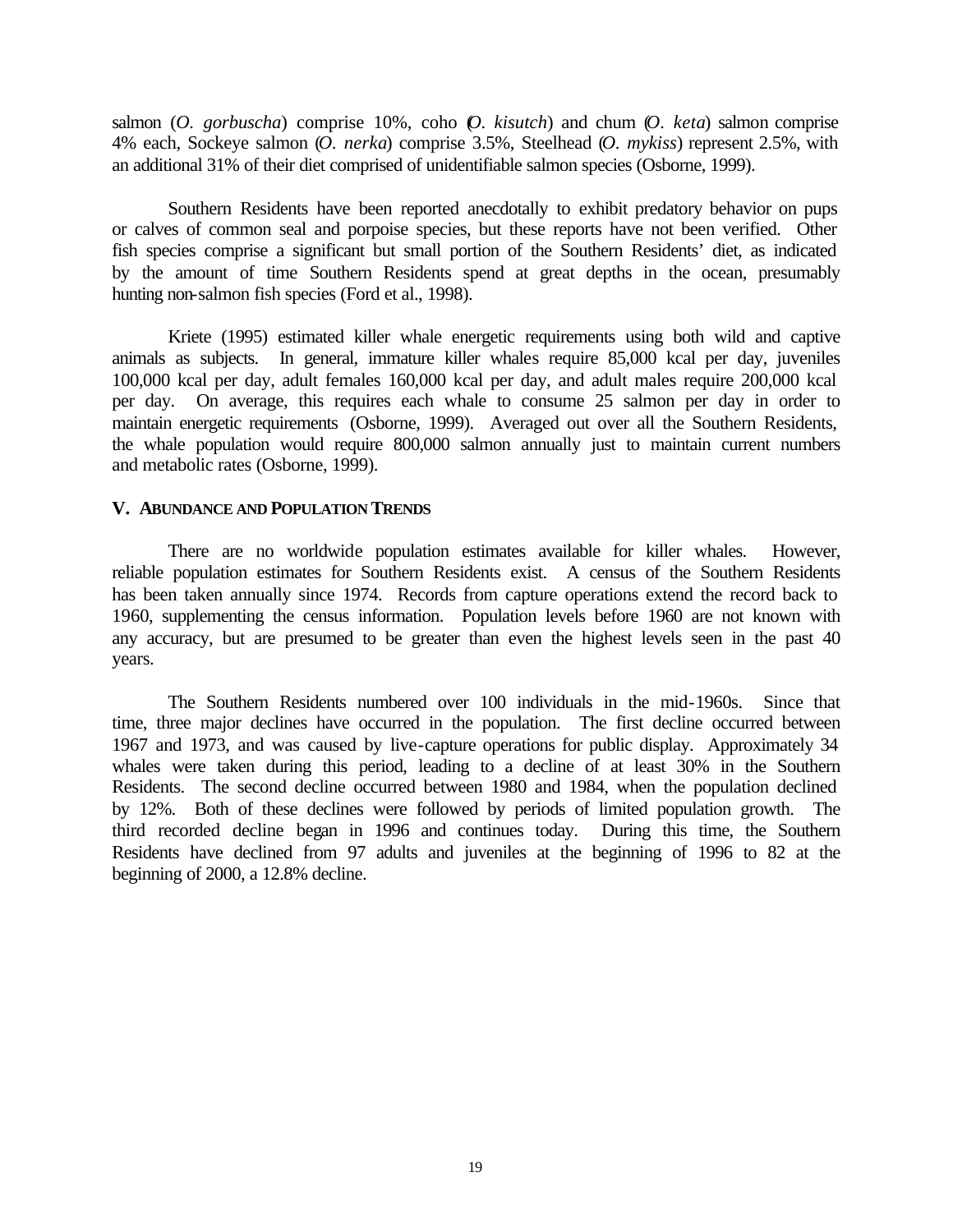salmon (*O. gorbuscha*) comprise 10%, coho (*O. kisutch*) and chum (*O. keta*) salmon comprise 4% each, Sockeye salmon (*O. nerka*) comprise 3.5%, Steelhead (*O. mykiss*) represent 2.5%, with an additional 31% of their diet comprised of unidentifiable salmon species (Osborne, 1999).

Southern Residents have been reported anecdotally to exhibit predatory behavior on pups or calves of common seal and porpoise species, but these reports have not been verified. Other fish species comprise a significant but small portion of the Southern Residents' diet, as indicated by the amount of time Southern Residents spend at great depths in the ocean, presumably hunting non-salmon fish species (Ford et al., 1998).

Kriete (1995) estimated killer whale energetic requirements using both wild and captive animals as subjects. In general, immature killer whales require 85,000 kcal per day, juveniles 100,000 kcal per day, adult females 160,000 kcal per day, and adult males require 200,000 kcal per day. On average, this requires each whale to consume 25 salmon per day in order to maintain energetic requirements (Osborne, 1999). Averaged out over all the Southern Residents, the whale population would require 800,000 salmon annually just to maintain current numbers and metabolic rates (Osborne, 1999).

#### **V. ABUNDANCE AND POPULATION TRENDS**

There are no worldwide population estimates available for killer whales. However, reliable population estimates for Southern Residents exist. A census of the Southern Residents has been taken annually since 1974. Records from capture operations extend the record back to 1960, supplementing the census information. Population levels before 1960 are not known with any accuracy, but are presumed to be greater than even the highest levels seen in the past 40 years.

The Southern Residents numbered over 100 individuals in the mid-1960s. Since that time, three major declines have occurred in the population. The first decline occurred between 1967 and 1973, and was caused by live-capture operations for public display. Approximately 34 whales were taken during this period, leading to a decline of at least 30% in the Southern Residents. The second decline occurred between 1980 and 1984, when the population declined by 12%. Both of these declines were followed by periods of limited population growth. The third recorded decline began in 1996 and continues today. During this time, the Southern Residents have declined from 97 adults and juveniles at the beginning of 1996 to 82 at the beginning of 2000, a 12.8% decline.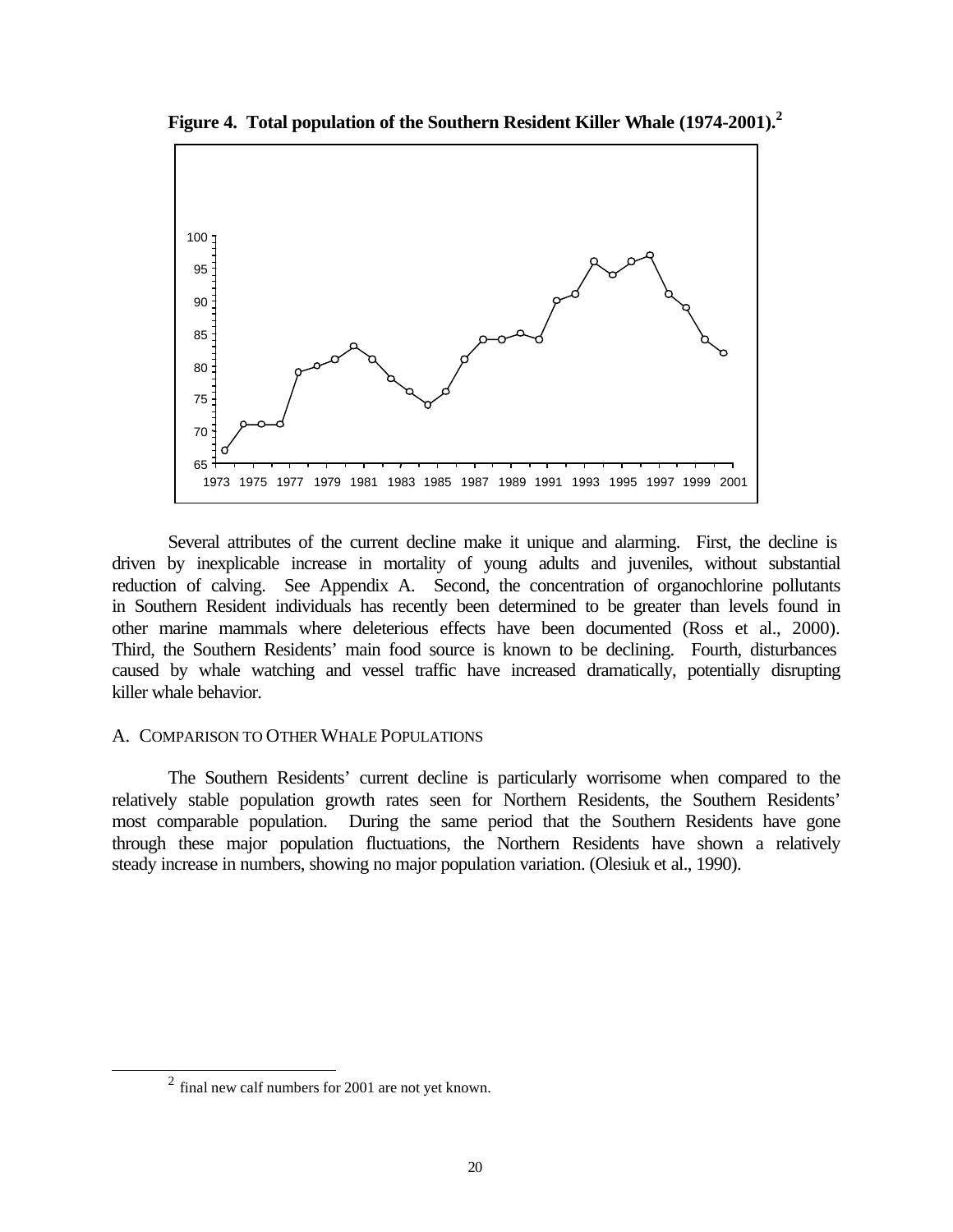

**Figure 4. Total population of the Southern Resident Killer Whale (1974-2001).<sup>2</sup>**

Several attributes of the current decline make it unique and alarming. First, the decline is driven by inexplicable increase in mortality of young adults and juveniles, without substantial reduction of calving. See Appendix A. Second, the concentration of organochlorine pollutants in Southern Resident individuals has recently been determined to be greater than levels found in other marine mammals where deleterious effects have been documented (Ross et al., 2000). Third, the Southern Residents' main food source is known to be declining. Fourth, disturbances caused by whale watching and vessel traffic have increased dramatically, potentially disrupting killer whale behavior.

## A. COMPARISON TO OTHER WHALE POPULATIONS

The Southern Residents' current decline is particularly worrisome when compared to the relatively stable population growth rates seen for Northern Residents, the Southern Residents' most comparable population. During the same period that the Southern Residents have gone through these major population fluctuations, the Northern Residents have shown a relatively steady increase in numbers, showing no major population variation. (Olesiuk et al., 1990).

l

 $2$  final new calf numbers for 2001 are not yet known.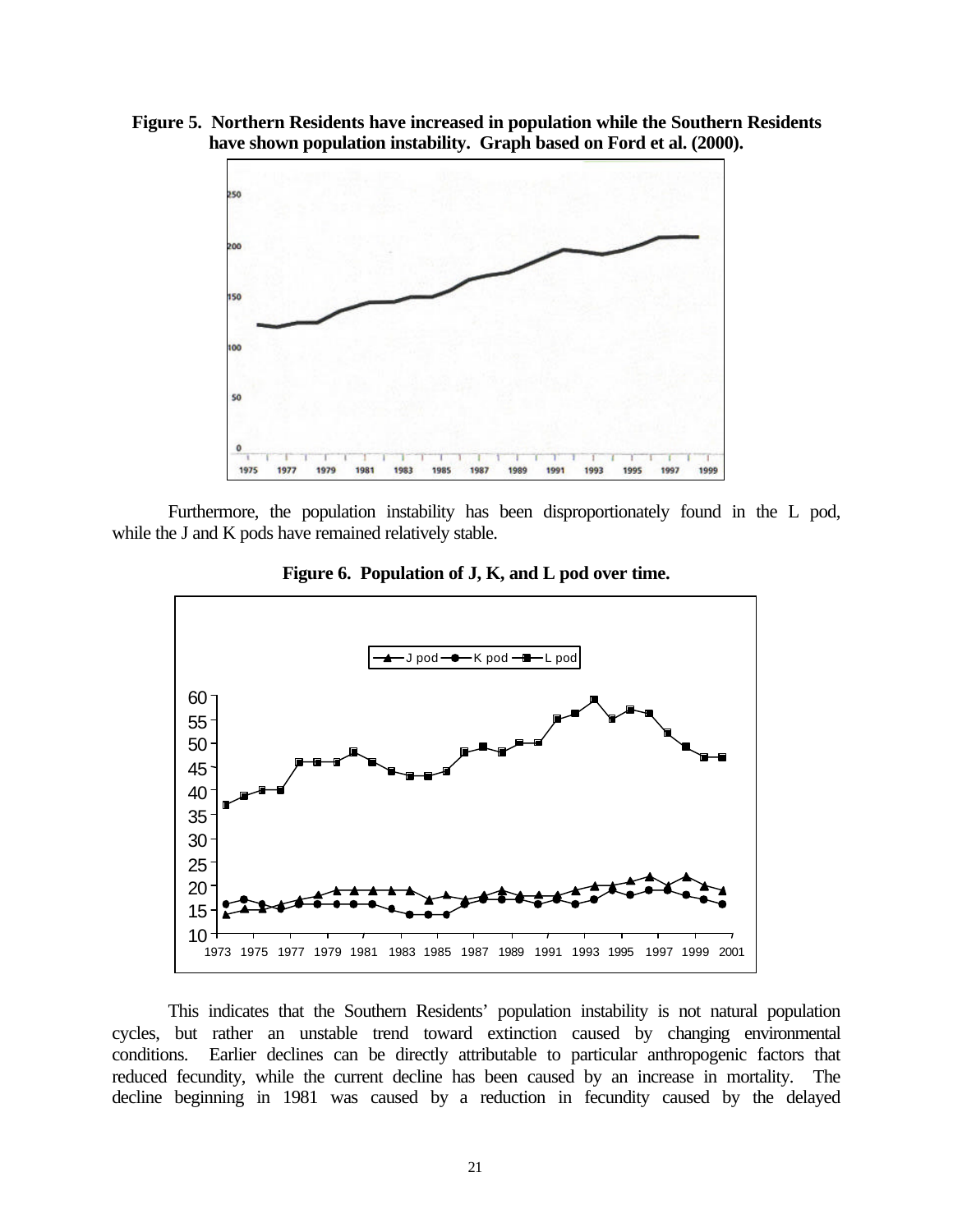**Figure 5. Northern Residents have increased in population while the Southern Residents have shown population instability. Graph based on Ford et al. (2000).**



Furthermore, the population instability has been disproportionately found in the L pod, while the J and K pods have remained relatively stable.



**Figure 6. Population of J, K, and L pod over time.**

This indicates that the Southern Residents' population instability is not natural population cycles, but rather an unstable trend toward extinction caused by changing environmental conditions. Earlier declines can be directly attributable to particular anthropogenic factors that reduced fecundity, while the current decline has been caused by an increase in mortality. The decline beginning in 1981 was caused by a reduction in fecundity caused by the delayed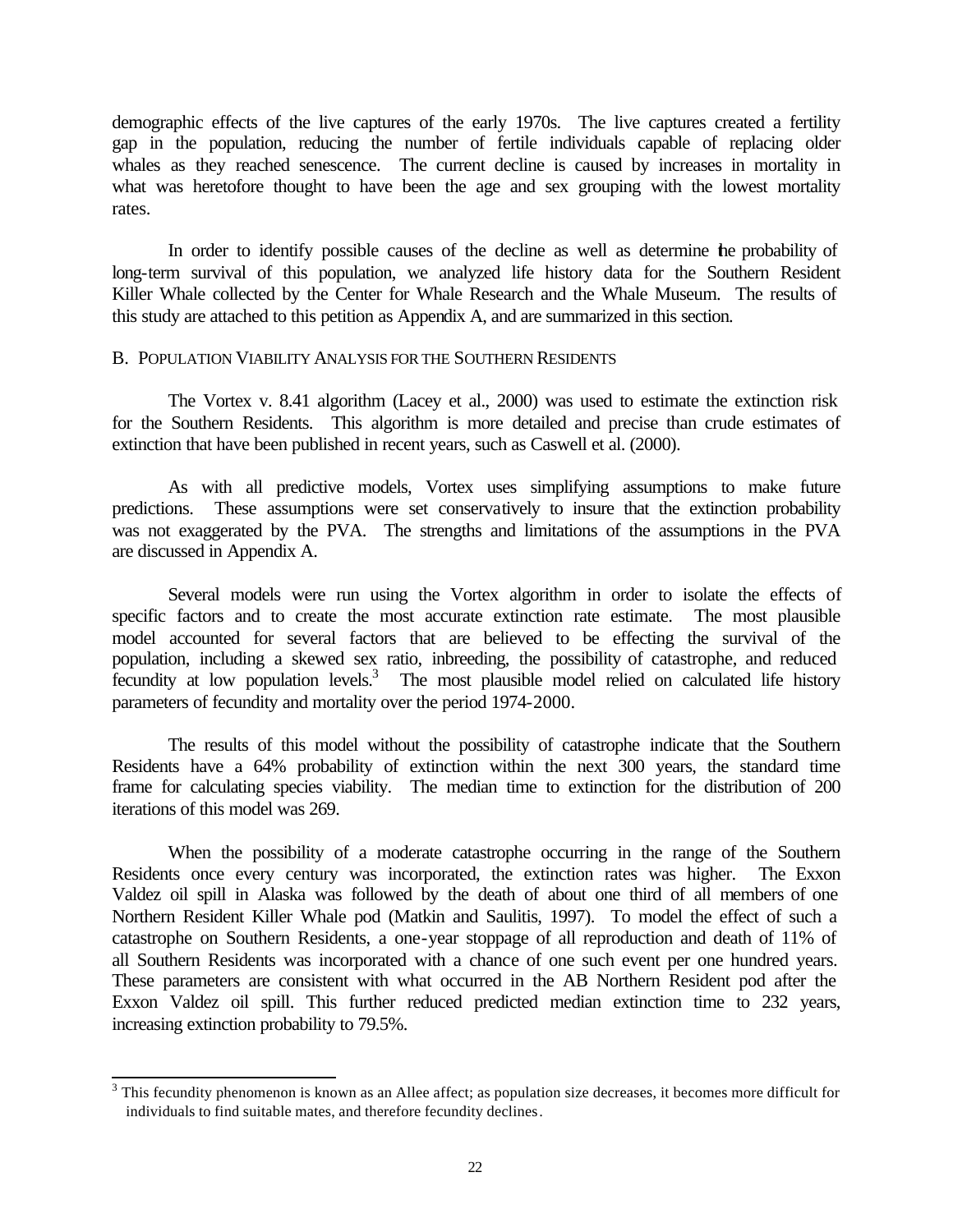demographic effects of the live captures of the early 1970s. The live captures created a fertility gap in the population, reducing the number of fertile individuals capable of replacing older whales as they reached senescence. The current decline is caused by increases in mortality in what was heretofore thought to have been the age and sex grouping with the lowest mortality rates.

In order to identify possible causes of the decline as well as determine the probability of long-term survival of this population, we analyzed life history data for the Southern Resident Killer Whale collected by the Center for Whale Research and the Whale Museum. The results of this study are attached to this petition as Appendix A, and are summarized in this section.

#### B. POPULATION VIABILITY ANALYSIS FOR THE SOUTHERN RESIDENTS

The Vortex v. 8.41 algorithm (Lacey et al., 2000) was used to estimate the extinction risk for the Southern Residents. This algorithm is more detailed and precise than crude estimates of extinction that have been published in recent years, such as Caswell et al. (2000).

As with all predictive models, Vortex uses simplifying assumptions to make future predictions. These assumptions were set conservatively to insure that the extinction probability was not exaggerated by the PVA. The strengths and limitations of the assumptions in the PVA are discussed in Appendix A.

Several models were run using the Vortex algorithm in order to isolate the effects of specific factors and to create the most accurate extinction rate estimate. The most plausible model accounted for several factors that are believed to be effecting the survival of the population, including a skewed sex ratio, inbreeding, the possibility of catastrophe, and reduced fecundity at low population levels.<sup>3</sup> The most plausible model relied on calculated life history parameters of fecundity and mortality over the period 1974-2000.

The results of this model without the possibility of catastrophe indicate that the Southern Residents have a 64% probability of extinction within the next 300 years, the standard time frame for calculating species viability. The median time to extinction for the distribution of 200 iterations of this model was 269.

When the possibility of a moderate catastrophe occurring in the range of the Southern Residents once every century was incorporated, the extinction rates was higher. The Exxon Valdez oil spill in Alaska was followed by the death of about one third of all members of one Northern Resident Killer Whale pod (Matkin and Saulitis, 1997). To model the effect of such a catastrophe on Southern Residents, a one-year stoppage of all reproduction and death of 11% of all Southern Residents was incorporated with a chance of one such event per one hundred years. These parameters are consistent with what occurred in the AB Northern Resident pod after the Exxon Valdez oil spill. This further reduced predicted median extinction time to 232 years, increasing extinction probability to 79.5%.

<sup>&</sup>lt;sup>3</sup> This fecundity phenomenon is known as an Allee affect; as population size decreases, it becomes more difficult for individuals to find suitable mates, and therefore fecundity declines.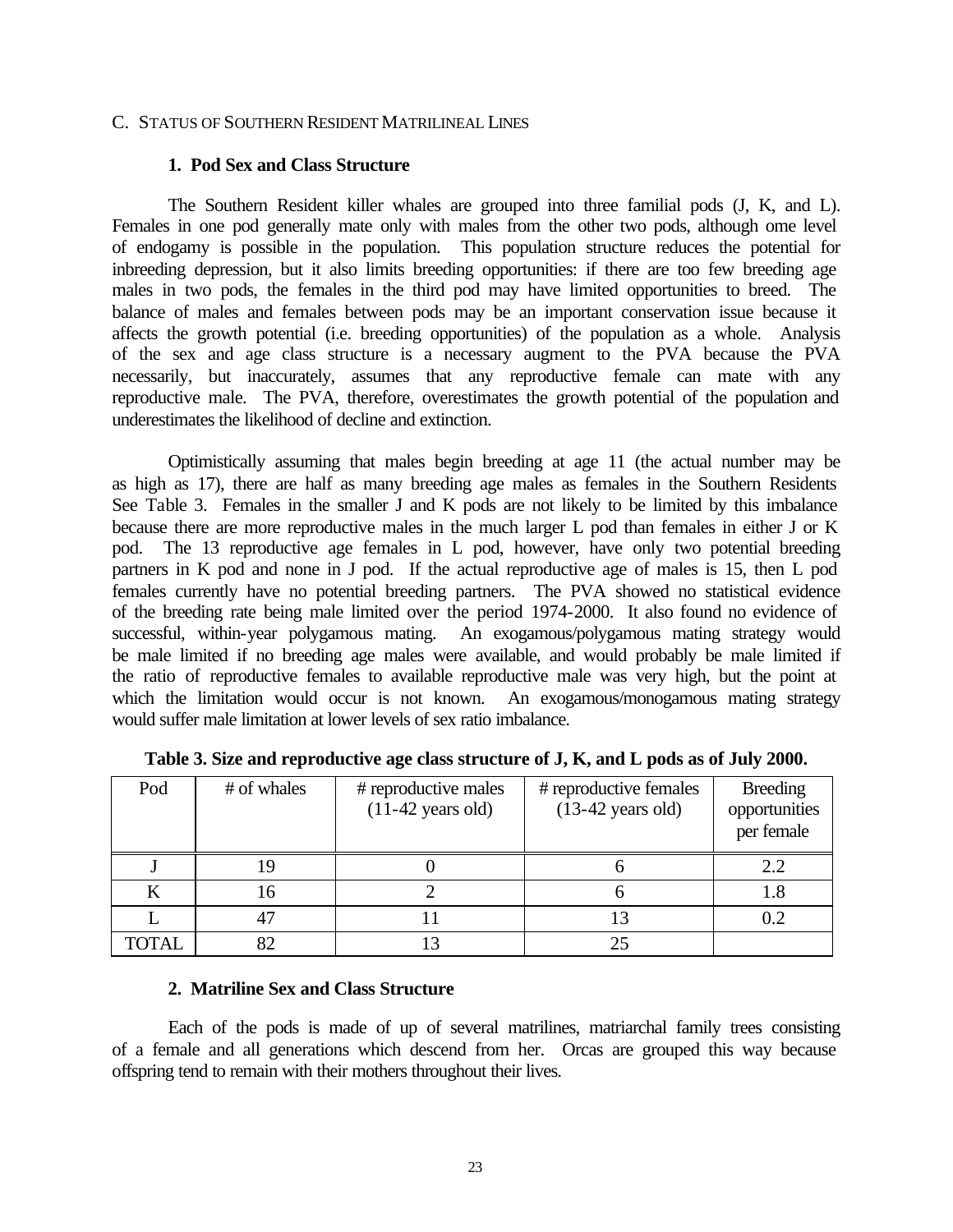#### C. STATUS OF SOUTHERN RESIDENT MATRILINEAL LINES

#### **1. Pod Sex and Class Structure**

The Southern Resident killer whales are grouped into three familial pods (J, K, and L). Females in one pod generally mate only with males from the other two pods, although ome level of endogamy is possible in the population. This population structure reduces the potential for inbreeding depression, but it also limits breeding opportunities: if there are too few breeding age males in two pods, the females in the third pod may have limited opportunities to breed. The balance of males and females between pods may be an important conservation issue because it affects the growth potential (i.e. breeding opportunities) of the population as a whole. Analysis of the sex and age class structure is a necessary augment to the PVA because the PVA necessarily, but inaccurately, assumes that any reproductive female can mate with any reproductive male. The PVA, therefore, overestimates the growth potential of the population and underestimates the likelihood of decline and extinction.

Optimistically assuming that males begin breeding at age 11 (the actual number may be as high as 17), there are half as many breeding age males as females in the Southern Residents See Table 3. Females in the smaller J and K pods are not likely to be limited by this imbalance because there are more reproductive males in the much larger L pod than females in either J or K pod. The 13 reproductive age females in L pod, however, have only two potential breeding partners in K pod and none in J pod. If the actual reproductive age of males is 15, then L pod females currently have no potential breeding partners. The PVA showed no statistical evidence of the breeding rate being male limited over the period 1974-2000. It also found no evidence of successful, within-year polygamous mating. An exogamous/polygamous mating strategy would be male limited if no breeding age males were available, and would probably be male limited if the ratio of reproductive females to available reproductive male was very high, but the point at which the limitation would occur is not known. An exogamous/monogamous mating strategy would suffer male limitation at lower levels of sex ratio imbalance.

| Pod          | # of whales | # reproductive males<br>$(11-42 \text{ years old})$ | # reproductive females<br>$(13-42 \text{ years old})$ | <b>Breeding</b><br>opportunities<br>per female |
|--------------|-------------|-----------------------------------------------------|-------------------------------------------------------|------------------------------------------------|
|              |             |                                                     |                                                       | 2.2                                            |
|              | 16          |                                                     |                                                       | 1.8                                            |
|              |             |                                                     |                                                       |                                                |
| <b>TOTAL</b> | ຂາ          |                                                     | 25                                                    |                                                |

**Table 3. Size and reproductive age class structure of J, K, and L pods as of July 2000.**

#### **2. Matriline Sex and Class Structure**

Each of the pods is made of up of several matrilines, matriarchal family trees consisting of a female and all generations which descend from her. Orcas are grouped this way because offspring tend to remain with their mothers throughout their lives.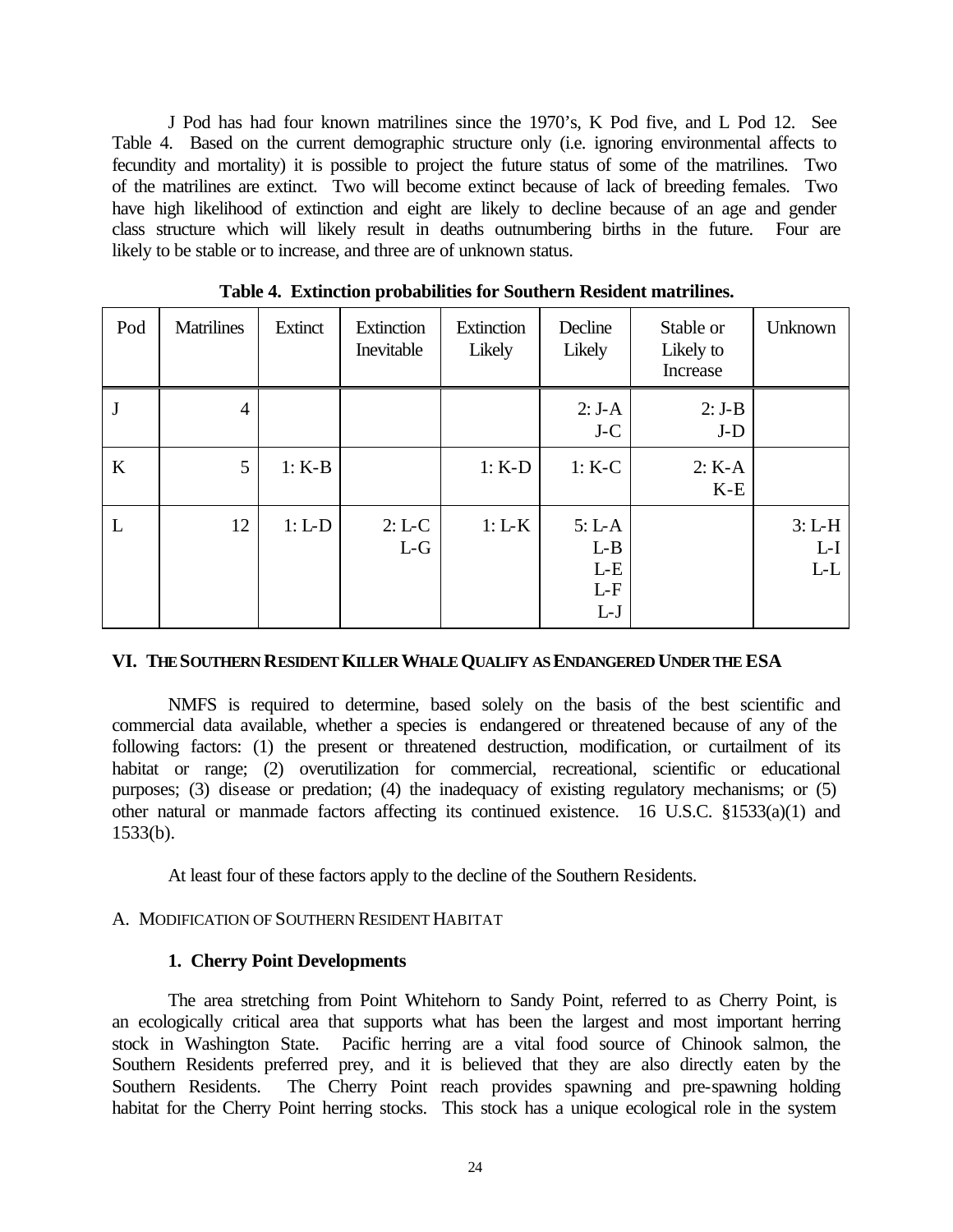J Pod has had four known matrilines since the 1970's, K Pod five, and L Pod 12. See Table 4. Based on the current demographic structure only (i.e. ignoring environmental affects to fecundity and mortality) it is possible to project the future status of some of the matrilines. Two of the matrilines are extinct. Two will become extinct because of lack of breeding females. Two have high likelihood of extinction and eight are likely to decline because of an age and gender class structure which will likely result in deaths outnumbering births in the future. Four are likely to be stable or to increase, and three are of unknown status.

| Pod | <b>Matrilines</b> | Extinct  | Extinction<br>Inevitable | Extinction<br>Likely | Decline<br>Likely                            | Stable or<br>Likely to<br>Increase | <b>Unknown</b>             |
|-----|-------------------|----------|--------------------------|----------------------|----------------------------------------------|------------------------------------|----------------------------|
| J   | $\overline{4}$    |          |                          |                      | $2: J-A$<br>$J-C$                            | $2: J-B$<br>$J-D$                  |                            |
| K   | 5                 | $1: K-B$ |                          | $1: K-D$             | $1: K-C$                                     | $2: K-A$<br>$K-E$                  |                            |
| L   | 12                | $1: L-D$ | $2: L-C$<br>$L-G$        | $1: L-K$             | $5: L-A$<br>$L-B$<br>$L-E$<br>$L-F$<br>$L-J$ |                                    | $3: L-H$<br>$L-I$<br>$L-L$ |

**Table 4. Extinction probabilities for Southern Resident matrilines.**

## **VI. THE SOUTHERN RESIDENT KILLER WHALE QUALIFY AS ENDANGERED UNDER THE ESA**

NMFS is required to determine, based solely on the basis of the best scientific and commercial data available, whether a species is endangered or threatened because of any of the following factors: (1) the present or threatened destruction, modification, or curtailment of its habitat or range; (2) overutilization for commercial, recreational, scientific or educational purposes; (3) disease or predation; (4) the inadequacy of existing regulatory mechanisms; or (5) other natural or manmade factors affecting its continued existence. 16 U.S.C. §1533(a)(1) and 1533(b).

At least four of these factors apply to the decline of the Southern Residents.

# A. MODIFICATION OF SOUTHERN RESIDENT HABITAT

# **1. Cherry Point Developments**

The area stretching from Point Whitehorn to Sandy Point, referred to as Cherry Point, is an ecologically critical area that supports what has been the largest and most important herring stock in Washington State. Pacific herring are a vital food source of Chinook salmon, the Southern Residents preferred prey, and it is believed that they are also directly eaten by the Southern Residents. The Cherry Point reach provides spawning and pre-spawning holding habitat for the Cherry Point herring stocks. This stock has a unique ecological role in the system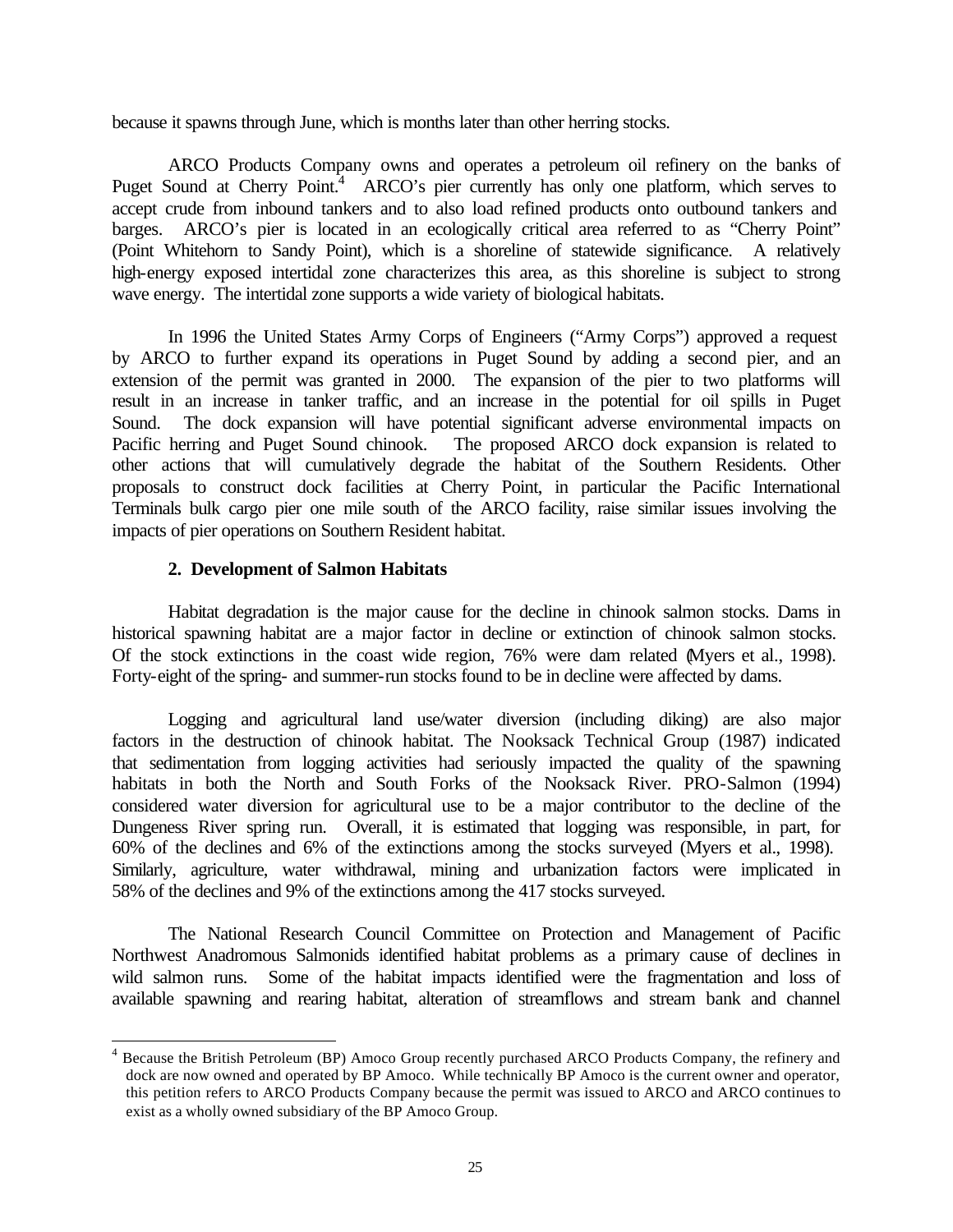because it spawns through June, which is months later than other herring stocks.

ARCO Products Company owns and operates a petroleum oil refinery on the banks of Puget Sound at Cherry Point.<sup>4</sup> ARCO's pier currently has only one platform, which serves to accept crude from inbound tankers and to also load refined products onto outbound tankers and barges. ARCO's pier is located in an ecologically critical area referred to as "Cherry Point" (Point Whitehorn to Sandy Point), which is a shoreline of statewide significance. A relatively high-energy exposed intertidal zone characterizes this area, as this shoreline is subject to strong wave energy. The intertidal zone supports a wide variety of biological habitats.

In 1996 the United States Army Corps of Engineers ("Army Corps") approved a request by ARCO to further expand its operations in Puget Sound by adding a second pier, and an extension of the permit was granted in 2000. The expansion of the pier to two platforms will result in an increase in tanker traffic, and an increase in the potential for oil spills in Puget Sound. The dock expansion will have potential significant adverse environmental impacts on Pacific herring and Puget Sound chinook. The proposed ARCO dock expansion is related to other actions that will cumulatively degrade the habitat of the Southern Residents. Other proposals to construct dock facilities at Cherry Point, in particular the Pacific International Terminals bulk cargo pier one mile south of the ARCO facility, raise similar issues involving the impacts of pier operations on Southern Resident habitat.

## **2. Development of Salmon Habitats**

l

Habitat degradation is the major cause for the decline in chinook salmon stocks. Dams in historical spawning habitat are a major factor in decline or extinction of chinook salmon stocks. Of the stock extinctions in the coast wide region, 76% were dam related (Myers et al., 1998). Forty-eight of the spring- and summer-run stocks found to be in decline were affected by dams.

Logging and agricultural land use/water diversion (including diking) are also major factors in the destruction of chinook habitat. The Nooksack Technical Group (1987) indicated that sedimentation from logging activities had seriously impacted the quality of the spawning habitats in both the North and South Forks of the Nooksack River. PRO-Salmon (1994) considered water diversion for agricultural use to be a major contributor to the decline of the Dungeness River spring run. Overall, it is estimated that logging was responsible, in part, for 60% of the declines and 6% of the extinctions among the stocks surveyed (Myers et al., 1998). Similarly, agriculture, water withdrawal, mining and urbanization factors were implicated in 58% of the declines and 9% of the extinctions among the 417 stocks surveyed.

The National Research Council Committee on Protection and Management of Pacific Northwest Anadromous Salmonids identified habitat problems as a primary cause of declines in wild salmon runs. Some of the habitat impacts identified were the fragmentation and loss of available spawning and rearing habitat, alteration of streamflows and stream bank and channel

<sup>4</sup> Because the British Petroleum (BP) Amoco Group recently purchased ARCO Products Company, the refinery and dock are now owned and operated by BP Amoco. While technically BP Amoco is the current owner and operator, this petition refers to ARCO Products Company because the permit was issued to ARCO and ARCO continues to exist as a wholly owned subsidiary of the BP Amoco Group.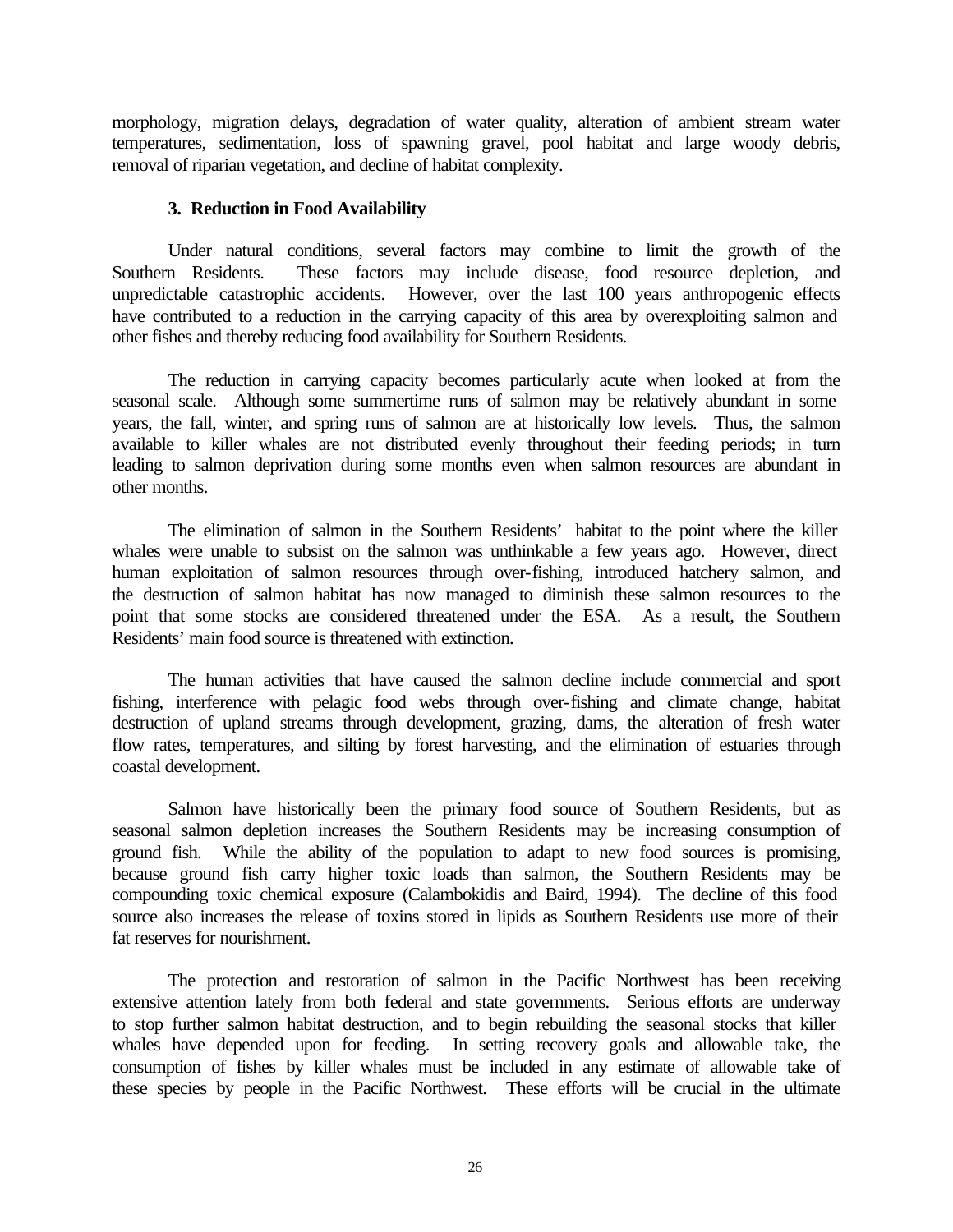morphology, migration delays, degradation of water quality, alteration of ambient stream water temperatures, sedimentation, loss of spawning gravel, pool habitat and large woody debris, removal of riparian vegetation, and decline of habitat complexity.

## **3. Reduction in Food Availability**

Under natural conditions, several factors may combine to limit the growth of the Southern Residents. These factors may include disease, food resource depletion, and unpredictable catastrophic accidents. However, over the last 100 years anthropogenic effects have contributed to a reduction in the carrying capacity of this area by overexploiting salmon and other fishes and thereby reducing food availability for Southern Residents.

The reduction in carrying capacity becomes particularly acute when looked at from the seasonal scale. Although some summertime runs of salmon may be relatively abundant in some years, the fall, winter, and spring runs of salmon are at historically low levels. Thus, the salmon available to killer whales are not distributed evenly throughout their feeding periods; in turn leading to salmon deprivation during some months even when salmon resources are abundant in other months.

The elimination of salmon in the Southern Residents' habitat to the point where the killer whales were unable to subsist on the salmon was unthinkable a few years ago. However, direct human exploitation of salmon resources through over-fishing, introduced hatchery salmon, and the destruction of salmon habitat has now managed to diminish these salmon resources to the point that some stocks are considered threatened under the ESA. As a result, the Southern Residents' main food source is threatened with extinction.

The human activities that have caused the salmon decline include commercial and sport fishing, interference with pelagic food webs through over-fishing and climate change, habitat destruction of upland streams through development, grazing, dams, the alteration of fresh water flow rates, temperatures, and silting by forest harvesting, and the elimination of estuaries through coastal development.

Salmon have historically been the primary food source of Southern Residents, but as seasonal salmon depletion increases the Southern Residents may be increasing consumption of ground fish. While the ability of the population to adapt to new food sources is promising, because ground fish carry higher toxic loads than salmon, the Southern Residents may be compounding toxic chemical exposure (Calambokidis and Baird, 1994). The decline of this food source also increases the release of toxins stored in lipids as Southern Residents use more of their fat reserves for nourishment.

The protection and restoration of salmon in the Pacific Northwest has been receiving extensive attention lately from both federal and state governments. Serious efforts are underway to stop further salmon habitat destruction, and to begin rebuilding the seasonal stocks that killer whales have depended upon for feeding. In setting recovery goals and allowable take, the consumption of fishes by killer whales must be included in any estimate of allowable take of these species by people in the Pacific Northwest. These efforts will be crucial in the ultimate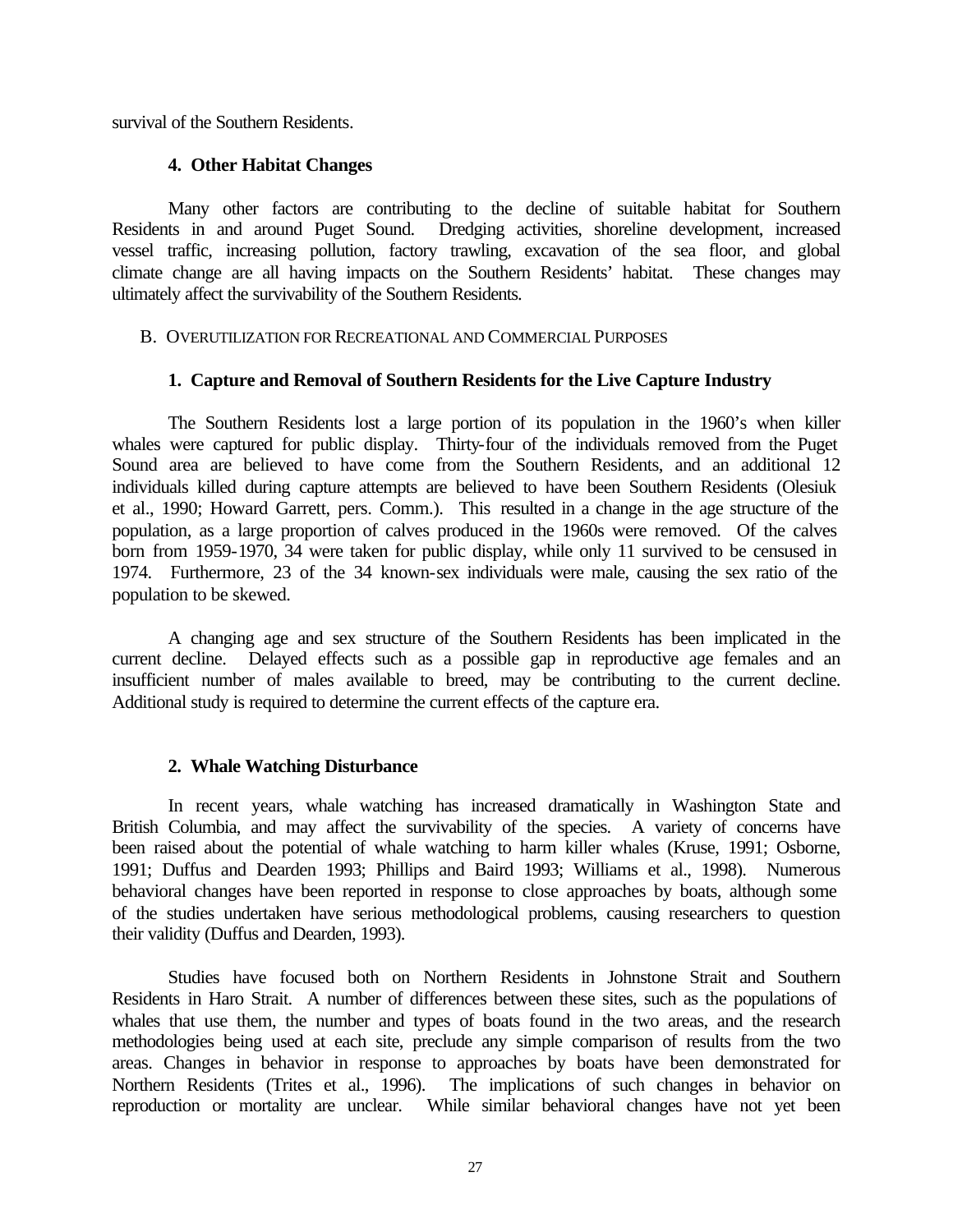survival of the Southern Residents.

### **4. Other Habitat Changes**

Many other factors are contributing to the decline of suitable habitat for Southern Residents in and around Puget Sound. Dredging activities, shoreline development, increased vessel traffic, increasing pollution, factory trawling, excavation of the sea floor, and global climate change are all having impacts on the Southern Residents' habitat. These changes may ultimately affect the survivability of the Southern Residents.

#### B. OVERUTILIZATION FOR RECREATIONAL AND COMMERCIAL PURPOSES

### **1. Capture and Removal of Southern Residents for the Live Capture Industry**

The Southern Residents lost a large portion of its population in the 1960's when killer whales were captured for public display. Thirty-four of the individuals removed from the Puget Sound area are believed to have come from the Southern Residents, and an additional 12 individuals killed during capture attempts are believed to have been Southern Residents (Olesiuk et al., 1990; Howard Garrett, pers. Comm.). This resulted in a change in the age structure of the population, as a large proportion of calves produced in the 1960s were removed. Of the calves born from 1959-1970, 34 were taken for public display, while only 11 survived to be censused in 1974. Furthermore, 23 of the 34 known-sex individuals were male, causing the sex ratio of the population to be skewed.

A changing age and sex structure of the Southern Residents has been implicated in the current decline. Delayed effects such as a possible gap in reproductive age females and an insufficient number of males available to breed, may be contributing to the current decline. Additional study is required to determine the current effects of the capture era.

### **2. Whale Watching Disturbance**

In recent years, whale watching has increased dramatically in Washington State and British Columbia, and may affect the survivability of the species. A variety of concerns have been raised about the potential of whale watching to harm killer whales (Kruse, 1991; Osborne, 1991; Duffus and Dearden 1993; Phillips and Baird 1993; Williams et al., 1998). Numerous behavioral changes have been reported in response to close approaches by boats, although some of the studies undertaken have serious methodological problems, causing researchers to question their validity (Duffus and Dearden, 1993).

Studies have focused both on Northern Residents in Johnstone Strait and Southern Residents in Haro Strait. A number of differences between these sites, such as the populations of whales that use them, the number and types of boats found in the two areas, and the research methodologies being used at each site, preclude any simple comparison of results from the two areas. Changes in behavior in response to approaches by boats have been demonstrated for Northern Residents (Trites et al., 1996). The implications of such changes in behavior on reproduction or mortality are unclear. While similar behavioral changes have not yet been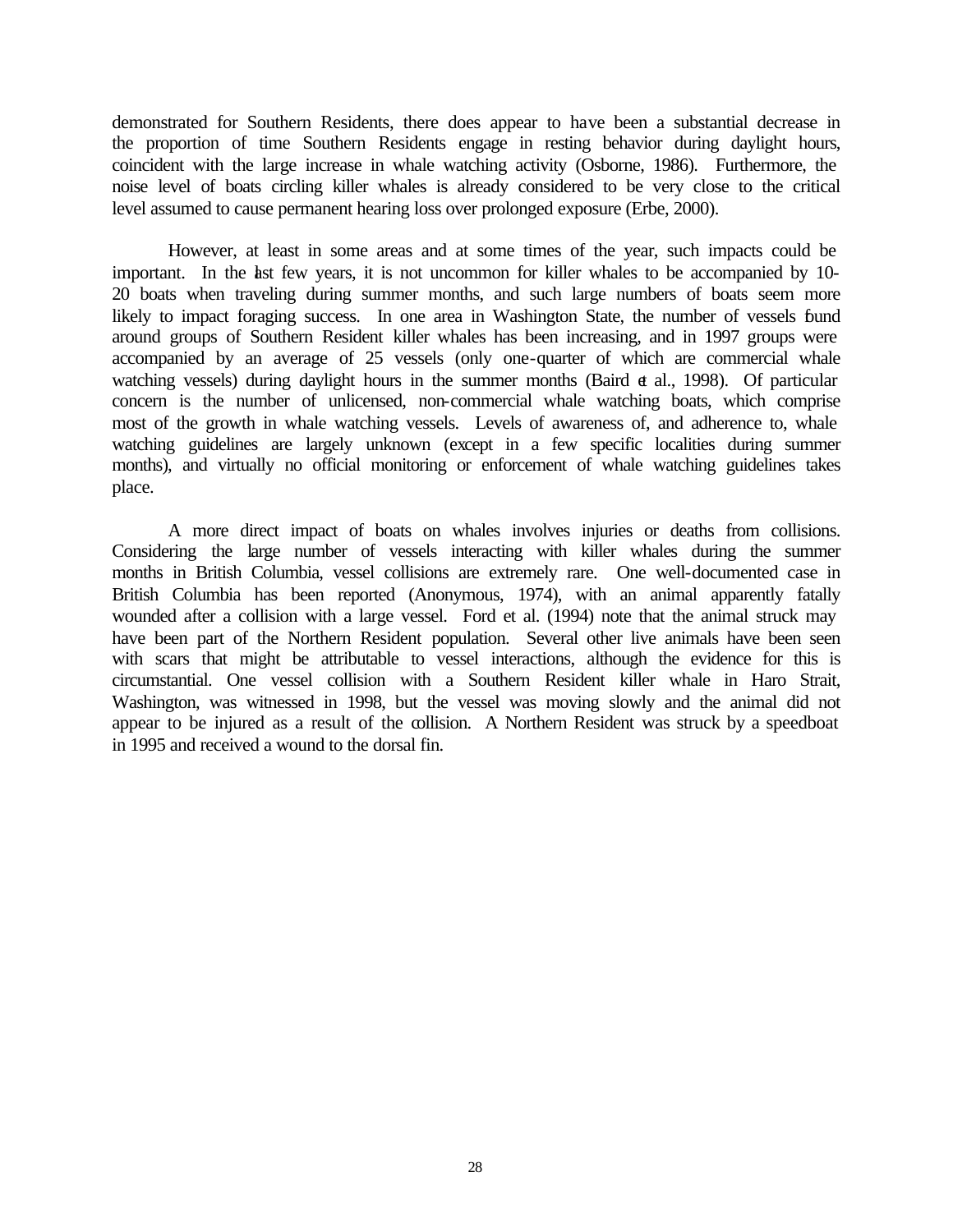demonstrated for Southern Residents, there does appear to have been a substantial decrease in the proportion of time Southern Residents engage in resting behavior during daylight hours, coincident with the large increase in whale watching activity (Osborne, 1986). Furthermore, the noise level of boats circling killer whales is already considered to be very close to the critical level assumed to cause permanent hearing loss over prolonged exposure (Erbe, 2000).

However, at least in some areas and at some times of the year, such impacts could be important. In the last few years, it is not uncommon for killer whales to be accompanied by 10- 20 boats when traveling during summer months, and such large numbers of boats seem more likely to impact foraging success. In one area in Washington State, the number of vessels found around groups of Southern Resident killer whales has been increasing, and in 1997 groups were accompanied by an average of 25 vessels (only one-quarter of which are commercial whale watching vessels) during daylight hours in the summer months (Baird et al., 1998). Of particular concern is the number of unlicensed, non-commercial whale watching boats, which comprise most of the growth in whale watching vessels. Levels of awareness of, and adherence to, whale watching guidelines are largely unknown (except in a few specific localities during summer months), and virtually no official monitoring or enforcement of whale watching guidelines takes place.

A more direct impact of boats on whales involves injuries or deaths from collisions. Considering the large number of vessels interacting with killer whales during the summer months in British Columbia, vessel collisions are extremely rare. One well-documented case in British Columbia has been reported (Anonymous, 1974), with an animal apparently fatally wounded after a collision with a large vessel. Ford et al. (1994) note that the animal struck may have been part of the Northern Resident population. Several other live animals have been seen with scars that might be attributable to vessel interactions, although the evidence for this is circumstantial. One vessel collision with a Southern Resident killer whale in Haro Strait, Washington, was witnessed in 1998, but the vessel was moving slowly and the animal did not appear to be injured as a result of the collision. A Northern Resident was struck by a speedboat in 1995 and received a wound to the dorsal fin.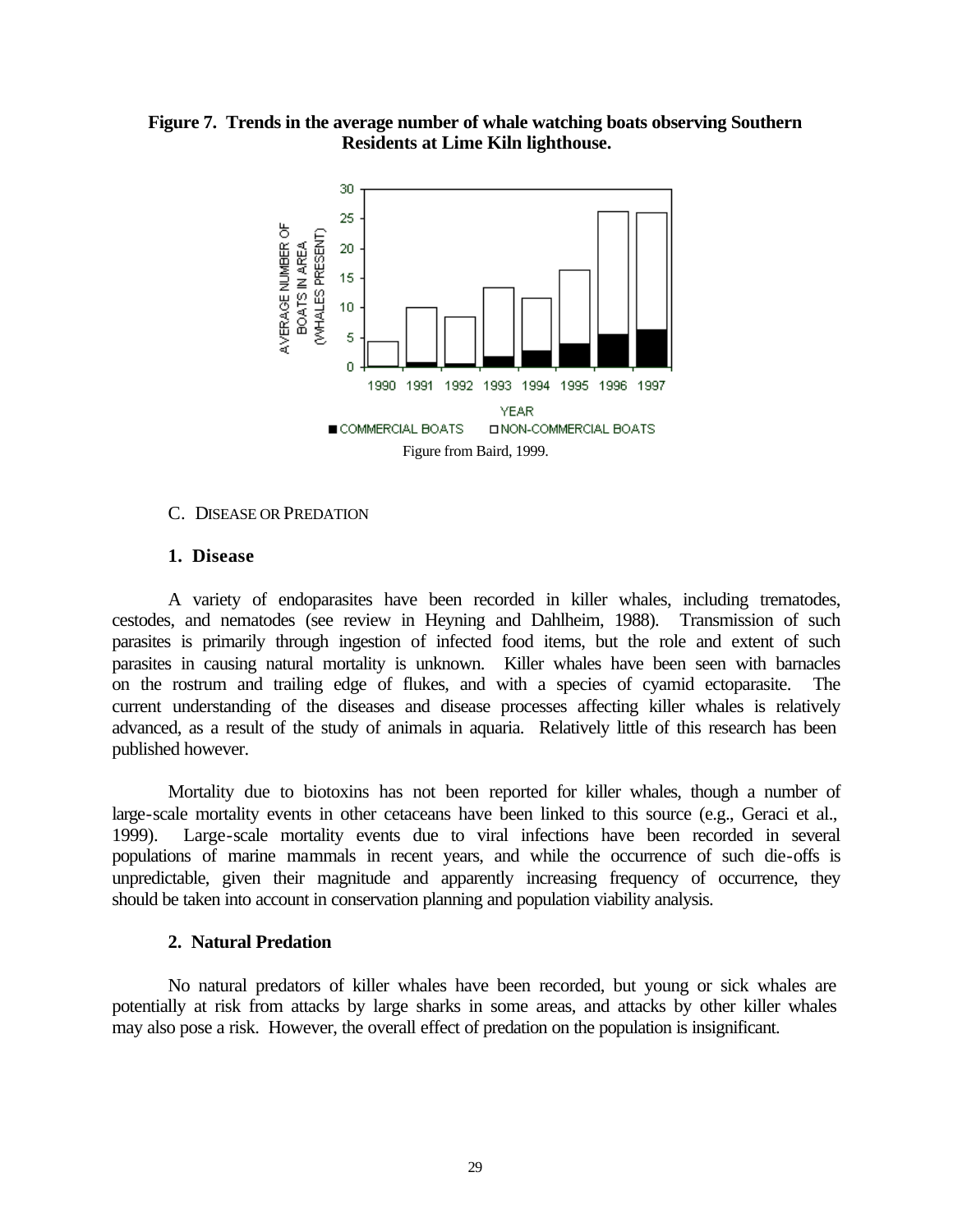**Figure 7. Trends in the average number of whale watching boats observing Southern Residents at Lime Kiln lighthouse.**



#### C. DISEASE OR PREDATION

#### **1. Disease**

A variety of endoparasites have been recorded in killer whales, including trematodes, cestodes, and nematodes (see review in Heyning and Dahlheim, 1988). Transmission of such parasites is primarily through ingestion of infected food items, but the role and extent of such parasites in causing natural mortality is unknown. Killer whales have been seen with barnacles on the rostrum and trailing edge of flukes, and with a species of cyamid ectoparasite. The current understanding of the diseases and disease processes affecting killer whales is relatively advanced, as a result of the study of animals in aquaria. Relatively little of this research has been published however.

Mortality due to biotoxins has not been reported for killer whales, though a number of large-scale mortality events in other cetaceans have been linked to this source (e.g., Geraci et al., 1999). Large-scale mortality events due to viral infections have been recorded in several populations of marine mammals in recent years, and while the occurrence of such die-offs is unpredictable, given their magnitude and apparently increasing frequency of occurrence, they should be taken into account in conservation planning and population viability analysis.

#### **2. Natural Predation**

No natural predators of killer whales have been recorded, but young or sick whales are potentially at risk from attacks by large sharks in some areas, and attacks by other killer whales may also pose a risk. However, the overall effect of predation on the population is insignificant.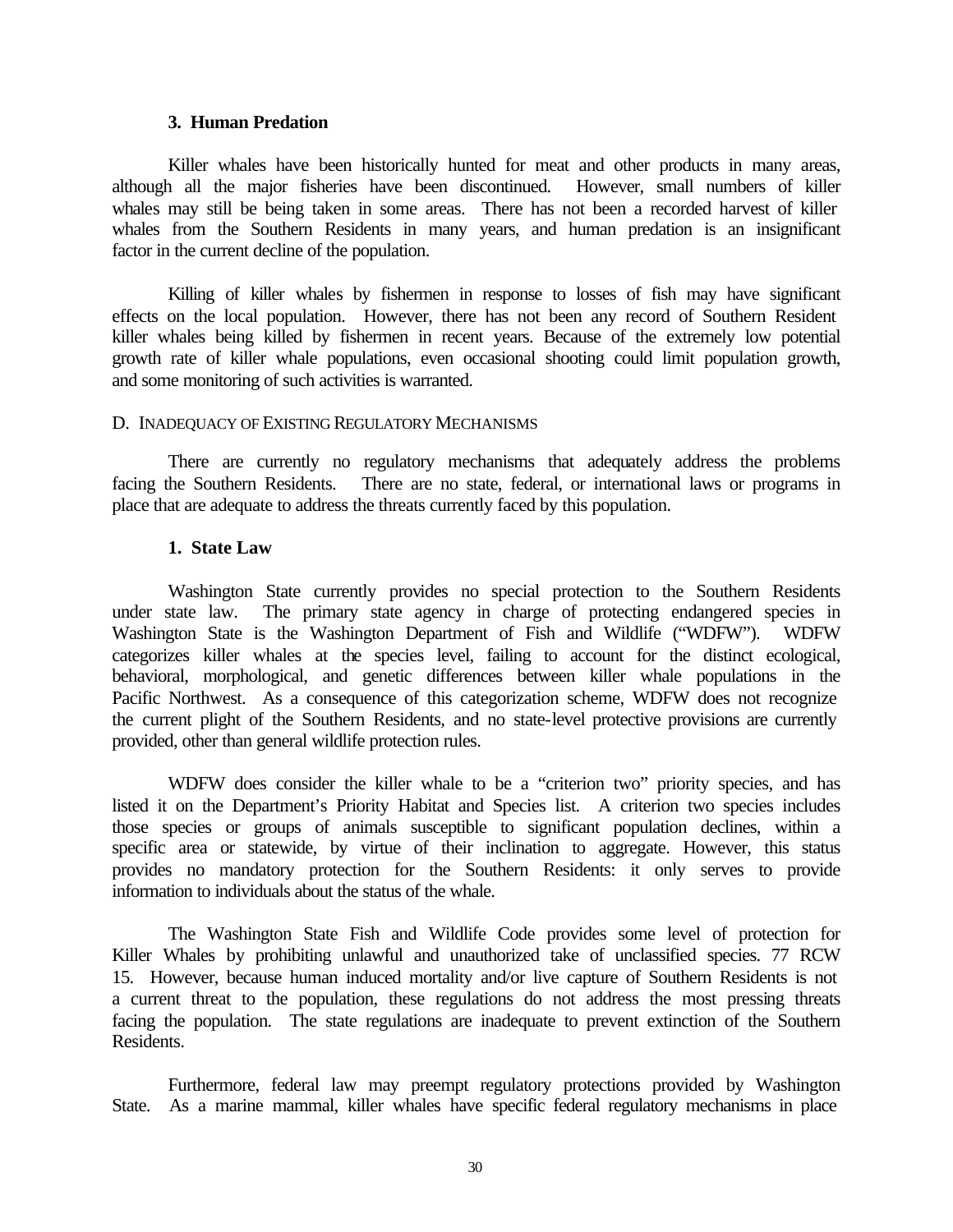#### **3. Human Predation**

Killer whales have been historically hunted for meat and other products in many areas, although all the major fisheries have been discontinued. However, small numbers of killer whales may still be being taken in some areas. There has not been a recorded harvest of killer whales from the Southern Residents in many years, and human predation is an insignificant factor in the current decline of the population.

Killing of killer whales by fishermen in response to losses of fish may have significant effects on the local population. However, there has not been any record of Southern Resident killer whales being killed by fishermen in recent years. Because of the extremely low potential growth rate of killer whale populations, even occasional shooting could limit population growth, and some monitoring of such activities is warranted.

### D. INADEQUACY OF EXISTING REGULATORY MECHANISMS

There are currently no regulatory mechanisms that adequately address the problems facing the Southern Residents. There are no state, federal, or international laws or programs in place that are adequate to address the threats currently faced by this population.

### **1. State Law**

Washington State currently provides no special protection to the Southern Residents under state law. The primary state agency in charge of protecting endangered species in Washington State is the Washington Department of Fish and Wildlife ("WDFW"). WDFW categorizes killer whales at the species level, failing to account for the distinct ecological, behavioral, morphological, and genetic differences between killer whale populations in the Pacific Northwest. As a consequence of this categorization scheme, WDFW does not recognize the current plight of the Southern Residents, and no state-level protective provisions are currently provided, other than general wildlife protection rules.

WDFW does consider the killer whale to be a "criterion two" priority species, and has listed it on the Department's Priority Habitat and Species list. A criterion two species includes those species or groups of animals susceptible to significant population declines, within a specific area or statewide, by virtue of their inclination to aggregate. However, this status provides no mandatory protection for the Southern Residents: it only serves to provide information to individuals about the status of the whale.

The Washington State Fish and Wildlife Code provides some level of protection for Killer Whales by prohibiting unlawful and unauthorized take of unclassified species. 77 RCW 15. However, because human induced mortality and/or live capture of Southern Residents is not a current threat to the population, these regulations do not address the most pressing threats facing the population. The state regulations are inadequate to prevent extinction of the Southern Residents.

Furthermore, federal law may preempt regulatory protections provided by Washington State. As a marine mammal, killer whales have specific federal regulatory mechanisms in place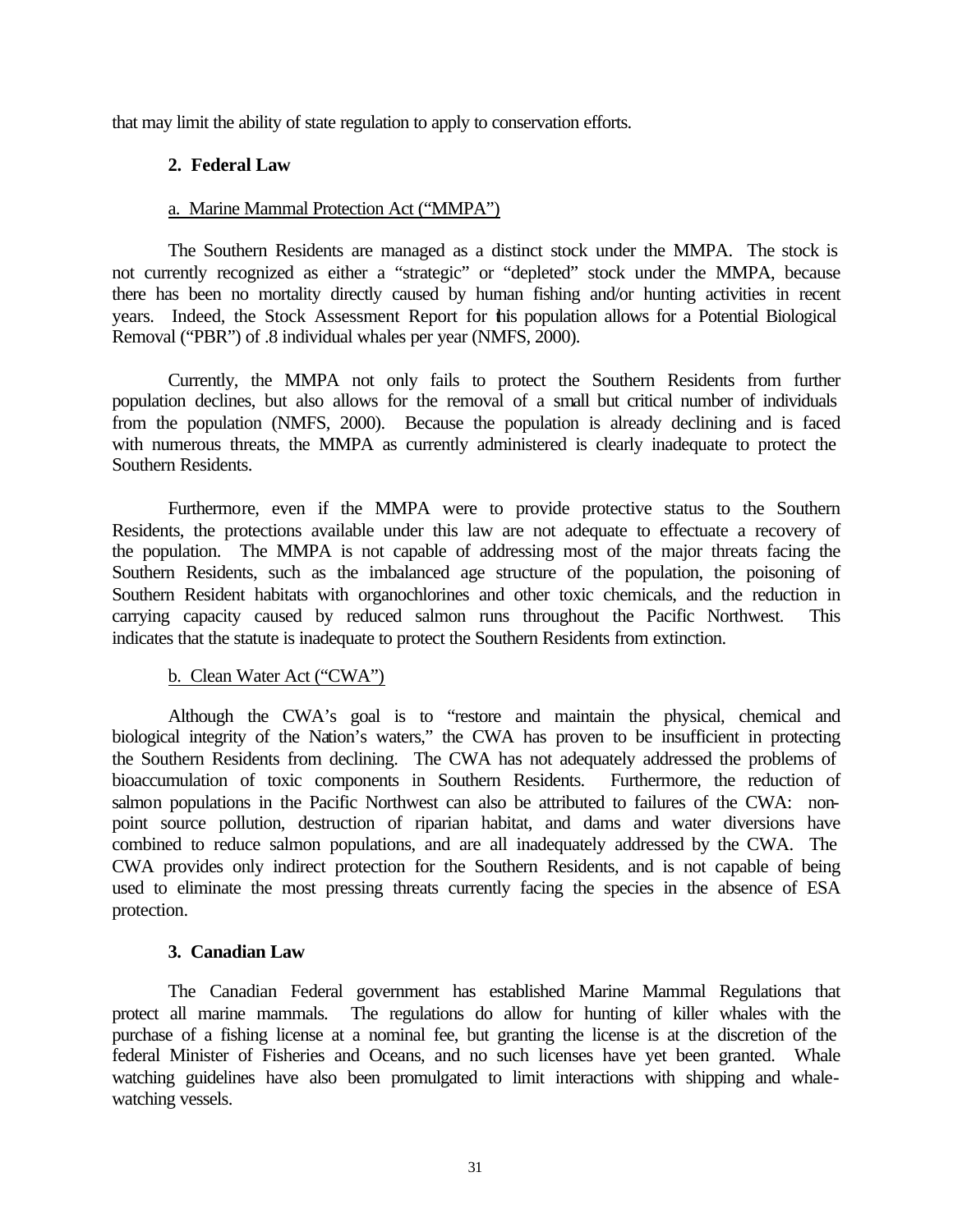that may limit the ability of state regulation to apply to conservation efforts.

## **2. Federal Law**

#### a. Marine Mammal Protection Act ("MMPA")

The Southern Residents are managed as a distinct stock under the MMPA. The stock is not currently recognized as either a "strategic" or "depleted" stock under the MMPA, because there has been no mortality directly caused by human fishing and/or hunting activities in recent years. Indeed, the Stock Assessment Report for this population allows for a Potential Biological Removal ("PBR") of .8 individual whales per year (NMFS, 2000).

Currently, the MMPA not only fails to protect the Southern Residents from further population declines, but also allows for the removal of a small but critical number of individuals from the population (NMFS, 2000). Because the population is already declining and is faced with numerous threats, the MMPA as currently administered is clearly inadequate to protect the Southern Residents.

Furthermore, even if the MMPA were to provide protective status to the Southern Residents, the protections available under this law are not adequate to effectuate a recovery of the population. The MMPA is not capable of addressing most of the major threats facing the Southern Residents, such as the imbalanced age structure of the population, the poisoning of Southern Resident habitats with organochlorines and other toxic chemicals, and the reduction in carrying capacity caused by reduced salmon runs throughout the Pacific Northwest. This indicates that the statute is inadequate to protect the Southern Residents from extinction.

### b. Clean Water Act ("CWA")

Although the CWA's goal is to "restore and maintain the physical, chemical and biological integrity of the Nation's waters," the CWA has proven to be insufficient in protecting the Southern Residents from declining. The CWA has not adequately addressed the problems of bioaccumulation of toxic components in Southern Residents. Furthermore, the reduction of salmon populations in the Pacific Northwest can also be attributed to failures of the CWA: nonpoint source pollution, destruction of riparian habitat, and dams and water diversions have combined to reduce salmon populations, and are all inadequately addressed by the CWA. The CWA provides only indirect protection for the Southern Residents, and is not capable of being used to eliminate the most pressing threats currently facing the species in the absence of ESA protection.

### **3. Canadian Law**

The Canadian Federal government has established Marine Mammal Regulations that protect all marine mammals. The regulations do allow for hunting of killer whales with the purchase of a fishing license at a nominal fee, but granting the license is at the discretion of the federal Minister of Fisheries and Oceans, and no such licenses have yet been granted. Whale watching guidelines have also been promulgated to limit interactions with shipping and whalewatching vessels.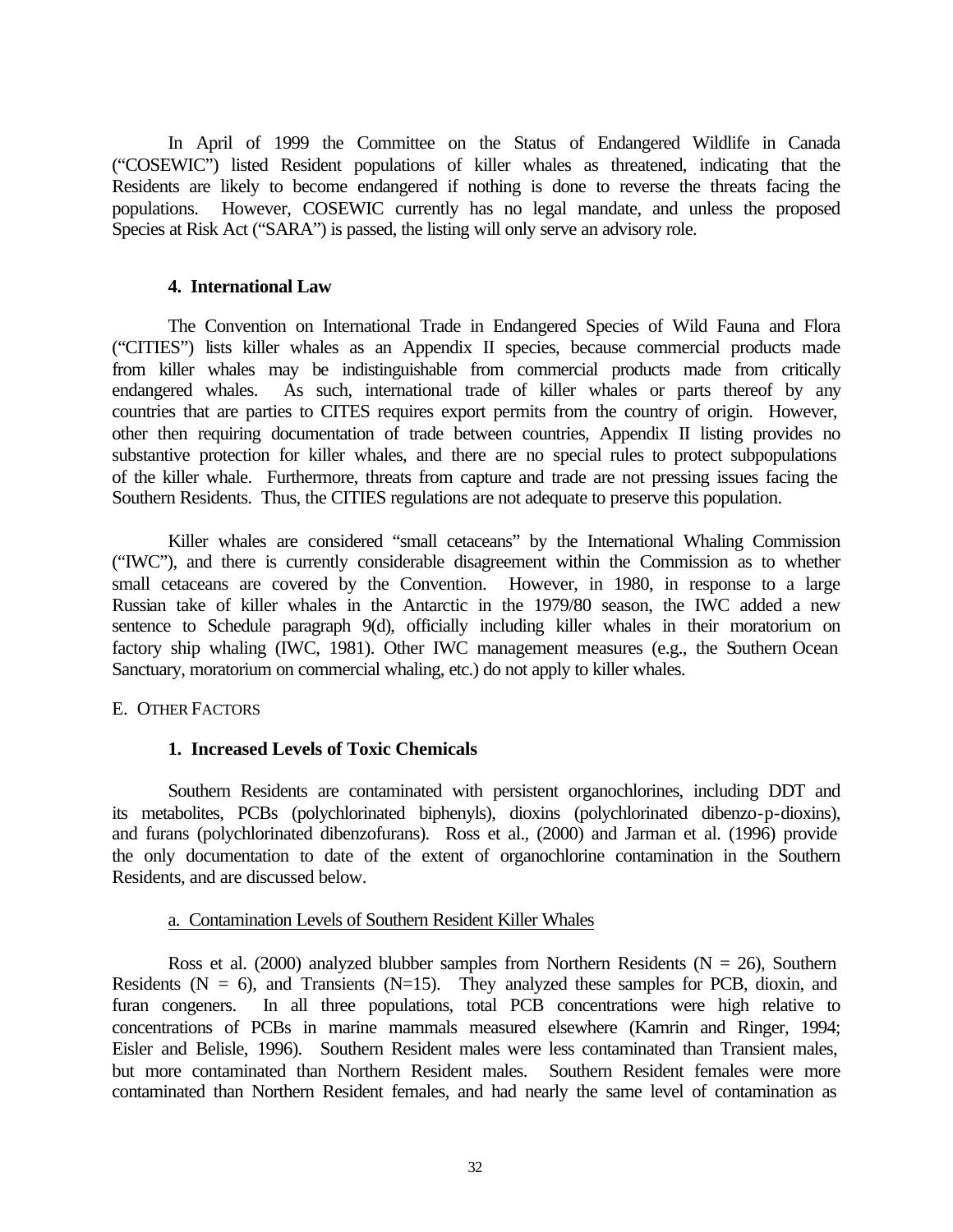In April of 1999 the Committee on the Status of Endangered Wildlife in Canada ("COSEWIC") listed Resident populations of killer whales as threatened, indicating that the Residents are likely to become endangered if nothing is done to reverse the threats facing the populations. However, COSEWIC currently has no legal mandate, and unless the proposed Species at Risk Act ("SARA") is passed, the listing will only serve an advisory role.

### **4. International Law**

The Convention on International Trade in Endangered Species of Wild Fauna and Flora ("CITIES") lists killer whales as an Appendix II species, because commercial products made from killer whales may be indistinguishable from commercial products made from critically endangered whales. As such, international trade of killer whales or parts thereof by any countries that are parties to CITES requires export permits from the country of origin. However, other then requiring documentation of trade between countries, Appendix II listing provides no substantive protection for killer whales, and there are no special rules to protect subpopulations of the killer whale. Furthermore, threats from capture and trade are not pressing issues facing the Southern Residents. Thus, the CITIES regulations are not adequate to preserve this population.

Killer whales are considered "small cetaceans" by the International Whaling Commission ("IWC"), and there is currently considerable disagreement within the Commission as to whether small cetaceans are covered by the Convention. However, in 1980, in response to a large Russian take of killer whales in the Antarctic in the 1979/80 season, the IWC added a new sentence to Schedule paragraph 9(d), officially including killer whales in their moratorium on factory ship whaling (IWC, 1981). Other IWC management measures (e.g., the Southern Ocean Sanctuary, moratorium on commercial whaling, etc.) do not apply to killer whales.

# E. OTHER FACTORS

# **1. Increased Levels of Toxic Chemicals**

Southern Residents are contaminated with persistent organochlorines, including DDT and its metabolites, PCBs (polychlorinated biphenyls), dioxins (polychlorinated dibenzo-p-dioxins), and furans (polychlorinated dibenzofurans). Ross et al., (2000) and Jarman et al. (1996) provide the only documentation to date of the extent of organochlorine contamination in the Southern Residents, and are discussed below.

### a. Contamination Levels of Southern Resident Killer Whales

Ross et al. (2000) analyzed blubber samples from Northern Residents ( $N = 26$ ), Southern Residents ( $N = 6$ ), and Transients ( $N=15$ ). They analyzed these samples for PCB, dioxin, and furan congeners. In all three populations, total PCB concentrations were high relative to concentrations of PCBs in marine mammals measured elsewhere (Kamrin and Ringer, 1994; Eisler and Belisle, 1996). Southern Resident males were less contaminated than Transient males, but more contaminated than Northern Resident males. Southern Resident females were more contaminated than Northern Resident females, and had nearly the same level of contamination as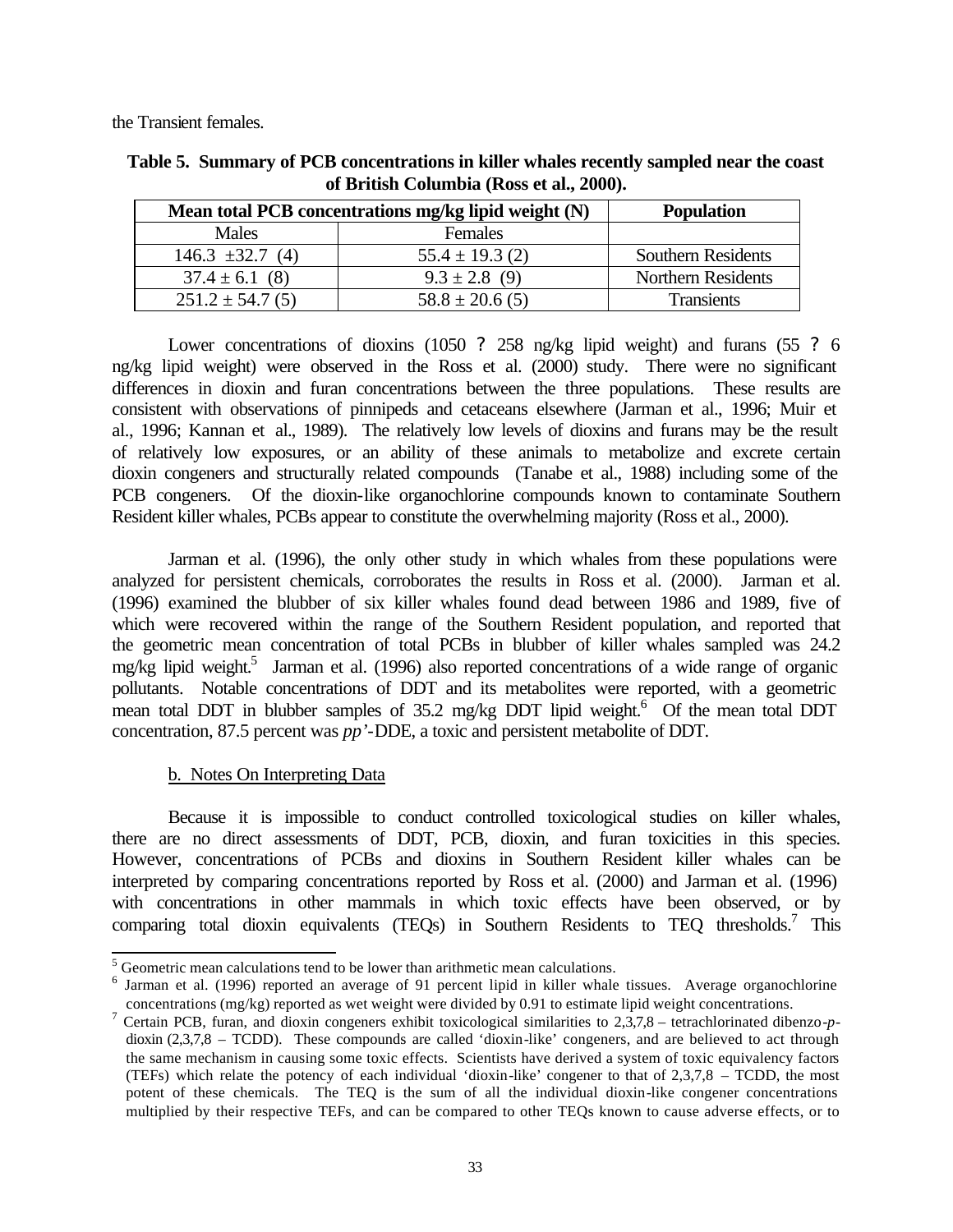the Transient females.

| Mean total PCB concentrations mg/kg lipid weight (N) |                     | <b>Population</b>         |
|------------------------------------------------------|---------------------|---------------------------|
| Males                                                | Females             |                           |
| $146.3 \pm 32.7(4)$                                  | $55.4 \pm 19.3$ (2) | <b>Southern Residents</b> |
| $37.4 \pm 6.1$ (8)                                   | $9.3 \pm 2.8$ (9)   | <b>Northern Residents</b> |
| $251.2 \pm 54.7(5)$                                  | $58.8 \pm 20.6$ (5) | <b>Transients</b>         |

**Table 5. Summary of PCB concentrations in killer whales recently sampled near the coast of British Columbia (Ross et al., 2000).**

Lower concentrations of dioxins (1050 ? 258 ng/kg lipid weight) and furans (55 ? 6 ng/kg lipid weight) were observed in the Ross et al. (2000) study. There were no significant differences in dioxin and furan concentrations between the three populations. These results are consistent with observations of pinnipeds and cetaceans elsewhere (Jarman et al., 1996; Muir et al., 1996; Kannan et al., 1989). The relatively low levels of dioxins and furans may be the result of relatively low exposures, or an ability of these animals to metabolize and excrete certain dioxin congeners and structurally related compounds (Tanabe et al., 1988) including some of the PCB congeners. Of the dioxin-like organochlorine compounds known to contaminate Southern Resident killer whales, PCBs appear to constitute the overwhelming majority (Ross et al., 2000).

Jarman et al. (1996), the only other study in which whales from these populations were analyzed for persistent chemicals, corroborates the results in Ross et al. (2000). Jarman et al. (1996) examined the blubber of six killer whales found dead between 1986 and 1989, five of which were recovered within the range of the Southern Resident population, and reported that the geometric mean concentration of total PCBs in blubber of killer whales sampled was 24.2 mg/kg lipid weight.<sup>5</sup> Jarman et al. (1996) also reported concentrations of a wide range of organic pollutants. Notable concentrations of DDT and its metabolites were reported, with a geometric mean total DDT in blubber samples of 35.2 mg/kg DDT lipid weight.<sup>6</sup> Of the mean total DDT concentration, 87.5 percent was *pp'*-DDE, a toxic and persistent metabolite of DDT.

# b. Notes On Interpreting Data

Because it is impossible to conduct controlled toxicological studies on killer whales, there are no direct assessments of DDT, PCB, dioxin, and furan toxicities in this species. However, concentrations of PCBs and dioxins in Southern Resident killer whales can be interpreted by comparing concentrations reported by Ross et al. (2000) and Jarman et al. (1996) with concentrations in other mammals in which toxic effects have been observed, or by comparing total dioxin equivalents (TEQs) in Southern Residents to TEQ thresholds.<sup>7</sup> This

<sup>&</sup>lt;sup>5</sup> Geometric mean calculations tend to be lower than arithmetic mean calculations.

<sup>&</sup>lt;sup>6</sup> Jarman et al. (1996) reported an average of 91 percent lipid in killer whale tissues. Average organochlorine concentrations (mg/kg) reported as wet weight were divided by 0.91 to estimate lipid weight concentrations.

<sup>7</sup> Certain PCB, furan, and dioxin congeners exhibit toxicological similarities to 2,3,7,8 – tetrachlorinated dibenzo-*p*dioxin (2,3,7,8 – TCDD). These compounds are called 'dioxin-like' congeners, and are believed to act through the same mechanism in causing some toxic effects. Scientists have derived a system of toxic equivalency factors (TEFs) which relate the potency of each individual 'dioxin-like' congener to that of 2,3,7,8 – TCDD, the most potent of these chemicals. The TEQ is the sum of all the individual dioxin-like congener concentrations multiplied by their respective TEFs, and can be compared to other TEQs known to cause adverse effects, or to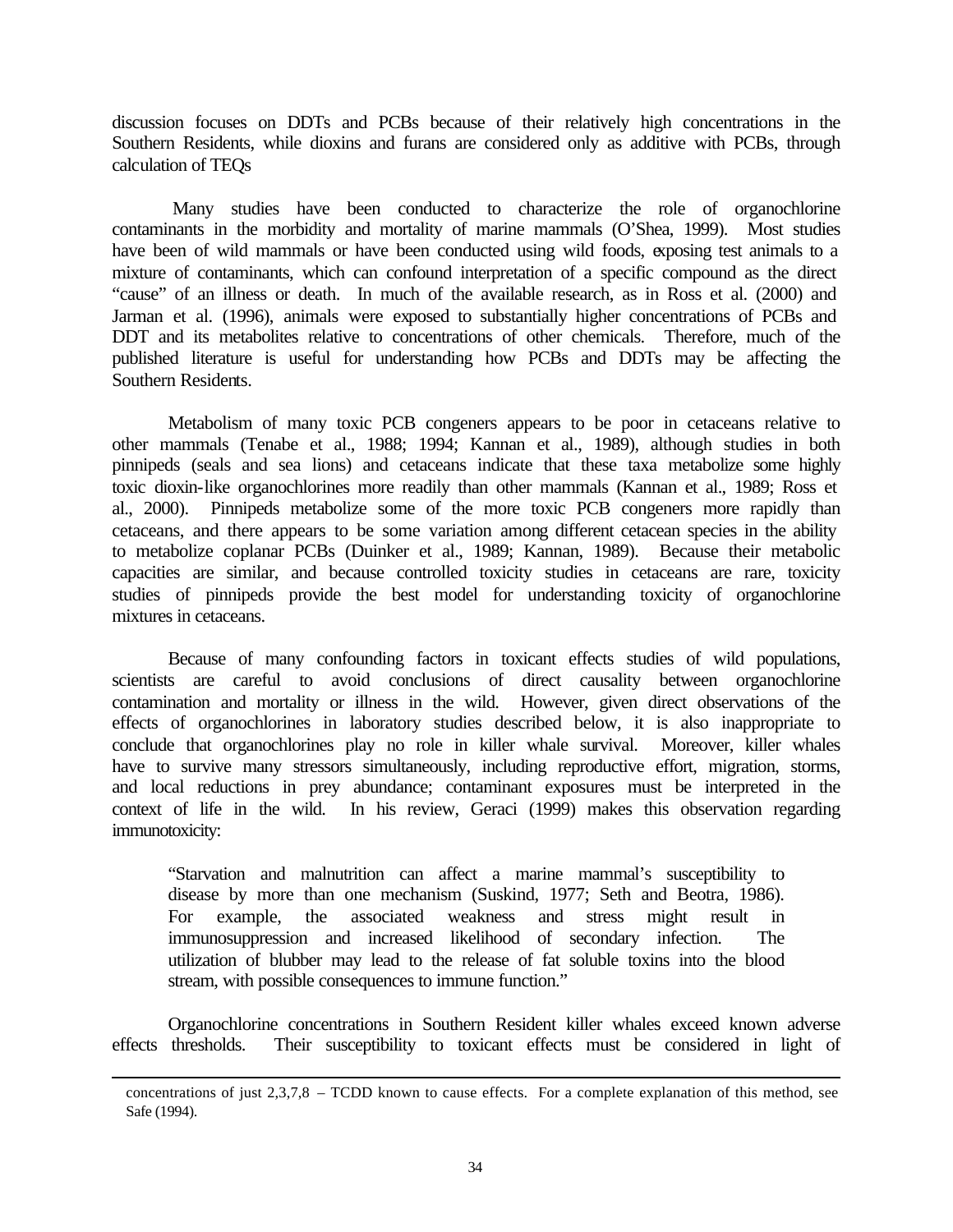discussion focuses on DDTs and PCBs because of their relatively high concentrations in the Southern Residents, while dioxins and furans are considered only as additive with PCBs, through calculation of TEQs

 Many studies have been conducted to characterize the role of organochlorine contaminants in the morbidity and mortality of marine mammals (O'Shea, 1999). Most studies have been of wild mammals or have been conducted using wild foods, exposing test animals to a mixture of contaminants, which can confound interpretation of a specific compound as the direct "cause" of an illness or death. In much of the available research, as in Ross et al. (2000) and Jarman et al. (1996), animals were exposed to substantially higher concentrations of PCBs and DDT and its metabolites relative to concentrations of other chemicals. Therefore, much of the published literature is useful for understanding how PCBs and DDTs may be affecting the Southern Residents.

Metabolism of many toxic PCB congeners appears to be poor in cetaceans relative to other mammals (Tenabe et al., 1988; 1994; Kannan et al., 1989), although studies in both pinnipeds (seals and sea lions) and cetaceans indicate that these taxa metabolize some highly toxic dioxin-like organochlorines more readily than other mammals (Kannan et al., 1989; Ross et al., 2000). Pinnipeds metabolize some of the more toxic PCB congeners more rapidly than cetaceans, and there appears to be some variation among different cetacean species in the ability to metabolize coplanar PCBs (Duinker et al., 1989; Kannan, 1989). Because their metabolic capacities are similar, and because controlled toxicity studies in cetaceans are rare, toxicity studies of pinnipeds provide the best model for understanding toxicity of organochlorine mixtures in cetaceans.

Because of many confounding factors in toxicant effects studies of wild populations, scientists are careful to avoid conclusions of direct causality between organochlorine contamination and mortality or illness in the wild. However, given direct observations of the effects of organochlorines in laboratory studies described below, it is also inappropriate to conclude that organochlorines play no role in killer whale survival. Moreover, killer whales have to survive many stressors simultaneously, including reproductive effort, migration, storms, and local reductions in prey abundance; contaminant exposures must be interpreted in the context of life in the wild. In his review, Geraci (1999) makes this observation regarding immunotoxicity:

"Starvation and malnutrition can affect a marine mammal's susceptibility to disease by more than one mechanism (Suskind, 1977; Seth and Beotra, 1986). For example, the associated weakness and stress might result in immunosuppression and increased likelihood of secondary infection. The utilization of blubber may lead to the release of fat soluble toxins into the blood stream, with possible consequences to immune function."

Organochlorine concentrations in Southern Resident killer whales exceed known adverse effects thresholds. Their susceptibility to toxicant effects must be considered in light of

l

concentrations of just 2,3,7,8 – TCDD known to cause effects. For a complete explanation of this method, see Safe (1994).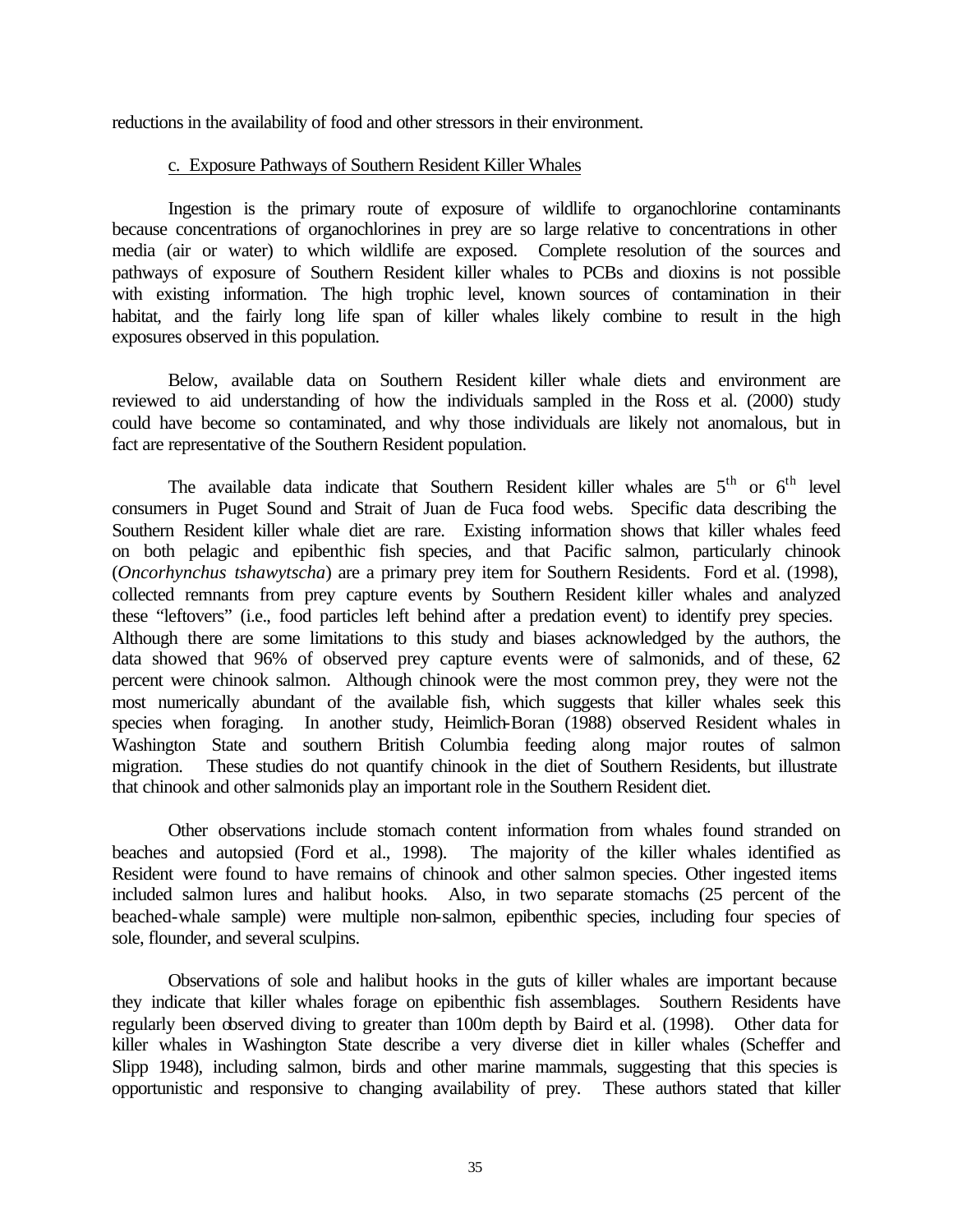reductions in the availability of food and other stressors in their environment.

#### c. Exposure Pathways of Southern Resident Killer Whales

Ingestion is the primary route of exposure of wildlife to organochlorine contaminants because concentrations of organochlorines in prey are so large relative to concentrations in other media (air or water) to which wildlife are exposed. Complete resolution of the sources and pathways of exposure of Southern Resident killer whales to PCBs and dioxins is not possible with existing information. The high trophic level, known sources of contamination in their habitat, and the fairly long life span of killer whales likely combine to result in the high exposures observed in this population.

Below, available data on Southern Resident killer whale diets and environment are reviewed to aid understanding of how the individuals sampled in the Ross et al. (2000) study could have become so contaminated, and why those individuals are likely not anomalous, but in fact are representative of the Southern Resident population.

The available data indicate that Southern Resident killer whales are  $5<sup>th</sup>$  or  $6<sup>th</sup>$  level consumers in Puget Sound and Strait of Juan de Fuca food webs. Specific data describing the Southern Resident killer whale diet are rare. Existing information shows that killer whales feed on both pelagic and epibenthic fish species, and that Pacific salmon, particularly chinook (*Oncorhynchus tshawytscha*) are a primary prey item for Southern Residents. Ford et al. (1998), collected remnants from prey capture events by Southern Resident killer whales and analyzed these "leftovers" (i.e., food particles left behind after a predation event) to identify prey species. Although there are some limitations to this study and biases acknowledged by the authors, the data showed that 96% of observed prey capture events were of salmonids, and of these, 62 percent were chinook salmon. Although chinook were the most common prey, they were not the most numerically abundant of the available fish, which suggests that killer whales seek this species when foraging. In another study, Heimlich-Boran (1988) observed Resident whales in Washington State and southern British Columbia feeding along major routes of salmon migration. These studies do not quantify chinook in the diet of Southern Residents, but illustrate that chinook and other salmonids play an important role in the Southern Resident diet.

Other observations include stomach content information from whales found stranded on beaches and autopsied (Ford et al., 1998). The majority of the killer whales identified as Resident were found to have remains of chinook and other salmon species. Other ingested items included salmon lures and halibut hooks. Also, in two separate stomachs (25 percent of the beached-whale sample) were multiple non-salmon, epibenthic species, including four species of sole, flounder, and several sculpins.

Observations of sole and halibut hooks in the guts of killer whales are important because they indicate that killer whales forage on epibenthic fish assemblages. Southern Residents have regularly been observed diving to greater than 100m depth by Baird et al. (1998). Other data for killer whales in Washington State describe a very diverse diet in killer whales (Scheffer and Slipp 1948), including salmon, birds and other marine mammals, suggesting that this species is opportunistic and responsive to changing availability of prey. These authors stated that killer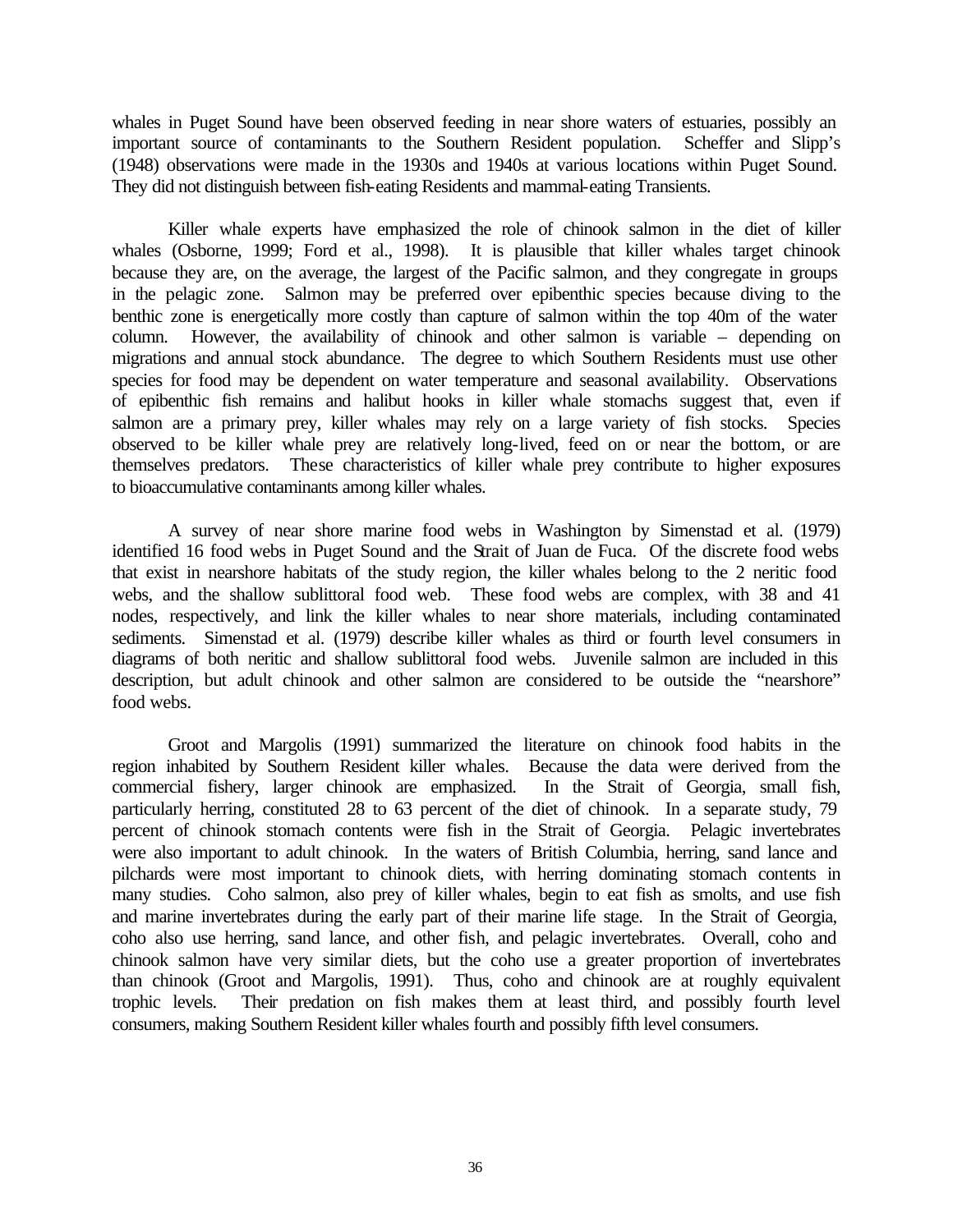whales in Puget Sound have been observed feeding in near shore waters of estuaries, possibly an important source of contaminants to the Southern Resident population. Scheffer and Slipp's (1948) observations were made in the 1930s and 1940s at various locations within Puget Sound. They did not distinguish between fish-eating Residents and mammal-eating Transients.

Killer whale experts have emphasized the role of chinook salmon in the diet of killer whales (Osborne, 1999; Ford et al., 1998). It is plausible that killer whales target chinook because they are, on the average, the largest of the Pacific salmon, and they congregate in groups in the pelagic zone. Salmon may be preferred over epibenthic species because diving to the benthic zone is energetically more costly than capture of salmon within the top 40m of the water column. However, the availability of chinook and other salmon is variable – depending on migrations and annual stock abundance. The degree to which Southern Residents must use other species for food may be dependent on water temperature and seasonal availability. Observations of epibenthic fish remains and halibut hooks in killer whale stomachs suggest that, even if salmon are a primary prey, killer whales may rely on a large variety of fish stocks. Species observed to be killer whale prey are relatively long-lived, feed on or near the bottom, or are themselves predators. These characteristics of killer whale prey contribute to higher exposures to bioaccumulative contaminants among killer whales.

A survey of near shore marine food webs in Washington by Simenstad et al. (1979) identified 16 food webs in Puget Sound and the Strait of Juan de Fuca. Of the discrete food webs that exist in nearshore habitats of the study region, the killer whales belong to the 2 neritic food webs, and the shallow sublittoral food web. These food webs are complex, with 38 and 41 nodes, respectively, and link the killer whales to near shore materials, including contaminated sediments. Simenstad et al. (1979) describe killer whales as third or fourth level consumers in diagrams of both neritic and shallow sublittoral food webs. Juvenile salmon are included in this description, but adult chinook and other salmon are considered to be outside the "nearshore" food webs.

Groot and Margolis (1991) summarized the literature on chinook food habits in the region inhabited by Southern Resident killer whales. Because the data were derived from the commercial fishery, larger chinook are emphasized. In the Strait of Georgia, small fish, particularly herring, constituted 28 to 63 percent of the diet of chinook. In a separate study, 79 percent of chinook stomach contents were fish in the Strait of Georgia. Pelagic invertebrates were also important to adult chinook. In the waters of British Columbia, herring, sand lance and pilchards were most important to chinook diets, with herring dominating stomach contents in many studies. Coho salmon, also prey of killer whales, begin to eat fish as smolts, and use fish and marine invertebrates during the early part of their marine life stage. In the Strait of Georgia, coho also use herring, sand lance, and other fish, and pelagic invertebrates. Overall, coho and chinook salmon have very similar diets, but the coho use a greater proportion of invertebrates than chinook (Groot and Margolis, 1991). Thus, coho and chinook are at roughly equivalent trophic levels. Their predation on fish makes them at least third, and possibly fourth level consumers, making Southern Resident killer whales fourth and possibly fifth level consumers.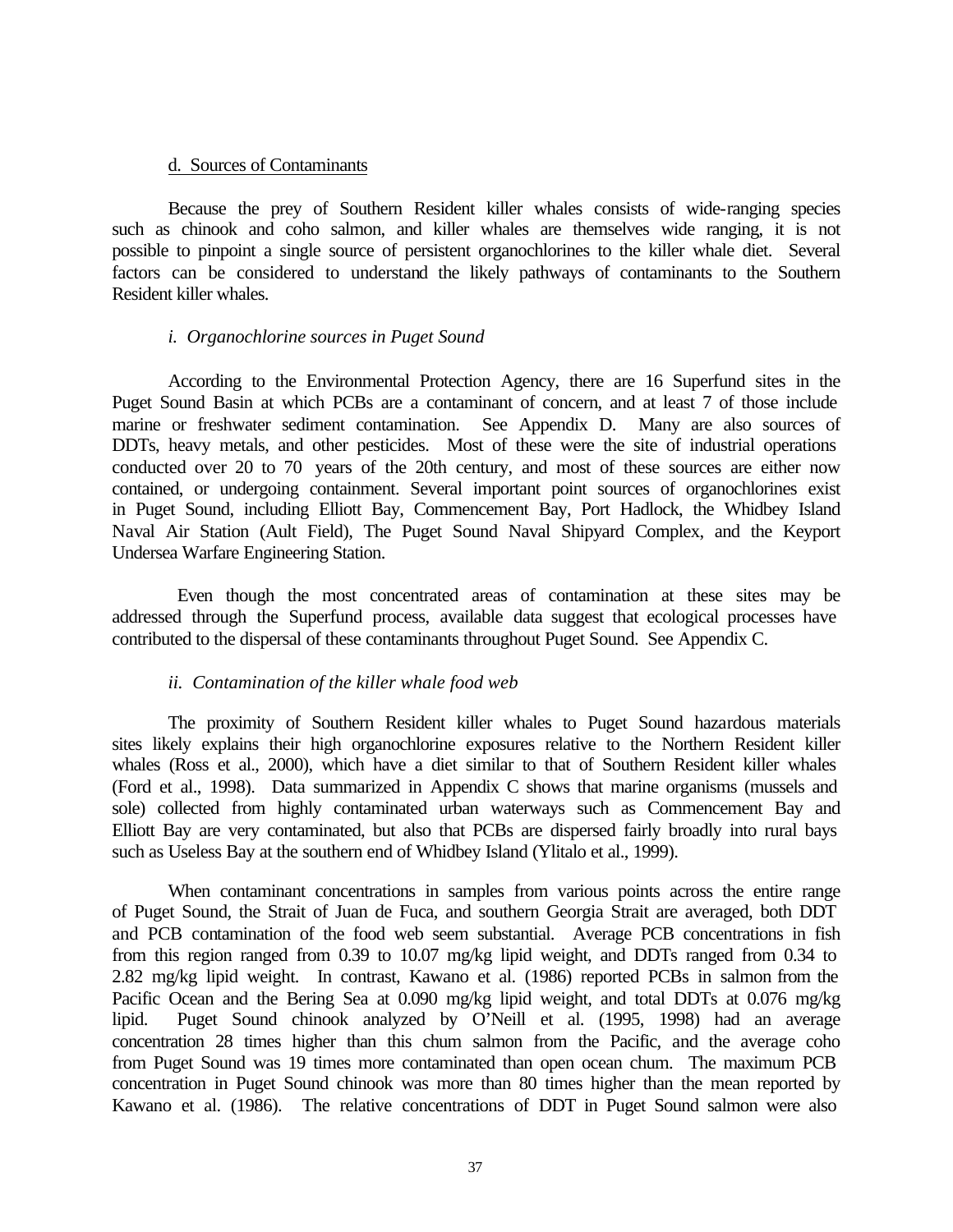#### d. Sources of Contaminants

Because the prey of Southern Resident killer whales consists of wide-ranging species such as chinook and coho salmon, and killer whales are themselves wide ranging, it is not possible to pinpoint a single source of persistent organochlorines to the killer whale diet. Several factors can be considered to understand the likely pathways of contaminants to the Southern Resident killer whales.

### *i. Organochlorine sources in Puget Sound*

According to the Environmental Protection Agency, there are 16 Superfund sites in the Puget Sound Basin at which PCBs are a contaminant of concern, and at least 7 of those include marine or freshwater sediment contamination. See Appendix D. Many are also sources of DDTs, heavy metals, and other pesticides. Most of these were the site of industrial operations conducted over 20 to 70 years of the 20th century, and most of these sources are either now contained, or undergoing containment. Several important point sources of organochlorines exist in Puget Sound, including Elliott Bay, Commencement Bay, Port Hadlock, the Whidbey Island Naval Air Station (Ault Field), The Puget Sound Naval Shipyard Complex, and the Keyport Undersea Warfare Engineering Station.

 Even though the most concentrated areas of contamination at these sites may be addressed through the Superfund process, available data suggest that ecological processes have contributed to the dispersal of these contaminants throughout Puget Sound. See Appendix C.

### *ii. Contamination of the killer whale food web*

The proximity of Southern Resident killer whales to Puget Sound hazardous materials sites likely explains their high organochlorine exposures relative to the Northern Resident killer whales (Ross et al., 2000), which have a diet similar to that of Southern Resident killer whales (Ford et al., 1998). Data summarized in Appendix C shows that marine organisms (mussels and sole) collected from highly contaminated urban waterways such as Commencement Bay and Elliott Bay are very contaminated, but also that PCBs are dispersed fairly broadly into rural bays such as Useless Bay at the southern end of Whidbey Island (Ylitalo et al., 1999).

When contaminant concentrations in samples from various points across the entire range of Puget Sound, the Strait of Juan de Fuca, and southern Georgia Strait are averaged, both DDT and PCB contamination of the food web seem substantial. Average PCB concentrations in fish from this region ranged from 0.39 to 10.07 mg/kg lipid weight, and DDTs ranged from 0.34 to 2.82 mg/kg lipid weight. In contrast, Kawano et al. (1986) reported PCBs in salmon from the Pacific Ocean and the Bering Sea at 0.090 mg/kg lipid weight, and total DDTs at 0.076 mg/kg lipid. Puget Sound chinook analyzed by O'Neill et al. (1995, 1998) had an average concentration 28 times higher than this chum salmon from the Pacific, and the average coho from Puget Sound was 19 times more contaminated than open ocean chum. The maximum PCB concentration in Puget Sound chinook was more than 80 times higher than the mean reported by Kawano et al. (1986). The relative concentrations of DDT in Puget Sound salmon were also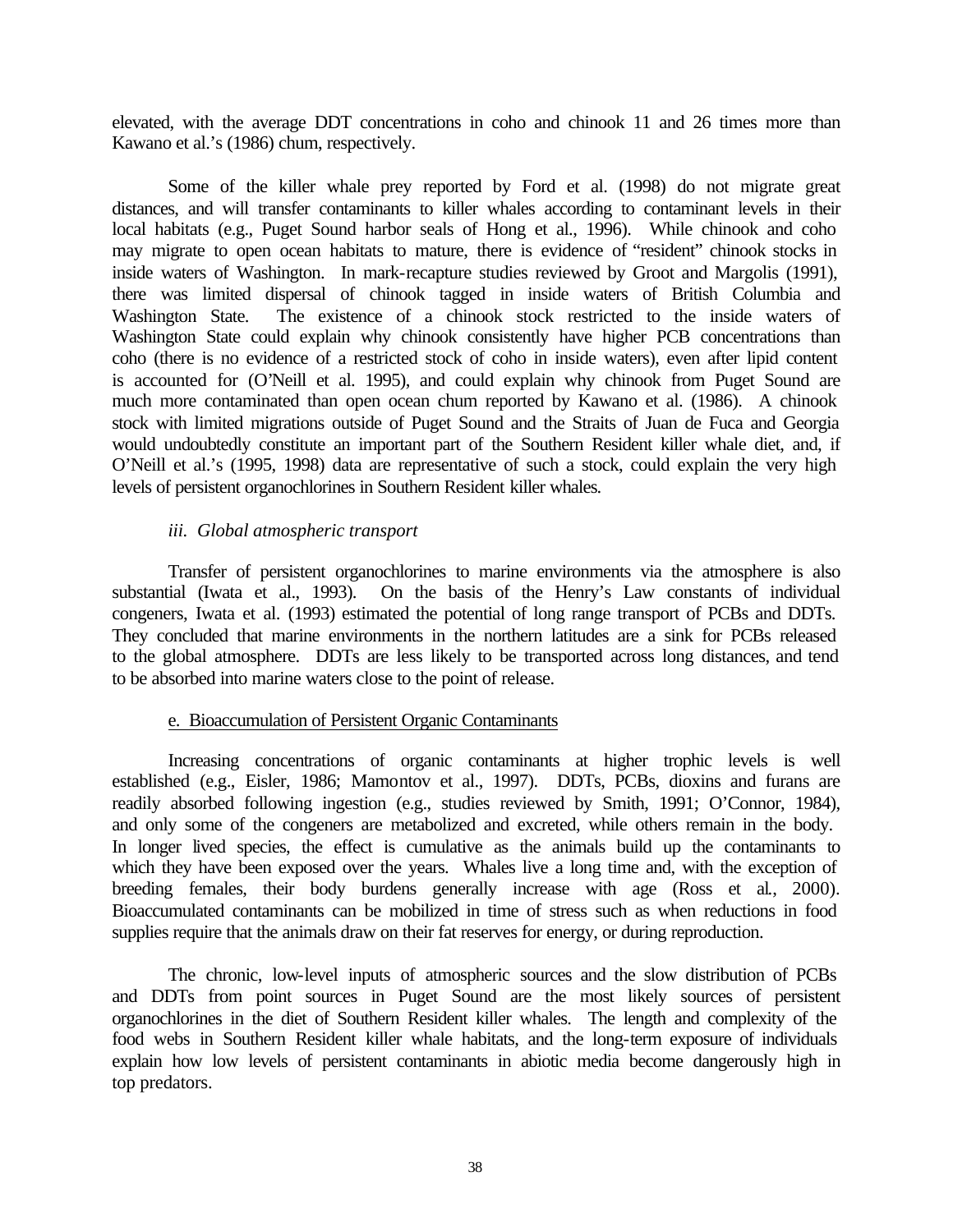elevated, with the average DDT concentrations in coho and chinook 11 and 26 times more than Kawano et al.'s (1986) chum, respectively.

Some of the killer whale prey reported by Ford et al. (1998) do not migrate great distances, and will transfer contaminants to killer whales according to contaminant levels in their local habitats (e.g., Puget Sound harbor seals of Hong et al., 1996). While chinook and coho may migrate to open ocean habitats to mature, there is evidence of "resident" chinook stocks in inside waters of Washington. In mark-recapture studies reviewed by Groot and Margolis (1991), there was limited dispersal of chinook tagged in inside waters of British Columbia and Washington State. The existence of a chinook stock restricted to the inside waters of Washington State could explain why chinook consistently have higher PCB concentrations than coho (there is no evidence of a restricted stock of coho in inside waters), even after lipid content is accounted for (O'Neill et al. 1995), and could explain why chinook from Puget Sound are much more contaminated than open ocean chum reported by Kawano et al. (1986). A chinook stock with limited migrations outside of Puget Sound and the Straits of Juan de Fuca and Georgia would undoubtedly constitute an important part of the Southern Resident killer whale diet, and, if O'Neill et al.'s (1995, 1998) data are representative of such a stock, could explain the very high levels of persistent organochlorines in Southern Resident killer whales.

## *iii. Global atmospheric transport*

Transfer of persistent organochlorines to marine environments via the atmosphere is also substantial (Iwata et al., 1993). On the basis of the Henry's Law constants of individual congeners, Iwata et al. (1993) estimated the potential of long range transport of PCBs and DDTs. They concluded that marine environments in the northern latitudes are a sink for PCBs released to the global atmosphere. DDTs are less likely to be transported across long distances, and tend to be absorbed into marine waters close to the point of release.

### e. Bioaccumulation of Persistent Organic Contaminants

Increasing concentrations of organic contaminants at higher trophic levels is well established (e.g., Eisler, 1986; Mamontov et al., 1997). DDTs, PCBs, dioxins and furans are readily absorbed following ingestion (e.g., studies reviewed by Smith, 1991; O'Connor, 1984), and only some of the congeners are metabolized and excreted, while others remain in the body. In longer lived species, the effect is cumulative as the animals build up the contaminants to which they have been exposed over the years. Whales live a long time and, with the exception of breeding females, their body burdens generally increase with age (Ross et al., 2000). Bioaccumulated contaminants can be mobilized in time of stress such as when reductions in food supplies require that the animals draw on their fat reserves for energy, or during reproduction.

The chronic, low-level inputs of atmospheric sources and the slow distribution of PCBs and DDTs from point sources in Puget Sound are the most likely sources of persistent organochlorines in the diet of Southern Resident killer whales. The length and complexity of the food webs in Southern Resident killer whale habitats, and the long-term exposure of individuals explain how low levels of persistent contaminants in abiotic media become dangerously high in top predators.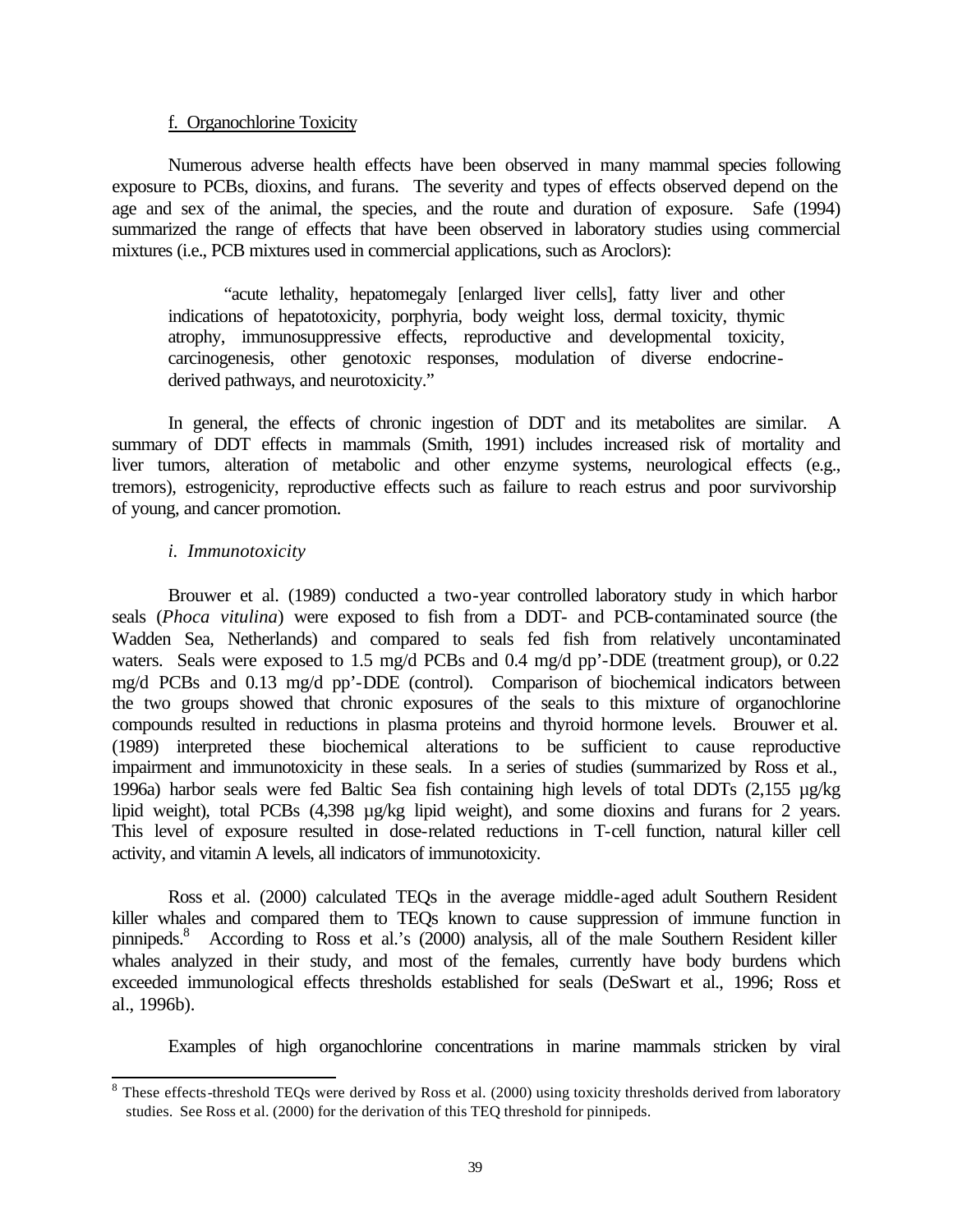### f. Organochlorine Toxicity

Numerous adverse health effects have been observed in many mammal species following exposure to PCBs, dioxins, and furans. The severity and types of effects observed depend on the age and sex of the animal, the species, and the route and duration of exposure. Safe (1994) summarized the range of effects that have been observed in laboratory studies using commercial mixtures (i.e., PCB mixtures used in commercial applications, such as Aroclors):

"acute lethality, hepatomegaly [enlarged liver cells], fatty liver and other indications of hepatotoxicity, porphyria, body weight loss, dermal toxicity, thymic atrophy, immunosuppressive effects, reproductive and developmental toxicity, carcinogenesis, other genotoxic responses, modulation of diverse endocrinederived pathways, and neurotoxicity."

In general, the effects of chronic ingestion of DDT and its metabolites are similar. A summary of DDT effects in mammals (Smith, 1991) includes increased risk of mortality and liver tumors, alteration of metabolic and other enzyme systems, neurological effects (e.g., tremors), estrogenicity, reproductive effects such as failure to reach estrus and poor survivorship of young, and cancer promotion.

## *i. Immunotoxicity*

l

Brouwer et al. (1989) conducted a two-year controlled laboratory study in which harbor seals (*Phoca vitulina*) were exposed to fish from a DDT- and PCB-contaminated source (the Wadden Sea, Netherlands) and compared to seals fed fish from relatively uncontaminated waters. Seals were exposed to 1.5 mg/d PCBs and 0.4 mg/d pp'-DDE (treatment group), or 0.22 mg/d PCBs and 0.13 mg/d pp'-DDE (control). Comparison of biochemical indicators between the two groups showed that chronic exposures of the seals to this mixture of organochlorine compounds resulted in reductions in plasma proteins and thyroid hormone levels. Brouwer et al. (1989) interpreted these biochemical alterations to be sufficient to cause reproductive impairment and immunotoxicity in these seals. In a series of studies (summarized by Ross et al., 1996a) harbor seals were fed Baltic Sea fish containing high levels of total DDTs (2,155 µg/kg lipid weight), total PCBs (4,398 µg/kg lipid weight), and some dioxins and furans for 2 years. This level of exposure resulted in dose-related reductions in T-cell function, natural killer cell activity, and vitamin A levels, all indicators of immunotoxicity.

Ross et al. (2000) calculated TEQs in the average middle-aged adult Southern Resident killer whales and compared them to TEQs known to cause suppression of immune function in pinnipeds.<sup>8</sup> According to Ross et al.'s (2000) analysis, all of the male Southern Resident killer whales analyzed in their study, and most of the females, currently have body burdens which exceeded immunological effects thresholds established for seals (DeSwart et al., 1996; Ross et al., 1996b).

Examples of high organochlorine concentrations in marine mammals stricken by viral

 $8$  These effects-threshold TEQs were derived by Ross et al. (2000) using toxicity thresholds derived from laboratory studies. See Ross et al. (2000) for the derivation of this TEQ threshold for pinnipeds.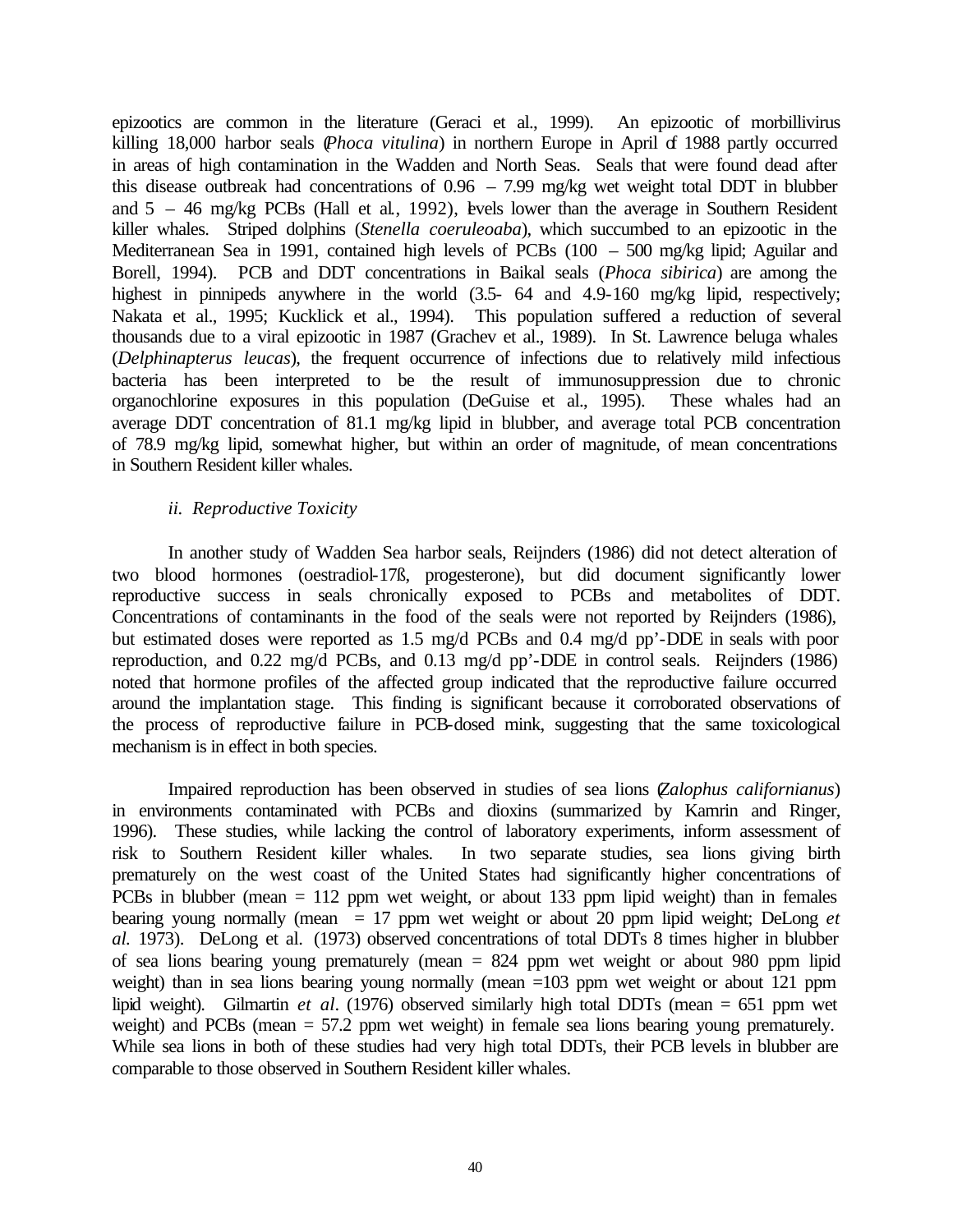epizootics are common in the literature (Geraci et al., 1999). An epizootic of morbillivirus killing 18,000 harbor seals (*Phoca vitulina*) in northern Europe in April of 1988 partly occurred in areas of high contamination in the Wadden and North Seas. Seals that were found dead after this disease outbreak had concentrations of 0.96 – 7.99 mg/kg wet weight total DDT in blubber and  $5 - 46$  mg/kg PCBs (Hall et al. 1992), levels lower than the average in Southern Resident killer whales. Striped dolphins (*Stenella coeruleoaba*), which succumbed to an epizootic in the Mediterranean Sea in 1991, contained high levels of PCBs (100 – 500 mg/kg lipid; Aguilar and Borell, 1994). PCB and DDT concentrations in Baikal seals (*Phoca sibirica*) are among the highest in pinnipeds anywhere in the world  $(3.5- 64$  and  $4.9-160$  mg/kg lipid, respectively; Nakata et al., 1995; Kucklick et al., 1994). This population suffered a reduction of several thousands due to a viral epizootic in 1987 (Grachev et al., 1989). In St. Lawrence beluga whales (*Delphinapterus leucas*), the frequent occurrence of infections due to relatively mild infectious bacteria has been interpreted to be the result of immunosuppression due to chronic organochlorine exposures in this population (DeGuise et al., 1995). These whales had an average DDT concentration of 81.1 mg/kg lipid in blubber, and average total PCB concentration of 78.9 mg/kg lipid, somewhat higher, but within an order of magnitude, of mean concentrations in Southern Resident killer whales.

# *ii. Reproductive Toxicity*

In another study of Wadden Sea harbor seals, Reijnders (1986) did not detect alteration of two blood hormones (oestradiol-17ß, progesterone), but did document significantly lower reproductive success in seals chronically exposed to PCBs and metabolites of DDT. Concentrations of contaminants in the food of the seals were not reported by Reijnders (1986), but estimated doses were reported as 1.5 mg/d PCBs and 0.4 mg/d pp'-DDE in seals with poor reproduction, and 0.22 mg/d PCBs, and 0.13 mg/d pp'-DDE in control seals. Reijnders (1986) noted that hormone profiles of the affected group indicated that the reproductive failure occurred around the implantation stage. This finding is significant because it corroborated observations of the process of reproductive failure in PCB-dosed mink, suggesting that the same toxicological mechanism is in effect in both species.

Impaired reproduction has been observed in studies of sea lions (*Zalophus californianus*) in environments contaminated with PCBs and dioxins (summarized by Kamrin and Ringer, 1996). These studies, while lacking the control of laboratory experiments, inform assessment of risk to Southern Resident killer whales. In two separate studies, sea lions giving birth prematurely on the west coast of the United States had significantly higher concentrations of PCBs in blubber (mean = 112 ppm wet weight, or about 133 ppm lipid weight) than in females bearing young normally (mean = 17 ppm wet weight or about 20 ppm lipid weight; DeLong *et al.* 1973). DeLong et al. (1973) observed concentrations of total DDTs 8 times higher in blubber of sea lions bearing young prematurely (mean = 824 ppm wet weight or about 980 ppm lipid weight) than in sea lions bearing young normally (mean =103 ppm wet weight or about 121 ppm lipid weight). Gilmartin *et al*. (1976) observed similarly high total DDTs (mean = 651 ppm wet weight) and PCBs (mean = 57.2 ppm wet weight) in female sea lions bearing young prematurely. While sea lions in both of these studies had very high total DDTs, their PCB levels in blubber are comparable to those observed in Southern Resident killer whales.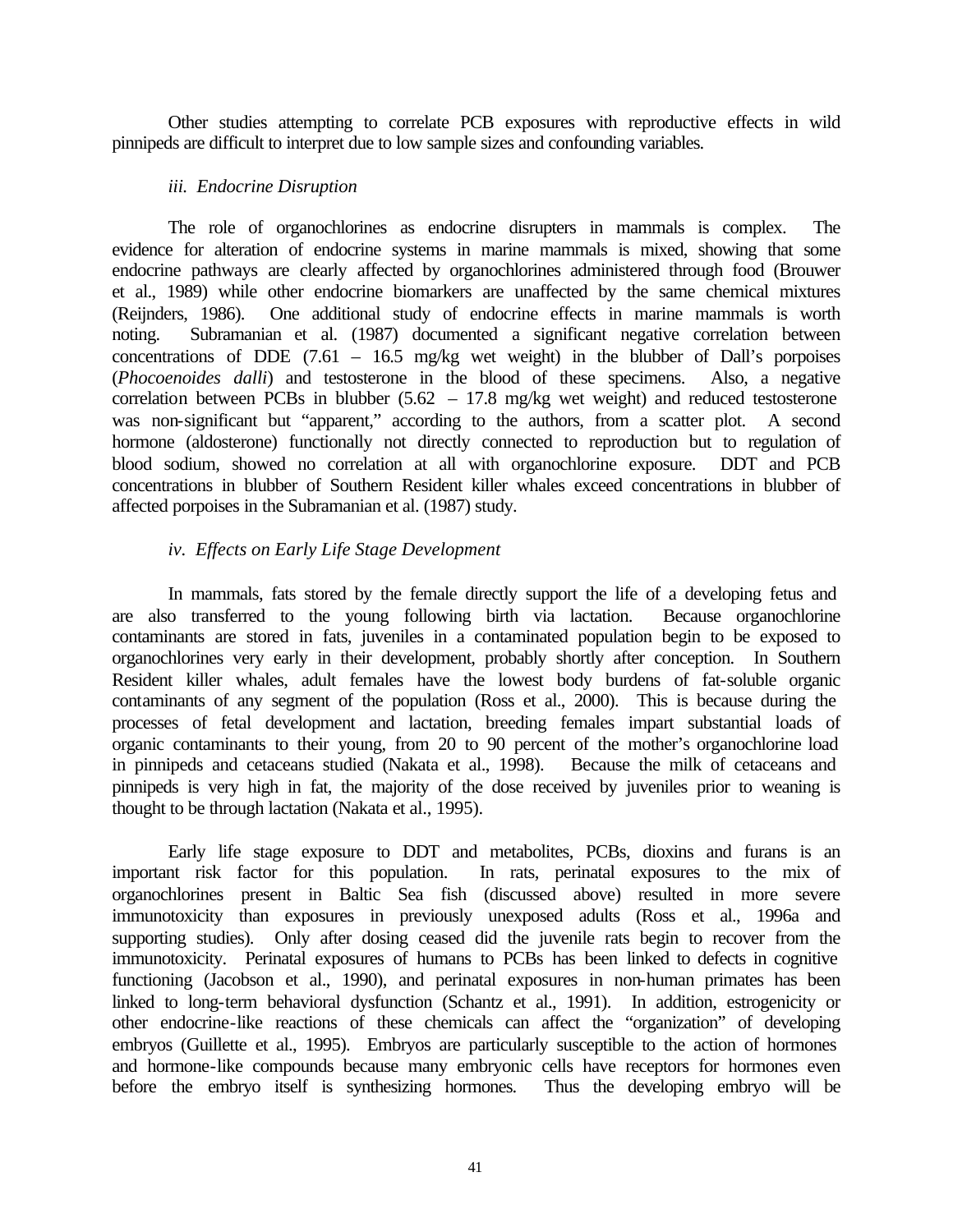Other studies attempting to correlate PCB exposures with reproductive effects in wild pinnipeds are difficult to interpret due to low sample sizes and confounding variables.

### *iii. Endocrine Disruption*

The role of organochlorines as endocrine disrupters in mammals is complex. The evidence for alteration of endocrine systems in marine mammals is mixed, showing that some endocrine pathways are clearly affected by organochlorines administered through food (Brouwer et al., 1989) while other endocrine biomarkers are unaffected by the same chemical mixtures (Reijnders, 1986). One additional study of endocrine effects in marine mammals is worth noting. Subramanian et al. (1987) documented a significant negative correlation between concentrations of DDE  $(7.61 - 16.5 \text{ mg/kg}$  wet weight) in the blubber of Dall's porpoises (*Phocoenoides dalli*) and testosterone in the blood of these specimens. Also, a negative correlation between PCBs in blubber (5.62 – 17.8 mg/kg wet weight) and reduced testosterone was non-significant but "apparent," according to the authors, from a scatter plot. A second hormone (aldosterone) functionally not directly connected to reproduction but to regulation of blood sodium, showed no correlation at all with organochlorine exposure. DDT and PCB concentrations in blubber of Southern Resident killer whales exceed concentrations in blubber of affected porpoises in the Subramanian et al. (1987) study.

# *iv. Effects on Early Life Stage Development*

In mammals, fats stored by the female directly support the life of a developing fetus and are also transferred to the young following birth via lactation. Because organochlorine contaminants are stored in fats, juveniles in a contaminated population begin to be exposed to organochlorines very early in their development, probably shortly after conception. In Southern Resident killer whales, adult females have the lowest body burdens of fat-soluble organic contaminants of any segment of the population (Ross et al., 2000). This is because during the processes of fetal development and lactation, breeding females impart substantial loads of organic contaminants to their young, from 20 to 90 percent of the mother's organochlorine load in pinnipeds and cetaceans studied (Nakata et al., 1998). Because the milk of cetaceans and pinnipeds is very high in fat, the majority of the dose received by juveniles prior to weaning is thought to be through lactation (Nakata et al., 1995).

Early life stage exposure to DDT and metabolites, PCBs, dioxins and furans is an important risk factor for this population. In rats, perinatal exposures to the mix of organochlorines present in Baltic Sea fish (discussed above) resulted in more severe immunotoxicity than exposures in previously unexposed adults (Ross et al., 1996a and supporting studies). Only after dosing ceased did the juvenile rats begin to recover from the immunotoxicity. Perinatal exposures of humans to PCBs has been linked to defects in cognitive functioning (Jacobson et al., 1990), and perinatal exposures in non-human primates has been linked to long-term behavioral dysfunction (Schantz et al., 1991). In addition, estrogenicity or other endocrine-like reactions of these chemicals can affect the "organization" of developing embryos (Guillette et al., 1995). Embryos are particularly susceptible to the action of hormones and hormone-like compounds because many embryonic cells have receptors for hormones even before the embryo itself is synthesizing hormones. Thus the developing embryo will be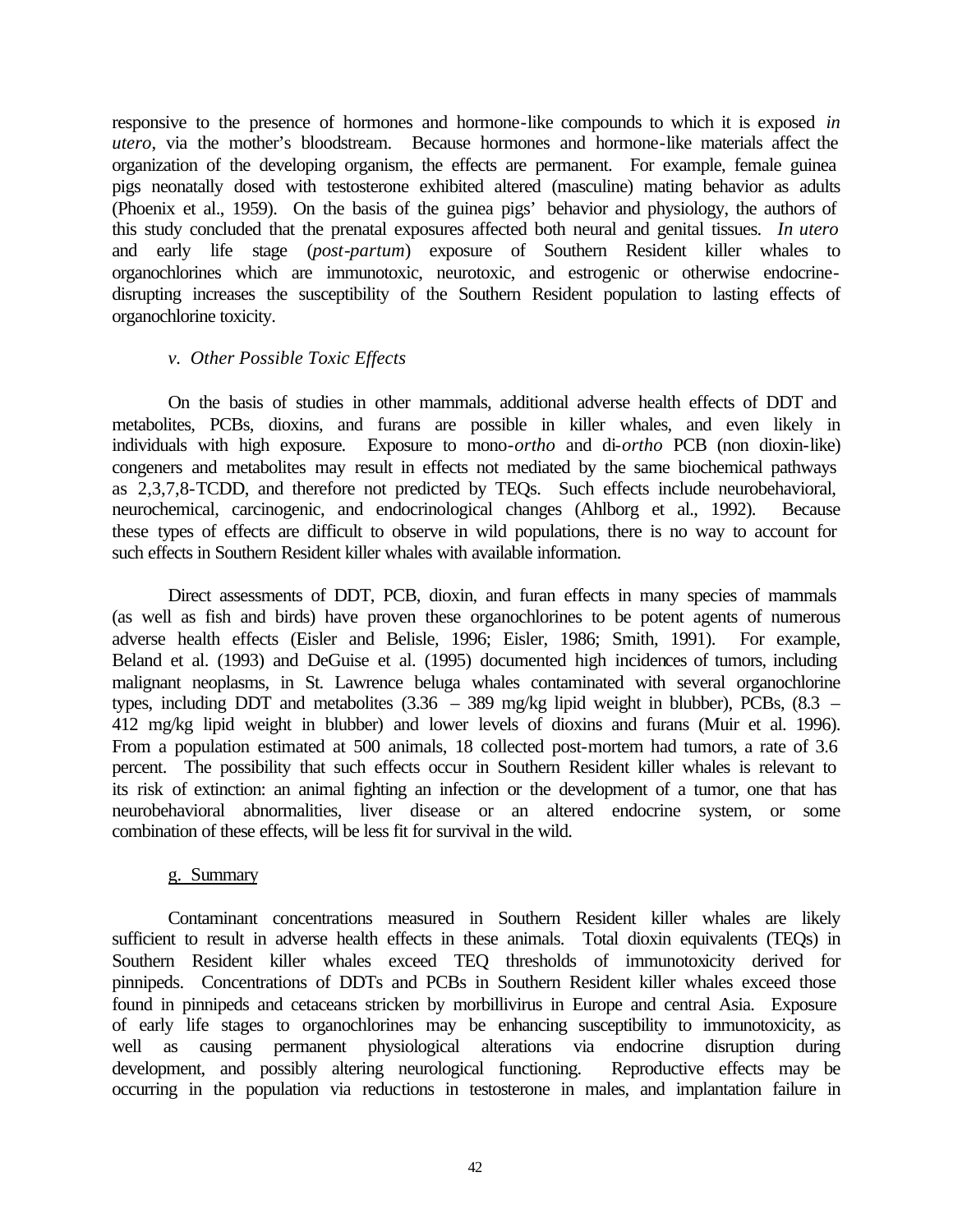responsive to the presence of hormones and hormone-like compounds to which it is exposed *in utero*, via the mother's bloodstream. Because hormones and hormone-like materials affect the organization of the developing organism, the effects are permanent. For example, female guinea pigs neonatally dosed with testosterone exhibited altered (masculine) mating behavior as adults (Phoenix et al., 1959). On the basis of the guinea pigs' behavior and physiology, the authors of this study concluded that the prenatal exposures affected both neural and genital tissues. *In utero*  and early life stage (*post-partum*) exposure of Southern Resident killer whales to organochlorines which are immunotoxic, neurotoxic, and estrogenic or otherwise endocrinedisrupting increases the susceptibility of the Southern Resident population to lasting effects of organochlorine toxicity.

## *v. Other Possible Toxic Effects*

On the basis of studies in other mammals, additional adverse health effects of DDT and metabolites, PCBs, dioxins, and furans are possible in killer whales, and even likely in individuals with high exposure. Exposure to mono-*ortho* and di-*ortho* PCB (non dioxin-like) congeners and metabolites may result in effects not mediated by the same biochemical pathways as 2,3,7,8-TCDD, and therefore not predicted by TEQs. Such effects include neurobehavioral, neurochemical, carcinogenic, and endocrinological changes (Ahlborg et al., 1992). Because these types of effects are difficult to observe in wild populations, there is no way to account for such effects in Southern Resident killer whales with available information.

Direct assessments of DDT, PCB, dioxin, and furan effects in many species of mammals (as well as fish and birds) have proven these organochlorines to be potent agents of numerous adverse health effects (Eisler and Belisle, 1996; Eisler, 1986; Smith, 1991). For example, Beland et al. (1993) and DeGuise et al. (1995) documented high incidences of tumors, including malignant neoplasms, in St. Lawrence beluga whales contaminated with several organochlorine types, including DDT and metabolites  $(3.36 - 389 \text{ mg/kg}$  lipid weight in blubber), PCBs,  $(8.3 -$ 412 mg/kg lipid weight in blubber) and lower levels of dioxins and furans (Muir et al. 1996). From a population estimated at 500 animals, 18 collected post-mortem had tumors, a rate of 3.6 percent. The possibility that such effects occur in Southern Resident killer whales is relevant to its risk of extinction: an animal fighting an infection or the development of a tumor, one that has neurobehavioral abnormalities, liver disease or an altered endocrine system, or some combination of these effects, will be less fit for survival in the wild.

# g. Summary

Contaminant concentrations measured in Southern Resident killer whales are likely sufficient to result in adverse health effects in these animals. Total dioxin equivalents (TEQs) in Southern Resident killer whales exceed TEQ thresholds of immunotoxicity derived for pinnipeds. Concentrations of DDTs and PCBs in Southern Resident killer whales exceed those found in pinnipeds and cetaceans stricken by morbillivirus in Europe and central Asia. Exposure of early life stages to organochlorines may be enhancing susceptibility to immunotoxicity, as well as causing permanent physiological alterations via endocrine disruption during development, and possibly altering neurological functioning. Reproductive effects may be occurring in the population via reductions in testosterone in males, and implantation failure in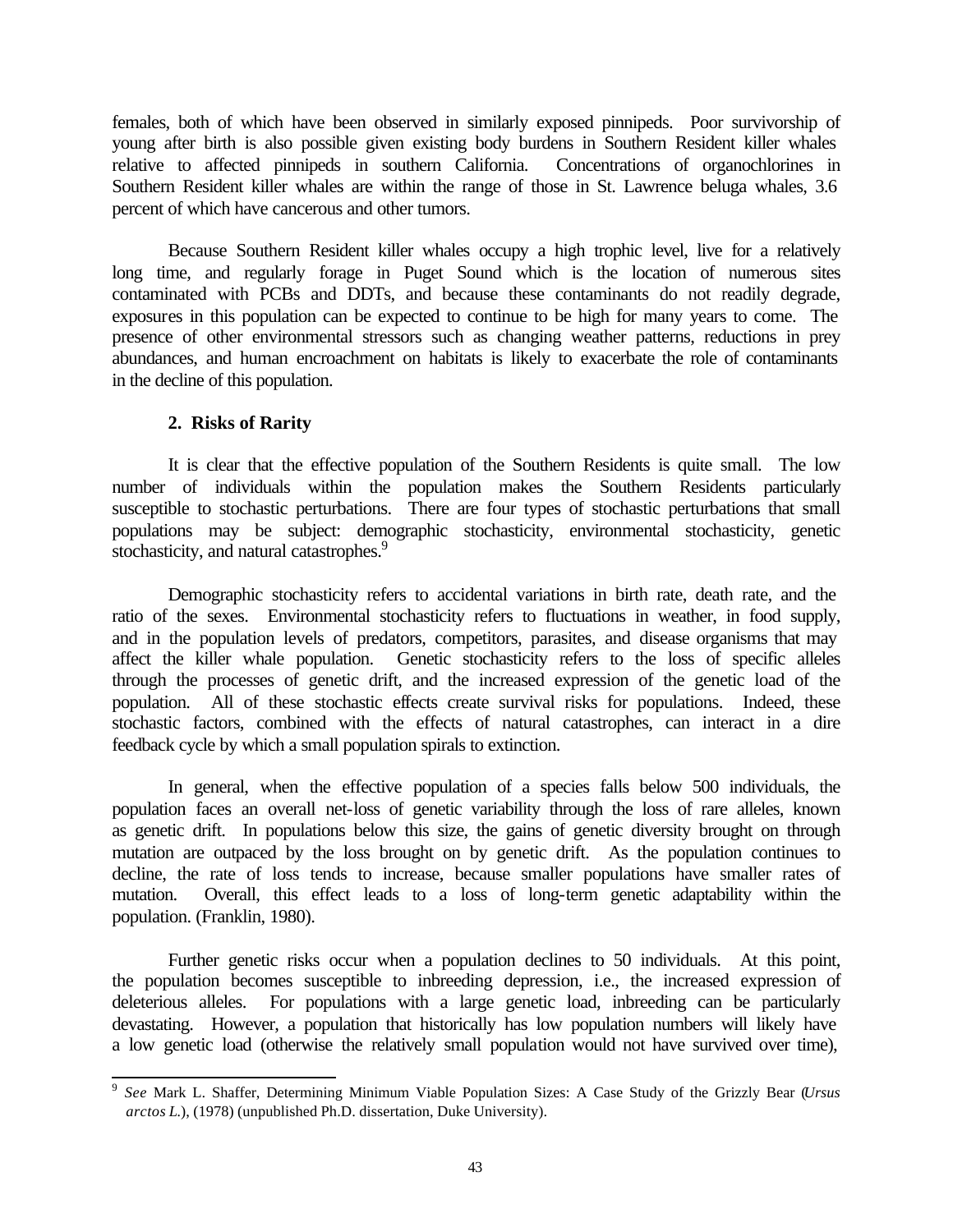females, both of which have been observed in similarly exposed pinnipeds. Poor survivorship of young after birth is also possible given existing body burdens in Southern Resident killer whales relative to affected pinnipeds in southern California. Concentrations of organochlorines in Southern Resident killer whales are within the range of those in St. Lawrence beluga whales, 3.6 percent of which have cancerous and other tumors.

Because Southern Resident killer whales occupy a high trophic level, live for a relatively long time, and regularly forage in Puget Sound which is the location of numerous sites contaminated with PCBs and DDTs, and because these contaminants do not readily degrade, exposures in this population can be expected to continue to be high for many years to come. The presence of other environmental stressors such as changing weather patterns, reductions in prey abundances, and human encroachment on habitats is likely to exacerbate the role of contaminants in the decline of this population.

# **2. Risks of Rarity**

It is clear that the effective population of the Southern Residents is quite small. The low number of individuals within the population makes the Southern Residents particularly susceptible to stochastic perturbations. There are four types of stochastic perturbations that small populations may be subject: demographic stochasticity, environmental stochasticity, genetic stochasticity, and natural catastrophes.<sup>9</sup>

Demographic stochasticity refers to accidental variations in birth rate, death rate, and the ratio of the sexes. Environmental stochasticity refers to fluctuations in weather, in food supply, and in the population levels of predators, competitors, parasites, and disease organisms that may affect the killer whale population. Genetic stochasticity refers to the loss of specific alleles through the processes of genetic drift, and the increased expression of the genetic load of the population. All of these stochastic effects create survival risks for populations. Indeed, these stochastic factors, combined with the effects of natural catastrophes, can interact in a dire feedback cycle by which a small population spirals to extinction.

In general, when the effective population of a species falls below 500 individuals, the population faces an overall net-loss of genetic variability through the loss of rare alleles, known as genetic drift. In populations below this size, the gains of genetic diversity brought on through mutation are outpaced by the loss brought on by genetic drift. As the population continues to decline, the rate of loss tends to increase, because smaller populations have smaller rates of mutation. Overall, this effect leads to a loss of long-term genetic adaptability within the population. (Franklin, 1980).

Further genetic risks occur when a population declines to 50 individuals. At this point, the population becomes susceptible to inbreeding depression, i.e., the increased expression of deleterious alleles. For populations with a large genetic load, inbreeding can be particularly devastating. However, a population that historically has low population numbers will likely have a low genetic load (otherwise the relatively small population would not have survived over time),

 9 *See* Mark L. Shaffer, Determining Minimum Viable Population Sizes: A Case Study of the Grizzly Bear (*Ursus arctos L.*), (1978) (unpublished Ph.D. dissertation, Duke University).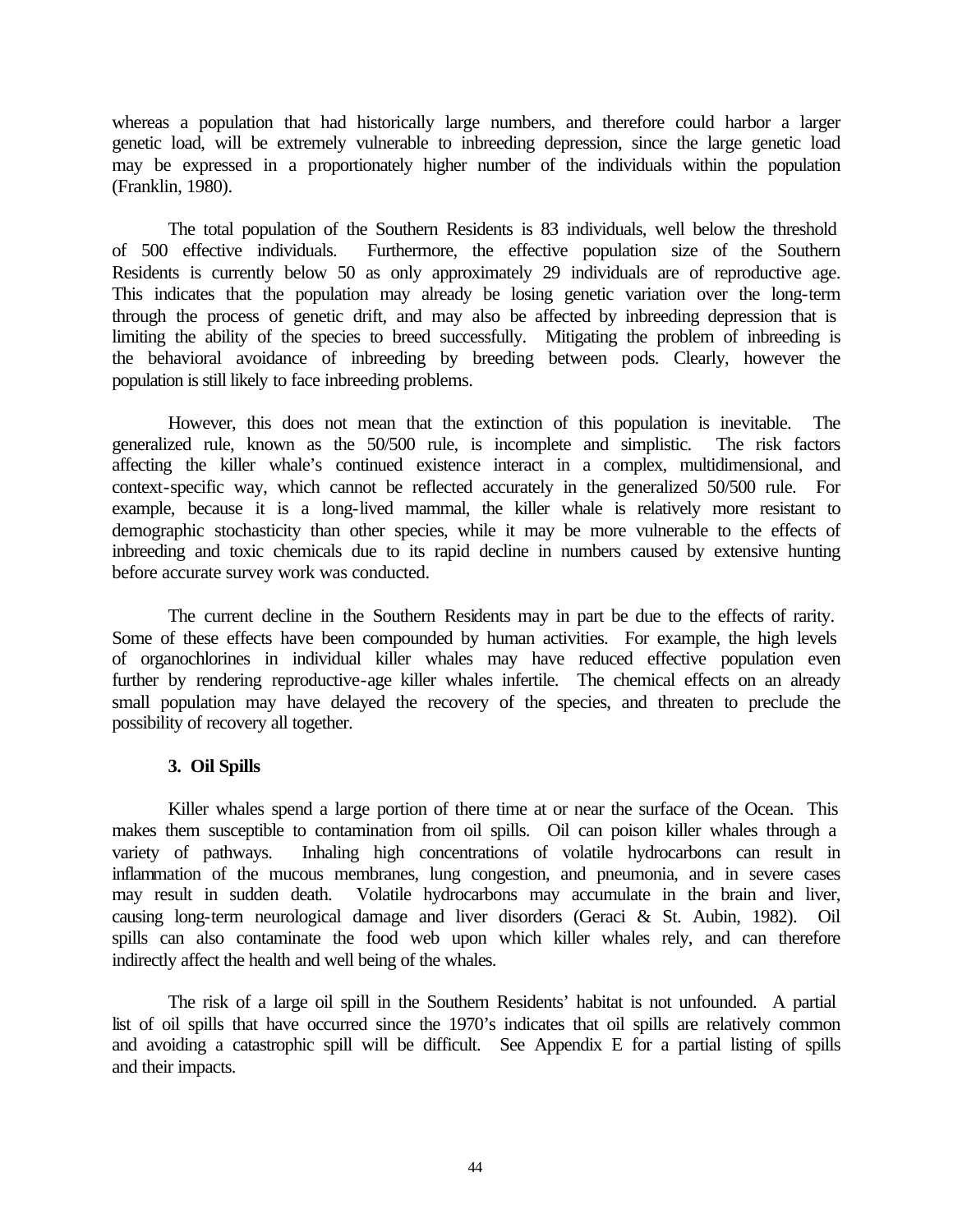whereas a population that had historically large numbers, and therefore could harbor a larger genetic load, will be extremely vulnerable to inbreeding depression, since the large genetic load may be expressed in a proportionately higher number of the individuals within the population (Franklin, 1980).

The total population of the Southern Residents is 83 individuals, well below the threshold of 500 effective individuals. Furthermore, the effective population size of the Southern Residents is currently below 50 as only approximately 29 individuals are of reproductive age. This indicates that the population may already be losing genetic variation over the long-term through the process of genetic drift, and may also be affected by inbreeding depression that is limiting the ability of the species to breed successfully. Mitigating the problem of inbreeding is the behavioral avoidance of inbreeding by breeding between pods. Clearly, however the population is still likely to face inbreeding problems.

However, this does not mean that the extinction of this population is inevitable. The generalized rule, known as the 50/500 rule, is incomplete and simplistic. The risk factors affecting the killer whale's continued existence interact in a complex, multidimensional, and context-specific way, which cannot be reflected accurately in the generalized 50/500 rule. For example, because it is a long-lived mammal, the killer whale is relatively more resistant to demographic stochasticity than other species, while it may be more vulnerable to the effects of inbreeding and toxic chemicals due to its rapid decline in numbers caused by extensive hunting before accurate survey work was conducted.

The current decline in the Southern Residents may in part be due to the effects of rarity. Some of these effects have been compounded by human activities. For example, the high levels of organochlorines in individual killer whales may have reduced effective population even further by rendering reproductive-age killer whales infertile. The chemical effects on an already small population may have delayed the recovery of the species, and threaten to preclude the possibility of recovery all together.

# **3. Oil Spills**

Killer whales spend a large portion of there time at or near the surface of the Ocean. This makes them susceptible to contamination from oil spills. Oil can poison killer whales through a variety of pathways. Inhaling high concentrations of volatile hydrocarbons can result in inflammation of the mucous membranes, lung congestion, and pneumonia, and in severe cases may result in sudden death. Volatile hydrocarbons may accumulate in the brain and liver, causing long-term neurological damage and liver disorders (Geraci & St. Aubin, 1982). Oil spills can also contaminate the food web upon which killer whales rely, and can therefore indirectly affect the health and well being of the whales.

The risk of a large oil spill in the Southern Residents' habitat is not unfounded. A partial list of oil spills that have occurred since the 1970's indicates that oil spills are relatively common and avoiding a catastrophic spill will be difficult. See Appendix E for a partial listing of spills and their impacts.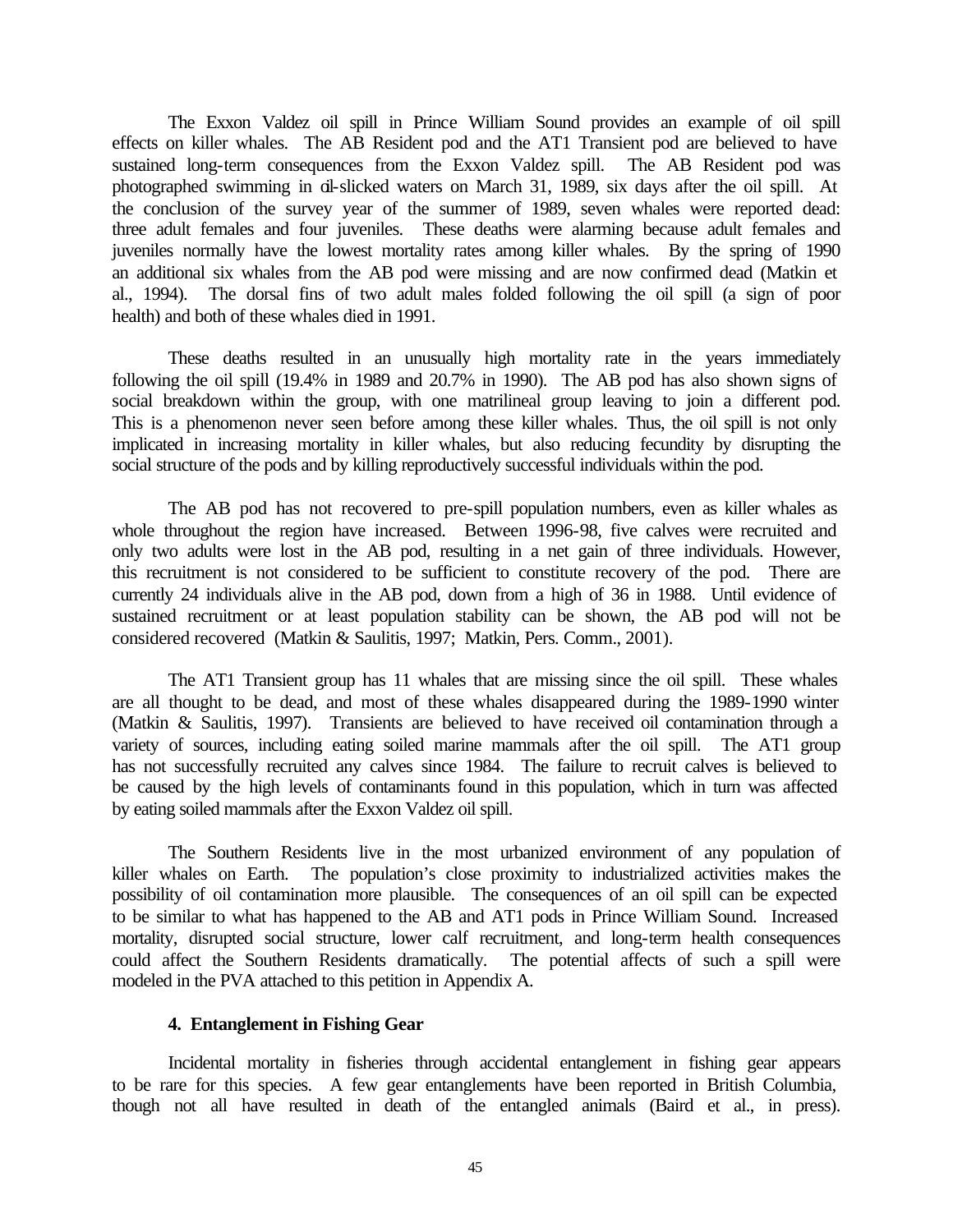The Exxon Valdez oil spill in Prince William Sound provides an example of oil spill effects on killer whales. The AB Resident pod and the AT1 Transient pod are believed to have sustained long-term consequences from the Exxon Valdez spill. The AB Resident pod was photographed swimming in oil-slicked waters on March 31, 1989, six days after the oil spill. At the conclusion of the survey year of the summer of 1989, seven whales were reported dead: three adult females and four juveniles. These deaths were alarming because adult females and juveniles normally have the lowest mortality rates among killer whales. By the spring of 1990 an additional six whales from the AB pod were missing and are now confirmed dead (Matkin et al., 1994). The dorsal fins of two adult males folded following the oil spill (a sign of poor health) and both of these whales died in 1991.

These deaths resulted in an unusually high mortality rate in the years immediately following the oil spill (19.4% in 1989 and 20.7% in 1990). The AB pod has also shown signs of social breakdown within the group, with one matrilineal group leaving to join a different pod. This is a phenomenon never seen before among these killer whales. Thus, the oil spill is not only implicated in increasing mortality in killer whales, but also reducing fecundity by disrupting the social structure of the pods and by killing reproductively successful individuals within the pod.

The AB pod has not recovered to pre-spill population numbers, even as killer whales as whole throughout the region have increased. Between 1996-98, five calves were recruited and only two adults were lost in the AB pod, resulting in a net gain of three individuals. However, this recruitment is not considered to be sufficient to constitute recovery of the pod. There are currently 24 individuals alive in the AB pod, down from a high of 36 in 1988. Until evidence of sustained recruitment or at least population stability can be shown, the AB pod will not be considered recovered (Matkin & Saulitis, 1997; Matkin, Pers. Comm., 2001).

The AT1 Transient group has 11 whales that are missing since the oil spill. These whales are all thought to be dead, and most of these whales disappeared during the 1989-1990 winter (Matkin & Saulitis, 1997). Transients are believed to have received oil contamination through a variety of sources, including eating soiled marine mammals after the oil spill. The AT1 group has not successfully recruited any calves since 1984. The failure to recruit calves is believed to be caused by the high levels of contaminants found in this population, which in turn was affected by eating soiled mammals after the Exxon Valdez oil spill.

The Southern Residents live in the most urbanized environment of any population of killer whales on Earth. The population's close proximity to industrialized activities makes the possibility of oil contamination more plausible. The consequences of an oil spill can be expected to be similar to what has happened to the AB and AT1 pods in Prince William Sound. Increased mortality, disrupted social structure, lower calf recruitment, and long-term health consequences could affect the Southern Residents dramatically. The potential affects of such a spill were modeled in the PVA attached to this petition in Appendix A.

### **4. Entanglement in Fishing Gear**

Incidental mortality in fisheries through accidental entanglement in fishing gear appears to be rare for this species. A few gear entanglements have been reported in British Columbia, though not all have resulted in death of the entangled animals (Baird et al., in press).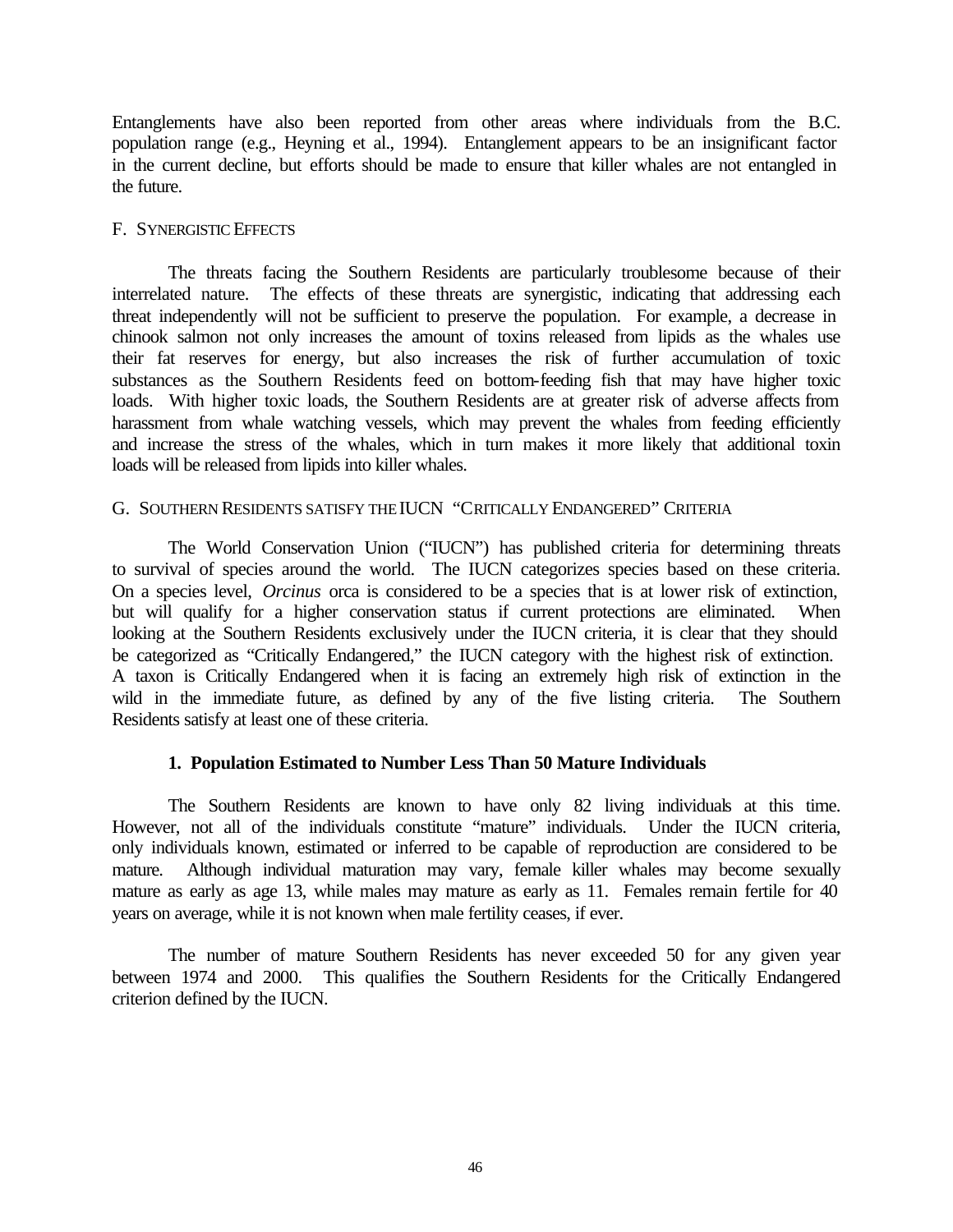Entanglements have also been reported from other areas where individuals from the B.C. population range (e.g., Heyning et al., 1994). Entanglement appears to be an insignificant factor in the current decline, but efforts should be made to ensure that killer whales are not entangled in the future.

### F. SYNERGISTIC EFFECTS

The threats facing the Southern Residents are particularly troublesome because of their interrelated nature. The effects of these threats are synergistic, indicating that addressing each threat independently will not be sufficient to preserve the population. For example, a decrease in chinook salmon not only increases the amount of toxins released from lipids as the whales use their fat reserves for energy, but also increases the risk of further accumulation of toxic substances as the Southern Residents feed on bottom-feeding fish that may have higher toxic loads. With higher toxic loads, the Southern Residents are at greater risk of adverse affects from harassment from whale watching vessels, which may prevent the whales from feeding efficiently and increase the stress of the whales, which in turn makes it more likely that additional toxin loads will be released from lipids into killer whales.

### G. SOUTHERN RESIDENTS SATISFY THEIUCN "CRITICALLY ENDANGERED" CRITERIA

The World Conservation Union ("IUCN") has published criteria for determining threats to survival of species around the world. The IUCN categorizes species based on these criteria. On a species level, *Orcinus* orca is considered to be a species that is at lower risk of extinction, but will qualify for a higher conservation status if current protections are eliminated. When looking at the Southern Residents exclusively under the IUCN criteria, it is clear that they should be categorized as "Critically Endangered," the IUCN category with the highest risk of extinction. A taxon is Critically Endangered when it is facing an extremely high risk of extinction in the wild in the immediate future, as defined by any of the five listing criteria. The Southern Residents satisfy at least one of these criteria.

# **1. Population Estimated to Number Less Than 50 Mature Individuals**

The Southern Residents are known to have only 82 living individuals at this time. However, not all of the individuals constitute "mature" individuals. Under the IUCN criteria, only individuals known, estimated or inferred to be capable of reproduction are considered to be mature. Although individual maturation may vary, female killer whales may become sexually mature as early as age 13, while males may mature as early as 11. Females remain fertile for 40 years on average, while it is not known when male fertility ceases, if ever.

The number of mature Southern Residents has never exceeded 50 for any given year between 1974 and 2000. This qualifies the Southern Residents for the Critically Endangered criterion defined by the IUCN.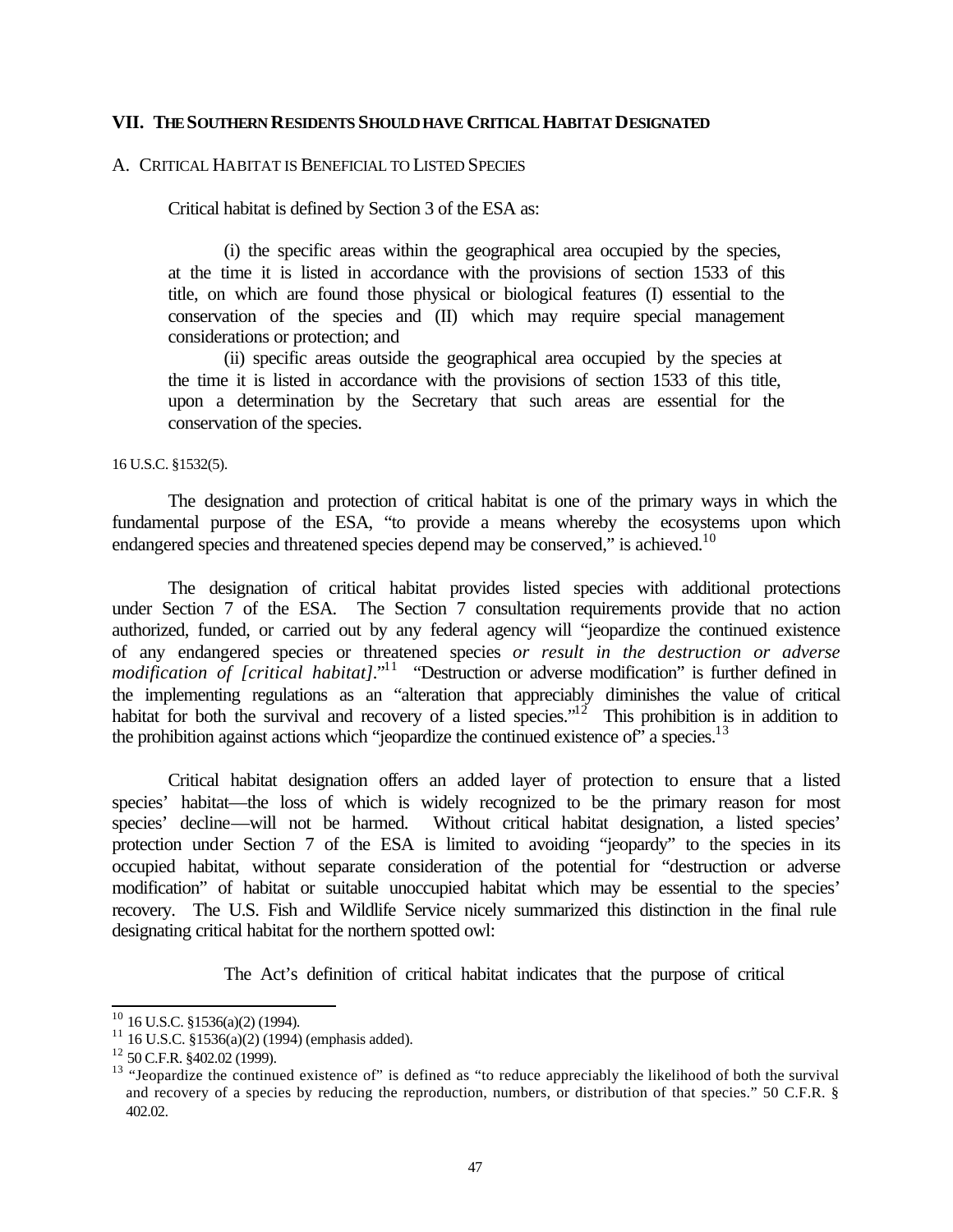#### **VII. THE SOUTHERN RESIDENTS SHOULD HAVE CRITICAL HABITAT DESIGNATED**

#### A. CRITICAL HABITAT IS BENEFICIAL TO LISTED SPECIES

Critical habitat is defined by Section 3 of the ESA as:

(i) the specific areas within the geographical area occupied by the species, at the time it is listed in accordance with the provisions of section 1533 of this title, on which are found those physical or biological features (I) essential to the conservation of the species and (II) which may require special management considerations or protection; and

(ii) specific areas outside the geographical area occupied by the species at the time it is listed in accordance with the provisions of section 1533 of this title, upon a determination by the Secretary that such areas are essential for the conservation of the species.

16 U.S.C. §1532(5).

The designation and protection of critical habitat is one of the primary ways in which the fundamental purpose of the ESA, "to provide a means whereby the ecosystems upon which endangered species and threatened species depend may be conserved," is achieved.<sup>10</sup>

The designation of critical habitat provides listed species with additional protections under Section 7 of the ESA. The Section 7 consultation requirements provide that no action authorized, funded, or carried out by any federal agency will "jeopardize the continued existence of any endangered species or threatened species *or result in the destruction or adverse modification of [critical habitat]*."<sup>11</sup> "Destruction or adverse modification" is further defined in the implementing regulations as an "alteration that appreciably diminishes the value of critical habitat for both the survival and recovery of a listed species." $12^{\circ}$  This prohibition is in addition to the prohibition against actions which "jeopardize the continued existence of" a species. $^{13}$ 

Critical habitat designation offers an added layer of protection to ensure that a listed species' habitat—the loss of which is widely recognized to be the primary reason for most species' decline—will not be harmed. Without critical habitat designation, a listed species' protection under Section 7 of the ESA is limited to avoiding "jeopardy" to the species in its occupied habitat, without separate consideration of the potential for "destruction or adverse modification" of habitat or suitable unoccupied habitat which may be essential to the species' recovery. The U.S. Fish and Wildlife Service nicely summarized this distinction in the final rule designating critical habitat for the northern spotted owl:

The Act's definition of critical habitat indicates that the purpose of critical

l

 $10$  16 U.S.C. §1536(a)(2) (1994).

<sup>&</sup>lt;sup>11</sup> 16 U.S.C.  $\frac{81536(a)(2)(1994)}{2141}$  (emphasis added).

<sup>12</sup> 50 C.F.R. §402.02 (1999).

<sup>&</sup>lt;sup>13</sup> "Jeopardize the continued existence of" is defined as "to reduce appreciably the likelihood of both the survival and recovery of a species by reducing the reproduction, numbers, or distribution of that species." 50 C.F.R. § 402.02.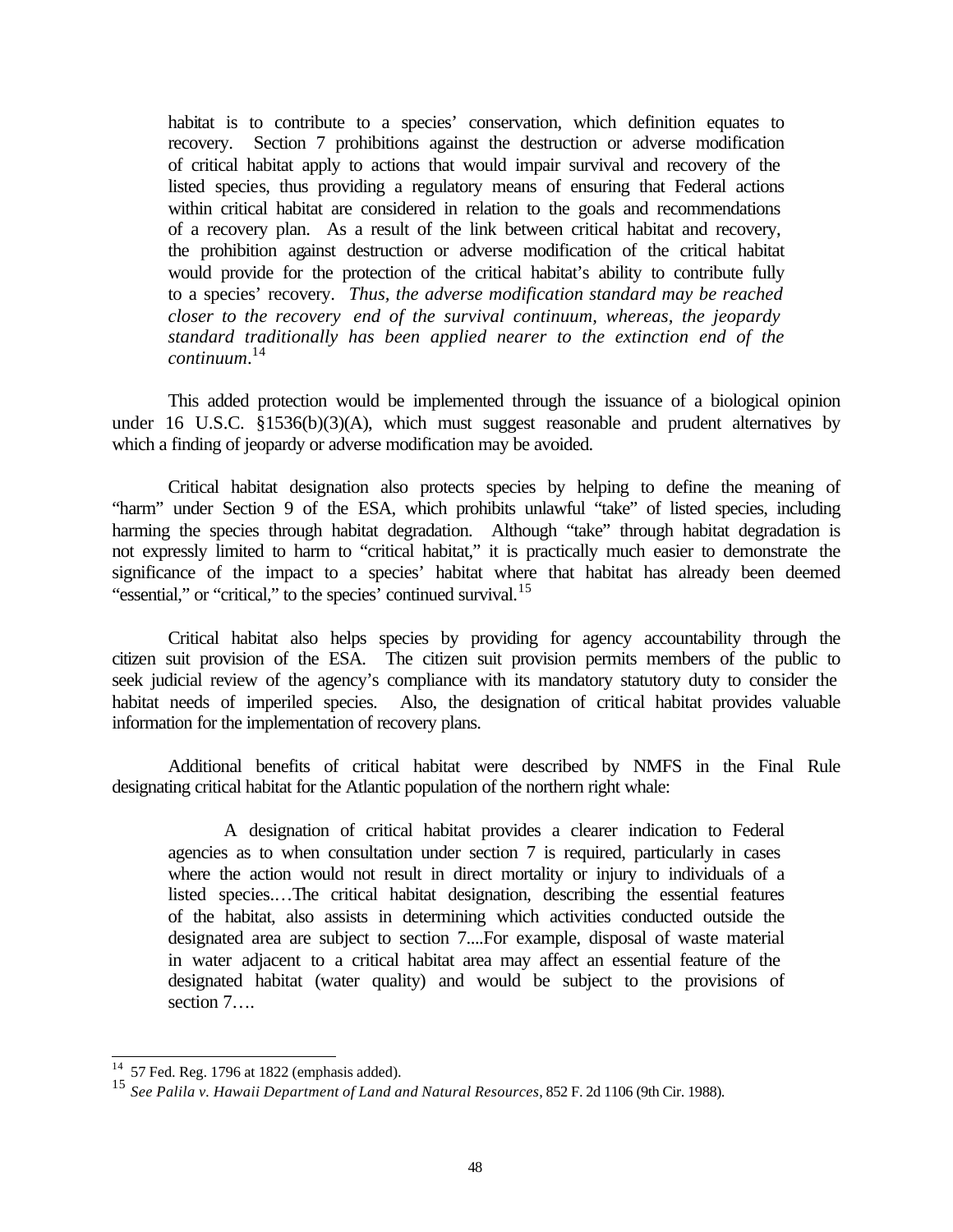habitat is to contribute to a species' conservation, which definition equates to recovery. Section 7 prohibitions against the destruction or adverse modification of critical habitat apply to actions that would impair survival and recovery of the listed species, thus providing a regulatory means of ensuring that Federal actions within critical habitat are considered in relation to the goals and recommendations of a recovery plan. As a result of the link between critical habitat and recovery, the prohibition against destruction or adverse modification of the critical habitat would provide for the protection of the critical habitat's ability to contribute fully to a species' recovery. *Thus, the adverse modification standard may be reached closer to the recovery end of the survival continuum, whereas, the jeopardy standard traditionally has been applied nearer to the extinction end of the continuum*. 14

This added protection would be implemented through the issuance of a biological opinion under 16 U.S.C. §1536(b)(3)(A), which must suggest reasonable and prudent alternatives by which a finding of jeopardy or adverse modification may be avoided.

Critical habitat designation also protects species by helping to define the meaning of "harm" under Section 9 of the ESA, which prohibits unlawful "take" of listed species, including harming the species through habitat degradation. Although "take" through habitat degradation is not expressly limited to harm to "critical habitat," it is practically much easier to demonstrate the significance of the impact to a species' habitat where that habitat has already been deemed "essential," or "critical," to the species' continued survival.<sup>15</sup>

Critical habitat also helps species by providing for agency accountability through the citizen suit provision of the ESA. The citizen suit provision permits members of the public to seek judicial review of the agency's compliance with its mandatory statutory duty to consider the habitat needs of imperiled species. Also, the designation of critical habitat provides valuable information for the implementation of recovery plans.

Additional benefits of critical habitat were described by NMFS in the Final Rule designating critical habitat for the Atlantic population of the northern right whale:

A designation of critical habitat provides a clearer indication to Federal agencies as to when consultation under section 7 is required, particularly in cases where the action would not result in direct mortality or injury to individuals of a listed species.…The critical habitat designation, describing the essential features of the habitat, also assists in determining which activities conducted outside the designated area are subject to section 7....For example, disposal of waste material in water adjacent to a critical habitat area may affect an essential feature of the designated habitat (water quality) and would be subject to the provisions of section 7….

l

 $14$  57 Fed. Reg. 1796 at 1822 (emphasis added).

<sup>15</sup> *See Palila v. Hawaii Department of Land and Natural Resources*, 852 F. 2d 1106 (9th Cir. 1988).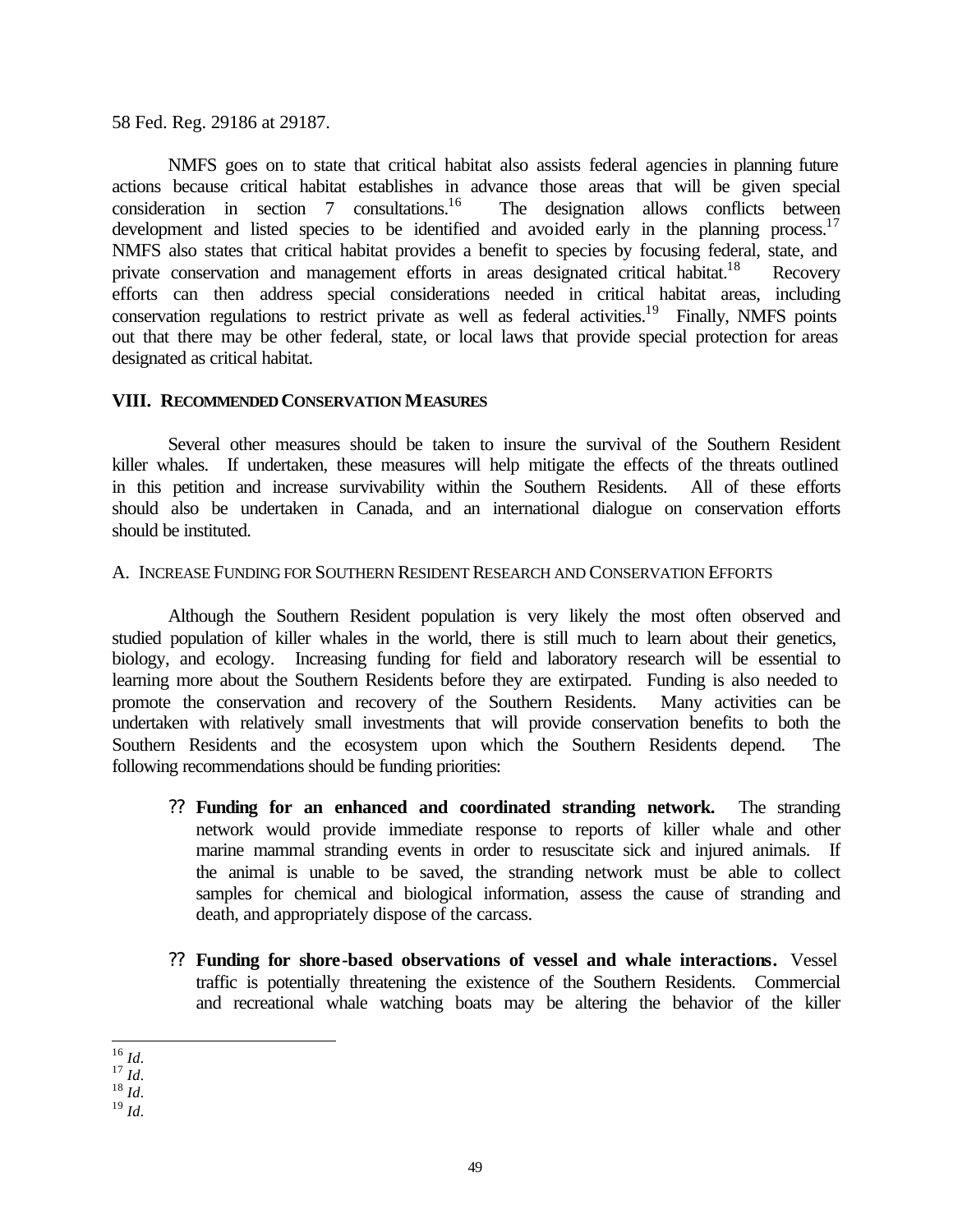58 Fed. Reg. 29186 at 29187.

NMFS goes on to state that critical habitat also assists federal agencies in planning future actions because critical habitat establishes in advance those areas that will be given special consideration in section 7 consultations.<sup>16</sup> The designation allows conflicts between development and listed species to be identified and avoided early in the planning process.<sup>17</sup> NMFS also states that critical habitat provides a benefit to species by focusing federal, state, and private conservation and management efforts in areas designated critical habitat.<sup>18</sup> Recovery efforts can then address special considerations needed in critical habitat areas, including conservation regulations to restrict private as well as federal activities.<sup>19</sup> Finally, NMFS points out that there may be other federal, state, or local laws that provide special protection for areas designated as critical habitat.

## **VIII. RECOMMENDED CONSERVATION MEASURES**

Several other measures should be taken to insure the survival of the Southern Resident killer whales. If undertaken, these measures will help mitigate the effects of the threats outlined in this petition and increase survivability within the Southern Residents. All of these efforts should also be undertaken in Canada, and an international dialogue on conservation efforts should be instituted.

### A. INCREASE FUNDING FOR SOUTHERN RESIDENT RESEARCH AND CONSERVATION EFFORTS

Although the Southern Resident population is very likely the most often observed and studied population of killer whales in the world, there is still much to learn about their genetics, biology, and ecology. Increasing funding for field and laboratory research will be essential to learning more about the Southern Residents before they are extirpated. Funding is also needed to promote the conservation and recovery of the Southern Residents. Many activities can be undertaken with relatively small investments that will provide conservation benefits to both the Southern Residents and the ecosystem upon which the Southern Residents depend. The following recommendations should be funding priorities:

- ?? **Funding for an enhanced and coordinated stranding network.** The stranding network would provide immediate response to reports of killer whale and other marine mammal stranding events in order to resuscitate sick and injured animals. If the animal is unable to be saved, the stranding network must be able to collect samples for chemical and biological information, assess the cause of stranding and death, and appropriately dispose of the carcass.
- ?? **Funding for shore-based observations of vessel and whale interactions.** Vessel traffic is potentially threatening the existence of the Southern Residents. Commercial and recreational whale watching boats may be altering the behavior of the killer

l <sup>16</sup> *Id.*

<sup>17</sup> *Id.*

<sup>18</sup> *Id.*

<sup>19</sup> *Id.*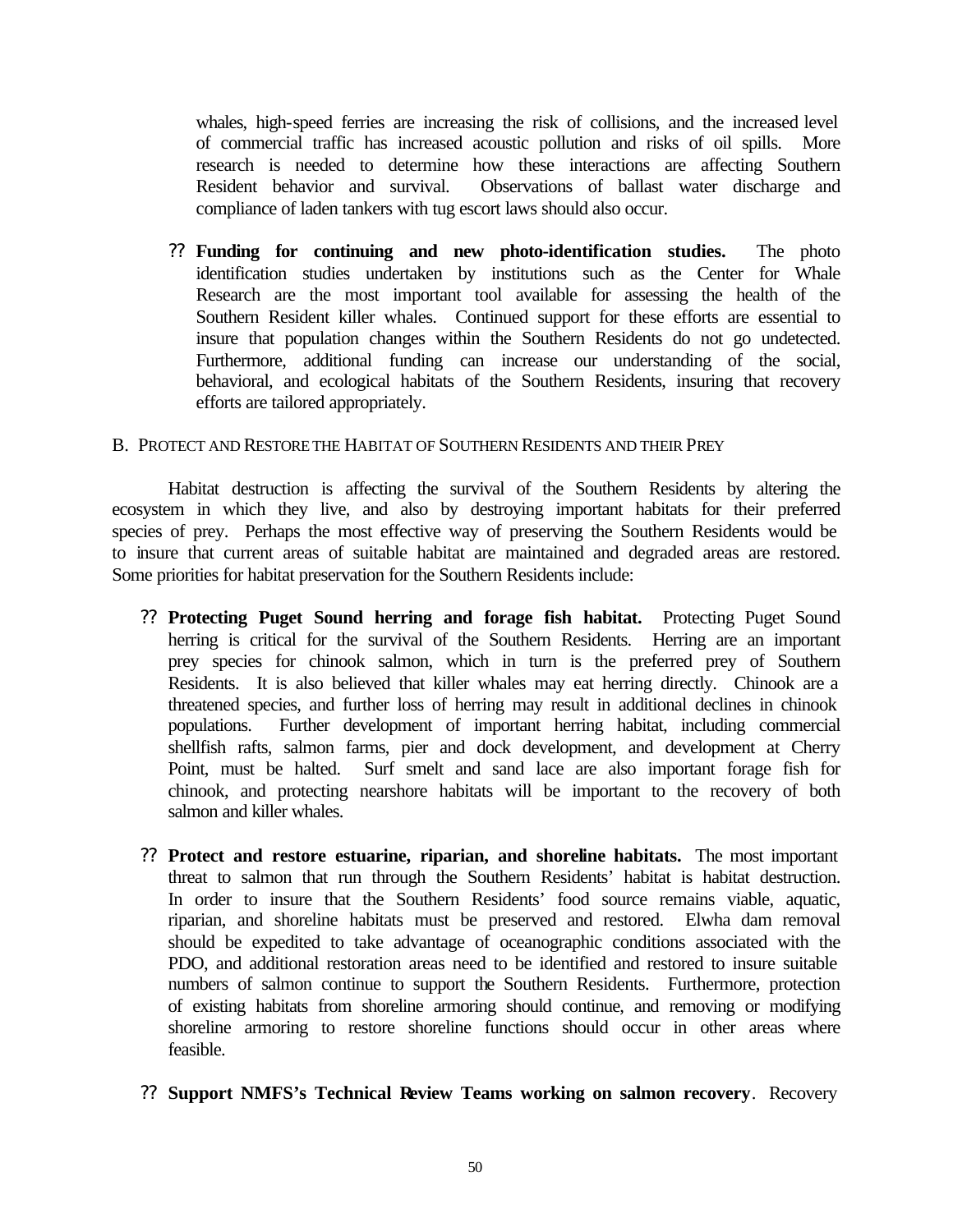whales, high-speed ferries are increasing the risk of collisions, and the increased level of commercial traffic has increased acoustic pollution and risks of oil spills. More research is needed to determine how these interactions are affecting Southern Resident behavior and survival. Observations of ballast water discharge and compliance of laden tankers with tug escort laws should also occur.

?? **Funding for continuing and new photo-identification studies.** The photo identification studies undertaken by institutions such as the Center for Whale Research are the most important tool available for assessing the health of the Southern Resident killer whales. Continued support for these efforts are essential to insure that population changes within the Southern Residents do not go undetected. Furthermore, additional funding can increase our understanding of the social, behavioral, and ecological habitats of the Southern Residents, insuring that recovery efforts are tailored appropriately.

### B. PROTECT AND RESTORE THE HABITAT OF SOUTHERN RESIDENTS AND THEIR PREY

Habitat destruction is affecting the survival of the Southern Residents by altering the ecosystem in which they live, and also by destroying important habitats for their preferred species of prey. Perhaps the most effective way of preserving the Southern Residents would be to insure that current areas of suitable habitat are maintained and degraded areas are restored. Some priorities for habitat preservation for the Southern Residents include:

- ?? **Protecting Puget Sound herring and forage fish habitat.** Protecting Puget Sound herring is critical for the survival of the Southern Residents. Herring are an important prey species for chinook salmon, which in turn is the preferred prey of Southern Residents. It is also believed that killer whales may eat herring directly. Chinook are a threatened species, and further loss of herring may result in additional declines in chinook populations. Further development of important herring habitat, including commercial shellfish rafts, salmon farms, pier and dock development, and development at Cherry Point, must be halted. Surf smelt and sand lace are also important forage fish for chinook, and protecting nearshore habitats will be important to the recovery of both salmon and killer whales.
- ?? **Protect and restore estuarine, riparian, and shoreline habitats.** The most important threat to salmon that run through the Southern Residents' habitat is habitat destruction. In order to insure that the Southern Residents' food source remains viable, aquatic, riparian, and shoreline habitats must be preserved and restored. Elwha dam removal should be expedited to take advantage of oceanographic conditions associated with the PDO, and additional restoration areas need to be identified and restored to insure suitable numbers of salmon continue to support the Southern Residents. Furthermore, protection of existing habitats from shoreline armoring should continue, and removing or modifying shoreline armoring to restore shoreline functions should occur in other areas where feasible.

### ?? **Support NMFS's Technical Review Teams working on salmon recovery**. Recovery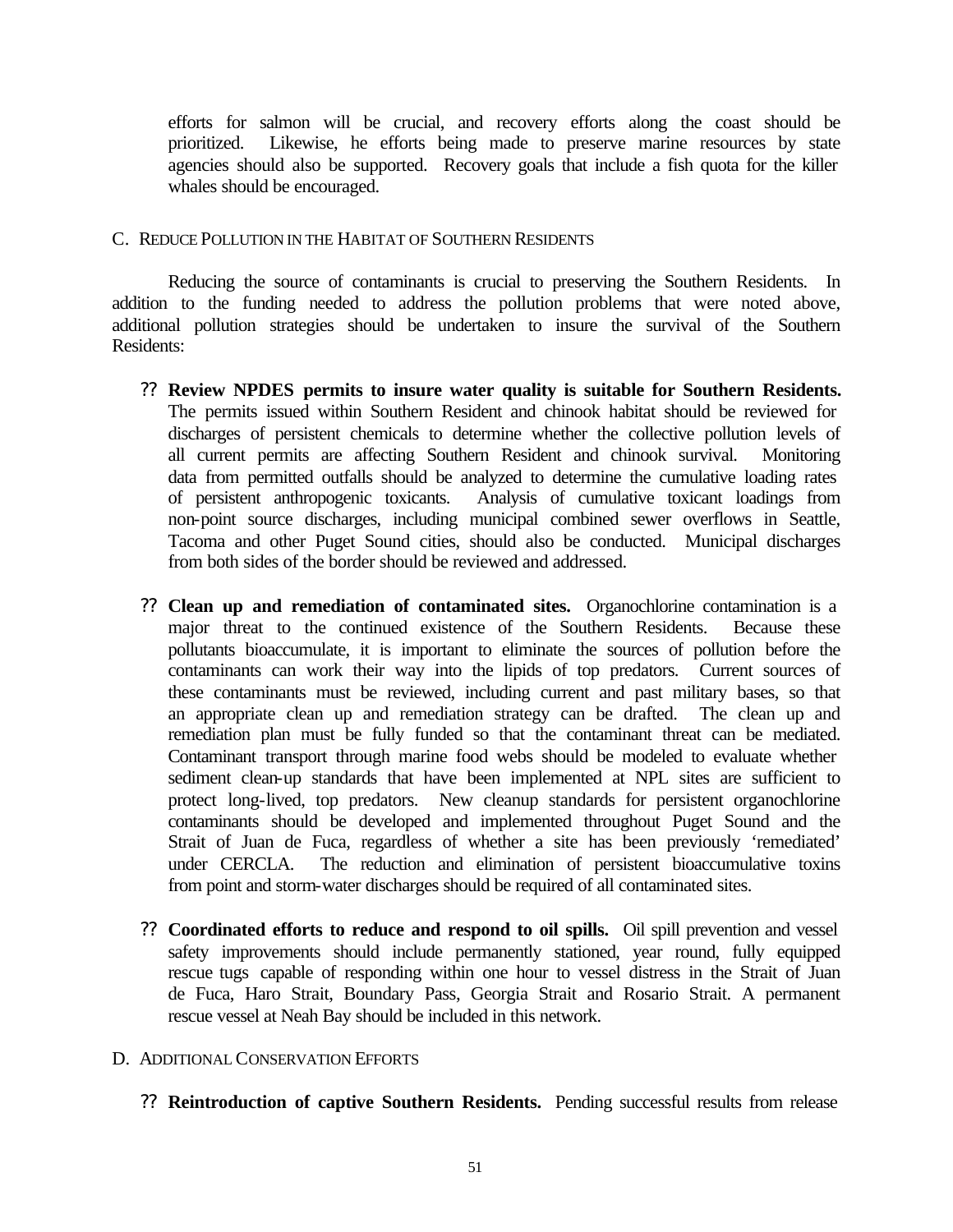efforts for salmon will be crucial, and recovery efforts along the coast should be prioritized. Likewise, he efforts being made to preserve marine resources by state agencies should also be supported. Recovery goals that include a fish quota for the killer whales should be encouraged.

### C. REDUCE POLLUTION IN THE HABITAT OF SOUTHERN RESIDENTS

Reducing the source of contaminants is crucial to preserving the Southern Residents. In addition to the funding needed to address the pollution problems that were noted above, additional pollution strategies should be undertaken to insure the survival of the Southern Residents:

- ?? **Review NPDES permits to insure water quality is suitable for Southern Residents.** The permits issued within Southern Resident and chinook habitat should be reviewed for discharges of persistent chemicals to determine whether the collective pollution levels of all current permits are affecting Southern Resident and chinook survival. Monitoring data from permitted outfalls should be analyzed to determine the cumulative loading rates of persistent anthropogenic toxicants. Analysis of cumulative toxicant loadings from non-point source discharges, including municipal combined sewer overflows in Seattle, Tacoma and other Puget Sound cities, should also be conducted. Municipal discharges from both sides of the border should be reviewed and addressed.
- ?? **Clean up and remediation of contaminated sites.** Organochlorine contamination is a major threat to the continued existence of the Southern Residents. Because these pollutants bioaccumulate, it is important to eliminate the sources of pollution before the contaminants can work their way into the lipids of top predators. Current sources of these contaminants must be reviewed, including current and past military bases, so that an appropriate clean up and remediation strategy can be drafted. The clean up and remediation plan must be fully funded so that the contaminant threat can be mediated. Contaminant transport through marine food webs should be modeled to evaluate whether sediment clean-up standards that have been implemented at NPL sites are sufficient to protect long-lived, top predators. New cleanup standards for persistent organochlorine contaminants should be developed and implemented throughout Puget Sound and the Strait of Juan de Fuca, regardless of whether a site has been previously 'remediated' under CERCLA. The reduction and elimination of persistent bioaccumulative toxins from point and storm-water discharges should be required of all contaminated sites.
- ?? **Coordinated efforts to reduce and respond to oil spills.** Oil spill prevention and vessel safety improvements should include permanently stationed, year round, fully equipped rescue tugs capable of responding within one hour to vessel distress in the Strait of Juan de Fuca, Haro Strait, Boundary Pass, Georgia Strait and Rosario Strait. A permanent rescue vessel at Neah Bay should be included in this network.

### D. ADDITIONAL CONSERVATION EFFORTS

?? **Reintroduction of captive Southern Residents.** Pending successful results from release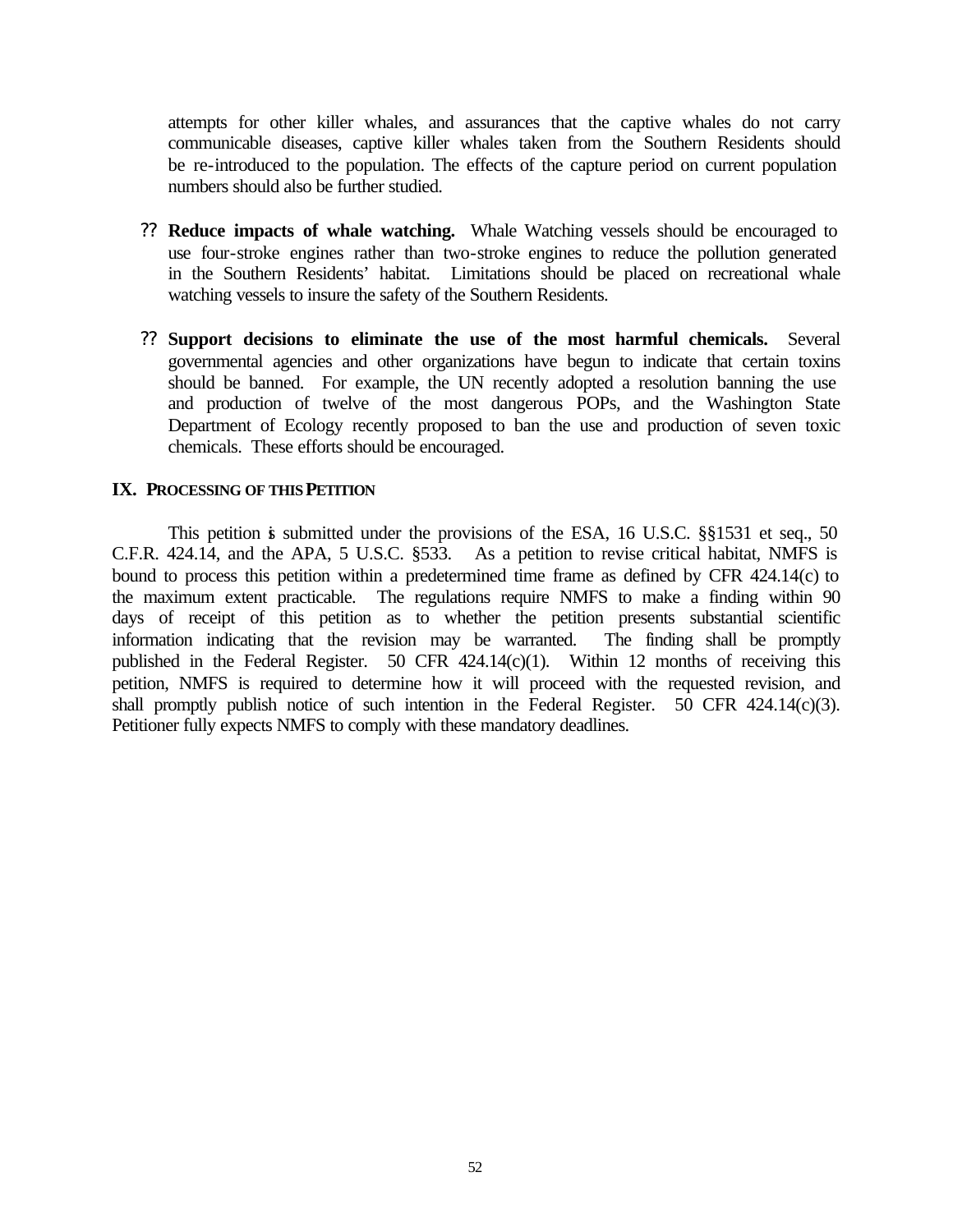attempts for other killer whales, and assurances that the captive whales do not carry communicable diseases, captive killer whales taken from the Southern Residents should be re-introduced to the population. The effects of the capture period on current population numbers should also be further studied.

- ?? **Reduce impacts of whale watching.** Whale Watching vessels should be encouraged to use four-stroke engines rather than two-stroke engines to reduce the pollution generated in the Southern Residents' habitat. Limitations should be placed on recreational whale watching vessels to insure the safety of the Southern Residents.
- ?? **Support decisions to eliminate the use of the most harmful chemicals.** Several governmental agencies and other organizations have begun to indicate that certain toxins should be banned. For example, the UN recently adopted a resolution banning the use and production of twelve of the most dangerous POPs, and the Washington State Department of Ecology recently proposed to ban the use and production of seven toxic chemicals. These efforts should be encouraged.

## **IX. PROCESSING OF THIS PETITION**

This petition is submitted under the provisions of the ESA, 16 U.S.C.  $\S$ §1531 et seq., 50 C.F.R. 424.14, and the APA, 5 U.S.C. §533. As a petition to revise critical habitat, NMFS is bound to process this petition within a predetermined time frame as defined by CFR 424.14(c) to the maximum extent practicable. The regulations require NMFS to make a finding within 90 days of receipt of this petition as to whether the petition presents substantial scientific information indicating that the revision may be warranted. The finding shall be promptly published in the Federal Register. 50 CFR 424.14(c)(1). Within 12 months of receiving this petition, NMFS is required to determine how it will proceed with the requested revision, and shall promptly publish notice of such intention in the Federal Register. 50 CFR 424.14(c)(3). Petitioner fully expects NMFS to comply with these mandatory deadlines.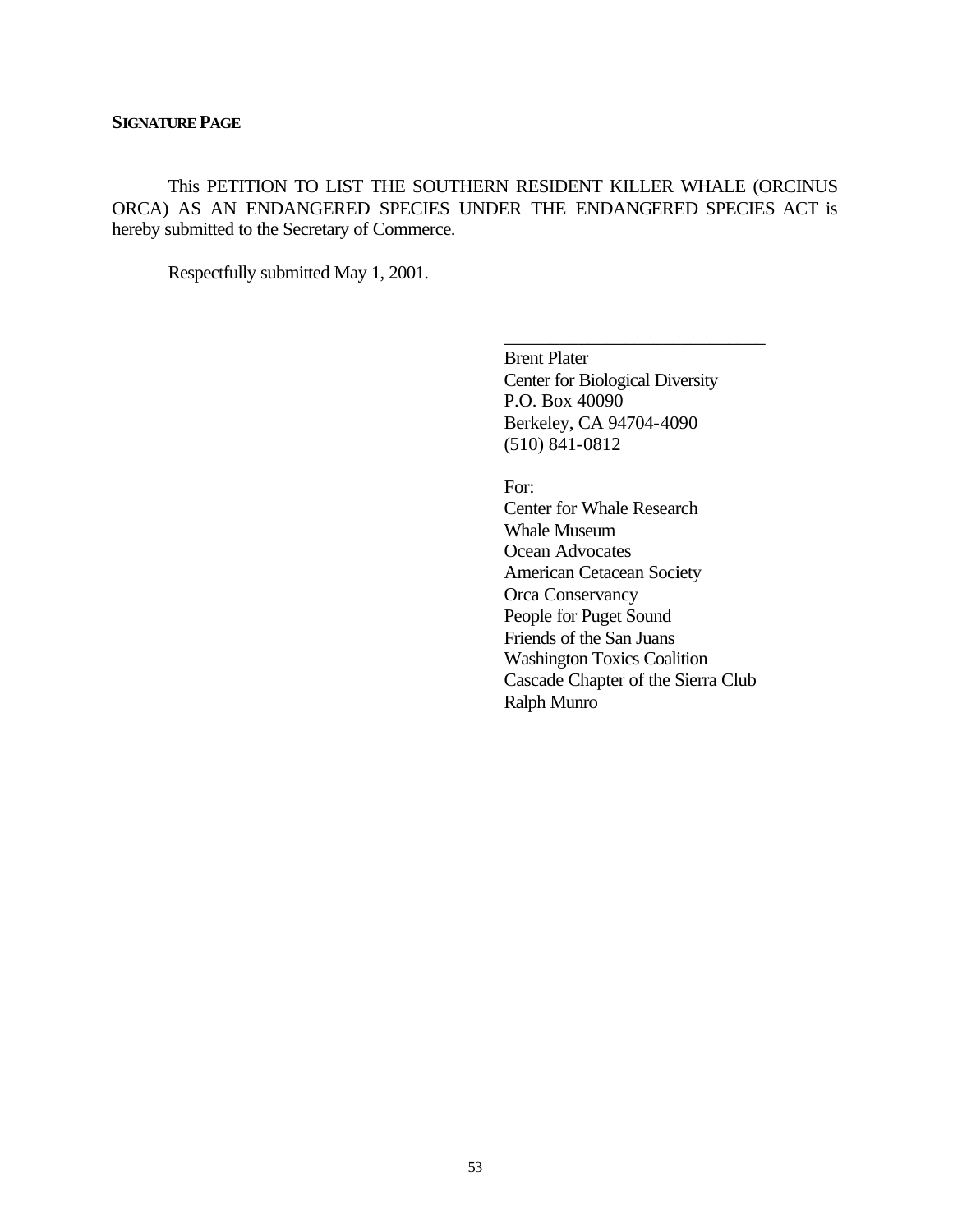This PETITION TO LIST THE SOUTHERN RESIDENT KILLER WHALE (ORCINUS ORCA) AS AN ENDANGERED SPECIES UNDER THE ENDANGERED SPECIES ACT is hereby submitted to the Secretary of Commerce.

Respectfully submitted May 1, 2001.

Brent Plater Center for Biological Diversity P.O. Box 40090 Berkeley, CA 94704-4090 (510) 841-0812

\_\_\_\_\_\_\_\_\_\_\_\_\_\_\_\_\_\_\_\_\_\_\_\_\_\_\_\_

For: Center for Whale Research Whale Museum Ocean Advocates American Cetacean Society Orca Conservancy People for Puget Sound Friends of the San Juans Washington Toxics Coalition Cascade Chapter of the Sierra Club Ralph Munro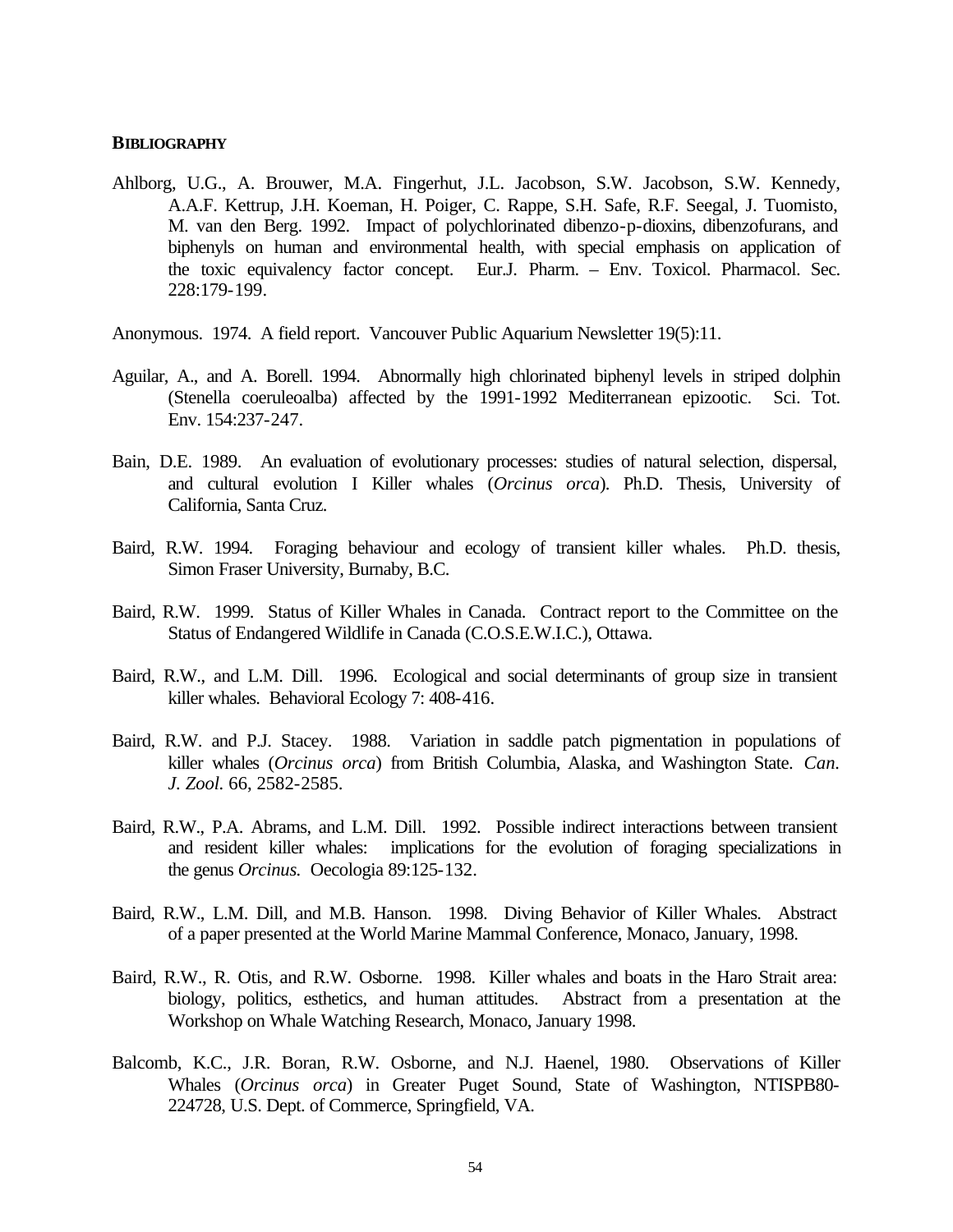#### **BIBLIOGRAPHY**

- Ahlborg, U.G., A. Brouwer, M.A. Fingerhut, J.L. Jacobson, S.W. Jacobson, S.W. Kennedy, A.A.F. Kettrup, J.H. Koeman, H. Poiger, C. Rappe, S.H. Safe, R.F. Seegal, J. Tuomisto, M. van den Berg. 1992. Impact of polychlorinated dibenzo-p-dioxins, dibenzofurans, and biphenyls on human and environmental health, with special emphasis on application of the toxic equivalency factor concept. Eur.J. Pharm. – Env. Toxicol. Pharmacol. Sec. 228:179-199.
- Anonymous. 1974. A field report. Vancouver Public Aquarium Newsletter 19(5):11.
- Aguilar, A., and A. Borell. 1994. Abnormally high chlorinated biphenyl levels in striped dolphin (Stenella coeruleoalba) affected by the 1991-1992 Mediterranean epizootic. Sci. Tot. Env. 154:237-247.
- Bain, D.E. 1989. An evaluation of evolutionary processes: studies of natural selection, dispersal, and cultural evolution I Killer whales (*Orcinus orca*). Ph.D. Thesis, University of California, Santa Cruz.
- Baird, R.W. 1994. Foraging behaviour and ecology of transient killer whales. Ph.D. thesis, Simon Fraser University, Burnaby, B.C.
- Baird, R.W. 1999. Status of Killer Whales in Canada. Contract report to the Committee on the Status of Endangered Wildlife in Canada (C.O.S.E.W.I.C.), Ottawa.
- Baird, R.W., and L.M. Dill. 1996. Ecological and social determinants of group size in transient killer whales. Behavioral Ecology 7: 408-416.
- Baird, R.W. and P.J. Stacey. 1988. Variation in saddle patch pigmentation in populations of killer whales (*Orcinus orca*) from British Columbia, Alaska, and Washington State. *Can. J. Zool.* 66, 2582-2585.
- Baird, R.W., P.A. Abrams, and L.M. Dill. 1992. Possible indirect interactions between transient and resident killer whales: implications for the evolution of foraging specializations in the genus *Orcinus.* Oecologia 89:125-132.
- Baird, R.W., L.M. Dill, and M.B. Hanson. 1998. Diving Behavior of Killer Whales. Abstract of a paper presented at the World Marine Mammal Conference, Monaco, January, 1998.
- Baird, R.W., R. Otis, and R.W. Osborne. 1998. Killer whales and boats in the Haro Strait area: biology, politics, esthetics, and human attitudes. Abstract from a presentation at the Workshop on Whale Watching Research, Monaco, January 1998.
- Balcomb, K.C., J.R. Boran, R.W. Osborne, and N.J. Haenel, 1980. Observations of Killer Whales (*Orcinus orca*) in Greater Puget Sound, State of Washington, NTISPB80- 224728, U.S. Dept. of Commerce, Springfield, VA.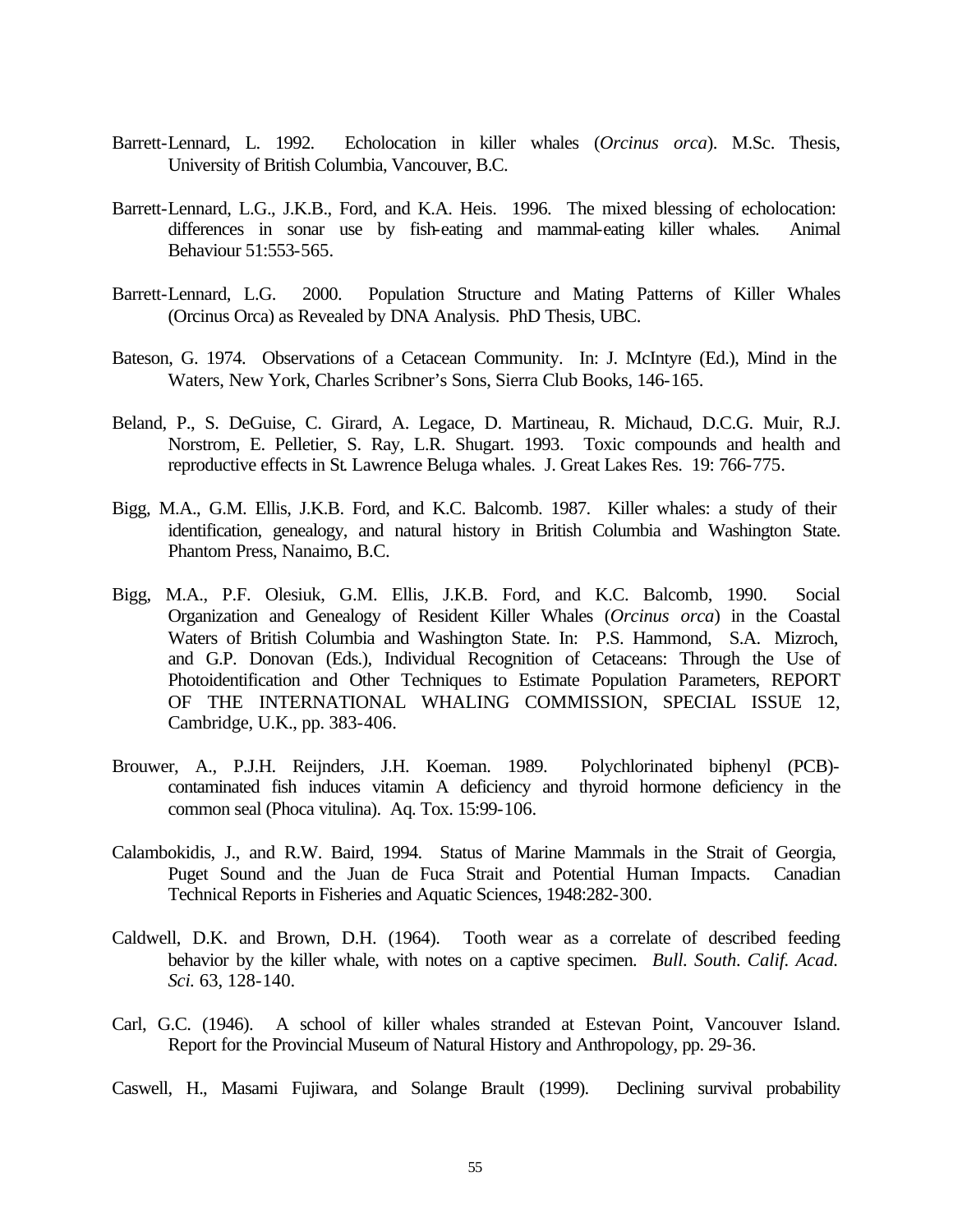- Barrett-Lennard, L. 1992. Echolocation in killer whales (*Orcinus orca*). M.Sc. Thesis, University of British Columbia, Vancouver, B.C.
- Barrett-Lennard, L.G., J.K.B., Ford, and K.A. Heis. 1996. The mixed blessing of echolocation: differences in sonar use by fish-eating and mammal-eating killer whales. Animal Behaviour 51:553-565.
- Barrett-Lennard, L.G. 2000. Population Structure and Mating Patterns of Killer Whales (Orcinus Orca) as Revealed by DNA Analysis. PhD Thesis, UBC.
- Bateson, G. 1974. Observations of a Cetacean Community. In: J. McIntyre (Ed.), Mind in the Waters, New York, Charles Scribner's Sons, Sierra Club Books, 146-165.
- Beland, P., S. DeGuise, C. Girard, A. Legace, D. Martineau, R. Michaud, D.C.G. Muir, R.J. Norstrom, E. Pelletier, S. Ray, L.R. Shugart. 1993. Toxic compounds and health and reproductive effects in St. Lawrence Beluga whales. J. Great Lakes Res. 19: 766-775.
- Bigg, M.A., G.M. Ellis, J.K.B. Ford, and K.C. Balcomb. 1987. Killer whales: a study of their identification, genealogy, and natural history in British Columbia and Washington State. Phantom Press, Nanaimo, B.C.
- Bigg, M.A., P.F. Olesiuk, G.M. Ellis, J.K.B. Ford, and K.C. Balcomb, 1990. Social Organization and Genealogy of Resident Killer Whales (*Orcinus orca*) in the Coastal Waters of British Columbia and Washington State. In: P.S. Hammond, S.A. Mizroch, and G.P. Donovan (Eds.), Individual Recognition of Cetaceans: Through the Use of Photoidentification and Other Techniques to Estimate Population Parameters, REPORT OF THE INTERNATIONAL WHALING COMMISSION, SPECIAL ISSUE 12, Cambridge, U.K., pp. 383-406.
- Brouwer, A., P.J.H. Reijnders, J.H. Koeman. 1989. Polychlorinated biphenyl (PCB) contaminated fish induces vitamin A deficiency and thyroid hormone deficiency in the common seal (Phoca vitulina). Aq. Tox. 15:99-106.
- Calambokidis, J., and R.W. Baird, 1994. Status of Marine Mammals in the Strait of Georgia, Puget Sound and the Juan de Fuca Strait and Potential Human Impacts. Canadian Technical Reports in Fisheries and Aquatic Sciences, 1948:282-300.
- Caldwell, D.K. and Brown, D.H. (1964). Tooth wear as a correlate of described feeding behavior by the killer whale, with notes on a captive specimen. *Bull. South. Calif. Acad. Sci.* 63, 128-140.
- Carl, G.C. (1946). A school of killer whales stranded at Estevan Point, Vancouver Island. Report for the Provincial Museum of Natural History and Anthropology, pp. 29-36.
- Caswell, H., Masami Fujiwara, and Solange Brault (1999). Declining survival probability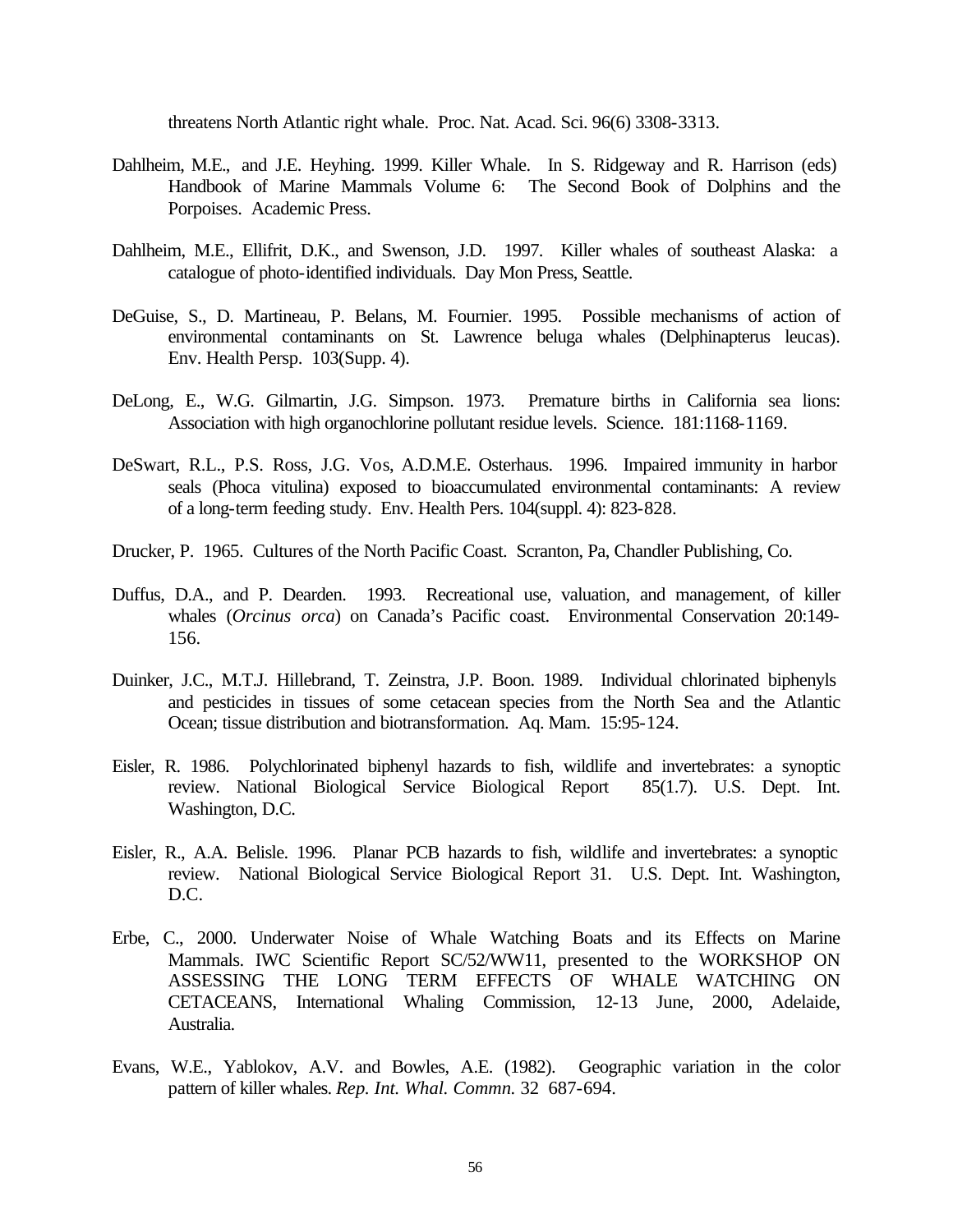threatens North Atlantic right whale. Proc. Nat. Acad. Sci. 96(6) 3308-3313.

- Dahlheim, M.E., and J.E. Heyhing. 1999. Killer Whale. In S. Ridgeway and R. Harrison (eds) Handbook of Marine Mammals Volume 6: The Second Book of Dolphins and the Porpoises. Academic Press.
- Dahlheim, M.E., Ellifrit, D.K., and Swenson, J.D. 1997. Killer whales of southeast Alaska: a catalogue of photo-identified individuals. Day Mon Press, Seattle.
- DeGuise, S., D. Martineau, P. Belans, M. Fournier. 1995. Possible mechanisms of action of environmental contaminants on St. Lawrence beluga whales (Delphinapterus leucas). Env. Health Persp. 103(Supp. 4).
- DeLong, E., W.G. Gilmartin, J.G. Simpson. 1973. Premature births in California sea lions: Association with high organochlorine pollutant residue levels. Science. 181:1168-1169.
- DeSwart, R.L., P.S. Ross, J.G. Vos, A.D.M.E. Osterhaus. 1996. Impaired immunity in harbor seals (Phoca vitulina) exposed to bioaccumulated environmental contaminants: A review of a long-term feeding study. Env. Health Pers. 104(suppl. 4): 823-828.
- Drucker, P. 1965. Cultures of the North Pacific Coast. Scranton, Pa, Chandler Publishing, Co.
- Duffus, D.A., and P. Dearden. 1993. Recreational use, valuation, and management, of killer whales (*Orcinus orca*) on Canada's Pacific coast. Environmental Conservation 20:149- 156.
- Duinker, J.C., M.T.J. Hillebrand, T. Zeinstra, J.P. Boon. 1989. Individual chlorinated biphenyls and pesticides in tissues of some cetacean species from the North Sea and the Atlantic Ocean; tissue distribution and biotransformation. Aq. Mam. 15:95-124.
- Eisler, R. 1986. Polychlorinated biphenyl hazards to fish, wildlife and invertebrates: a synoptic review. National Biological Service Biological Report 85(1.7). U.S. Dept. Int. Washington, D.C.
- Eisler, R., A.A. Belisle. 1996. Planar PCB hazards to fish, wildlife and invertebrates: a synoptic review. National Biological Service Biological Report 31. U.S. Dept. Int. Washington, D.C.
- Erbe, C., 2000. Underwater Noise of Whale Watching Boats and its Effects on Marine Mammals. IWC Scientific Report SC/52/WW11, presented to the WORKSHOP ON ASSESSING THE LONG TERM EFFECTS OF WHALE WATCHING ON CETACEANS, International Whaling Commission, 12-13 June, 2000, Adelaide, Australia.
- Evans, W.E., Yablokov, A.V. and Bowles, A.E. (1982). Geographic variation in the color pattern of killer whales. *Rep. Int. Whal. Commn.* 32 687-694.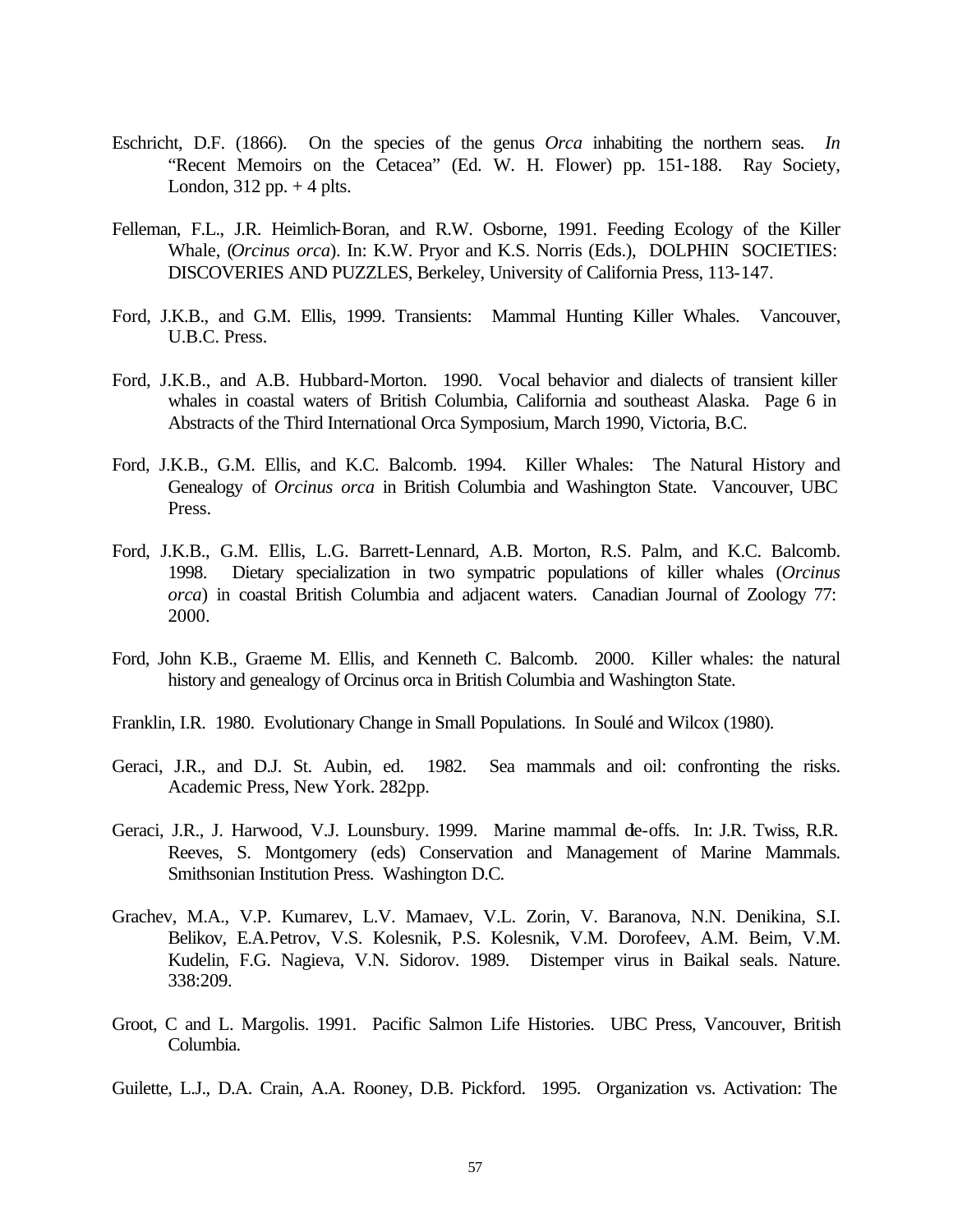- Eschricht, D.F. (1866). On the species of the genus *Orca* inhabiting the northern seas. *In* "Recent Memoirs on the Cetacea" (Ed. W. H. Flower) pp. 151-188. Ray Society, London,  $312$  pp.  $+4$  plts.
- Felleman, F.L., J.R. Heimlich-Boran, and R.W. Osborne, 1991. Feeding Ecology of the Killer Whale, (*Orcinus orca*). In: K.W. Pryor and K.S. Norris (Eds.), DOLPHIN SOCIETIES: DISCOVERIES AND PUZZLES, Berkeley, University of California Press, 113-147.
- Ford, J.K.B., and G.M. Ellis, 1999. Transients: Mammal Hunting Killer Whales. Vancouver, U.B.C. Press.
- Ford, J.K.B., and A.B. Hubbard-Morton. 1990. Vocal behavior and dialects of transient killer whales in coastal waters of British Columbia, California and southeast Alaska. Page 6 in Abstracts of the Third International Orca Symposium, March 1990, Victoria, B.C.
- Ford, J.K.B., G.M. Ellis, and K.C. Balcomb. 1994. Killer Whales: The Natural History and Genealogy of *Orcinus orca* in British Columbia and Washington State. Vancouver, UBC Press.
- Ford, J.K.B., G.M. Ellis, L.G. Barrett-Lennard, A.B. Morton, R.S. Palm, and K.C. Balcomb. 1998. Dietary specialization in two sympatric populations of killer whales (*Orcinus orca*) in coastal British Columbia and adjacent waters. Canadian Journal of Zoology 77: 2000.
- Ford, John K.B., Graeme M. Ellis, and Kenneth C. Balcomb. 2000. Killer whales: the natural history and genealogy of Orcinus orca in British Columbia and Washington State.
- Franklin, I.R. 1980. Evolutionary Change in Small Populations. In Soulé and Wilcox (1980).
- Geraci, J.R., and D.J. St. Aubin, ed. 1982. Sea mammals and oil: confronting the risks. Academic Press, New York. 282pp.
- Geraci, J.R., J. Harwood, V.J. Lounsbury. 1999. Marine mammal de-offs. In: J.R. Twiss, R.R. Reeves, S. Montgomery (eds) Conservation and Management of Marine Mammals. Smithsonian Institution Press. Washington D.C.
- Grachev, M.A., V.P. Kumarev, L.V. Mamaev, V.L. Zorin, V. Baranova, N.N. Denikina, S.I. Belikov, E.A.Petrov, V.S. Kolesnik, P.S. Kolesnik, V.M. Dorofeev, A.M. Beim, V.M. Kudelin, F.G. Nagieva, V.N. Sidorov. 1989. Distemper virus in Baikal seals. Nature. 338:209.
- Groot, C and L. Margolis. 1991. Pacific Salmon Life Histories. UBC Press, Vancouver, British Columbia.
- Guilette, L.J., D.A. Crain, A.A. Rooney, D.B. Pickford. 1995. Organization vs. Activation: The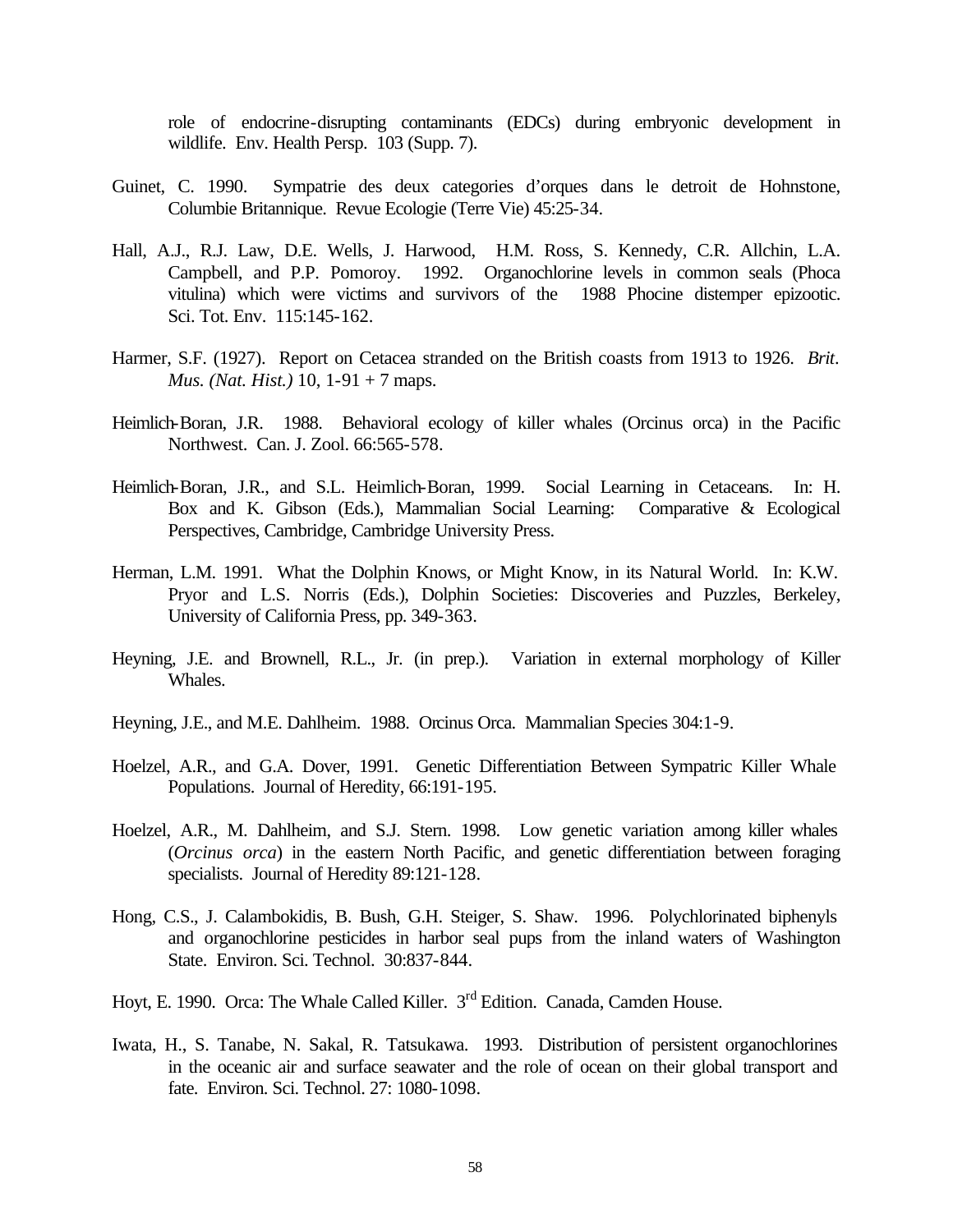role of endocrine-disrupting contaminants (EDCs) during embryonic development in wildlife. Env. Health Persp. 103 (Supp. 7).

- Guinet, C. 1990. Sympatrie des deux categories d'orques dans le detroit de Hohnstone, Columbie Britannique. Revue Ecologie (Terre Vie) 45:25-34.
- Hall, A.J., R.J. Law, D.E. Wells, J. Harwood, H.M. Ross, S. Kennedy, C.R. Allchin, L.A. Campbell, and P.P. Pomoroy. 1992. Organochlorine levels in common seals (Phoca vitulina) which were victims and survivors of the 1988 Phocine distemper epizootic. Sci. Tot. Env. 115:145-162.
- Harmer, S.F. (1927). Report on Cetacea stranded on the British coasts from 1913 to 1926. *Brit. Mus. (Nat. Hist.)* 10, 1-91 + 7 maps.
- Heimlich-Boran, J.R. 1988. Behavioral ecology of killer whales (Orcinus orca) in the Pacific Northwest. Can. J. Zool. 66:565-578.
- Heimlich-Boran, J.R., and S.L. Heimlich-Boran, 1999. Social Learning in Cetaceans. In: H. Box and K. Gibson (Eds.), Mammalian Social Learning: Comparative & Ecological Perspectives, Cambridge, Cambridge University Press.
- Herman, L.M. 1991. What the Dolphin Knows, or Might Know, in its Natural World. In: K.W. Pryor and L.S. Norris (Eds.), Dolphin Societies: Discoveries and Puzzles, Berkeley, University of California Press, pp. 349-363.
- Heyning, J.E. and Brownell, R.L., Jr. (in prep.). Variation in external morphology of Killer Whales.
- Heyning, J.E., and M.E. Dahlheim. 1988. Orcinus Orca. Mammalian Species 304:1-9.
- Hoelzel, A.R., and G.A. Dover, 1991. Genetic Differentiation Between Sympatric Killer Whale Populations. Journal of Heredity, 66:191-195.
- Hoelzel, A.R., M. Dahlheim, and S.J. Stern. 1998. Low genetic variation among killer whales (*Orcinus orca*) in the eastern North Pacific, and genetic differentiation between foraging specialists. Journal of Heredity 89:121-128.
- Hong, C.S., J. Calambokidis, B. Bush, G.H. Steiger, S. Shaw. 1996. Polychlorinated biphenyls and organochlorine pesticides in harbor seal pups from the inland waters of Washington State. Environ. Sci. Technol. 30:837-844.
- Hoyt, E. 1990. Orca: The Whale Called Killer.  $3<sup>rd</sup>$  Edition. Canada, Camden House.
- Iwata, H., S. Tanabe, N. Sakal, R. Tatsukawa. 1993. Distribution of persistent organochlorines in the oceanic air and surface seawater and the role of ocean on their global transport and fate. Environ. Sci. Technol. 27: 1080-1098.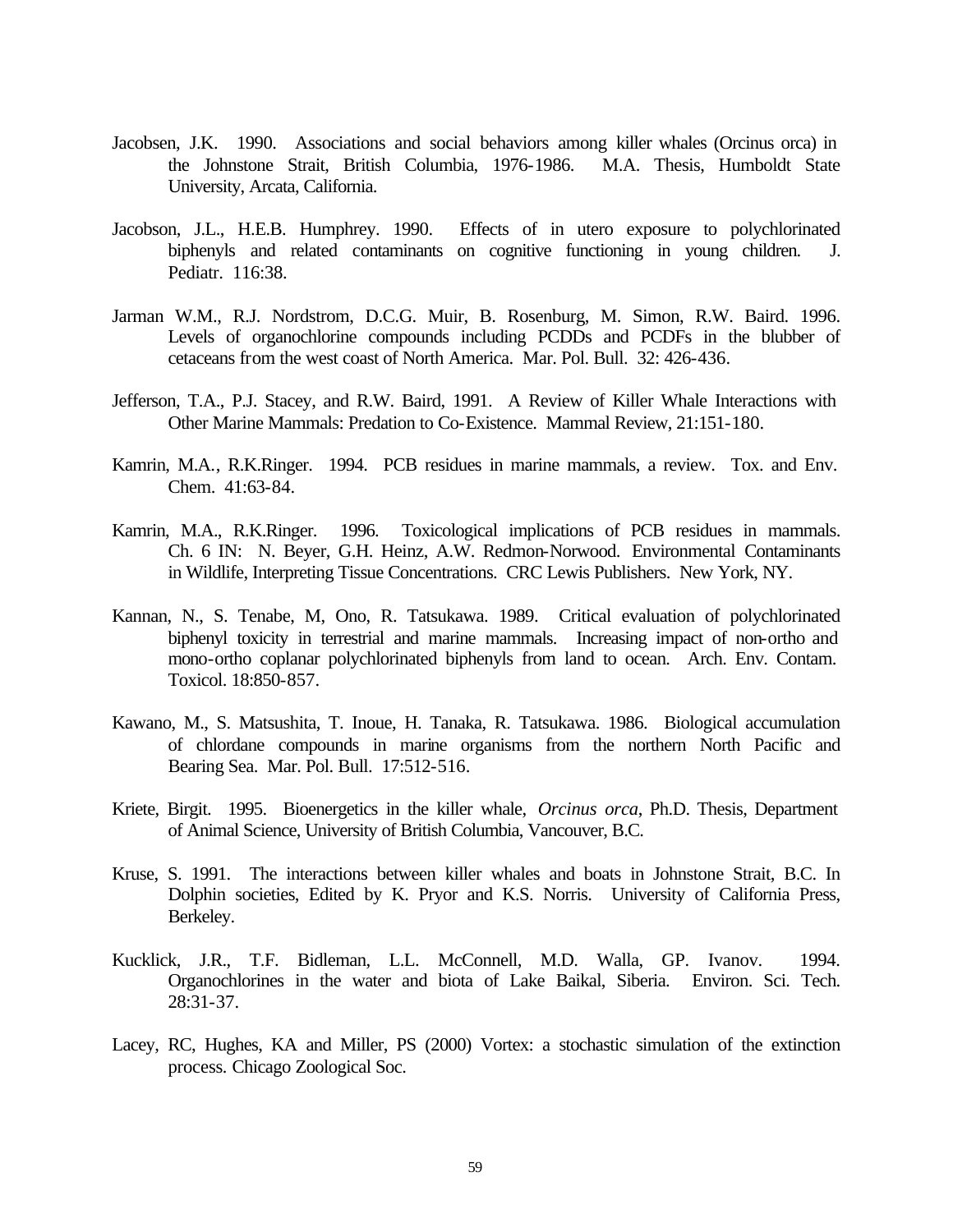- Jacobsen, J.K. 1990. Associations and social behaviors among killer whales (Orcinus orca) in the Johnstone Strait, British Columbia, 1976-1986. M.A. Thesis, Humboldt State University, Arcata, California.
- Jacobson, J.L., H.E.B. Humphrey. 1990. Effects of in utero exposure to polychlorinated biphenyls and related contaminants on cognitive functioning in young children. J. Pediatr. 116:38.
- Jarman W.M., R.J. Nordstrom, D.C.G. Muir, B. Rosenburg, M. Simon, R.W. Baird. 1996. Levels of organochlorine compounds including PCDDs and PCDFs in the blubber of cetaceans from the west coast of North America. Mar. Pol. Bull. 32: 426-436.
- Jefferson, T.A., P.J. Stacey, and R.W. Baird, 1991. A Review of Killer Whale Interactions with Other Marine Mammals: Predation to Co-Existence. Mammal Review, 21:151-180.
- Kamrin, M.A., R.K.Ringer. 1994. PCB residues in marine mammals, a review. Tox. and Env. Chem. 41:63-84.
- Kamrin, M.A., R.K.Ringer. 1996. Toxicological implications of PCB residues in mammals. Ch. 6 IN: N. Beyer, G.H. Heinz, A.W. Redmon-Norwood. Environmental Contaminants in Wildlife, Interpreting Tissue Concentrations. CRC Lewis Publishers. New York, NY.
- Kannan, N., S. Tenabe, M, Ono, R. Tatsukawa. 1989. Critical evaluation of polychlorinated biphenyl toxicity in terrestrial and marine mammals. Increasing impact of non-ortho and mono-ortho coplanar polychlorinated biphenyls from land to ocean. Arch. Env. Contam. Toxicol. 18:850-857.
- Kawano, M., S. Matsushita, T. Inoue, H. Tanaka, R. Tatsukawa. 1986. Biological accumulation of chlordane compounds in marine organisms from the northern North Pacific and Bearing Sea. Mar. Pol. Bull. 17:512-516.
- Kriete, Birgit. 1995. Bioenergetics in the killer whale, *Orcinus orca*, Ph.D. Thesis, Department of Animal Science, University of British Columbia, Vancouver, B.C.
- Kruse, S. 1991. The interactions between killer whales and boats in Johnstone Strait, B.C. In Dolphin societies, Edited by K. Pryor and K.S. Norris. University of California Press, Berkeley.
- Kucklick, J.R., T.F. Bidleman, L.L. McConnell, M.D. Walla, GP. Ivanov. 1994. Organochlorines in the water and biota of Lake Baikal, Siberia. Environ. Sci. Tech. 28:31-37.
- Lacey, RC, Hughes, KA and Miller, PS (2000) Vortex: a stochastic simulation of the extinction process*.* Chicago Zoological Soc.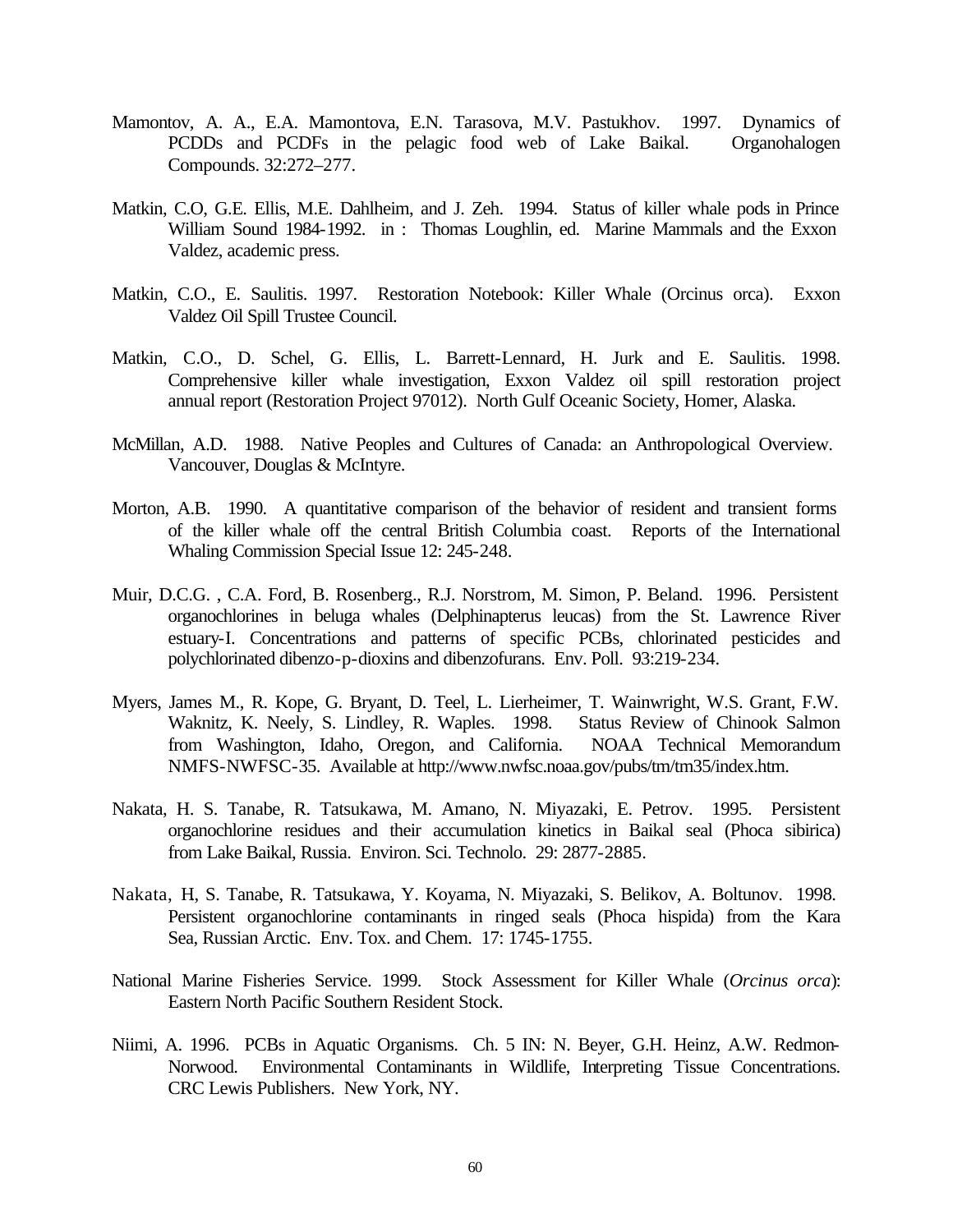- Mamontov, A. A., E.A. Mamontova, E.N. Tarasova, M.V. Pastukhov. 1997. Dynamics of PCDDs and PCDFs in the pelagic food web of Lake Baikal. Organohalogen Compounds. 32:272–277.
- Matkin, C.O, G.E. Ellis, M.E. Dahlheim, and J. Zeh. 1994. Status of killer whale pods in Prince William Sound 1984-1992. in : Thomas Loughlin, ed. Marine Mammals and the Exxon Valdez, academic press.
- Matkin, C.O., E. Saulitis. 1997. Restoration Notebook: Killer Whale (Orcinus orca). Exxon Valdez Oil Spill Trustee Council.
- Matkin, C.O., D. Schel, G. Ellis, L. Barrett-Lennard, H. Jurk and E. Saulitis. 1998. Comprehensive killer whale investigation, Exxon Valdez oil spill restoration project annual report (Restoration Project 97012). North Gulf Oceanic Society, Homer, Alaska.
- McMillan, A.D. 1988. Native Peoples and Cultures of Canada: an Anthropological Overview. Vancouver, Douglas & McIntyre.
- Morton, A.B. 1990. A quantitative comparison of the behavior of resident and transient forms of the killer whale off the central British Columbia coast. Reports of the International Whaling Commission Special Issue 12: 245-248.
- Muir, D.C.G. , C.A. Ford, B. Rosenberg., R.J. Norstrom, M. Simon, P. Beland. 1996. Persistent organochlorines in beluga whales (Delphinapterus leucas) from the St. Lawrence River estuary-I. Concentrations and patterns of specific PCBs, chlorinated pesticides and polychlorinated dibenzo-p-dioxins and dibenzofurans. Env. Poll. 93:219-234.
- Myers, James M., R. Kope, G. Bryant, D. Teel, L. Lierheimer, T. Wainwright, W.S. Grant, F.W. Waknitz, K. Neely, S. Lindley, R. Waples. 1998. Status Review of Chinook Salmon from Washington, Idaho, Oregon, and California. NOAA Technical Memorandum NMFS-NWFSC-35. Available at http://www.nwfsc.noaa.gov/pubs/tm/tm35/index.htm.
- Nakata, H. S. Tanabe, R. Tatsukawa, M. Amano, N. Miyazaki, E. Petrov. 1995. Persistent organochlorine residues and their accumulation kinetics in Baikal seal (Phoca sibirica) from Lake Baikal, Russia. Environ. Sci. Technolo. 29: 2877-2885.
- Nakata, H., S. Tanabe, R. Tatsukawa, Y. Koyama, N. Miyazaki, S. Belikov, A. Boltunov. 1998. Persistent organochlorine contaminants in ringed seals (Phoca hispida) from the Kara Sea, Russian Arctic. Env. Tox. and Chem. 17: 1745-1755.
- National Marine Fisheries Service. 1999. Stock Assessment for Killer Whale (*Orcinus orca*): Eastern North Pacific Southern Resident Stock.
- Niimi, A. 1996. PCBs in Aquatic Organisms. Ch. 5 IN: N. Beyer, G.H. Heinz, A.W. Redmon-Norwood. Environmental Contaminants in Wildlife, Interpreting Tissue Concentrations. CRC Lewis Publishers. New York, NY.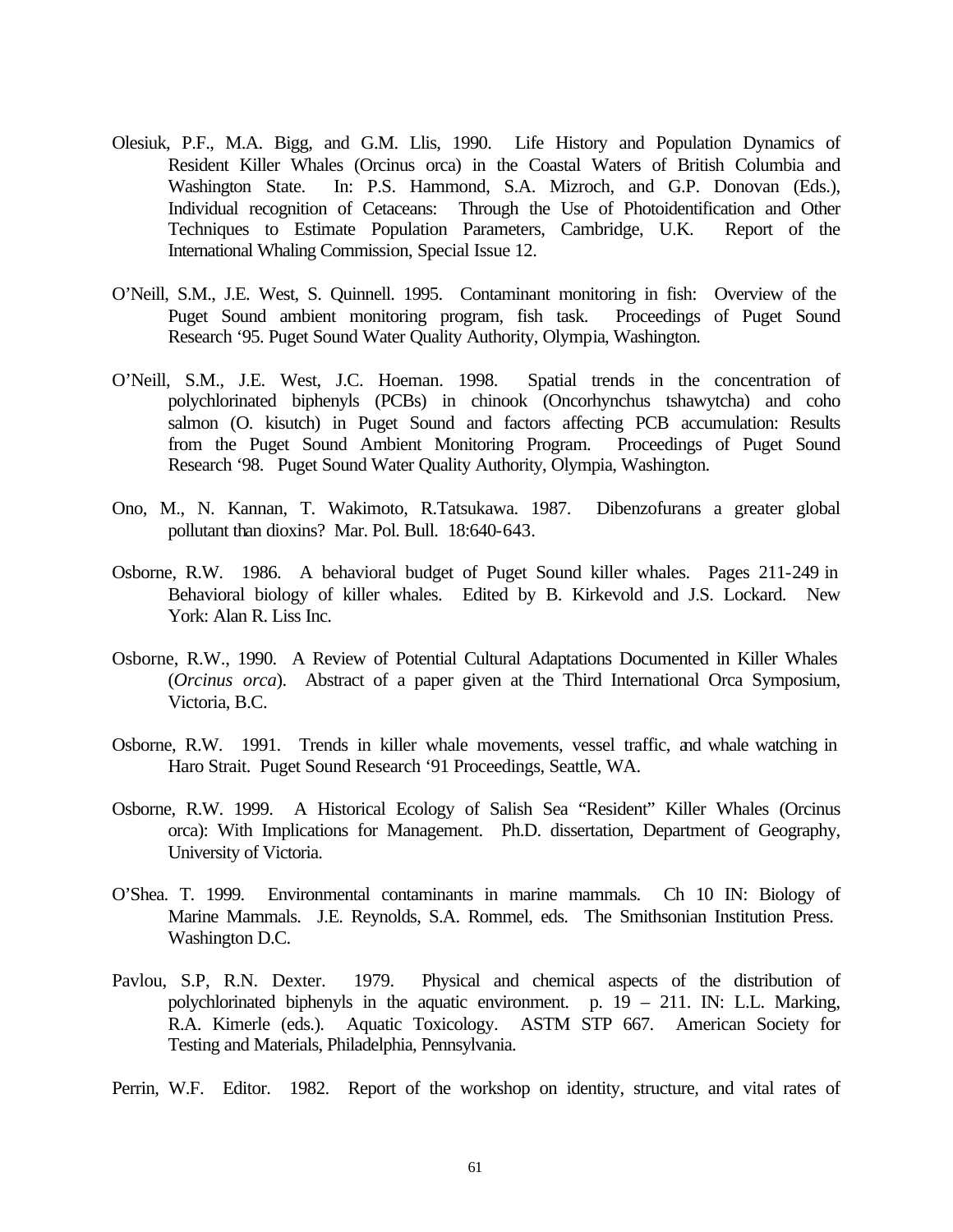- Olesiuk, P.F., M.A. Bigg, and G.M. Llis, 1990. Life History and Population Dynamics of Resident Killer Whales (Orcinus orca) in the Coastal Waters of British Columbia and Washington State. In: P.S. Hammond, S.A. Mizroch, and G.P. Donovan (Eds.), Individual recognition of Cetaceans: Through the Use of Photoidentification and Other Techniques to Estimate Population Parameters, Cambridge, U.K. Report of the International Whaling Commission, Special Issue 12.
- O'Neill, S.M., J.E. West, S. Quinnell. 1995. Contaminant monitoring in fish: Overview of the Puget Sound ambient monitoring program, fish task. Proceedings of Puget Sound Research '95. Puget Sound Water Quality Authority, Olympia, Washington.
- O'Neill, S.M., J.E. West, J.C. Hoeman. 1998. Spatial trends in the concentration of polychlorinated biphenyls (PCBs) in chinook (Oncorhynchus tshawytcha) and coho salmon (O. kisutch) in Puget Sound and factors affecting PCB accumulation: Results from the Puget Sound Ambient Monitoring Program. Proceedings of Puget Sound Research '98. Puget Sound Water Quality Authority, Olympia, Washington.
- Ono, M., N. Kannan, T. Wakimoto, R.Tatsukawa. 1987. Dibenzofurans a greater global pollutant than dioxins? Mar. Pol. Bull. 18:640-643.
- Osborne, R.W. 1986. A behavioral budget of Puget Sound killer whales. Pages 211-249 in Behavioral biology of killer whales. Edited by B. Kirkevold and J.S. Lockard. New York: Alan R. Liss Inc.
- Osborne, R.W., 1990. A Review of Potential Cultural Adaptations Documented in Killer Whales (*Orcinus orca*). Abstract of a paper given at the Third International Orca Symposium, Victoria, B.C.
- Osborne, R.W. 1991. Trends in killer whale movements, vessel traffic, and whale watching in Haro Strait. Puget Sound Research '91 Proceedings, Seattle, WA.
- Osborne, R.W. 1999. A Historical Ecology of Salish Sea "Resident" Killer Whales (Orcinus orca): With Implications for Management. Ph.D. dissertation, Department of Geography, University of Victoria.
- O'Shea. T. 1999. Environmental contaminants in marine mammals. Ch 10 IN: Biology of Marine Mammals. J.E. Reynolds, S.A. Rommel, eds. The Smithsonian Institution Press. Washington D.C.
- Pavlou, S.P, R.N. Dexter. 1979. Physical and chemical aspects of the distribution of polychlorinated biphenyls in the aquatic environment. p.  $19 - 211$ . IN: L.L. Marking, R.A. Kimerle (eds.). Aquatic Toxicology. ASTM STP 667. American Society for Testing and Materials, Philadelphia, Pennsylvania.
- Perrin, W.F. Editor. 1982. Report of the workshop on identity, structure, and vital rates of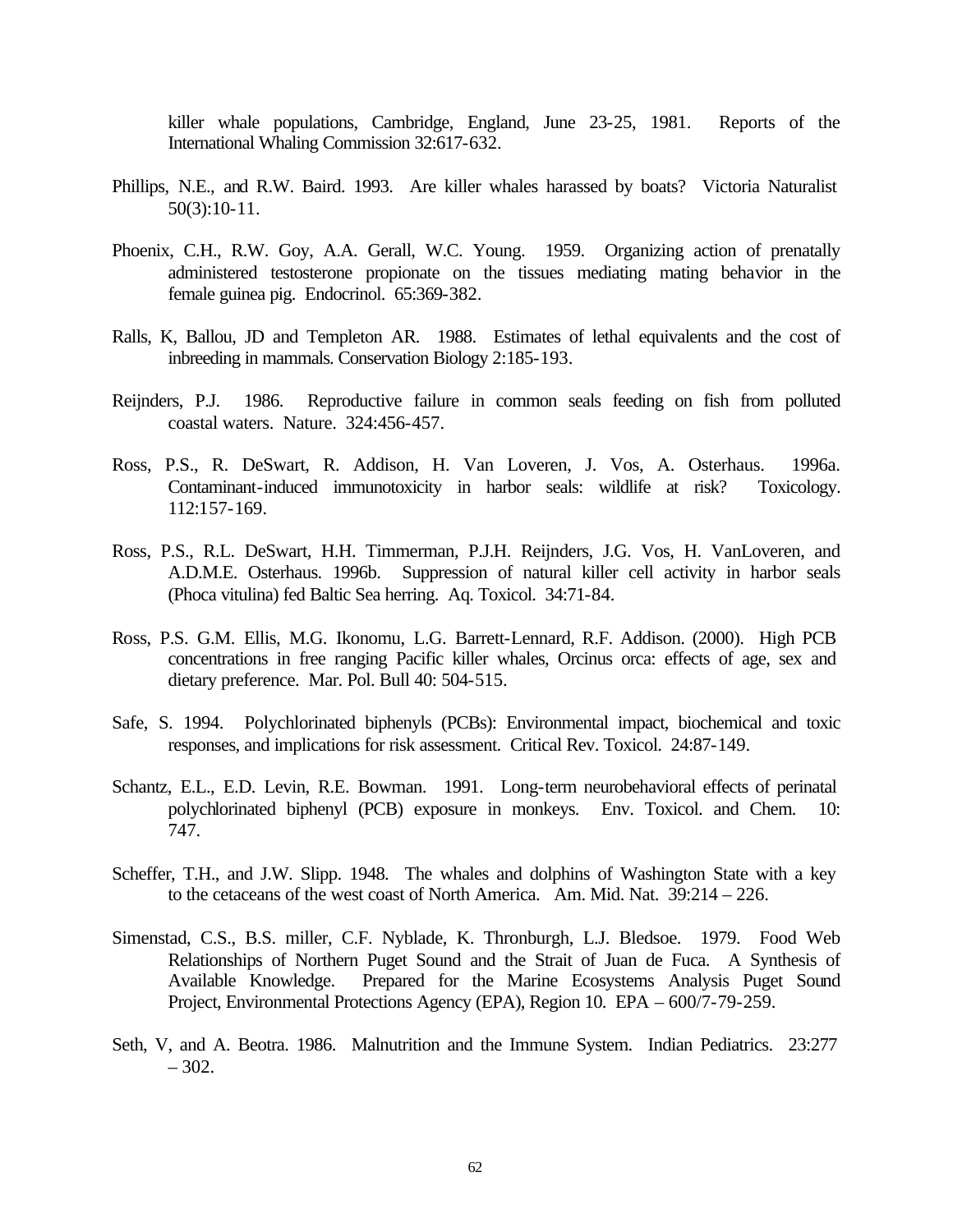killer whale populations, Cambridge, England, June 23-25, 1981. Reports of the International Whaling Commission 32:617-632.

- Phillips, N.E., and R.W. Baird. 1993. Are killer whales harassed by boats? Victoria Naturalist 50(3):10-11.
- Phoenix, C.H., R.W. Goy, A.A. Gerall, W.C. Young. 1959. Organizing action of prenatally administered testosterone propionate on the tissues mediating mating behavior in the female guinea pig. Endocrinol. 65:369-382.
- Ralls, K, Ballou, JD and Templeton AR. 1988. Estimates of lethal equivalents and the cost of inbreeding in mammals. Conservation Biology 2:185-193.
- Reijnders, P.J. 1986. Reproductive failure in common seals feeding on fish from polluted coastal waters. Nature. 324:456-457.
- Ross, P.S., R. DeSwart, R. Addison, H. Van Loveren, J. Vos, A. Osterhaus. 1996a. Contaminant-induced immunotoxicity in harbor seals: wildlife at risk? Toxicology. 112:157-169.
- Ross, P.S., R.L. DeSwart, H.H. Timmerman, P.J.H. Reijnders, J.G. Vos, H. VanLoveren, and A.D.M.E. Osterhaus. 1996b. Suppression of natural killer cell activity in harbor seals (Phoca vitulina) fed Baltic Sea herring. Aq. Toxicol. 34:71-84.
- Ross, P.S. G.M. Ellis, M.G. Ikonomu, L.G. Barrett-Lennard, R.F. Addison. (2000). High PCB concentrations in free ranging Pacific killer whales, Orcinus orca: effects of age, sex and dietary preference. Mar. Pol. Bull 40: 504-515.
- Safe, S. 1994. Polychlorinated biphenyls (PCBs): Environmental impact, biochemical and toxic responses, and implications for risk assessment. Critical Rev. Toxicol. 24:87-149.
- Schantz, E.L., E.D. Levin, R.E. Bowman. 1991. Long-term neurobehavioral effects of perinatal polychlorinated biphenyl (PCB) exposure in monkeys. Env. Toxicol. and Chem. 10: 747.
- Scheffer, T.H., and J.W. Slipp. 1948. The whales and dolphins of Washington State with a key to the cetaceans of the west coast of North America. Am. Mid. Nat. 39:214 – 226.
- Simenstad, C.S., B.S. miller, C.F. Nyblade, K. Thronburgh, L.J. Bledsoe. 1979. Food Web Relationships of Northern Puget Sound and the Strait of Juan de Fuca. A Synthesis of Available Knowledge. Prepared for the Marine Ecosystems Analysis Puget Sound Project, Environmental Protections Agency (EPA), Region 10. EPA – 600/7-79-259.
- Seth, V, and A. Beotra. 1986. Malnutrition and the Immune System. Indian Pediatrics. 23:277  $-302.$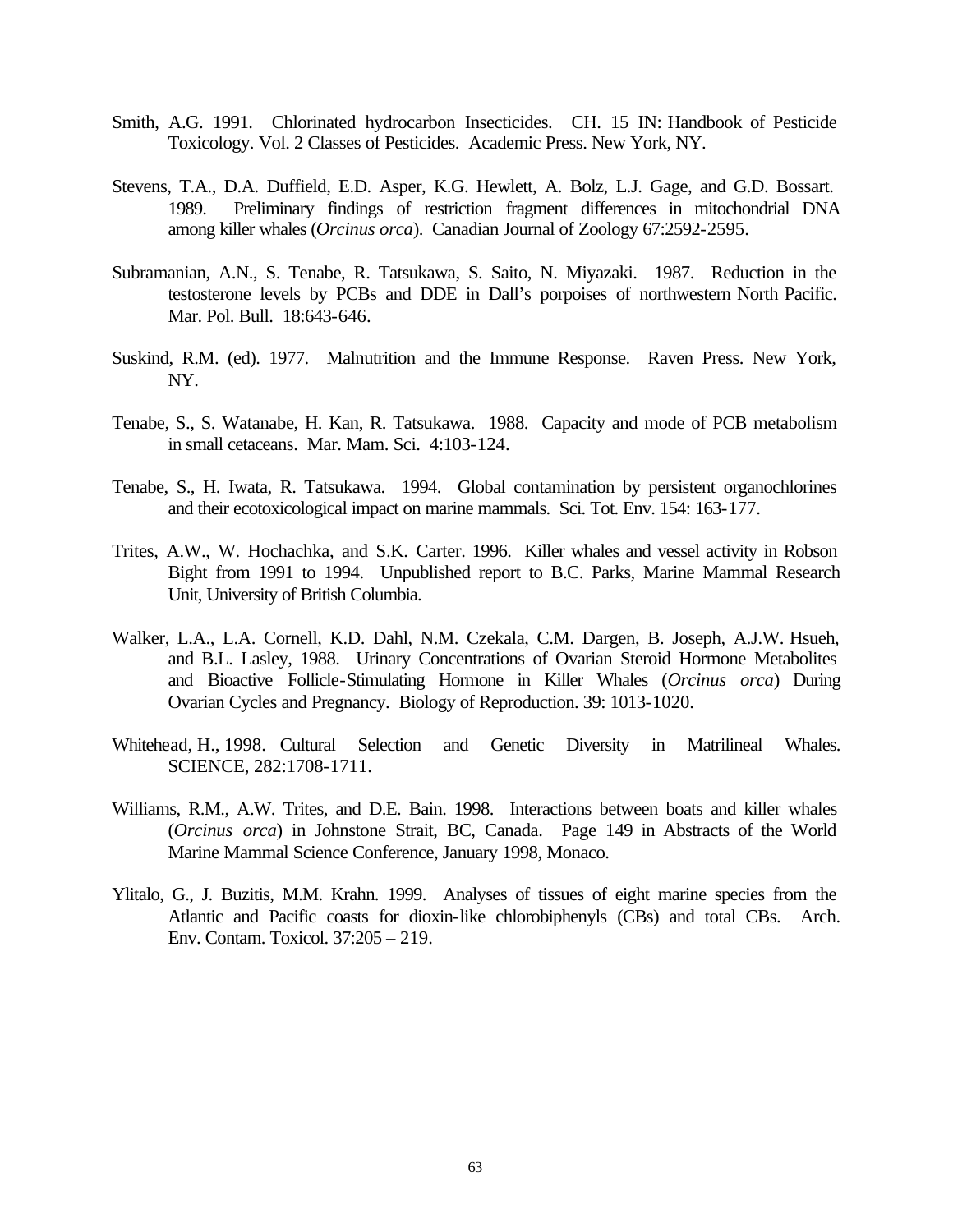- Smith, A.G. 1991. Chlorinated hydrocarbon Insecticides. CH. 15 IN: Handbook of Pesticide Toxicology. Vol. 2 Classes of Pesticides. Academic Press. New York, NY.
- Stevens, T.A., D.A. Duffield, E.D. Asper, K.G. Hewlett, A. Bolz, L.J. Gage, and G.D. Bossart. 1989. Preliminary findings of restriction fragment differences in mitochondrial DNA among killer whales (*Orcinus orca*). Canadian Journal of Zoology 67:2592-2595.
- Subramanian, A.N., S. Tenabe, R. Tatsukawa, S. Saito, N. Miyazaki. 1987. Reduction in the testosterone levels by PCBs and DDE in Dall's porpoises of northwestern North Pacific. Mar. Pol. Bull. 18:643-646.
- Suskind, R.M. (ed). 1977. Malnutrition and the Immune Response. Raven Press. New York, NY.
- Tenabe, S., S. Watanabe, H. Kan, R. Tatsukawa. 1988. Capacity and mode of PCB metabolism in small cetaceans. Mar. Mam. Sci. 4:103-124.
- Tenabe, S., H. Iwata, R. Tatsukawa. 1994. Global contamination by persistent organochlorines and their ecotoxicological impact on marine mammals. Sci. Tot. Env. 154: 163-177.
- Trites, A.W., W. Hochachka, and S.K. Carter. 1996. Killer whales and vessel activity in Robson Bight from 1991 to 1994. Unpublished report to B.C. Parks, Marine Mammal Research Unit, University of British Columbia.
- Walker, L.A., L.A. Cornell, K.D. Dahl, N.M. Czekala, C.M. Dargen, B. Joseph, A.J.W. Hsueh, and B.L. Lasley, 1988. Urinary Concentrations of Ovarian Steroid Hormone Metabolites and Bioactive Follicle-Stimulating Hormone in Killer Whales (*Orcinus orca*) During Ovarian Cycles and Pregnancy. Biology of Reproduction. 39: 1013-1020.
- Whitehead, H., 1998. Cultural Selection and Genetic Diversity in Matrilineal Whales. SCIENCE, 282:1708-1711.
- Williams, R.M., A.W. Trites, and D.E. Bain. 1998. Interactions between boats and killer whales (*Orcinus orca*) in Johnstone Strait, BC, Canada. Page 149 in Abstracts of the World Marine Mammal Science Conference, January 1998, Monaco.
- Ylitalo, G., J. Buzitis, M.M. Krahn. 1999. Analyses of tissues of eight marine species from the Atlantic and Pacific coasts for dioxin-like chlorobiphenyls (CBs) and total CBs. Arch. Env. Contam. Toxicol. 37:205 – 219.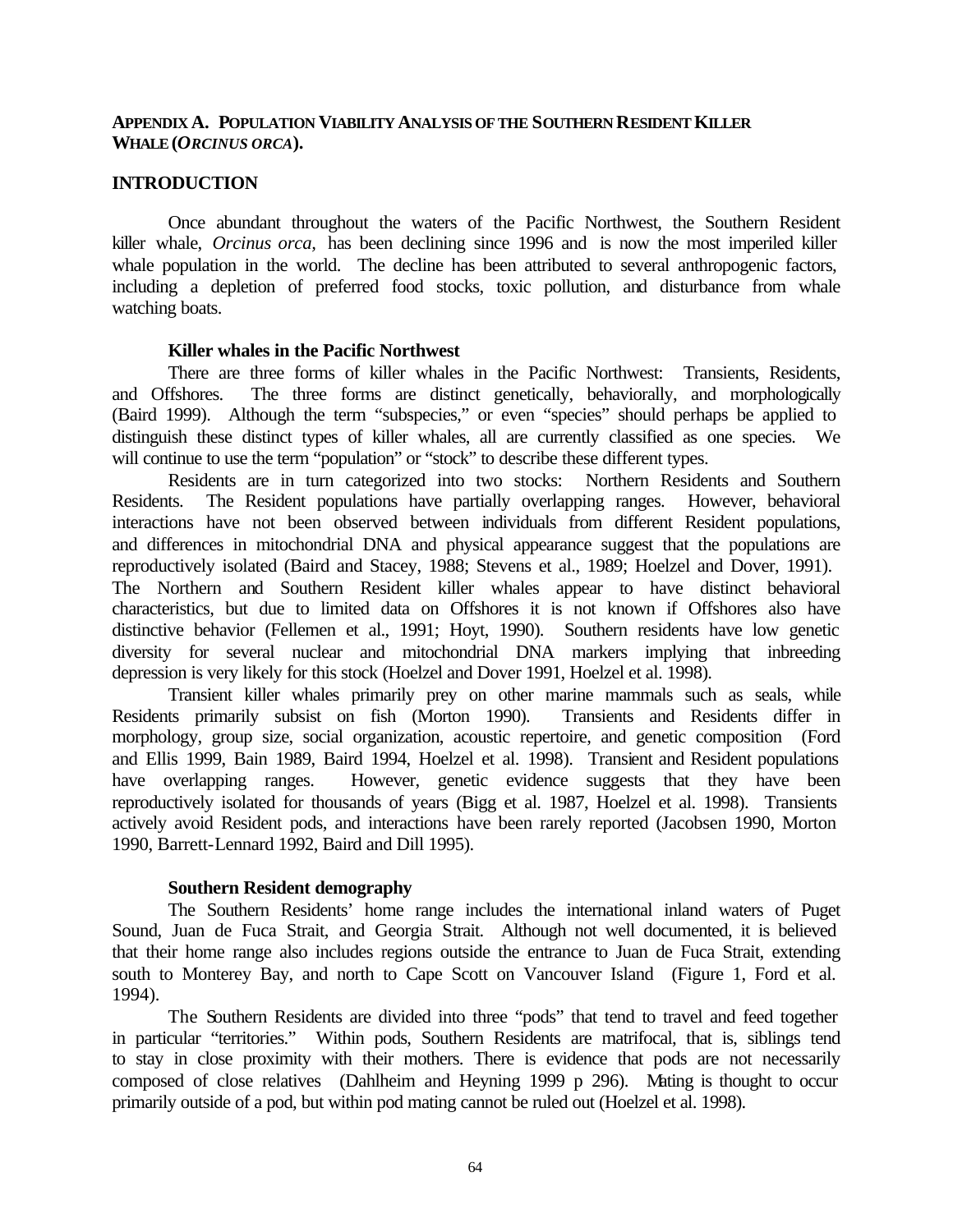## **APPENDIX A. POPULATION VIABILITY ANALYSIS OF THE SOUTHERN RESIDENT KILLER WHALE (***ORCINUS ORCA***).**

### **INTRODUCTION**

Once abundant throughout the waters of the Pacific Northwest, the Southern Resident killer whale, *Orcinus orca,* has been declining since 1996 and is now the most imperiled killer whale population in the world. The decline has been attributed to several anthropogenic factors, including a depletion of preferred food stocks, toxic pollution, and disturbance from whale watching boats.

### **Killer whales in the Pacific Northwest**

There are three forms of killer whales in the Pacific Northwest: Transients, Residents, and Offshores. The three forms are distinct genetically, behaviorally, and morphologically (Baird 1999). Although the term "subspecies," or even "species" should perhaps be applied to distinguish these distinct types of killer whales, all are currently classified as one species. We will continue to use the term "population" or "stock" to describe these different types.

Residents are in turn categorized into two stocks: Northern Residents and Southern Residents. The Resident populations have partially overlapping ranges. However, behavioral interactions have not been observed between individuals from different Resident populations, and differences in mitochondrial DNA and physical appearance suggest that the populations are reproductively isolated (Baird and Stacey, 1988; Stevens et al., 1989; Hoelzel and Dover, 1991). The Northern and Southern Resident killer whales appear to have distinct behavioral characteristics, but due to limited data on Offshores it is not known if Offshores also have distinctive behavior (Fellemen et al., 1991; Hoyt, 1990). Southern residents have low genetic diversity for several nuclear and mitochondrial DNA markers implying that inbreeding

depression is very likely for this stock (Hoelzel and Dover 1991, Hoelzel et al. 1998). Transient killer whales primarily prey on other marine mammals such as seals, while Residents primarily subsist on fish (Morton 1990). Transients and Residents differ in morphology, group size, social organization, acoustic repertoire, and genetic composition (Ford and Ellis 1999, Bain 1989, Baird 1994, Hoelzel et al. 1998). Transient and Resident populations have overlapping ranges. However, genetic evidence suggests that they have been reproductively isolated for thousands of years (Bigg et al. 1987, Hoelzel et al. 1998). Transients actively avoid Resident pods, and interactions have been rarely reported (Jacobsen 1990, Morton 1990, Barrett-Lennard 1992, Baird and Dill 1995).

## **Southern Resident demography**

The Southern Residents' home range includes the international inland waters of Puget Sound, Juan de Fuca Strait, and Georgia Strait. Although not well documented, it is believed that their home range also includes regions outside the entrance to Juan de Fuca Strait, extending south to Monterey Bay, and north to Cape Scott on Vancouver Island (Figure 1, Ford et al. 1994).

The Southern Residents are divided into three "pods" that tend to travel and feed together in particular "territories." Within pods, Southern Residents are matrifocal, that is, siblings tend to stay in close proximity with their mothers. There is evidence that pods are not necessarily composed of close relatives (Dahlheim and Heyning 1999 p 296). Mating is thought to occur primarily outside of a pod, but within pod mating cannot be ruled out (Hoelzel et al. 1998).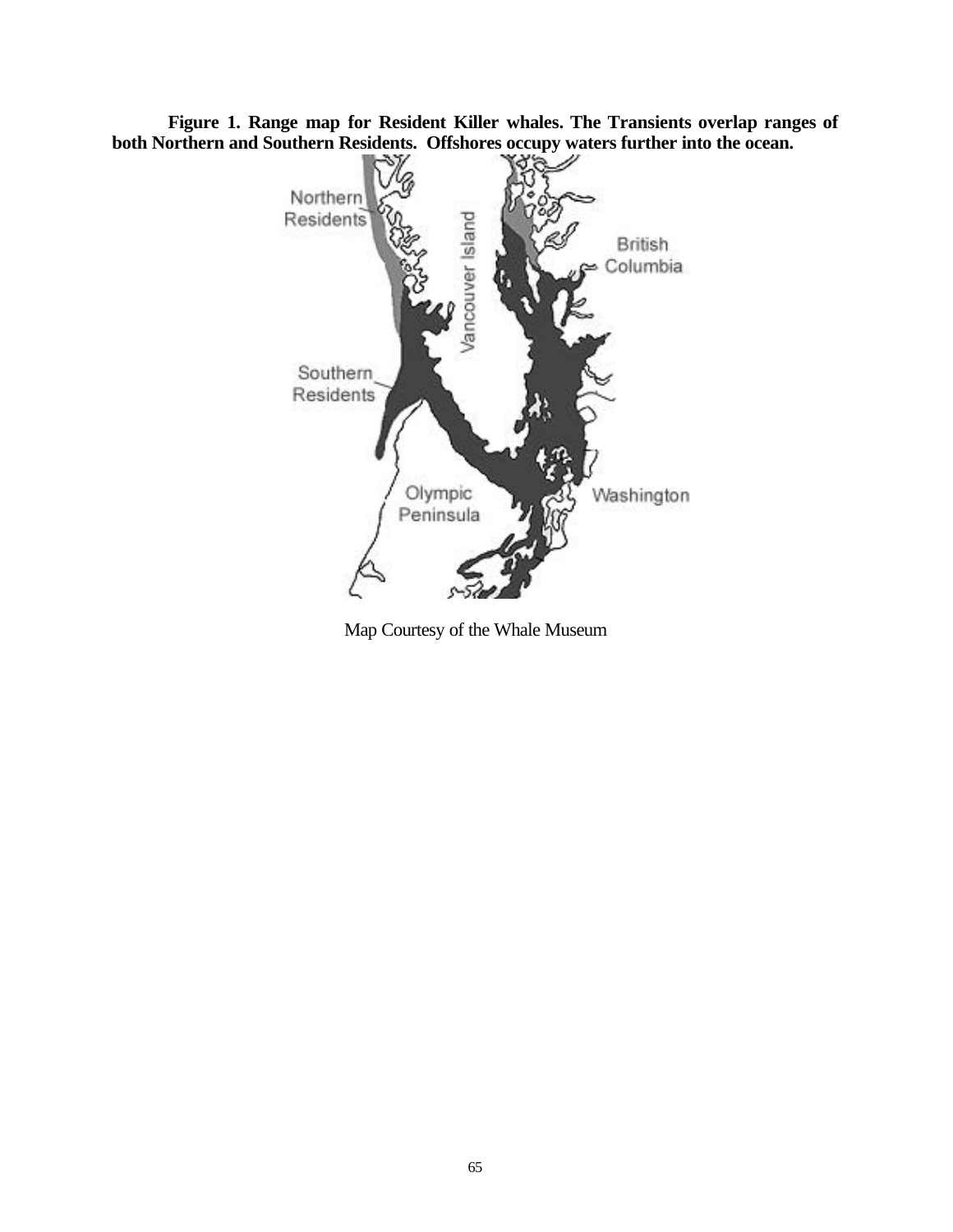**Figure 1. Range map for Resident Killer whales. The Transients overlap ranges of both Northern and Southern Residents. Offshores occupy waters further into the ocean.** 



Map Courtesy of the Whale Museum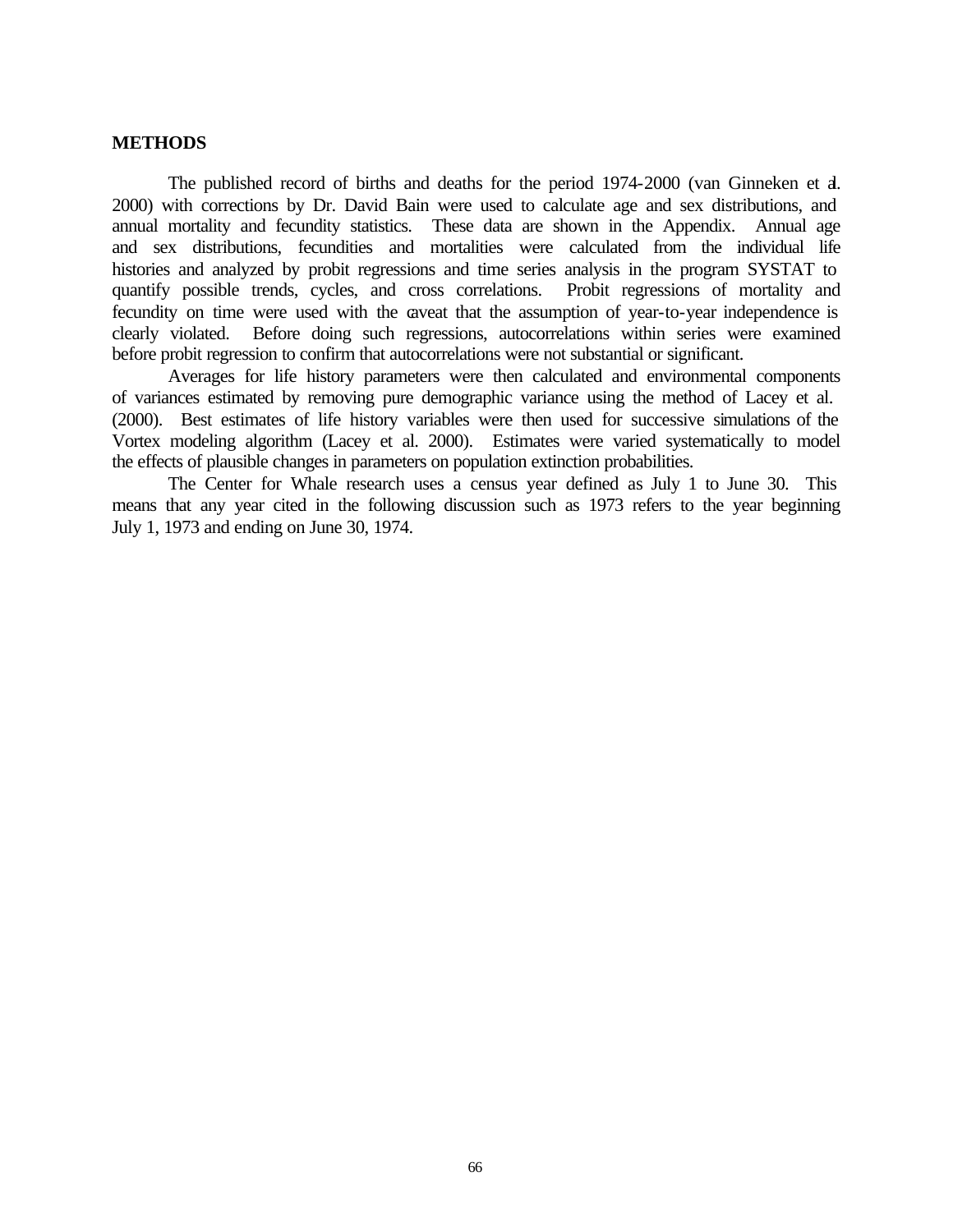### **METHODS**

The published record of births and deaths for the period 1974-2000 (van Ginneken et al. 2000) with corrections by Dr. David Bain were used to calculate age and sex distributions, and annual mortality and fecundity statistics. These data are shown in the Appendix. Annual age and sex distributions, fecundities and mortalities were calculated from the individual life histories and analyzed by probit regressions and time series analysis in the program SYSTAT to quantify possible trends, cycles, and cross correlations. Probit regressions of mortality and fecundity on time were used with the caveat that the assumption of year-to-year independence is clearly violated. Before doing such regressions, autocorrelations within series were examined before probit regression to confirm that autocorrelations were not substantial or significant.

Averages for life history parameters were then calculated and environmental components of variances estimated by removing pure demographic variance using the method of Lacey et al. (2000). Best estimates of life history variables were then used for successive simulations of the Vortex modeling algorithm (Lacey et al. 2000). Estimates were varied systematically to model the effects of plausible changes in parameters on population extinction probabilities.

The Center for Whale research uses a census year defined as July 1 to June 30. This means that any year cited in the following discussion such as 1973 refers to the year beginning July 1, 1973 and ending on June 30, 1974.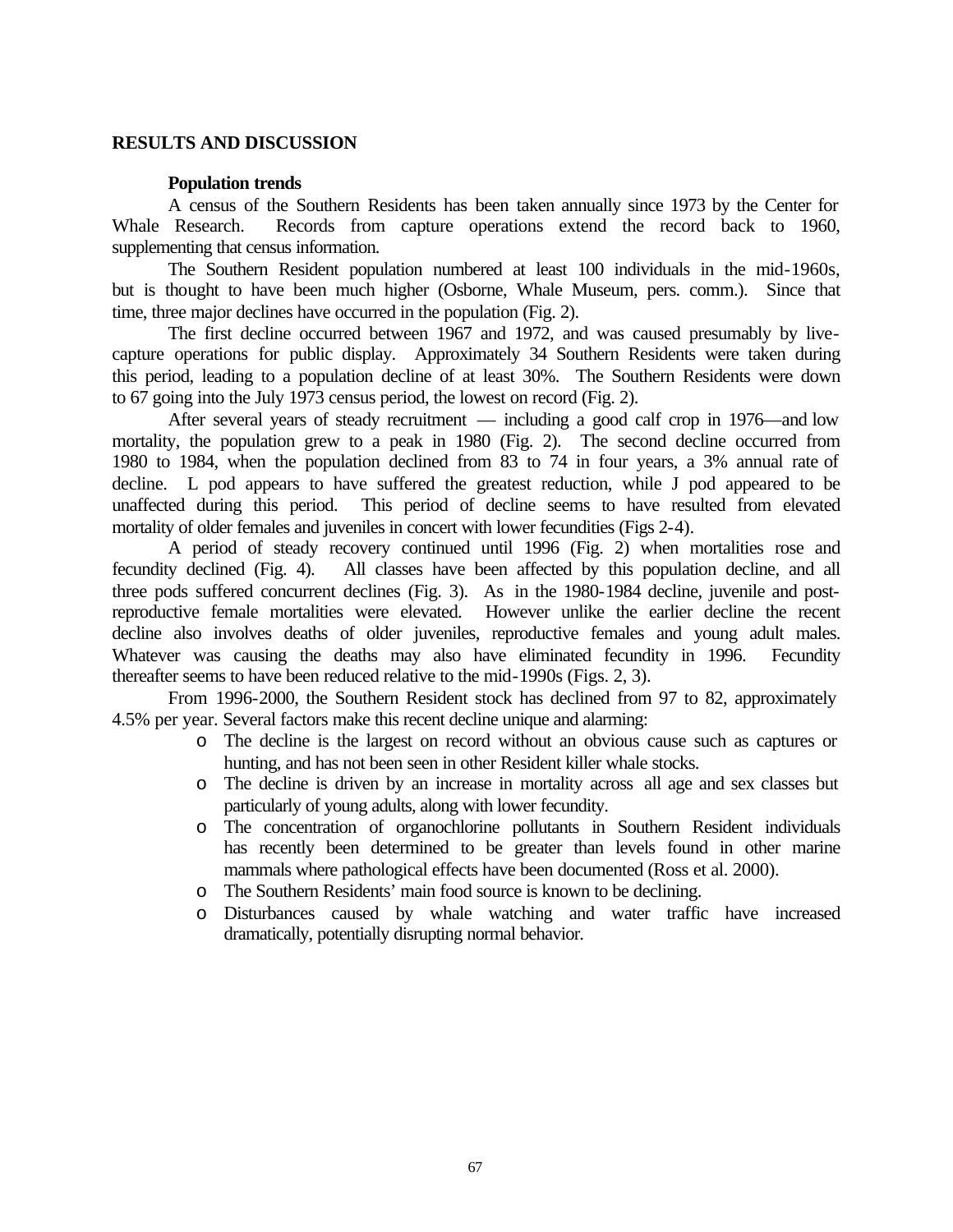## **RESULTS AND DISCUSSION**

## **Population trends**

A census of the Southern Residents has been taken annually since 1973 by the Center for Whale Research. Records from capture operations extend the record back to 1960, supplementing that census information.

The Southern Resident population numbered at least 100 individuals in the mid-1960s, but is thought to have been much higher (Osborne, Whale Museum, pers. comm.). Since that time, three major declines have occurred in the population (Fig. 2).

The first decline occurred between 1967 and 1972, and was caused presumably by livecapture operations for public display. Approximately 34 Southern Residents were taken during this period, leading to a population decline of at least 30%. The Southern Residents were down to 67 going into the July 1973 census period, the lowest on record (Fig. 2).

After several years of steady recruitment — including a good calf crop in 1976—and low mortality, the population grew to a peak in 1980 (Fig. 2). The second decline occurred from 1980 to 1984, when the population declined from 83 to 74 in four years, a 3% annual rate of decline. L pod appears to have suffered the greatest reduction, while J pod appeared to be unaffected during this period. This period of decline seems to have resulted from elevated mortality of older females and juveniles in concert with lower fecundities (Figs 2-4).

A period of steady recovery continued until 1996 (Fig. 2) when mortalities rose and fecundity declined (Fig. 4). All classes have been affected by this population decline, and all three pods suffered concurrent declines (Fig. 3). As in the 1980-1984 decline, juvenile and postreproductive female mortalities were elevated. However unlike the earlier decline the recent decline also involves deaths of older juveniles, reproductive females and young adult males. Whatever was causing the deaths may also have eliminated fecundity in 1996. Fecundity thereafter seems to have been reduced relative to the mid-1990s (Figs. 2, 3).

From 1996-2000, the Southern Resident stock has declined from 97 to 82, approximately 4.5% per year. Several factors make this recent decline unique and alarming:

- o The decline is the largest on record without an obvious cause such as captures or hunting, and has not been seen in other Resident killer whale stocks.
- o The decline is driven by an increase in mortality across all age and sex classes but particularly of young adults, along with lower fecundity.
- o The concentration of organochlorine pollutants in Southern Resident individuals has recently been determined to be greater than levels found in other marine mammals where pathological effects have been documented (Ross et al. 2000).
- o The Southern Residents' main food source is known to be declining.
- o Disturbances caused by whale watching and water traffic have increased dramatically, potentially disrupting normal behavior.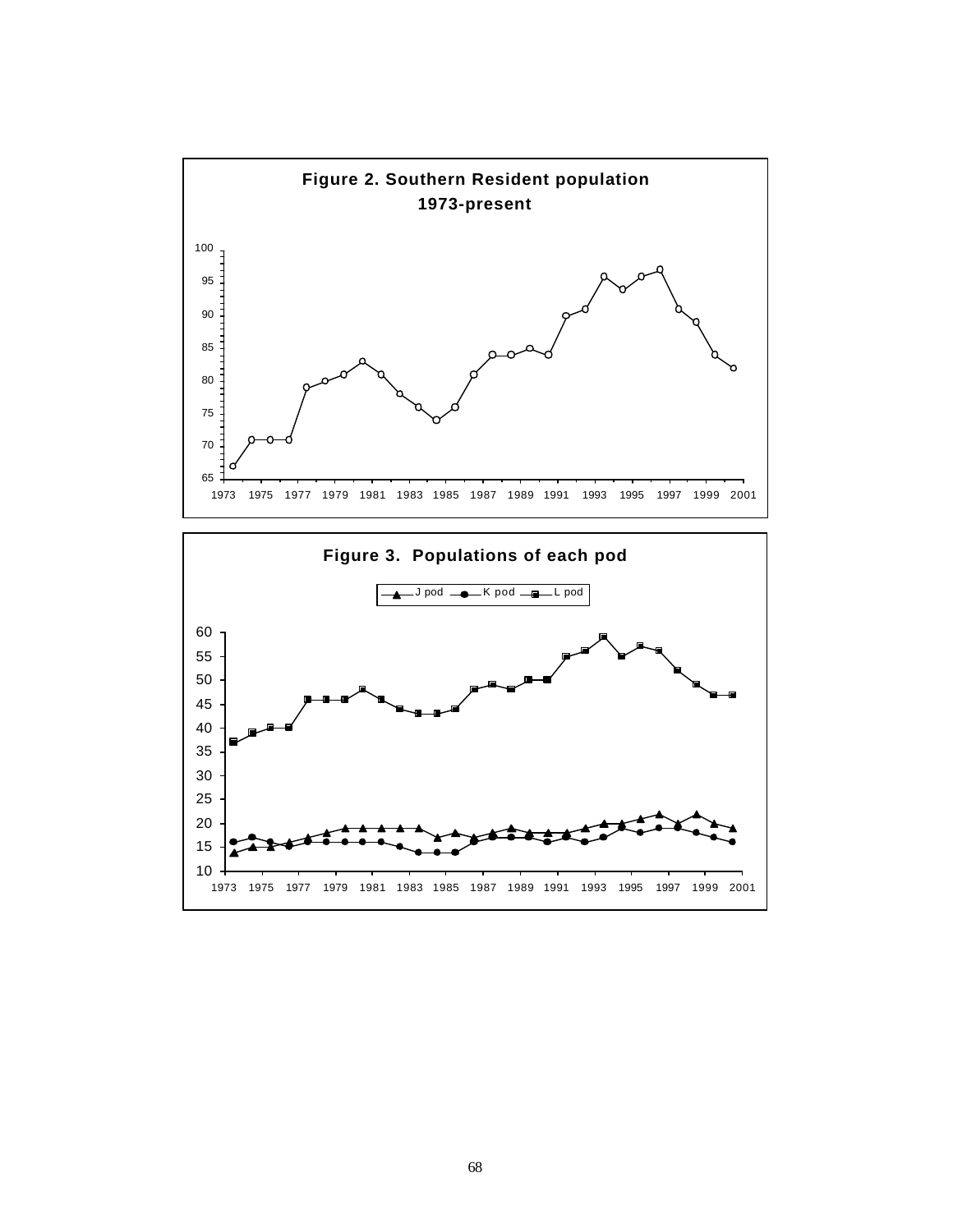

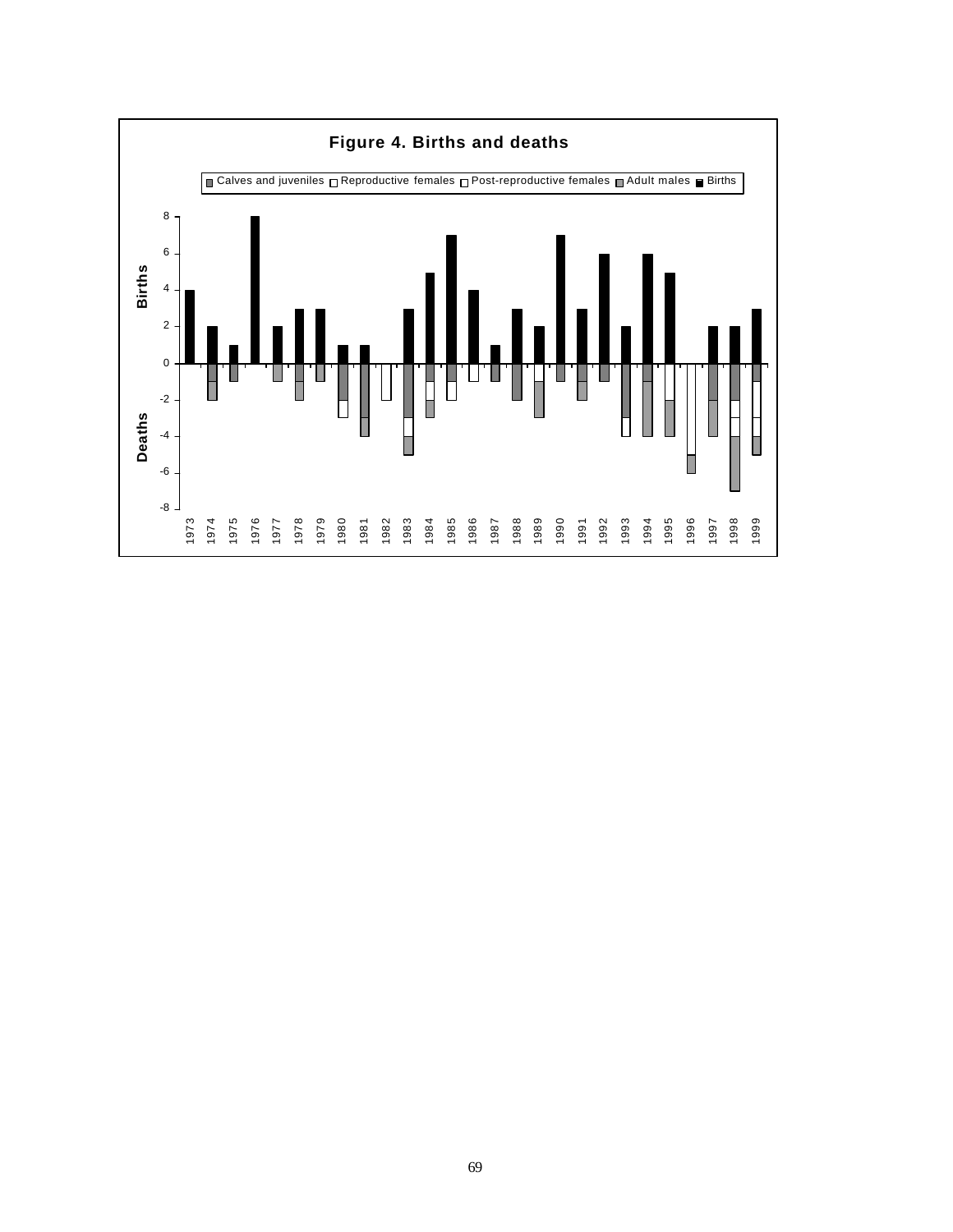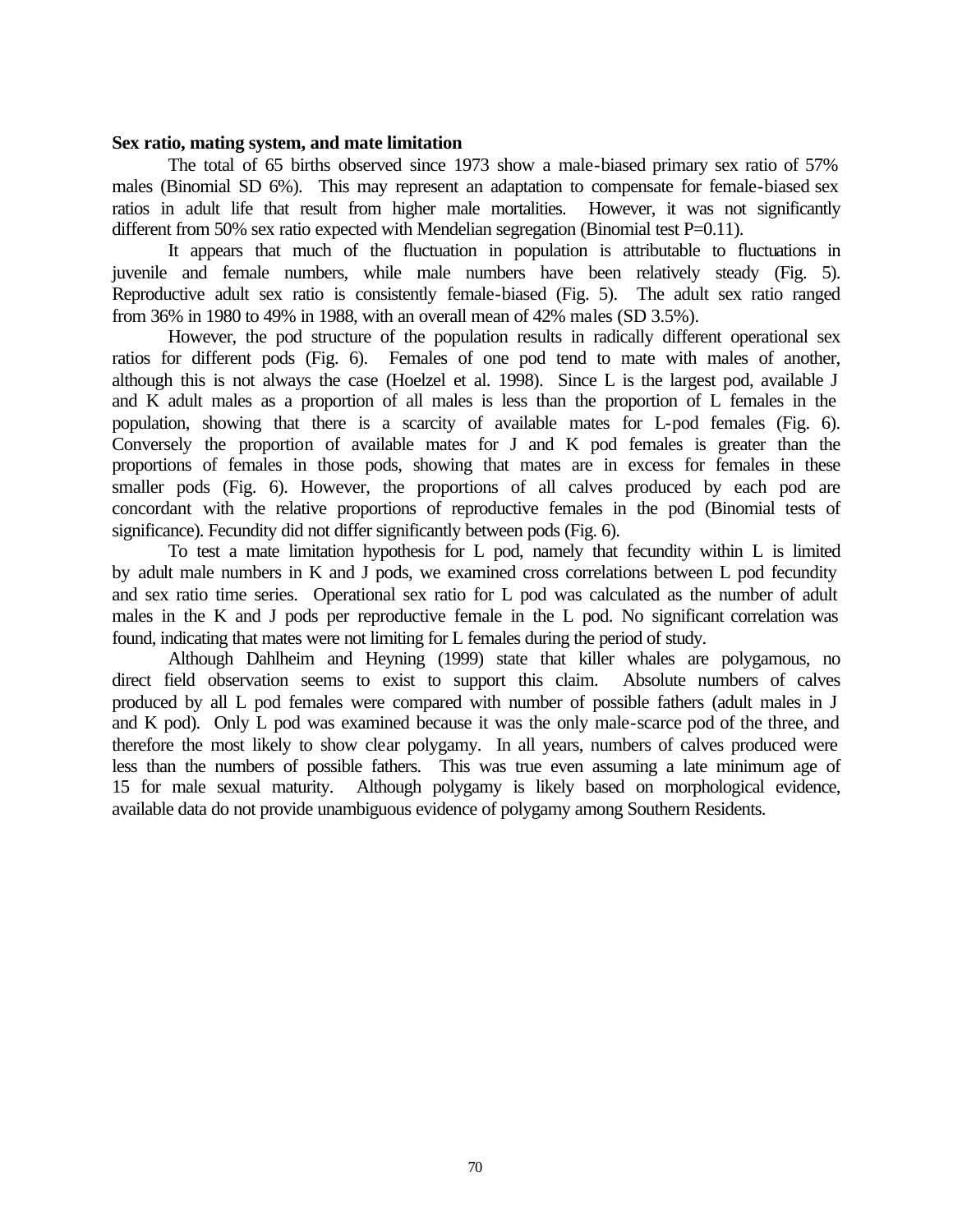### **Sex ratio, mating system, and mate limitation**

The total of 65 births observed since 1973 show a male-biased primary sex ratio of 57% males (Binomial SD 6%). This may represent an adaptation to compensate for female-biased sex ratios in adult life that result from higher male mortalities. However, it was not significantly different from 50% sex ratio expected with Mendelian segregation (Binomial test P=0.11).

It appears that much of the fluctuation in population is attributable to fluctuations in juvenile and female numbers, while male numbers have been relatively steady (Fig. 5). Reproductive adult sex ratio is consistently female-biased (Fig. 5). The adult sex ratio ranged from 36% in 1980 to 49% in 1988, with an overall mean of 42% males (SD 3.5%).

However, the pod structure of the population results in radically different operational sex ratios for different pods (Fig. 6). Females of one pod tend to mate with males of another, although this is not always the case (Hoelzel et al. 1998). Since L is the largest pod, available J and K adult males as a proportion of all males is less than the proportion of L females in the population, showing that there is a scarcity of available mates for L-pod females (Fig. 6). Conversely the proportion of available mates for J and K pod females is greater than the proportions of females in those pods, showing that mates are in excess for females in these smaller pods (Fig. 6). However, the proportions of all calves produced by each pod are concordant with the relative proportions of reproductive females in the pod (Binomial tests of significance). Fecundity did not differ significantly between pods (Fig. 6).

To test a mate limitation hypothesis for L pod, namely that fecundity within L is limited by adult male numbers in K and J pods, we examined cross correlations between L pod fecundity and sex ratio time series. Operational sex ratio for L pod was calculated as the number of adult males in the K and J pods per reproductive female in the L pod. No significant correlation was found, indicating that mates were not limiting for L females during the period of study.

Although Dahlheim and Heyning (1999) state that killer whales are polygamous, no direct field observation seems to exist to support this claim. Absolute numbers of calves produced by all L pod females were compared with number of possible fathers (adult males in J and K pod). Only L pod was examined because it was the only male-scarce pod of the three, and therefore the most likely to show clear polygamy. In all years, numbers of calves produced were less than the numbers of possible fathers. This was true even assuming a late minimum age of 15 for male sexual maturity. Although polygamy is likely based on morphological evidence, available data do not provide unambiguous evidence of polygamy among Southern Residents.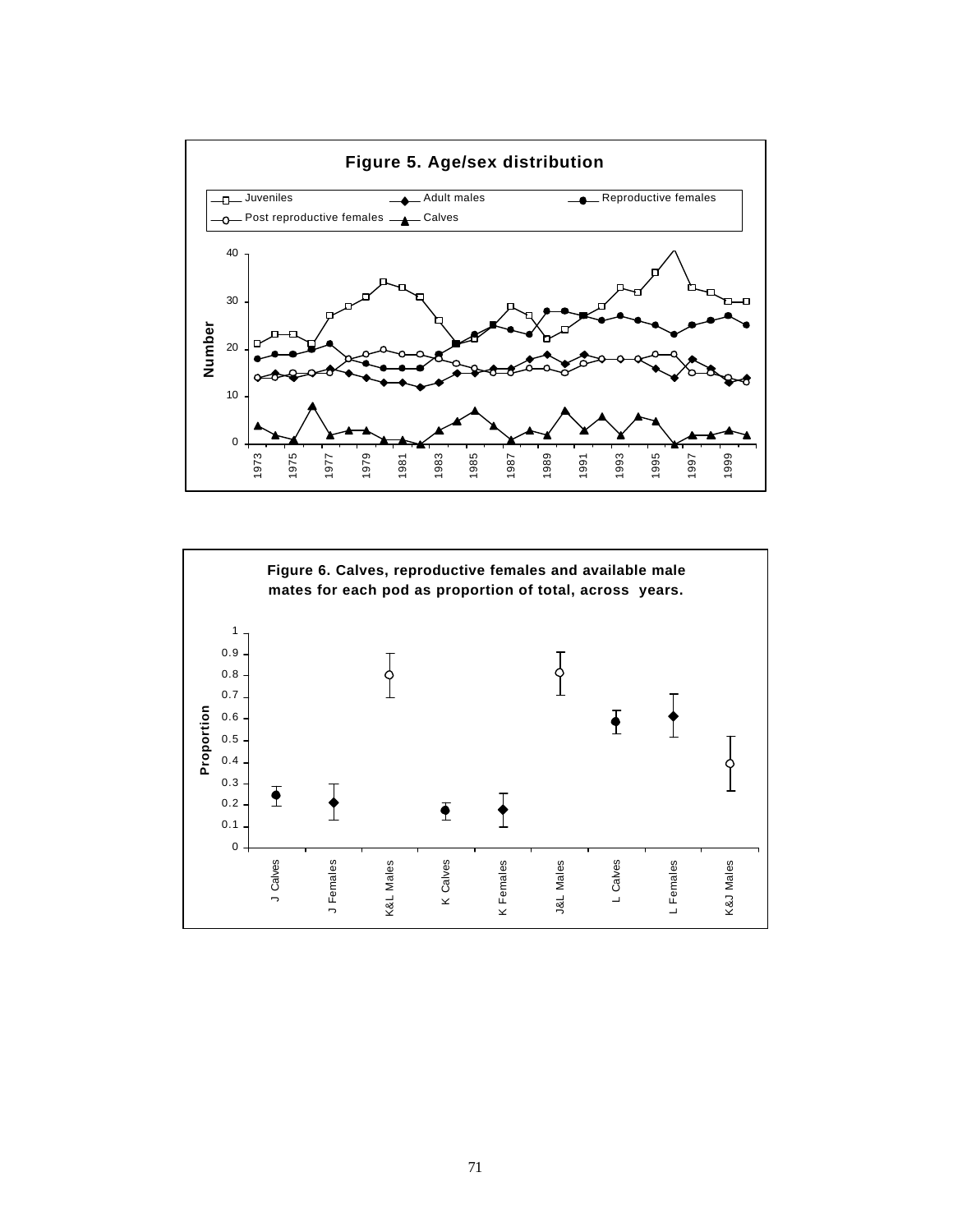

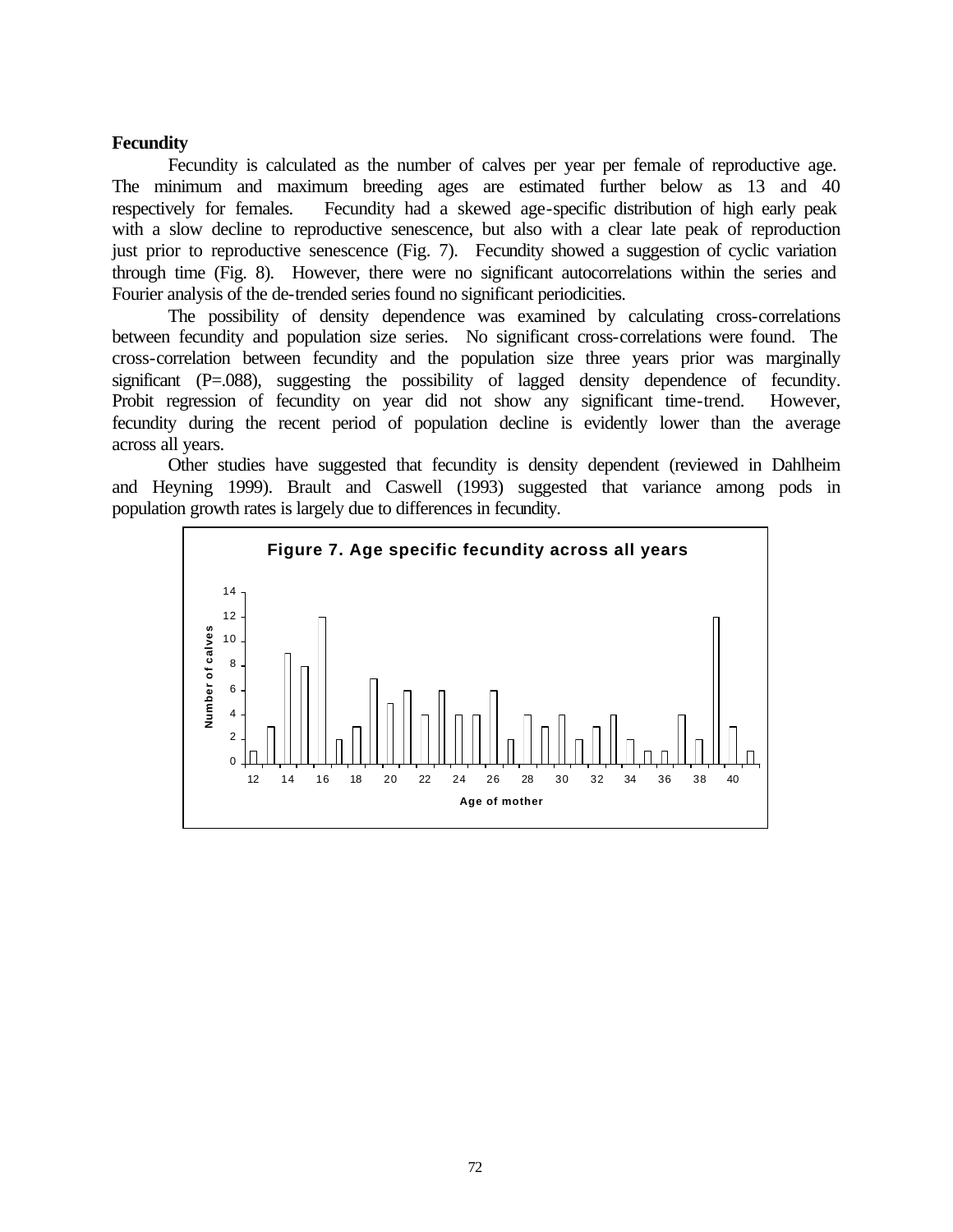## **Fecundity**

Fecundity is calculated as the number of calves per year per female of reproductive age. The minimum and maximum breeding ages are estimated further below as 13 and 40 respectively for females. Fecundity had a skewed age-specific distribution of high early peak with a slow decline to reproductive senescence, but also with a clear late peak of reproduction just prior to reproductive senescence (Fig. 7). Fecundity showed a suggestion of cyclic variation through time (Fig. 8). However, there were no significant autocorrelations within the series and Fourier analysis of the de-trended series found no significant periodicities.

The possibility of density dependence was examined by calculating cross-correlations between fecundity and population size series. No significant cross-correlations were found. The cross-correlation between fecundity and the population size three years prior was marginally significant (P=.088), suggesting the possibility of lagged density dependence of fecundity. Probit regression of fecundity on year did not show any significant time-trend. However, fecundity during the recent period of population decline is evidently lower than the average across all years.

Other studies have suggested that fecundity is density dependent (reviewed in Dahlheim and Heyning 1999). Brault and Caswell (1993) suggested that variance among pods in population growth rates is largely due to differences in fecundity.

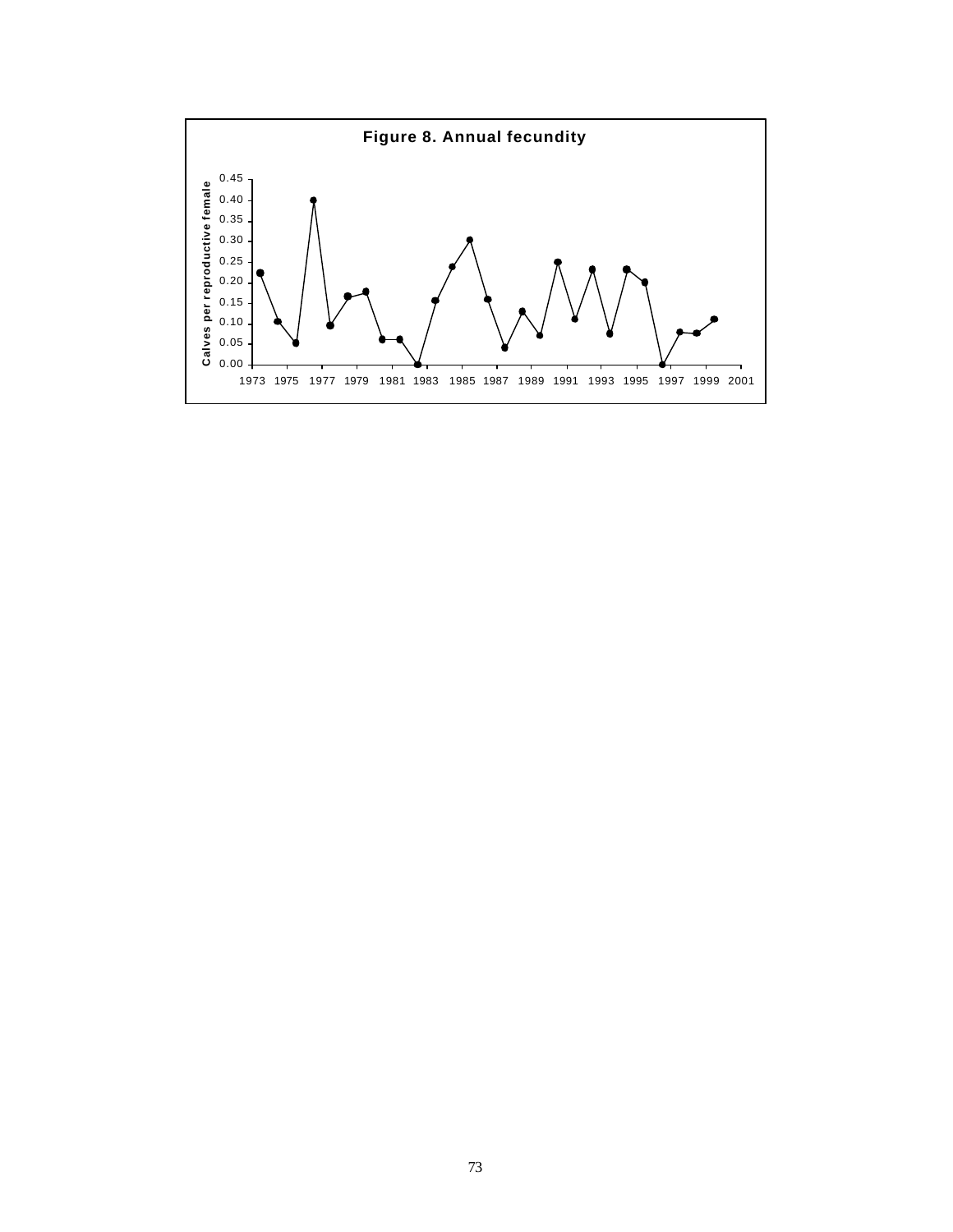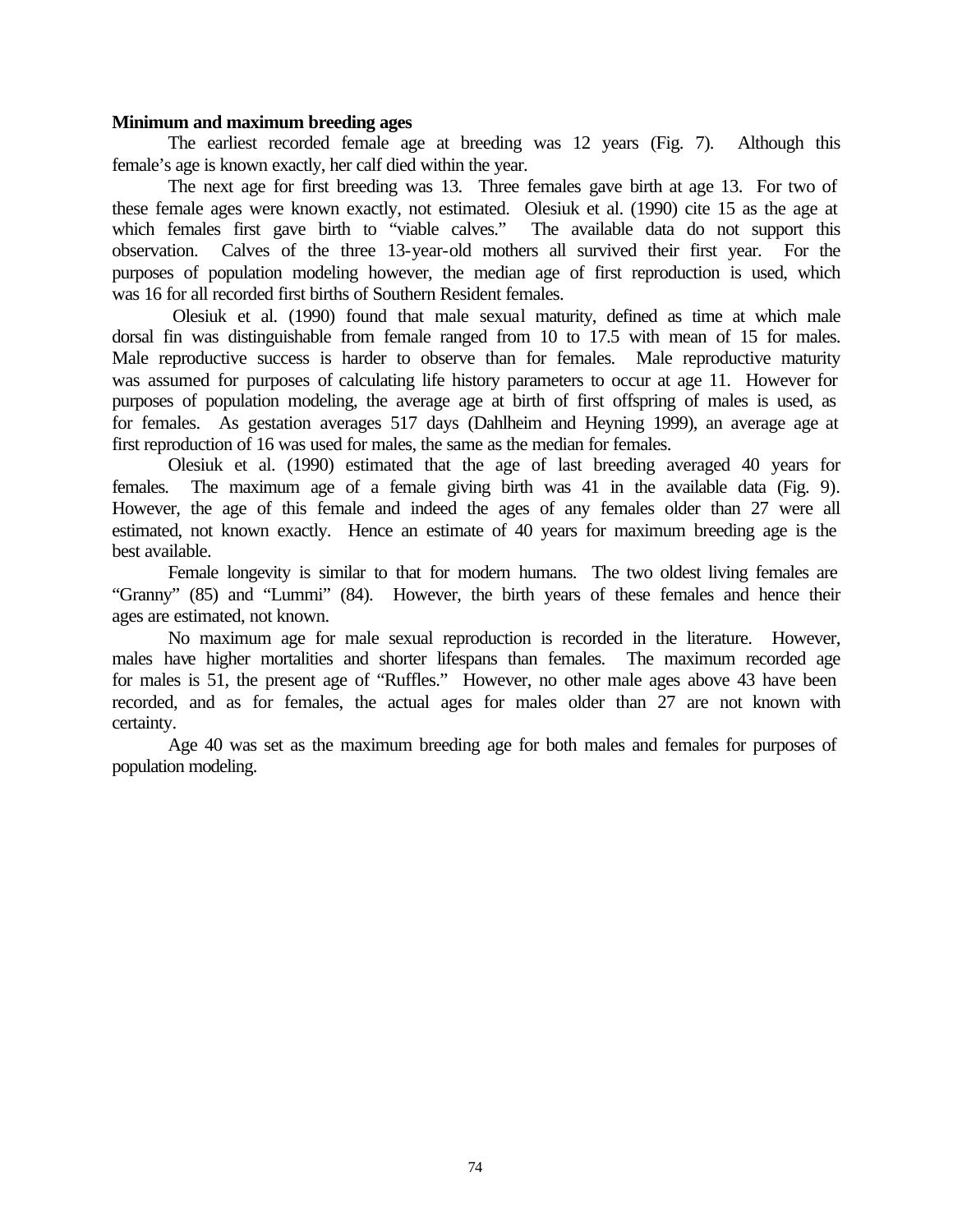#### **Minimum and maximum breeding ages**

The earliest recorded female age at breeding was 12 years (Fig. 7). Although this female's age is known exactly, her calf died within the year.

The next age for first breeding was 13. Three females gave birth at age 13. For two of these female ages were known exactly, not estimated. Olesiuk et al. (1990) cite 15 as the age at which females first gave birth to "viable calves." The available data do not support this observation. Calves of the three 13-year-old mothers all survived their first year. For the purposes of population modeling however, the median age of first reproduction is used, which was 16 for all recorded first births of Southern Resident females.

 Olesiuk et al. (1990) found that male sexual maturity, defined as time at which male dorsal fin was distinguishable from female ranged from 10 to 17.5 with mean of 15 for males. Male reproductive success is harder to observe than for females. Male reproductive maturity was assumed for purposes of calculating life history parameters to occur at age 11. However for purposes of population modeling, the average age at birth of first offspring of males is used, as for females. As gestation averages 517 days (Dahlheim and Heyning 1999), an average age at first reproduction of 16 was used for males, the same as the median for females.

Olesiuk et al. (1990) estimated that the age of last breeding averaged 40 years for females. The maximum age of a female giving birth was 41 in the available data (Fig. 9). However, the age of this female and indeed the ages of any females older than 27 were all estimated, not known exactly. Hence an estimate of 40 years for maximum breeding age is the best available.

Female longevity is similar to that for modern humans. The two oldest living females are "Granny" (85) and "Lummi" (84). However, the birth years of these females and hence their ages are estimated, not known.

No maximum age for male sexual reproduction is recorded in the literature. However, males have higher mortalities and shorter lifespans than females. The maximum recorded age for males is 51, the present age of "Ruffles." However, no other male ages above 43 have been recorded, and as for females, the actual ages for males older than 27 are not known with certainty.

Age 40 was set as the maximum breeding age for both males and females for purposes of population modeling.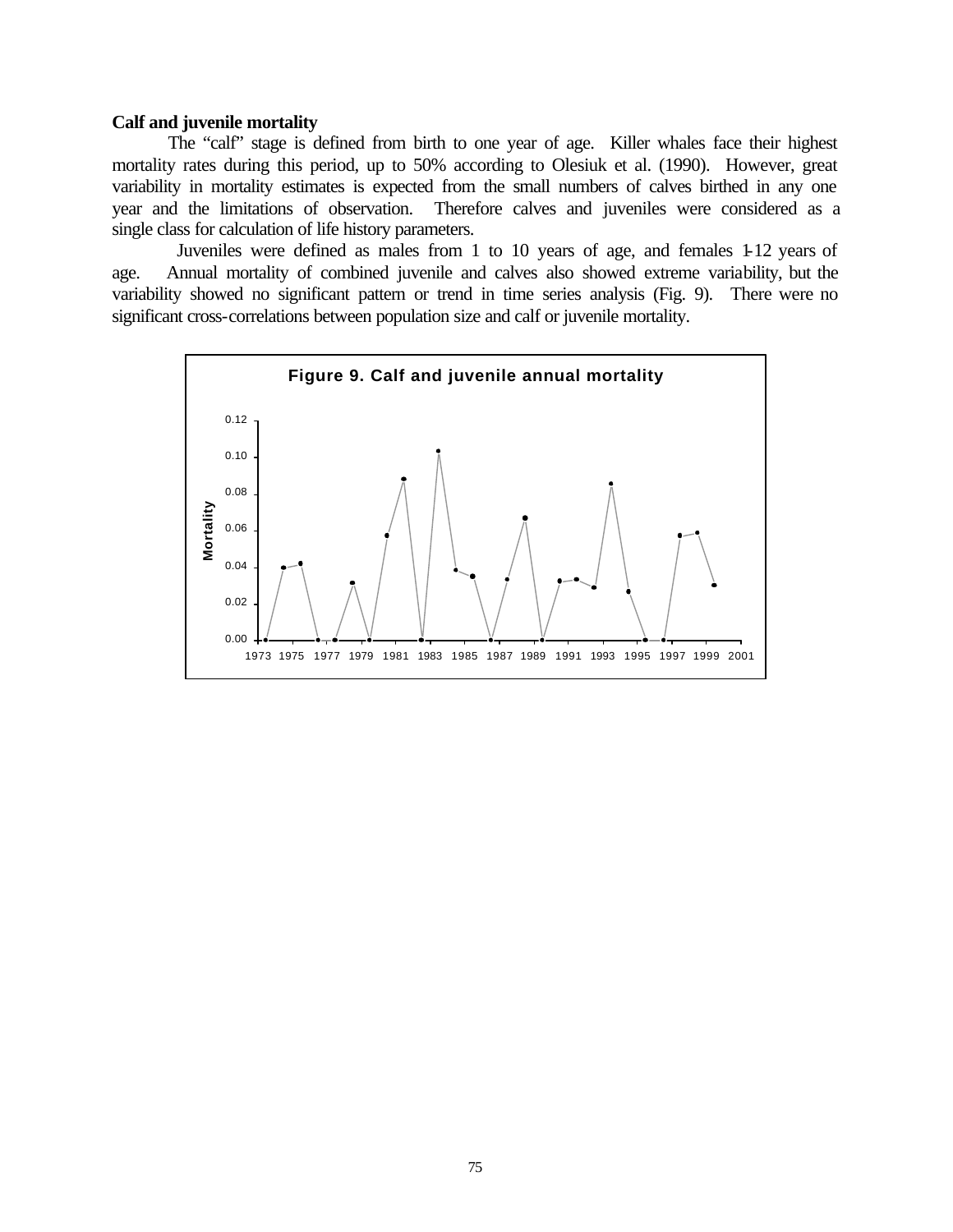#### **Calf and juvenile mortality**

The "calf" stage is defined from birth to one year of age. Killer whales face their highest mortality rates during this period, up to 50% according to Olesiuk et al. (1990). However, great variability in mortality estimates is expected from the small numbers of calves birthed in any one year and the limitations of observation. Therefore calves and juveniles were considered as a single class for calculation of life history parameters.

 Juveniles were defined as males from 1 to 10 years of age, and females 1-12 years of age. Annual mortality of combined juvenile and calves also showed extreme variability, but the variability showed no significant pattern or trend in time series analysis (Fig. 9). There were no significant cross-correlations between population size and calf or juvenile mortality.

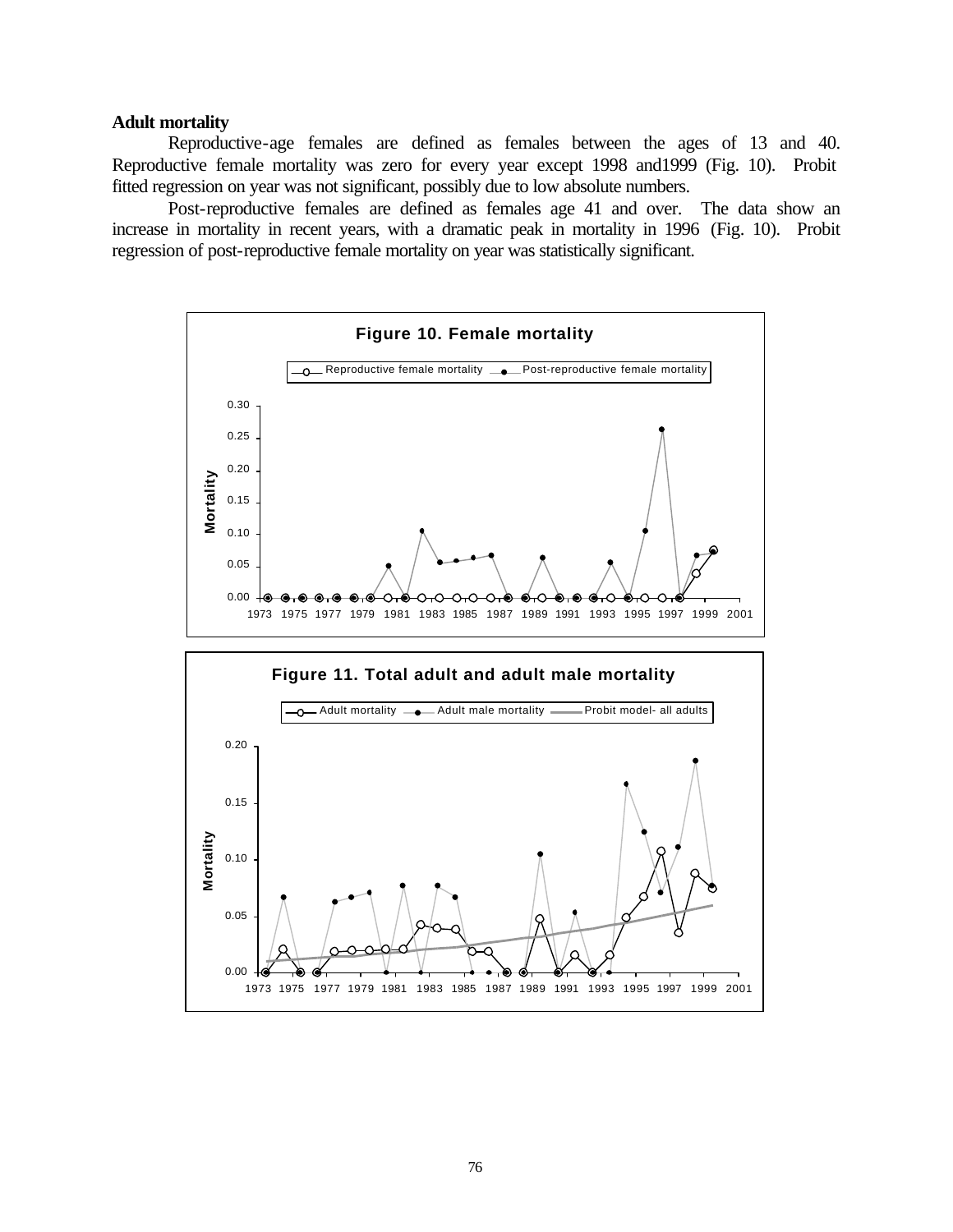#### **Adult mortality**

Reproductive-age females are defined as females between the ages of 13 and 40. Reproductive female mortality was zero for every year except 1998 and1999 (Fig. 10). Probit fitted regression on year was not significant, possibly due to low absolute numbers.

Post-reproductive females are defined as females age 41 and over. The data show an increase in mortality in recent years, with a dramatic peak in mortality in 1996 (Fig. 10). Probit regression of post-reproductive female mortality on year was statistically significant.

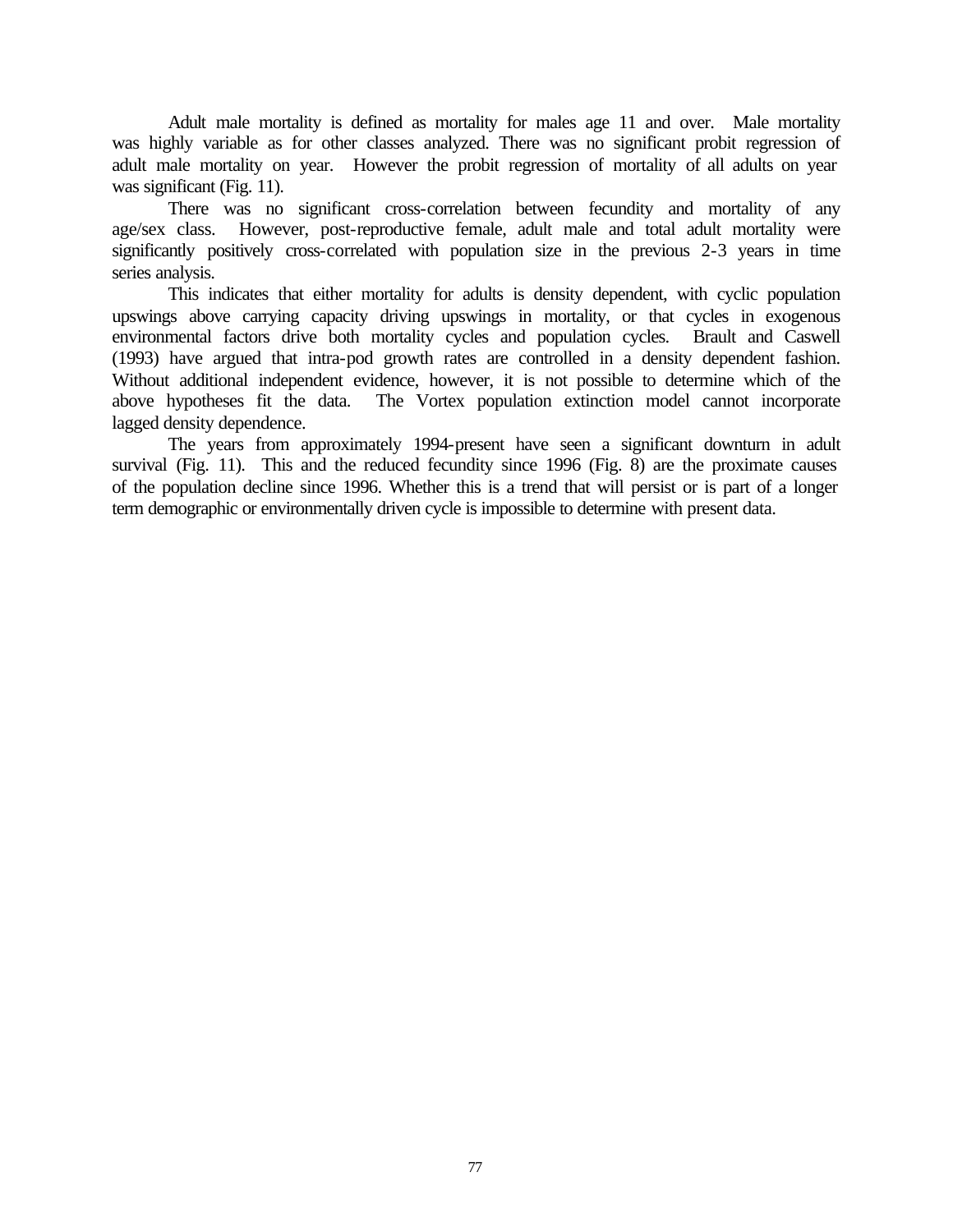Adult male mortality is defined as mortality for males age 11 and over. Male mortality was highly variable as for other classes analyzed. There was no significant probit regression of adult male mortality on year. However the probit regression of mortality of all adults on year was significant (Fig. 11).

There was no significant cross-correlation between fecundity and mortality of any age/sex class. However, post-reproductive female, adult male and total adult mortality were significantly positively cross-correlated with population size in the previous 2-3 years in time series analysis.

This indicates that either mortality for adults is density dependent, with cyclic population upswings above carrying capacity driving upswings in mortality, or that cycles in exogenous environmental factors drive both mortality cycles and population cycles. Brault and Caswell (1993) have argued that intra-pod growth rates are controlled in a density dependent fashion. Without additional independent evidence, however, it is not possible to determine which of the above hypotheses fit the data. The Vortex population extinction model cannot incorporate lagged density dependence.

The years from approximately 1994-present have seen a significant downturn in adult survival (Fig. 11). This and the reduced fecundity since 1996 (Fig. 8) are the proximate causes of the population decline since 1996. Whether this is a trend that will persist or is part of a longer term demographic or environmentally driven cycle is impossible to determine with present data.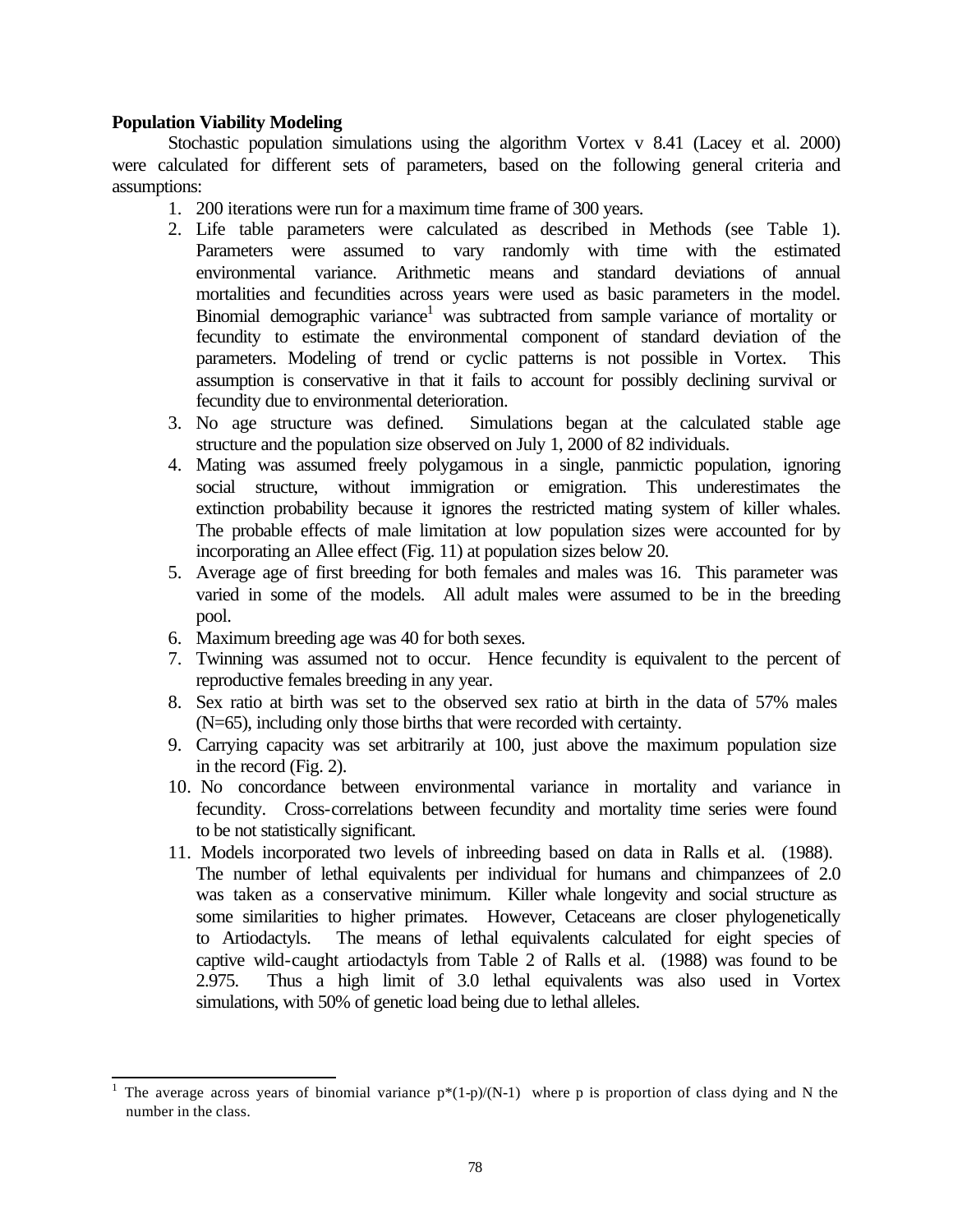# **Population Viability Modeling**

l

Stochastic population simulations using the algorithm Vortex v 8.41 (Lacey et al. 2000) were calculated for different sets of parameters, based on the following general criteria and assumptions:

- 1. 200 iterations were run for a maximum time frame of 300 years.
- 2. Life table parameters were calculated as described in Methods (see Table 1). Parameters were assumed to vary randomly with time with the estimated environmental variance. Arithmetic means and standard deviations of annual mortalities and fecundities across years were used as basic parameters in the model. Binomial demographic variance<sup>1</sup> was subtracted from sample variance of mortality or fecundity to estimate the environmental component of standard deviation of the parameters. Modeling of trend or cyclic patterns is not possible in Vortex. This assumption is conservative in that it fails to account for possibly declining survival or fecundity due to environmental deterioration.
- 3. No age structure was defined. Simulations began at the calculated stable age structure and the population size observed on July 1, 2000 of 82 individuals.
- 4. Mating was assumed freely polygamous in a single, panmictic population, ignoring social structure, without immigration or emigration. This underestimates the extinction probability because it ignores the restricted mating system of killer whales. The probable effects of male limitation at low population sizes were accounted for by incorporating an Allee effect (Fig. 11) at population sizes below 20.
- 5. Average age of first breeding for both females and males was 16. This parameter was varied in some of the models. All adult males were assumed to be in the breeding pool.
- 6. Maximum breeding age was 40 for both sexes.
- 7. Twinning was assumed not to occur. Hence fecundity is equivalent to the percent of reproductive females breeding in any year.
- 8. Sex ratio at birth was set to the observed sex ratio at birth in the data of 57% males (N=65), including only those births that were recorded with certainty.
- 9. Carrying capacity was set arbitrarily at 100, just above the maximum population size in the record (Fig. 2).
- 10. No concordance between environmental variance in mortality and variance in fecundity. Cross-correlations between fecundity and mortality time series were found to be not statistically significant.
- 11. Models incorporated two levels of inbreeding based on data in Ralls et al. (1988). The number of lethal equivalents per individual for humans and chimpanzees of 2.0 was taken as a conservative minimum. Killer whale longevity and social structure as some similarities to higher primates. However, Cetaceans are closer phylogenetically to Artiodactyls. The means of lethal equivalents calculated for eight species of captive wild-caught artiodactyls from Table 2 of Ralls et al. (1988) was found to be 2.975. Thus a high limit of 3.0 lethal equivalents was also used in Vortex simulations, with 50% of genetic load being due to lethal alleles.

<sup>1</sup> The average across years of binomial variance  $p*(1-p)/(N-1)$  where p is proportion of class dying and N the number in the class.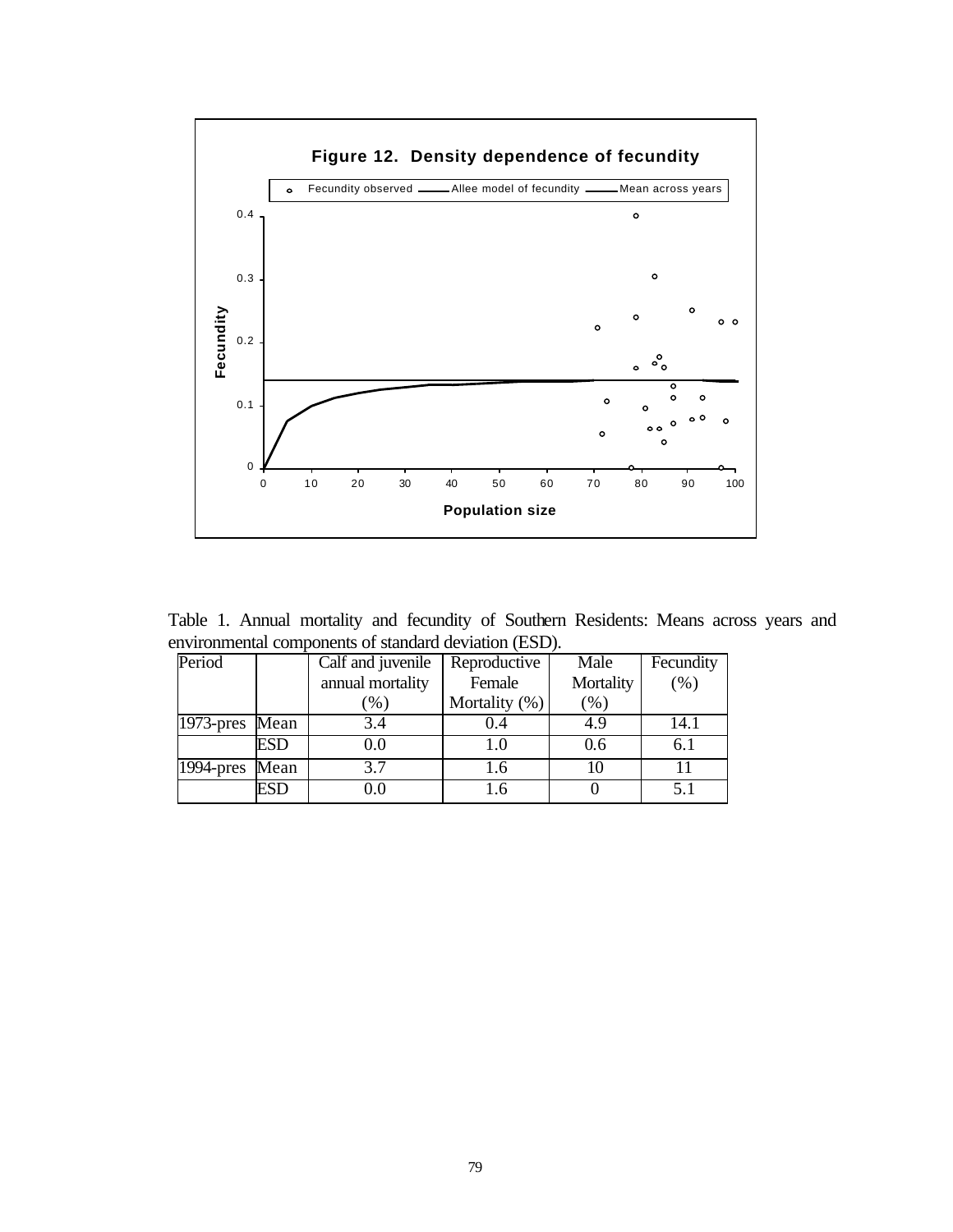

Table 1. Annual mortality and fecundity of Southern Residents: Means across years and environmental components of standard deviation (ESD).

| Period         |      | Calf and juvenile          | Reproductive  | Male      | Fecundity |
|----------------|------|----------------------------|---------------|-----------|-----------|
|                |      | annual mortality<br>Female |               | Mortality | (% )      |
|                |      | $\left[ \% \right]$        | Mortality (%) | $(\%)$    |           |
| 1973-pres Mean |      | 3.4                        |               | 4.9       | 14.1      |
|                | ESD  | 0.0                        | 1.0           | 0.6       | 6.1       |
| $1994$ -pres   | Mean | 3.7                        | 1.6           | 10        | 11        |
|                | ESD  | 0.0                        |               |           | 5.1       |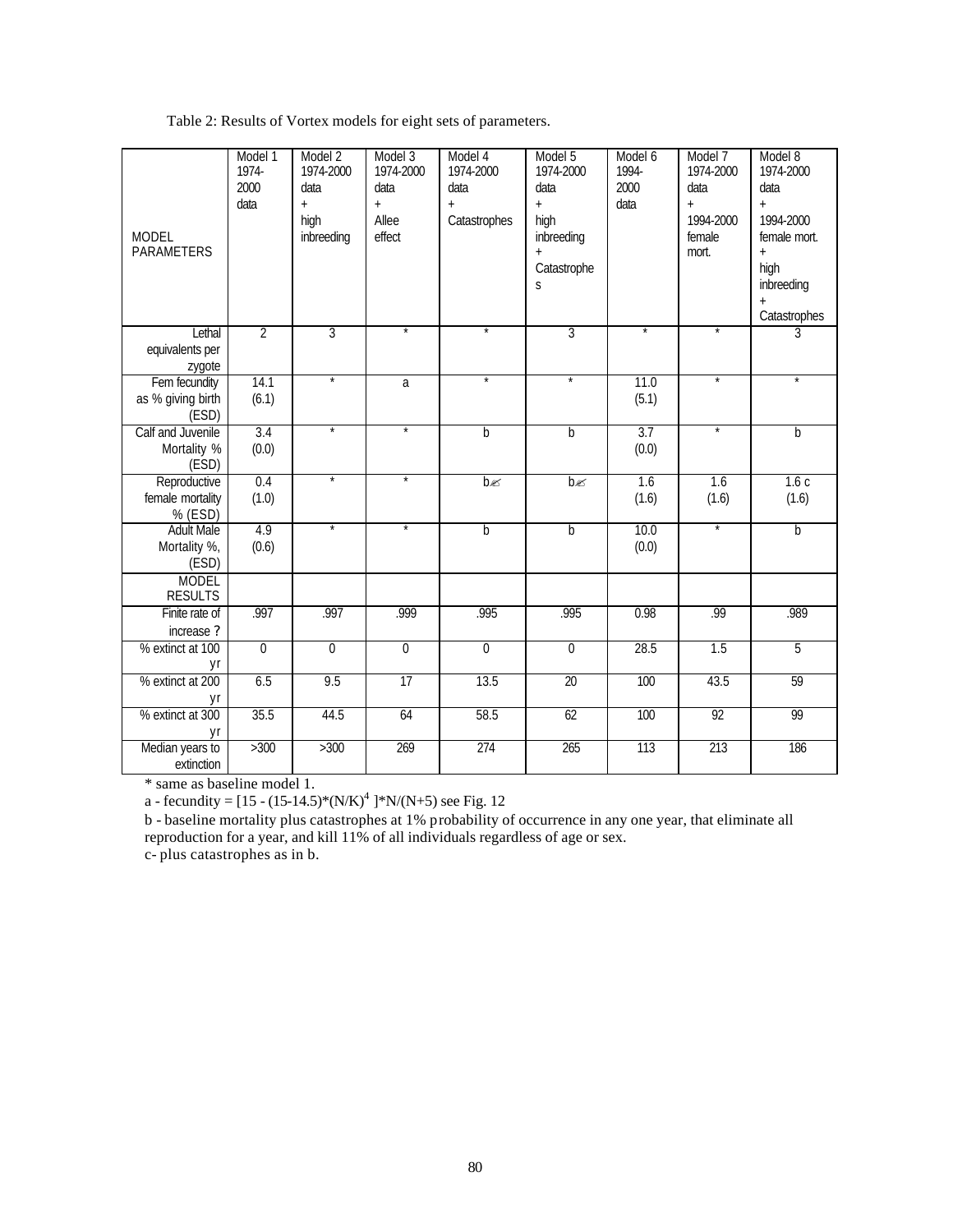Table 2: Results of Vortex models for eight sets of parameters.

| <b>MODEL</b><br>PARAMETERS                                 | Model 1<br>1974-<br>2000<br>data | Model 2<br>1974-2000<br>data<br>$\ddot{}$<br>high<br>inbreeding | Model 3<br>1974-2000<br>data<br>$\ddot{+}$<br>Allee<br>effect | Model 4<br>1974-2000<br>data<br>$\ddot{}$<br>Catastrophes | Model 5<br>1974-2000<br>data<br>$\ddot{+}$<br>high<br>inbreeding<br>$\ddot{}$<br>Catastrophe<br>S | Model 6<br>1994-<br>2000<br>data | Model 7<br>1974-2000<br>data<br>$\ddot{+}$<br>1994-2000<br>female<br>mort. | Model 8<br>1974-2000<br>data<br>$\ddot{+}$<br>1994-2000<br>female mort.<br>$\ddot{+}$<br>high<br>inbreeding<br>$\ddot{}$<br>Catastrophes |
|------------------------------------------------------------|----------------------------------|-----------------------------------------------------------------|---------------------------------------------------------------|-----------------------------------------------------------|---------------------------------------------------------------------------------------------------|----------------------------------|----------------------------------------------------------------------------|------------------------------------------------------------------------------------------------------------------------------------------|
| Lethal<br>equivalents per<br>zygote                        | $\overline{2}$                   | 3                                                               |                                                               | $^\star$                                                  | 3                                                                                                 |                                  | $\star$                                                                    | $\overline{3}$                                                                                                                           |
| Fem fecundity<br>as % giving birth<br>(ESD)                | 14.1<br>(6.1)                    | $\star$                                                         | a                                                             | $^\star$                                                  |                                                                                                   | 11.0<br>(5.1)                    | $^\star$                                                                   |                                                                                                                                          |
| Calf and Juvenile<br>Mortality %<br>(ESD)                  | 3.4<br>(0.0)                     | $\star$                                                         | $\star$                                                       | b                                                         | þ                                                                                                 | 3.7<br>(0.0)                     | $^\star$                                                                   | $\mathsf b$                                                                                                                              |
| Reproductive<br>female mortality<br>% (ESD)                | 0.4<br>(1.0)                     | $\star$                                                         | *                                                             | $b \ll $                                                  | bg                                                                                                | 1.6<br>(1.6)                     | 1.6<br>(1.6)                                                               | 1.6c<br>(1.6)                                                                                                                            |
| <b>Adult Male</b><br>Mortality %,<br>(ESD)<br><b>MODEL</b> | 4.9<br>(0.6)                     | $^{\star}$                                                      | $\star$                                                       | b                                                         | b                                                                                                 | 10.0<br>(0.0)                    | $\star$                                                                    | b                                                                                                                                        |
| <b>RESULTS</b>                                             |                                  |                                                                 |                                                               |                                                           |                                                                                                   |                                  |                                                                            |                                                                                                                                          |
| Finite rate of<br>increase ?                               | .997                             | .997                                                            | .999                                                          | .995                                                      | .995                                                                                              | 0.98                             | .99                                                                        | .989                                                                                                                                     |
| % extinct at 100<br>yr                                     | $\overline{0}$                   | 0                                                               | $\overline{0}$                                                | $\overline{0}$                                            | 0                                                                                                 | 28.5                             | 1.5                                                                        | 5                                                                                                                                        |
| % extinct at 200<br>yr                                     | 6.5                              | 9.5                                                             | 17                                                            | 13.5                                                      | 20                                                                                                | 100                              | 43.5                                                                       | 59                                                                                                                                       |
| % extinct at 300<br>yr                                     | 35.5                             | 44.5                                                            | 64                                                            | 58.5                                                      | 62                                                                                                | 100                              | 92                                                                         | 99                                                                                                                                       |
| Median years to<br>extinction                              | >300                             | >300                                                            | 269                                                           | 274                                                       | 265                                                                                               | 113                              | 213                                                                        | 186                                                                                                                                      |

\* same as baseline model 1.

a - fecundity =  $[15 - (15{\text -}14.5)^*(N/K)^4]$   $*N/(N+5)$  see Fig. 12

b - baseline mortality plus catastrophes at 1% probability of occurrence in any one year, that eliminate all reproduction for a year, and kill 11% of all individuals regardless of age or sex.

c- plus catastrophes as in b.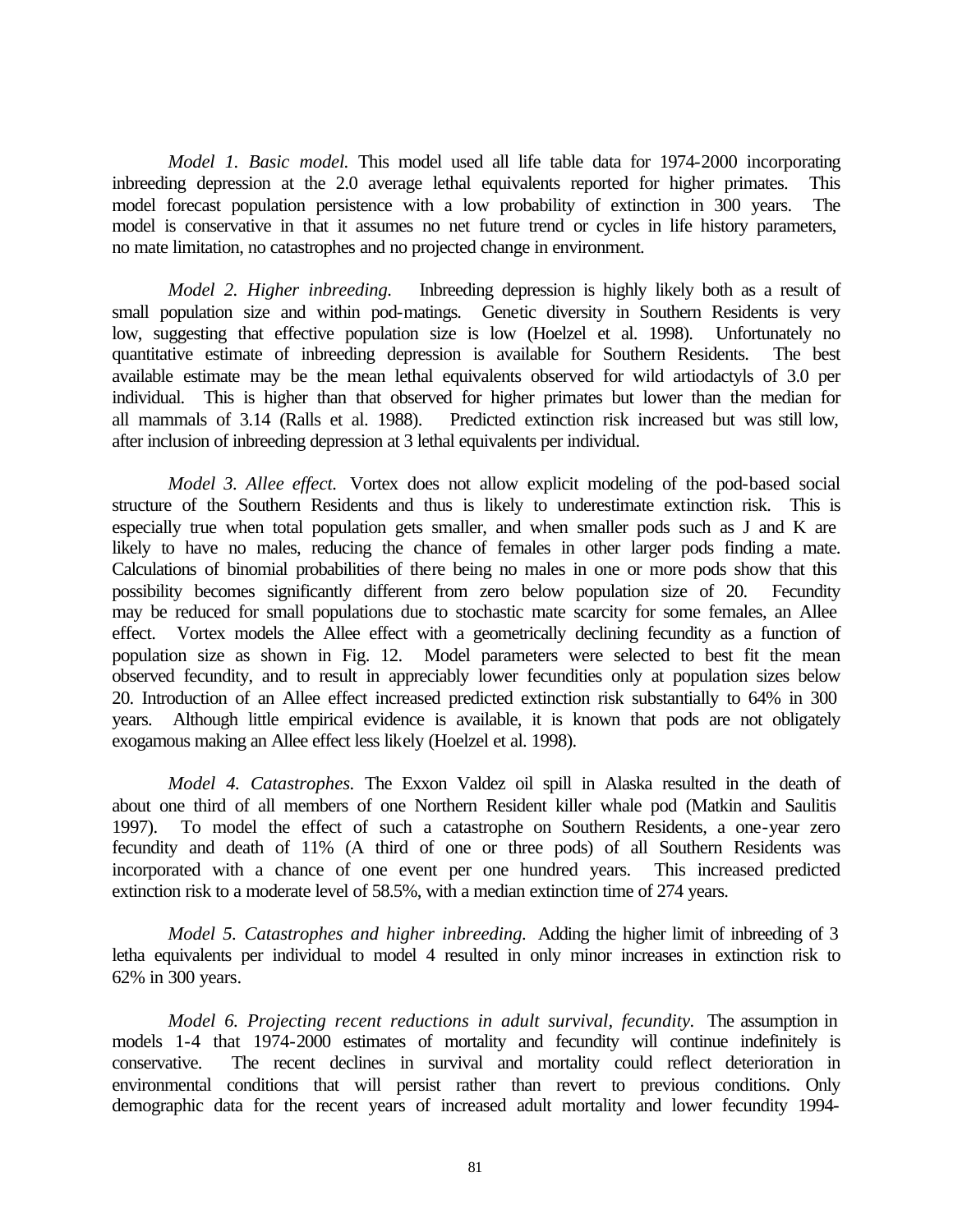*Model 1. Basic model.* This model used all life table data for 1974-2000 incorporating inbreeding depression at the 2.0 average lethal equivalents reported for higher primates. This model forecast population persistence with a low probability of extinction in 300 years. The model is conservative in that it assumes no net future trend or cycles in life history parameters, no mate limitation, no catastrophes and no projected change in environment.

*Model 2. Higher inbreeding.* Inbreeding depression is highly likely both as a result of small population size and within pod-matings. Genetic diversity in Southern Residents is very low, suggesting that effective population size is low (Hoelzel et al. 1998). Unfortunately no quantitative estimate of inbreeding depression is available for Southern Residents. The best available estimate may be the mean lethal equivalents observed for wild artiodactyls of 3.0 per individual. This is higher than that observed for higher primates but lower than the median for all mammals of 3.14 (Ralls et al. 1988). Predicted extinction risk increased but was still low, after inclusion of inbreeding depression at 3 lethal equivalents per individual.

*Model 3. Allee effect.* Vortex does not allow explicit modeling of the pod-based social structure of the Southern Residents and thus is likely to underestimate extinction risk. This is especially true when total population gets smaller, and when smaller pods such as J and K are likely to have no males, reducing the chance of females in other larger pods finding a mate. Calculations of binomial probabilities of there being no males in one or more pods show that this possibility becomes significantly different from zero below population size of 20. Fecundity may be reduced for small populations due to stochastic mate scarcity for some females, an Allee effect. Vortex models the Allee effect with a geometrically declining fecundity as a function of population size as shown in Fig. 12. Model parameters were selected to best fit the mean observed fecundity, and to result in appreciably lower fecundities only at population sizes below 20. Introduction of an Allee effect increased predicted extinction risk substantially to 64% in 300 years. Although little empirical evidence is available, it is known that pods are not obligately exogamous making an Allee effect less likely (Hoelzel et al. 1998).

*Model 4. Catastrophes.* The Exxon Valdez oil spill in Alaska resulted in the death of about one third of all members of one Northern Resident killer whale pod (Matkin and Saulitis 1997). To model the effect of such a catastrophe on Southern Residents, a one-year zero fecundity and death of 11% (A third of one or three pods) of all Southern Residents was incorporated with a chance of one event per one hundred years. This increased predicted extinction risk to a moderate level of 58.5%, with a median extinction time of 274 years.

*Model 5. Catastrophes and higher inbreeding.* Adding the higher limit of inbreeding of 3 letha equivalents per individual to model 4 resulted in only minor increases in extinction risk to 62% in 300 years.

*Model 6. Projecting recent reductions in adult survival, fecundity.* The assumption in models 1-4 that 1974-2000 estimates of mortality and fecundity will continue indefinitely is conservative. The recent declines in survival and mortality could reflect deterioration in environmental conditions that will persist rather than revert to previous conditions. Only demographic data for the recent years of increased adult mortality and lower fecundity 1994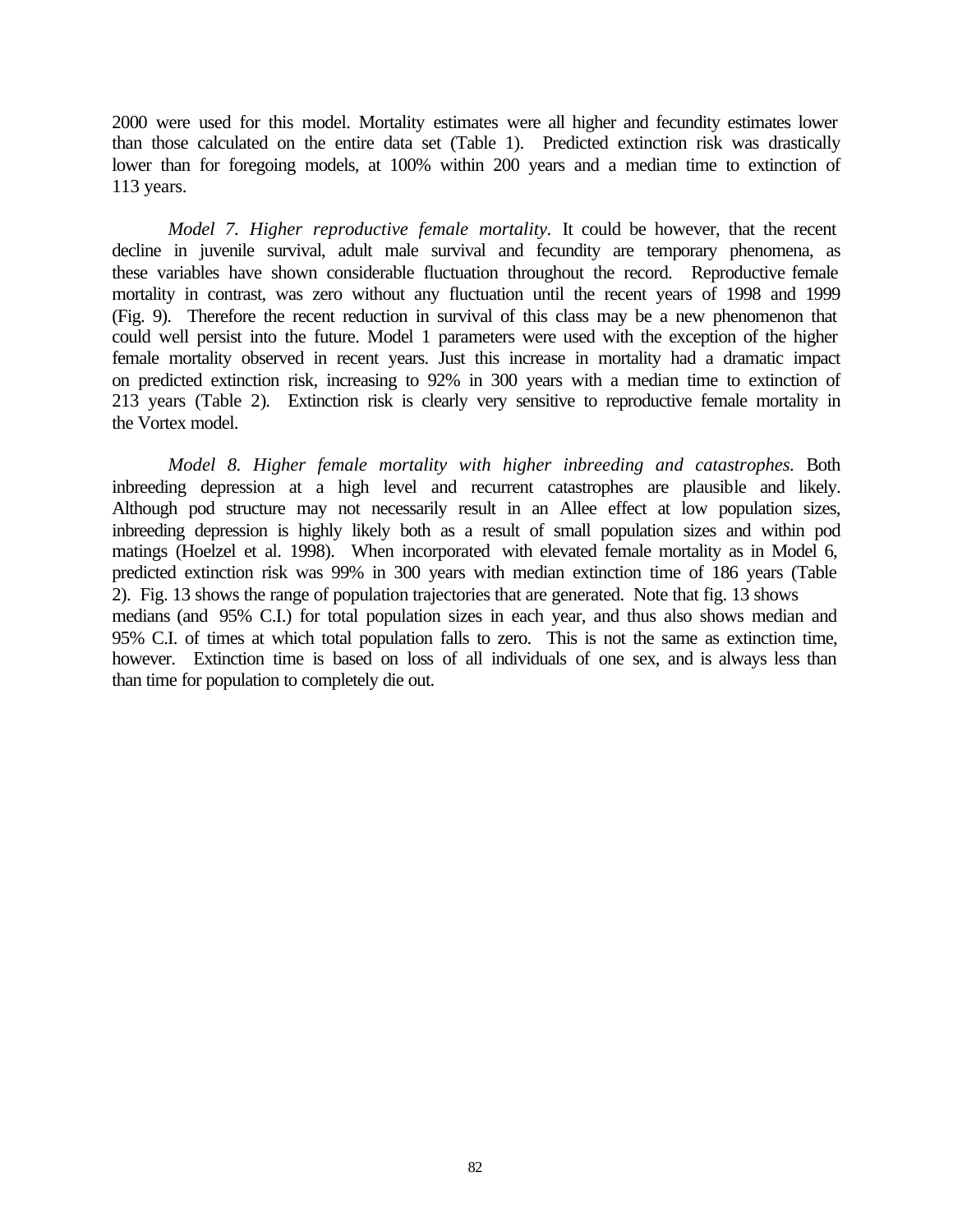2000 were used for this model. Mortality estimates were all higher and fecundity estimates lower than those calculated on the entire data set (Table 1). Predicted extinction risk was drastically lower than for foregoing models, at 100% within 200 years and a median time to extinction of 113 years.

*Model 7. Higher reproductive female mortality.* It could be however, that the recent decline in juvenile survival, adult male survival and fecundity are temporary phenomena, as these variables have shown considerable fluctuation throughout the record. Reproductive female mortality in contrast, was zero without any fluctuation until the recent years of 1998 and 1999 (Fig. 9). Therefore the recent reduction in survival of this class may be a new phenomenon that could well persist into the future. Model 1 parameters were used with the exception of the higher female mortality observed in recent years. Just this increase in mortality had a dramatic impact on predicted extinction risk, increasing to 92% in 300 years with a median time to extinction of 213 years (Table 2). Extinction risk is clearly very sensitive to reproductive female mortality in the Vortex model.

*Model 8. Higher female mortality with higher inbreeding and catastrophes.* Both inbreeding depression at a high level and recurrent catastrophes are plausible and likely. Although pod structure may not necessarily result in an Allee effect at low population sizes, inbreeding depression is highly likely both as a result of small population sizes and within pod matings (Hoelzel et al. 1998). When incorporated with elevated female mortality as in Model 6, predicted extinction risk was 99% in 300 years with median extinction time of 186 years (Table 2). Fig. 13 shows the range of population trajectories that are generated. Note that fig. 13 shows medians (and 95% C.I.) for total population sizes in each year, and thus also shows median and 95% C.I. of times at which total population falls to zero. This is not the same as extinction time, however. Extinction time is based on loss of all individuals of one sex, and is always less than than time for population to completely die out.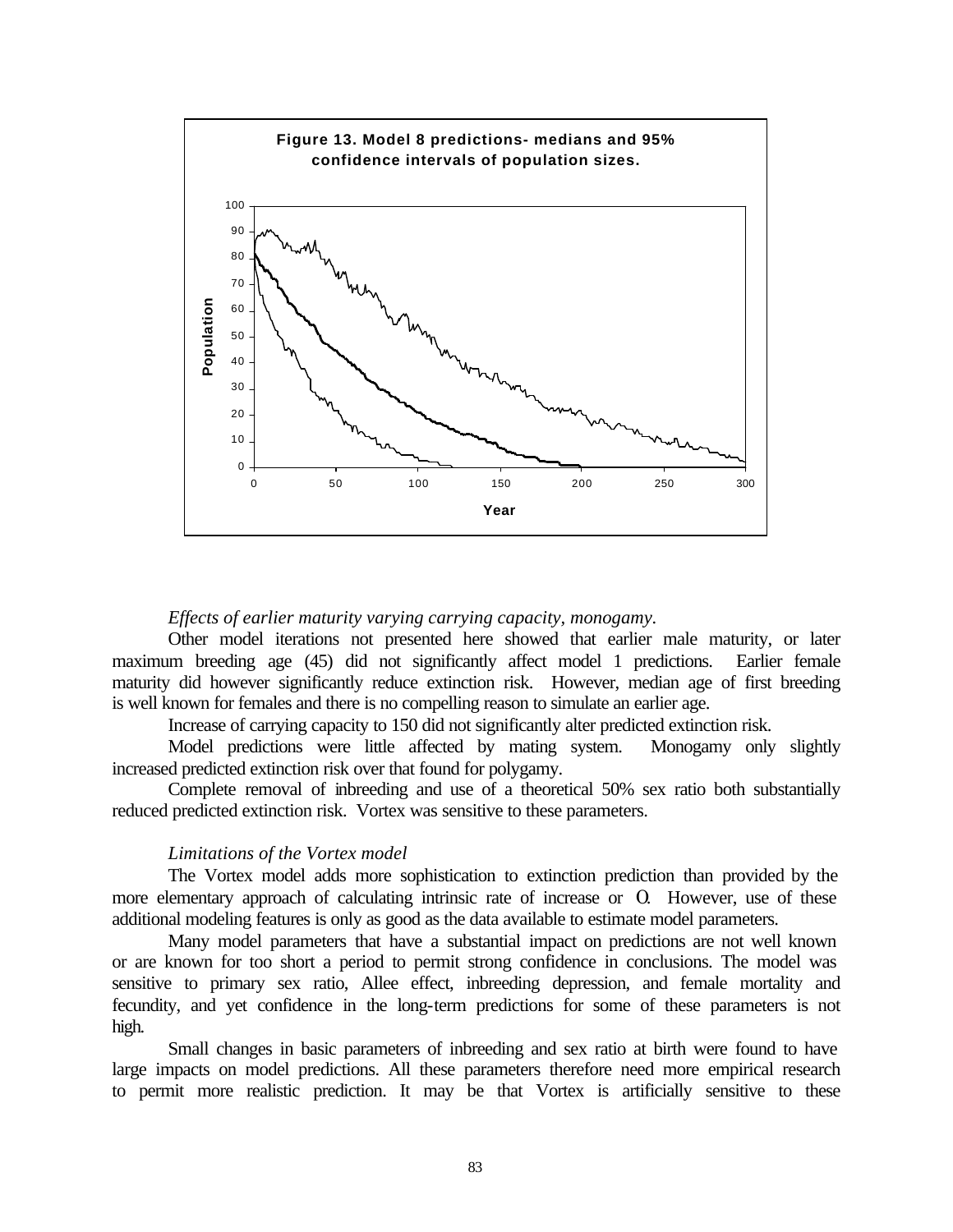

### *Effects of earlier maturity varying carrying capacity, monogamy.*

Other model iterations not presented here showed that earlier male maturity, or later maximum breeding age (45) did not significantly affect model 1 predictions. Earlier female maturity did however significantly reduce extinction risk. However, median age of first breeding is well known for females and there is no compelling reason to simulate an earlier age.

Increase of carrying capacity to 150 did not significantly alter predicted extinction risk.

Model predictions were little affected by mating system. Monogamy only slightly increased predicted extinction risk over that found for polygamy.

Complete removal of inbreeding and use of a theoretical 50% sex ratio both substantially reduced predicted extinction risk. Vortex was sensitive to these parameters.

#### *Limitations of the Vortex model*

The Vortex model adds more sophistication to extinction prediction than provided by the more elementary approach of calculating intrinsic rate of increase or O. However, use of these additional modeling features is only as good as the data available to estimate model parameters.

Many model parameters that have a substantial impact on predictions are not well known or are known for too short a period to permit strong confidence in conclusions. The model was sensitive to primary sex ratio, Allee effect, inbreeding depression, and female mortality and fecundity, and yet confidence in the long-term predictions for some of these parameters is not high.

Small changes in basic parameters of inbreeding and sex ratio at birth were found to have large impacts on model predictions. All these parameters therefore need more empirical research to permit more realistic prediction. It may be that Vortex is artificially sensitive to these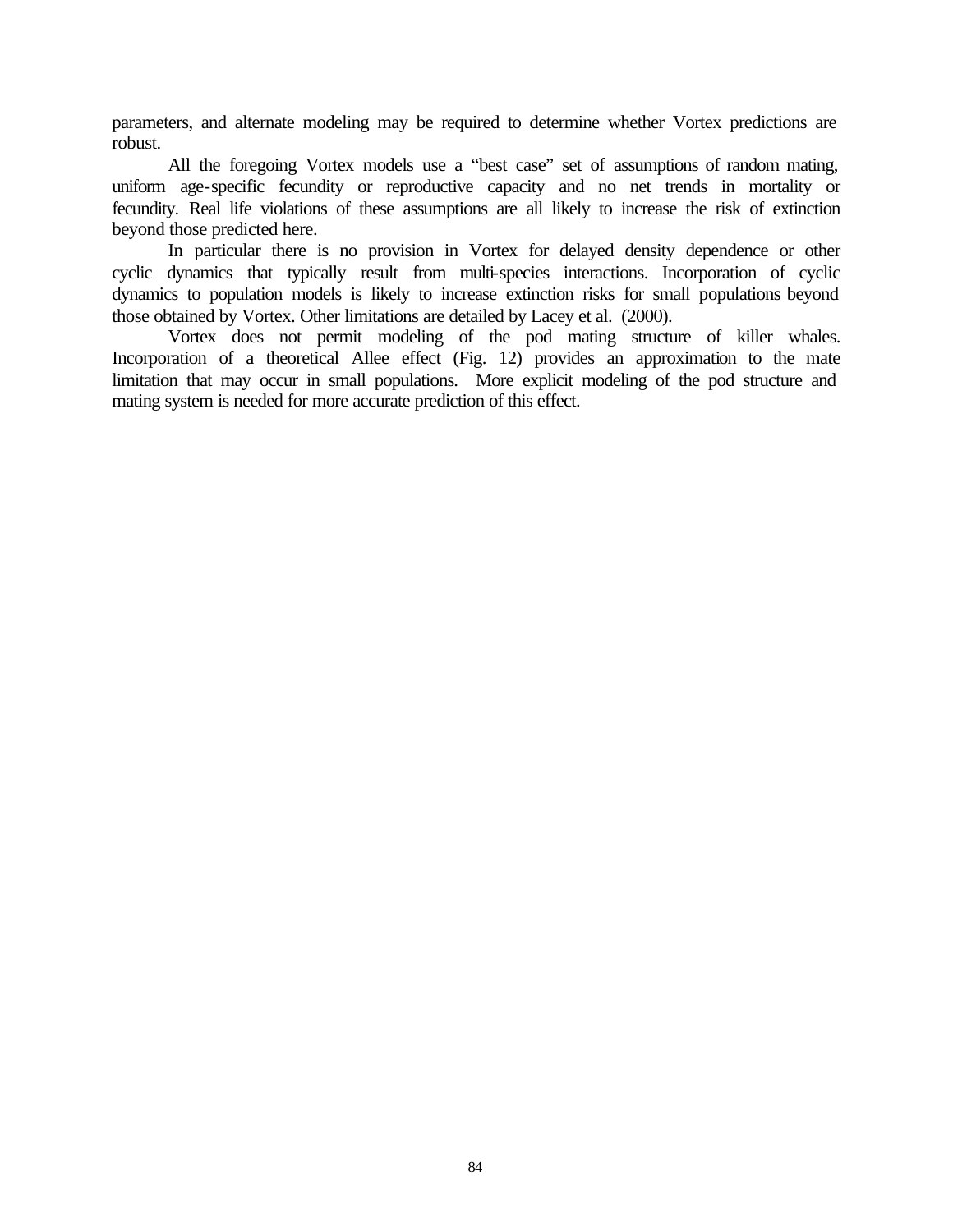parameters, and alternate modeling may be required to determine whether Vortex predictions are robust.

All the foregoing Vortex models use a "best case" set of assumptions of random mating, uniform age-specific fecundity or reproductive capacity and no net trends in mortality or fecundity. Real life violations of these assumptions are all likely to increase the risk of extinction beyond those predicted here.

In particular there is no provision in Vortex for delayed density dependence or other cyclic dynamics that typically result from multi-species interactions. Incorporation of cyclic dynamics to population models is likely to increase extinction risks for small populations beyond those obtained by Vortex. Other limitations are detailed by Lacey et al. (2000).

Vortex does not permit modeling of the pod mating structure of killer whales. Incorporation of a theoretical Allee effect (Fig. 12) provides an approximation to the mate limitation that may occur in small populations. More explicit modeling of the pod structure and mating system is needed for more accurate prediction of this effect.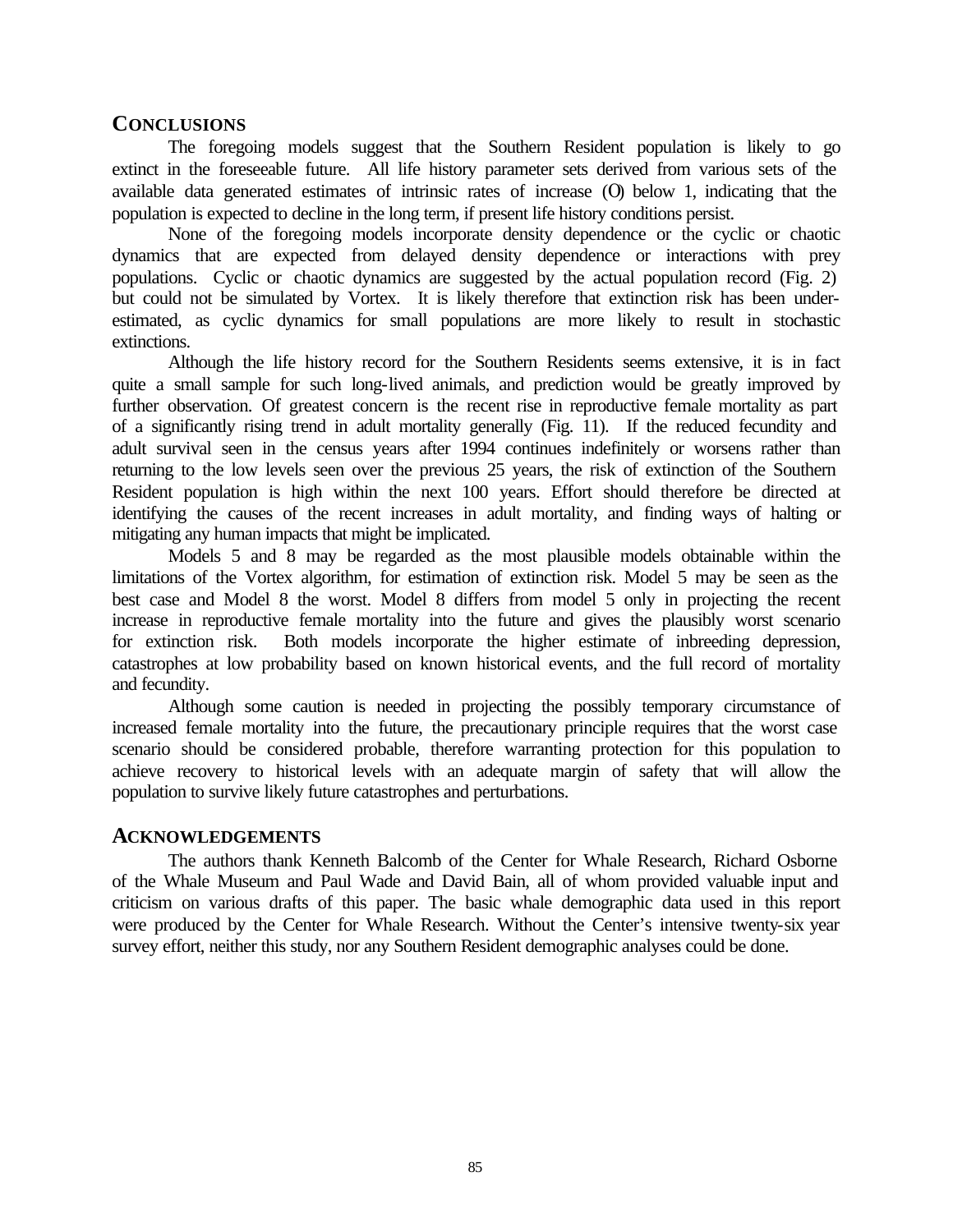# **CONCLUSIONS**

The foregoing models suggest that the Southern Resident population is likely to go extinct in the foreseeable future. All life history parameter sets derived from various sets of the available data generated estimates of intrinsic rates of increase  $(0)$  below 1, indicating that the population is expected to decline in the long term, if present life history conditions persist.

None of the foregoing models incorporate density dependence or the cyclic or chaotic dynamics that are expected from delayed density dependence or interactions with prey populations. Cyclic or chaotic dynamics are suggested by the actual population record (Fig. 2) but could not be simulated by Vortex. It is likely therefore that extinction risk has been underestimated, as cyclic dynamics for small populations are more likely to result in stochastic extinctions.

Although the life history record for the Southern Residents seems extensive, it is in fact quite a small sample for such long-lived animals, and prediction would be greatly improved by further observation. Of greatest concern is the recent rise in reproductive female mortality as part of a significantly rising trend in adult mortality generally (Fig. 11). If the reduced fecundity and adult survival seen in the census years after 1994 continues indefinitely or worsens rather than returning to the low levels seen over the previous 25 years, the risk of extinction of the Southern Resident population is high within the next 100 years. Effort should therefore be directed at identifying the causes of the recent increases in adult mortality, and finding ways of halting or mitigating any human impacts that might be implicated.

Models 5 and 8 may be regarded as the most plausible models obtainable within the limitations of the Vortex algorithm, for estimation of extinction risk. Model 5 may be seen as the best case and Model 8 the worst. Model 8 differs from model 5 only in projecting the recent increase in reproductive female mortality into the future and gives the plausibly worst scenario for extinction risk. Both models incorporate the higher estimate of inbreeding depression, catastrophes at low probability based on known historical events, and the full record of mortality and fecundity.

Although some caution is needed in projecting the possibly temporary circumstance of increased female mortality into the future, the precautionary principle requires that the worst case scenario should be considered probable, therefore warranting protection for this population to achieve recovery to historical levels with an adequate margin of safety that will allow the population to survive likely future catastrophes and perturbations.

# **ACKNOWLEDGEMENTS**

The authors thank Kenneth Balcomb of the Center for Whale Research, Richard Osborne of the Whale Museum and Paul Wade and David Bain, all of whom provided valuable input and criticism on various drafts of this paper. The basic whale demographic data used in this report were produced by the Center for Whale Research. Without the Center's intensive twenty-six year survey effort, neither this study, nor any Southern Resident demographic analyses could be done.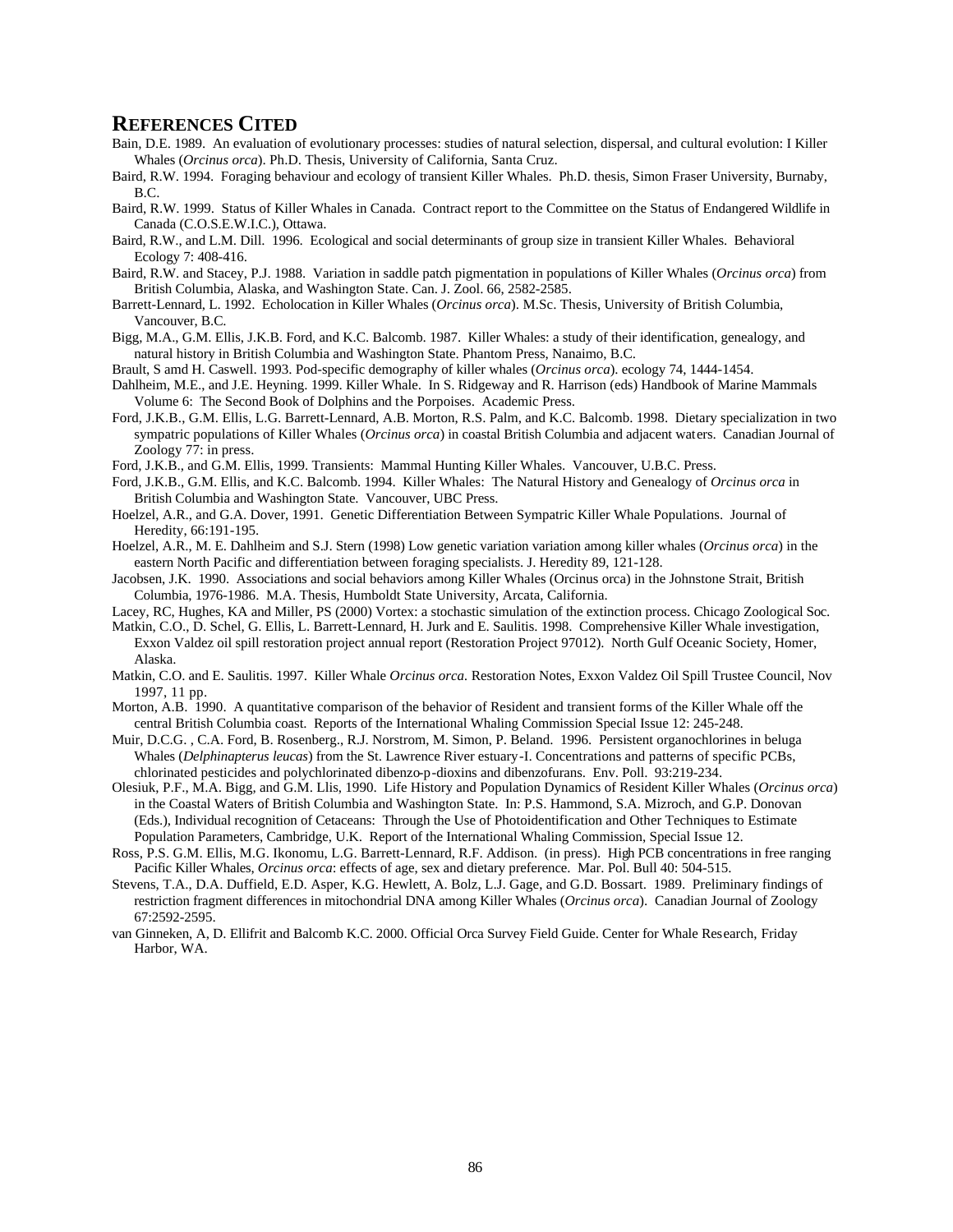# **REFERENCES CITED**

- Bain, D.E. 1989. An evaluation of evolutionary processes: studies of natural selection, dispersal, and cultural evolution: I Killer Whales (*Orcinus orca*). Ph.D. Thesis, University of California, Santa Cruz.
- Baird, R.W. 1994. Foraging behaviour and ecology of transient Killer Whales. Ph.D. thesis, Simon Fraser University, Burnaby, B.C.
- Baird, R.W. 1999. Status of Killer Whales in Canada. Contract report to the Committee on the Status of Endangered Wildlife in Canada (C.O.S.E.W.I.C.), Ottawa.
- Baird, R.W., and L.M. Dill. 1996. Ecological and social determinants of group size in transient Killer Whales. Behavioral Ecology 7: 408-416.
- Baird, R.W. and Stacey, P.J. 1988. Variation in saddle patch pigmentation in populations of Killer Whales (*Orcinus orca*) from British Columbia, Alaska, and Washington State. Can. J. Zool. 66, 2582-2585.
- Barrett-Lennard, L. 1992. Echolocation in Killer Whales (*Orcinus orca*). M.Sc. Thesis, University of British Columbia, Vancouver, B.C.
- Bigg, M.A., G.M. Ellis, J.K.B. Ford, and K.C. Balcomb. 1987. Killer Whales: a study of their identification, genealogy, and natural history in British Columbia and Washington State. Phantom Press, Nanaimo, B.C.
- Brault, S amd H. Caswell. 1993. Pod-specific demography of killer whales (*Orcinus orca*). ecology 74, 1444-1454.
- Dahlheim, M.E., and J.E. Heyning. 1999. Killer Whale. In S. Ridgeway and R. Harrison (eds) Handbook of Marine Mammals Volume 6: The Second Book of Dolphins and the Porpoises. Academic Press.
- Ford, J.K.B., G.M. Ellis, L.G. Barrett-Lennard, A.B. Morton, R.S. Palm, and K.C. Balcomb. 1998. Dietary specialization in two sympatric populations of Killer Whales (*Orcinus orca*) in coastal British Columbia and adjacent waters. Canadian Journal of Zoology 77: in press.
- Ford, J.K.B., and G.M. Ellis, 1999. Transients: Mammal Hunting Killer Whales. Vancouver, U.B.C. Press.
- Ford, J.K.B., G.M. Ellis, and K.C. Balcomb. 1994. Killer Whales: The Natural History and Genealogy of *Orcinus orca* in British Columbia and Washington State. Vancouver, UBC Press.
- Hoelzel, A.R., and G.A. Dover, 1991. Genetic Differentiation Between Sympatric Killer Whale Populations. Journal of Heredity, 66:191-195.
- Hoelzel, A.R., M. E. Dahlheim and S.J. Stern (1998) Low genetic variation variation among killer whales (*Orcinus orca*) in the eastern North Pacific and differentiation between foraging specialists. J. Heredity 89, 121-128.
- Jacobsen, J.K. 1990. Associations and social behaviors among Killer Whales (Orcinus orca) in the Johnstone Strait, British Columbia, 1976-1986. M.A. Thesis, Humboldt State University, Arcata, California.
- Lacey, RC, Hughes, KA and Miller, PS (2000) Vortex: a stochastic simulation of the extinction process. Chicago Zoological Soc.
- Matkin, C.O., D. Schel, G. Ellis, L. Barrett-Lennard, H. Jurk and E. Saulitis. 1998. Comprehensive Killer Whale investigation, Exxon Valdez oil spill restoration project annual report (Restoration Project 97012). North Gulf Oceanic Society, Homer, Alaska.
- Matkin, C.O. and E. Saulitis. 1997. Killer Whale *Orcinus orca.* Restoration Notes, Exxon Valdez Oil Spill Trustee Council, Nov 1997, 11 pp.
- Morton, A.B. 1990. A quantitative comparison of the behavior of Resident and transient forms of the Killer Whale off the central British Columbia coast. Reports of the International Whaling Commission Special Issue 12: 245-248.
- Muir, D.C.G. , C.A. Ford, B. Rosenberg., R.J. Norstrom, M. Simon, P. Beland. 1996. Persistent organochlorines in beluga Whales (*Delphinapterus leucas*) from the St. Lawrence River estuary-I. Concentrations and patterns of specific PCBs, chlorinated pesticides and polychlorinated dibenzo-p-dioxins and dibenzofurans. Env. Poll. 93:219-234.
- Olesiuk, P.F., M.A. Bigg, and G.M. Llis, 1990. Life History and Population Dynamics of Resident Killer Whales (*Orcinus orca*) in the Coastal Waters of British Columbia and Washington State. In: P.S. Hammond, S.A. Mizroch, and G.P. Donovan (Eds.), Individual recognition of Cetaceans: Through the Use of Photoidentification and Other Techniques to Estimate Population Parameters, Cambridge, U.K. Report of the International Whaling Commission, Special Issue 12.
- Ross, P.S. G.M. Ellis, M.G. Ikonomu, L.G. Barrett-Lennard, R.F. Addison. (in press). High PCB concentrations in free ranging Pacific Killer Whales, *Orcinus orca*: effects of age, sex and dietary preference. Mar. Pol. Bull 40: 504-515.
- Stevens, T.A., D.A. Duffield, E.D. Asper, K.G. Hewlett, A. Bolz, L.J. Gage, and G.D. Bossart. 1989. Preliminary findings of restriction fragment differences in mitochondrial DNA among Killer Whales (*Orcinus orca*). Canadian Journal of Zoology 67:2592-2595.
- van Ginneken, A, D. Ellifrit and Balcomb K.C. 2000. Official Orca Survey Field Guide. Center for Whale Research, Friday Harbor, WA.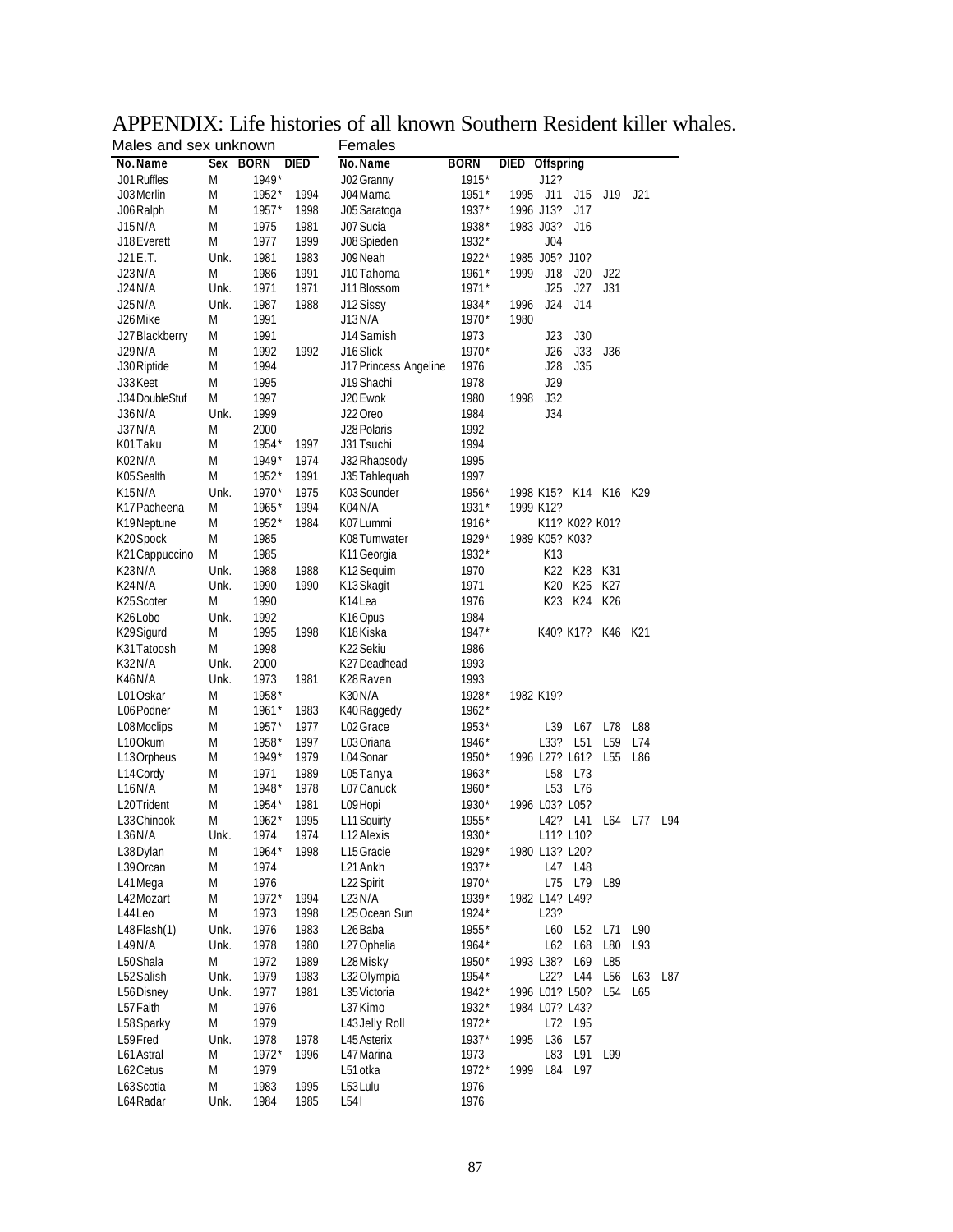| Males and sex unknown |      |             |             | remales               |             |                          |                 |     |     |
|-----------------------|------|-------------|-------------|-----------------------|-------------|--------------------------|-----------------|-----|-----|
| No.Name               | Sex  | <b>BORN</b> | <b>DIED</b> | No. Name              | <b>BORN</b> | <b>DIED</b><br>Offspring |                 |     |     |
| J01 Ruffles           | M    | 1949*       |             | J02 Granny            | 1915*       | J12?                     |                 |     |     |
| J03 Merlin            | M    | 1952*       | 1994        | J04 Mama              | 1951*       | 1995<br>J11<br>J15       | J19             | J21 |     |
| J06 Ralph             | Μ    | $1957*$     | 1998        | J05 Saratoga          | 1937*       | 1996 J13?<br>J17         |                 |     |     |
| J15 N/A               | M    | 1975        | 1981        | J07 Sucia             | 1938*       | 1983 J03?<br>J16         |                 |     |     |
| J18 Everett           | M    | 1977        | 1999        | J08 Spieden           | 1932*       | J04                      |                 |     |     |
| J21 E.T.              | Unk. | 1981        | 1983        | J09 Neah              | 1922*       | 1985 J05? J10?           |                 |     |     |
| J23 N/A               | M    | 1986        | 1991        | J10 Tahoma            | $1961*$     | 1999<br>J18<br>J20       | J22             |     |     |
| J24 N/A               | Unk. | 1971        | 1971        | J11 Blossom           | $1971*$     | J25<br>J27               | J31             |     |     |
| J25 N/A               | Unk. | 1987        | 1988        | J12 Sissy             | 1934*       | 1996<br>J24<br>J14       |                 |     |     |
| J26 Mike              | M    | 1991        |             | J13N/A                | 1970*       | 1980                     |                 |     |     |
|                       |      |             |             |                       |             |                          |                 |     |     |
| J27 Blackberry        | M    | 1991        |             | J14 Samish            | 1973        | J23<br>J30               |                 |     |     |
| J29 N/A               | M    | 1992        | 1992        | J16 Slick             | 1970*       | J33<br>J26               | J36             |     |     |
| J30 Riptide           | M    | 1994        |             | J17 Princess Angeline | 1976        | J28<br>J35               |                 |     |     |
| J33 Keet              | M    | 1995        |             | J19 Shachi            | 1978        | J29                      |                 |     |     |
| J34 DoubleStuf        | M    | 1997        |             | J20 Ewok              | 1980        | 1998<br>J32              |                 |     |     |
| J36 N/A               | Unk. | 1999        |             | J22 Oreo              | 1984        | J34                      |                 |     |     |
| J37 N/A               | M    | 2000        |             | J28 Polaris           | 1992        |                          |                 |     |     |
| K01 Taku              | M    | 1954*       | 1997        | J31 Tsuchi            | 1994        |                          |                 |     |     |
| K02N/A                | M    | $1949*$     | 1974        | J32 Rhapsody          | 1995        |                          |                 |     |     |
| K05 Sealth            | M    | 1952*       | 1991        | J35 Tahlequah         | 1997        |                          |                 |     |     |
| K15N/A                | Unk. | 1970*       | 1975        | K03 Sounder           | 1956*       | 1998 K15? K14 K16 K29    |                 |     |     |
| K17 Pacheena          | M    | 1965*       | 1994        | K04N/A                | 1931*       | 1999 K12?                |                 |     |     |
| K19 Neptune           | M    | 1952*       | 1984        | K07 Lummi             | 1916*       | K11? K02? K01?           |                 |     |     |
| K20Spock              | M    | 1985        |             | K08Tumwater           | 1929*       | 1989 K05? K03?           |                 |     |     |
| K21 Cappuccino        | M    | 1985        |             | K11 Georgia           | 1932*       | K13                      |                 |     |     |
| K23N/A                | Unk. | 1988        | 1988        | K12 Sequim            | 1970        | K22<br>K28               | K31             |     |     |
| K24N/A                | Unk. | 1990        | 1990        | K13 Skagit            | 1971        | K25<br>K20               | K27             |     |     |
| K25 Scoter            | M    | 1990        |             | K14Lea                | 1976        | K23<br>K24               | K26             |     |     |
| K26 Lobo              | Unk. | 1992        |             | K16 Opus              | 1984        |                          |                 |     |     |
| K29 Sigurd            | M    | 1995        | 1998        | K18Kiska              | $1947*$     | K40? K17?                | K46             | K21 |     |
|                       |      |             |             |                       |             |                          |                 |     |     |
| K31 Tatoosh           | Μ    | 1998        |             | K22 Sekiu             | 1986        |                          |                 |     |     |
| K32N/A                | Unk. | 2000        |             | K27 Deadhead          | 1993        |                          |                 |     |     |
| K46 N/A               | Unk. | 1973        | 1981        | K28 Raven             | 1993        |                          |                 |     |     |
| L01 Oskar             | M    | 1958*       |             | K30N/A                | 1928*       | 1982 K19?                |                 |     |     |
| L06 Podner            | M    | $1961*$     | 1983        | K40 Raggedy           | $1962*$     |                          |                 |     |     |
| L08 Moclips           | M    | $1957*$     | 1977        | L02 Grace             | 1953*       | L <sub>39</sub><br>L67   | L78             | L88 |     |
| L <sub>10</sub> Okum  | M    | 1958*       | 1997        | L03 Oriana            | 1946*       | L33?<br>L <sub>51</sub>  | L <sub>59</sub> | L74 |     |
| L13 Orpheus           | M    | 1949*       | 1979        | L04 Sonar             | 1950*       | 1996 L27? L61?           | L <sub>55</sub> | L86 |     |
| L14 Cordy             | M    | 1971        | 1989        | L05Tanya              | $1963*$     | L58<br>L73               |                 |     |     |
| L16N/A                | Μ    | 1948*       | 1978        | L07 Canuck            | 1960*       | L <sub>53</sub><br>L76   |                 |     |     |
| L20 Trident           | M    | 1954*       | 1981        | L09 Hopi              | 1930*       | 1996 L03? L05?           |                 |     |     |
| L33 Chinook           | M    | $1962*$     | 1995        | L11 Squirty           | 1955*       | L42? L41                 | L64             | L77 | L94 |
| L36N/A                | Unk. | 1974        | 1974        | L12 Alexis            | 1930*       | L11? L10?                |                 |     |     |
| L38 Dylan             | Μ    | 1964*       | 1998        | L15 Gracie            | 1929*       | 1980 L13? L20?           |                 |     |     |
| L39 Orcan             | Μ    | 1974        |             | L21 Ankh              | 1937*       | L47 L48                  |                 |     |     |
| L41 Mega              | Μ    | 1976        |             | L22 Spirit            | 1970*       | L75<br>L79               | L89             |     |     |
| L42 Mozart            | Μ    | 1972*       | 1994        | L23N/A                | 1939*       | 1982 L14? L49?           |                 |     |     |
| L44Leo                | Μ    | 1973        | 1998        | L25 Ocean Sun         | 1924*       | L23?                     |                 |     |     |
| L48Flash(1)           | Unk. | 1976        | 1983        | L26 Baba              | 1955*       | L60<br>L52               | L71             | L90 |     |
| L49N/A                | Unk. | 1978        | 1980        | L27 Ophelia           | 1964*       | L62<br>L68               | L80             | L93 |     |
| L50 Shala             | M    | 1972        | 1989        | L28Misky              | 1950*       | 1993 L38?<br>L69         | L85             |     |     |
| L52 Salish            | Unk. | 1979        | 1983        | L32 Olympia           | 1954*       | L <sub>22</sub> ?<br>L44 | L <sub>56</sub> | L63 | L87 |
| L56 Disney            | Unk. | 1977        | 1981        | L35 Victoria          | 1942*       | 1996 L01? L50?           | L <sub>54</sub> | L65 |     |
| L57 Faith             | Μ    | 1976        |             | L37 Kimo              | 1932*       | 1984 L07? L43?           |                 |     |     |
|                       | Μ    | 1979        |             |                       | 1972*       | L72<br>L95               |                 |     |     |
| L58 Sparky<br>L59Fred |      |             |             | L43 Jelly Roll        |             |                          |                 |     |     |
|                       | Unk. | 1978        | 1978        | L45 Asterix           | 1937*       | 1995<br>L36<br>L57       |                 |     |     |
| L61 Astral            | Μ    | 1972*       | 1996        | L47 Marina            | 1973        | L83<br>L91               | L99             |     |     |
| L62 Cetus             | Μ    | 1979        |             | L51 otka              | 1972*       | 1999<br>L84<br>L97       |                 |     |     |
| L63 Scotia            | M    | 1983        | 1995        | L53 Lulu              | 1976        |                          |                 |     |     |
| L64 Radar             | Unk. | 1984        | 1985        | L541                  | 1976        |                          |                 |     |     |

# APPENDIX: Life histories of all known Southern Resident killer whales.<br>Males and sex unknown Females Males and sex unknown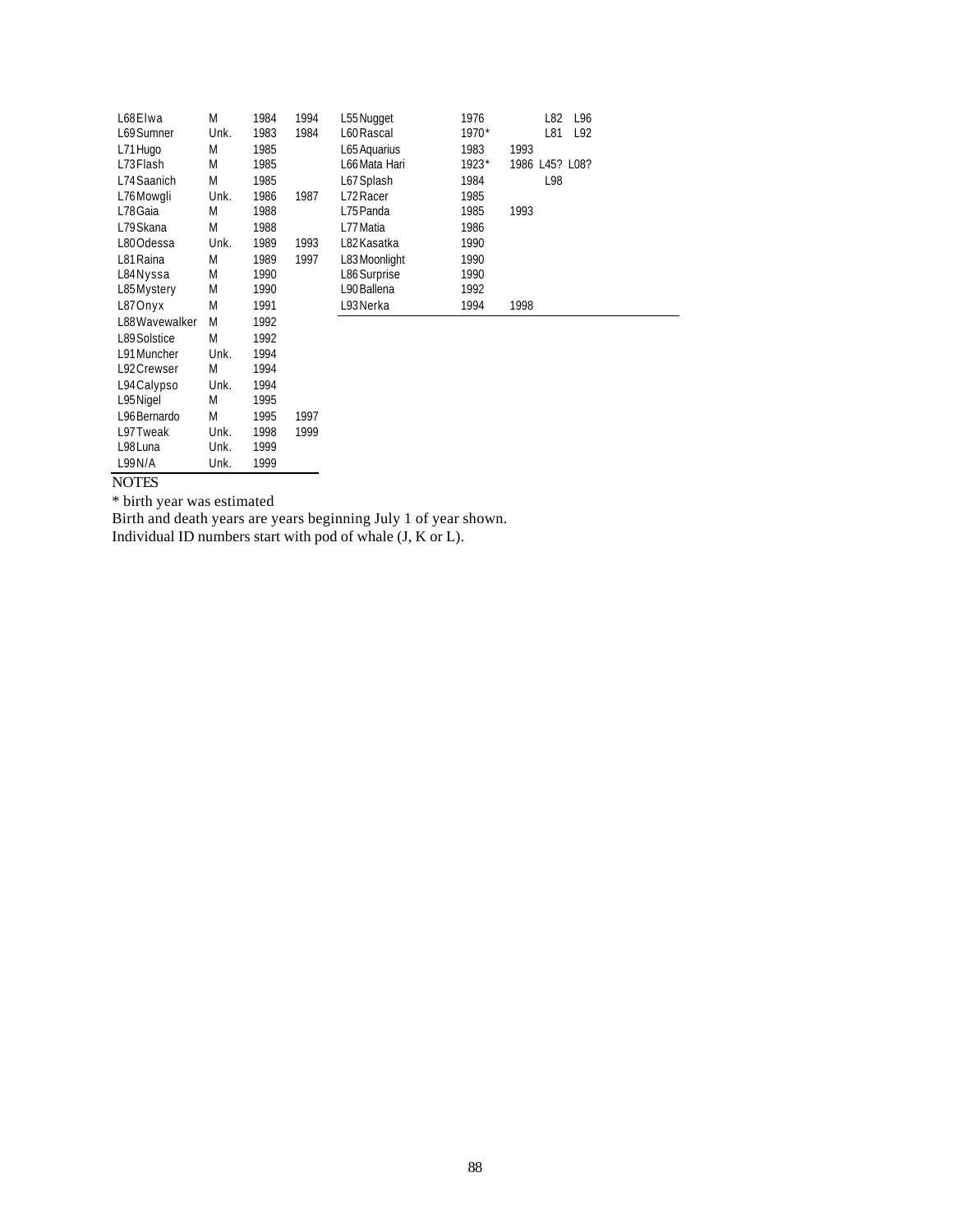| L68 Elwa       | M    | 1984 | 1994 | L55 Nugget    | 1976  | L96<br>L82     |  |
|----------------|------|------|------|---------------|-------|----------------|--|
| L69 Sumner     | Unk. | 1983 | 1984 | L60 Rascal    | 1970* | L92<br>L81     |  |
| L71 Hugo       | M    | 1985 |      | L65 Aquarius  | 1983  | 1993           |  |
| L73 Flash      | M    | 1985 |      | L66 Mata Hari | 1923* | 1986 L45? L08? |  |
| L74 Saanich    | M    | 1985 |      | L67 Splash    | 1984  | L98            |  |
| L76Mowgli      | Unk. | 1986 | 1987 | L72 Racer     | 1985  |                |  |
| L78 Gaia       | M    | 1988 |      | L75 Panda     | 1985  | 1993           |  |
| L79 Skana      | M    | 1988 |      | L77 Matia     | 1986  |                |  |
| L80Odessa      | Unk. | 1989 | 1993 | L82 Kasatka   | 1990  |                |  |
| L81 Raina      | M    | 1989 | 1997 | L83 Moonlight | 1990  |                |  |
| L84 Nyssa      | M    | 1990 |      | L86 Surprise  | 1990  |                |  |
| L85Mystery     | M    | 1990 |      | L90 Ballena   | 1992  |                |  |
| L87Onyx        | M    | 1991 |      | L93 Nerka     | 1994  | 1998           |  |
| L88 Wavewalker | M    | 1992 |      |               |       |                |  |
| L89 Solstice   | M    | 1992 |      |               |       |                |  |
| L91 Muncher    | Unk. | 1994 |      |               |       |                |  |

| L98 Luna     | Unk. | 1999 |
|--------------|------|------|
| L99N/A       | Unk. | 1999 |
| <b>NOTES</b> |      |      |

\* birth year was estimated

L91 Muncher Unk. 1994<br>L92 Crewser M 1994 L92Crewser M 1994<br>L94Calypso Unk. 1994 L94Calypso Unk. 1994<br>L95Nigel M 1995 L95Nigel M 1995 L96Bernardo M 1995 1997 L97Tweak Unk. 1998 1999

Birth and death years are years beginning July 1 of year shown. Individual ID numbers start with pod of whale (J, K or L).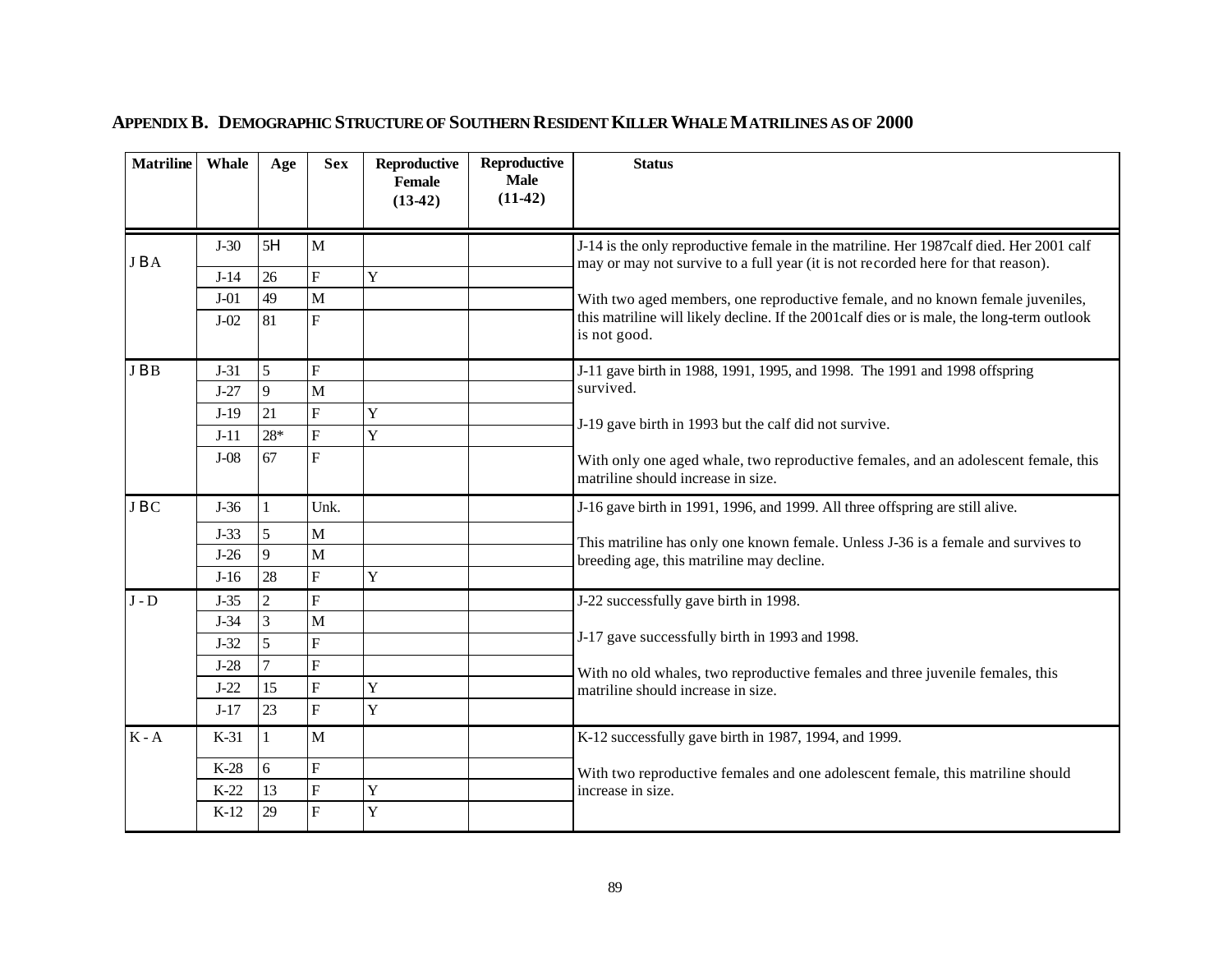| <b>Matriline</b> | Whale  | Age          | <b>Sex</b>              | Reproductive<br>Female<br>$(13-42)$ | Reproductive<br><b>Male</b><br>$(11-42)$ | <b>Status</b>                                                                                                                                                                     |  |
|------------------|--------|--------------|-------------------------|-------------------------------------|------------------------------------------|-----------------------------------------------------------------------------------------------------------------------------------------------------------------------------------|--|
| JBA              | $J-30$ | 5H           | M                       |                                     |                                          | J-14 is the only reproductive female in the matriline. Her 1987calf died. Her 2001 calf                                                                                           |  |
|                  | $J-14$ | 26           | $\overline{\mathrm{F}}$ | Y                                   |                                          | may or may not survive to a full year (it is not recorded here for that reason).                                                                                                  |  |
|                  | $J-01$ | 49           | $\mathbf M$             |                                     |                                          | With two aged members, one reproductive female, and no known female juveniles,                                                                                                    |  |
|                  | $J-02$ | 81           | $\overline{F}$          |                                     |                                          | this matriline will likely decline. If the 2001 calf dies or is male, the long-term outlook<br>is not good.                                                                       |  |
| JBB              | $J-31$ | 5            | $\overline{F}$          |                                     |                                          | J-11 gave birth in 1988, 1991, 1995, and 1998. The 1991 and 1998 offspring                                                                                                        |  |
|                  | $J-27$ | $\mathbf{Q}$ | M                       |                                     |                                          | survived.                                                                                                                                                                         |  |
|                  | $J-19$ | 21           | F                       | Y                                   |                                          | J-19 gave birth in 1993 but the calf did not survive.<br>With only one aged whale, two reproductive females, and an adolescent female, this<br>matriline should increase in size. |  |
|                  | $J-11$ | $28*$        | $\overline{\mathrm{F}}$ | Y                                   |                                          |                                                                                                                                                                                   |  |
|                  | $J-08$ | 67           | $\overline{\mathrm{F}}$ |                                     |                                          |                                                                                                                                                                                   |  |
| JBC              | $J-36$ |              | Unk.                    |                                     |                                          | J-16 gave birth in 1991, 1996, and 1999. All three offspring are still alive.                                                                                                     |  |
|                  | $J-33$ | 5            | $\mathbf{M}$            |                                     |                                          | This matriline has only one known female. Unless J-36 is a female and survives to                                                                                                 |  |
|                  | $J-26$ | 9            | M                       |                                     |                                          | breeding age, this matriline may decline.                                                                                                                                         |  |
|                  | $J-16$ | 28           | $\overline{F}$          | Y                                   |                                          |                                                                                                                                                                                   |  |
| $J - D$          | $J-35$ | 2            | $\overline{F}$          |                                     |                                          | J-22 successfully gave birth in 1998.                                                                                                                                             |  |
|                  | $J-34$ | 3            | M                       |                                     |                                          |                                                                                                                                                                                   |  |
|                  | $J-32$ | 5            | F                       |                                     |                                          | J-17 gave successfully birth in 1993 and 1998.                                                                                                                                    |  |
|                  | $J-28$ |              | $\overline{F}$          |                                     |                                          | With no old whales, two reproductive females and three juvenile females, this                                                                                                     |  |
|                  | $J-22$ | 15           | $\overline{\mathrm{F}}$ | Y                                   |                                          | matriline should increase in size.                                                                                                                                                |  |
|                  | $J-17$ | 23           | $\overline{F}$          | Y                                   |                                          |                                                                                                                                                                                   |  |
| $K - A$          | $K-31$ |              | M                       |                                     |                                          | K-12 successfully gave birth in 1987, 1994, and 1999.                                                                                                                             |  |
|                  | $K-28$ | 6            | F                       |                                     |                                          | With two reproductive females and one adolescent female, this matriline should                                                                                                    |  |
|                  | $K-22$ | 13           | $\mathbf F$             | Y                                   |                                          | increase in size.                                                                                                                                                                 |  |
|                  | $K-12$ | 29           | $\overline{\mathrm{F}}$ | Y                                   |                                          |                                                                                                                                                                                   |  |

# **APPENDIX B. DEMOGRAPHIC STRUCTURE OF SOUTHERN RESIDENT KILLER WHALE MATRILINES AS OF 2000**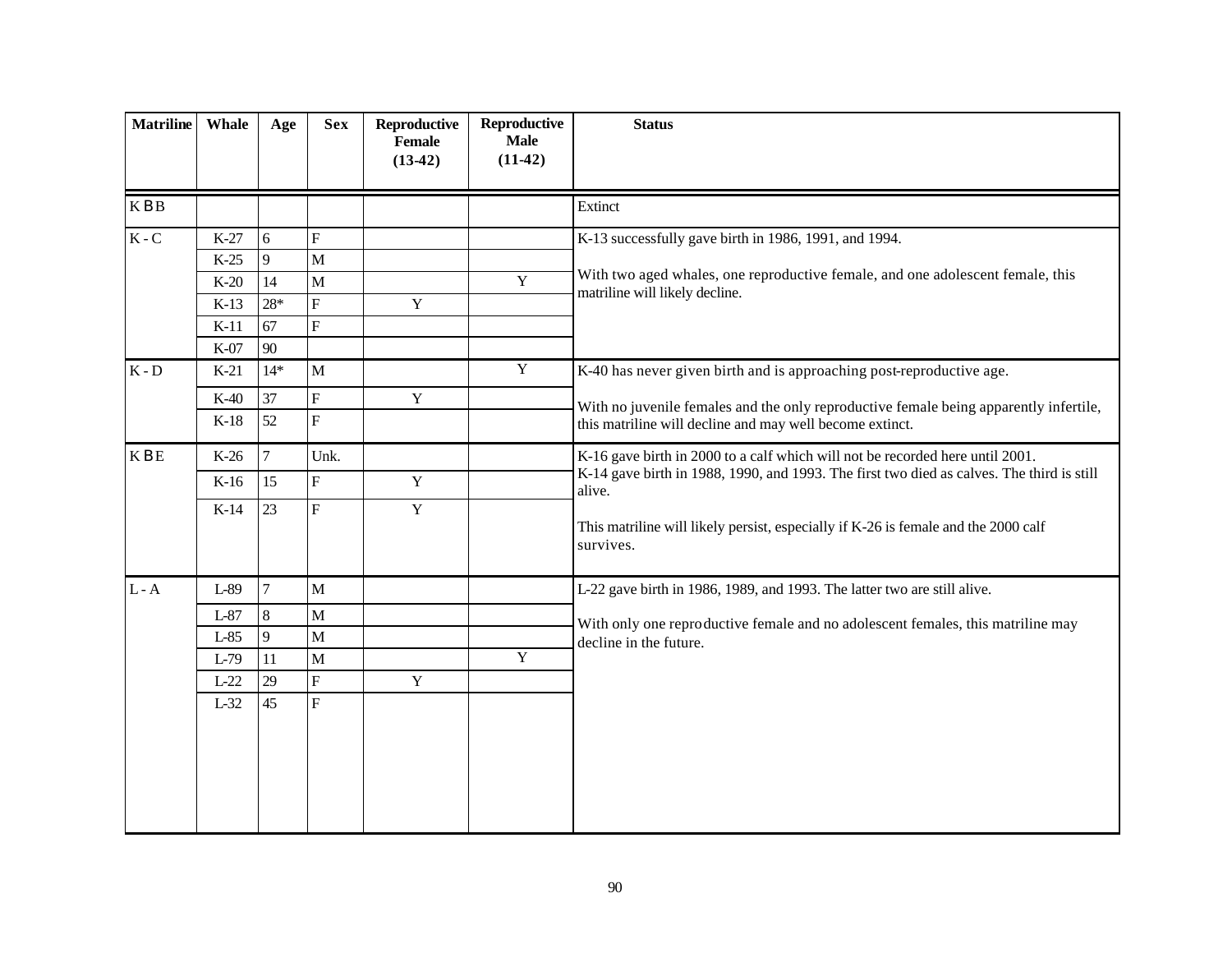| <b>Matriline</b>          | Whale  | Age            | <b>Sex</b>                | Reproductive<br>Female<br>$(13-42)$ | <b>Reproductive</b><br><b>Male</b><br>$(11-42)$ | <b>Status</b>                                                                                             |
|---------------------------|--------|----------------|---------------------------|-------------------------------------|-------------------------------------------------|-----------------------------------------------------------------------------------------------------------|
| <b>KBB</b>                |        |                |                           |                                     |                                                 | Extinct                                                                                                   |
| $\mathbf K$ - $\mathbf C$ | $K-27$ | 6              | $\overline{F}$            |                                     |                                                 | K-13 successfully gave birth in 1986, 1991, and 1994.                                                     |
|                           | $K-25$ | 9              | M                         |                                     |                                                 | With two aged whales, one reproductive female, and one adolescent female, this                            |
|                           | $K-20$ | 14             | $\overline{M}$            |                                     | $\overline{Y}$                                  | matriline will likely decline.                                                                            |
|                           | $K-13$ | $28*$          | $\boldsymbol{\mathrm{F}}$ | $\mathbf Y$                         |                                                 |                                                                                                           |
|                           | $K-11$ | 67             | $\boldsymbol{\mathrm{F}}$ |                                     |                                                 |                                                                                                           |
|                           | K-07   | 90             |                           |                                     |                                                 |                                                                                                           |
| $K - D$                   | $K-21$ | $14*$          | M                         |                                     | $\overline{Y}$                                  | K-40 has never given birth and is approaching post-reproductive age.                                      |
|                           | $K-40$ | 37             | $\overline{F}$            | $\mathbf Y$                         |                                                 | With no juvenile females and the only reproductive female being apparently infertile,                     |
|                           | $K-18$ | 52             | $\overline{\mathrm{F}}$   |                                     |                                                 | this matriline will decline and may well become extinct.                                                  |
| $\mathbf K$ B $\mathbf E$ | $K-26$ | $\overline{7}$ | Unk.                      |                                     |                                                 | K-16 gave birth in 2000 to a calf which will not be recorded here until 2001.                             |
|                           | $K-16$ | 15             | $\overline{\mathrm{F}}$   | $\mathbf Y$                         |                                                 | K-14 gave birth in 1988, 1990, and 1993. The first two died as calves. The third is still<br>alive.       |
|                           | $K-14$ | 23             | $\overline{F}$            | $\mathbf Y$                         |                                                 | This matriline will likely persist, especially if K-26 is female and the 2000 calf<br>survives.           |
| $L - A$                   | L-89   | $\overline{7}$ | $\mathbf{M}$              |                                     |                                                 | L-22 gave birth in 1986, 1989, and 1993. The latter two are still alive.                                  |
|                           | $L-87$ | 8              | $\mathbf{M}$              |                                     |                                                 |                                                                                                           |
|                           | $L-85$ | $\mathbf{Q}$   | M                         |                                     |                                                 | With only one reproductive female and no adolescent females, this matriline may<br>decline in the future. |
|                           | $L-79$ | 11             | $\mathbf{M}$              |                                     | $\overline{Y}$                                  |                                                                                                           |
|                           | $L-22$ | 29             | ${\bf F}$                 | $\mathbf Y$                         |                                                 |                                                                                                           |
|                           | $L-32$ | 45             | $\overline{\mathrm{F}}$   |                                     |                                                 |                                                                                                           |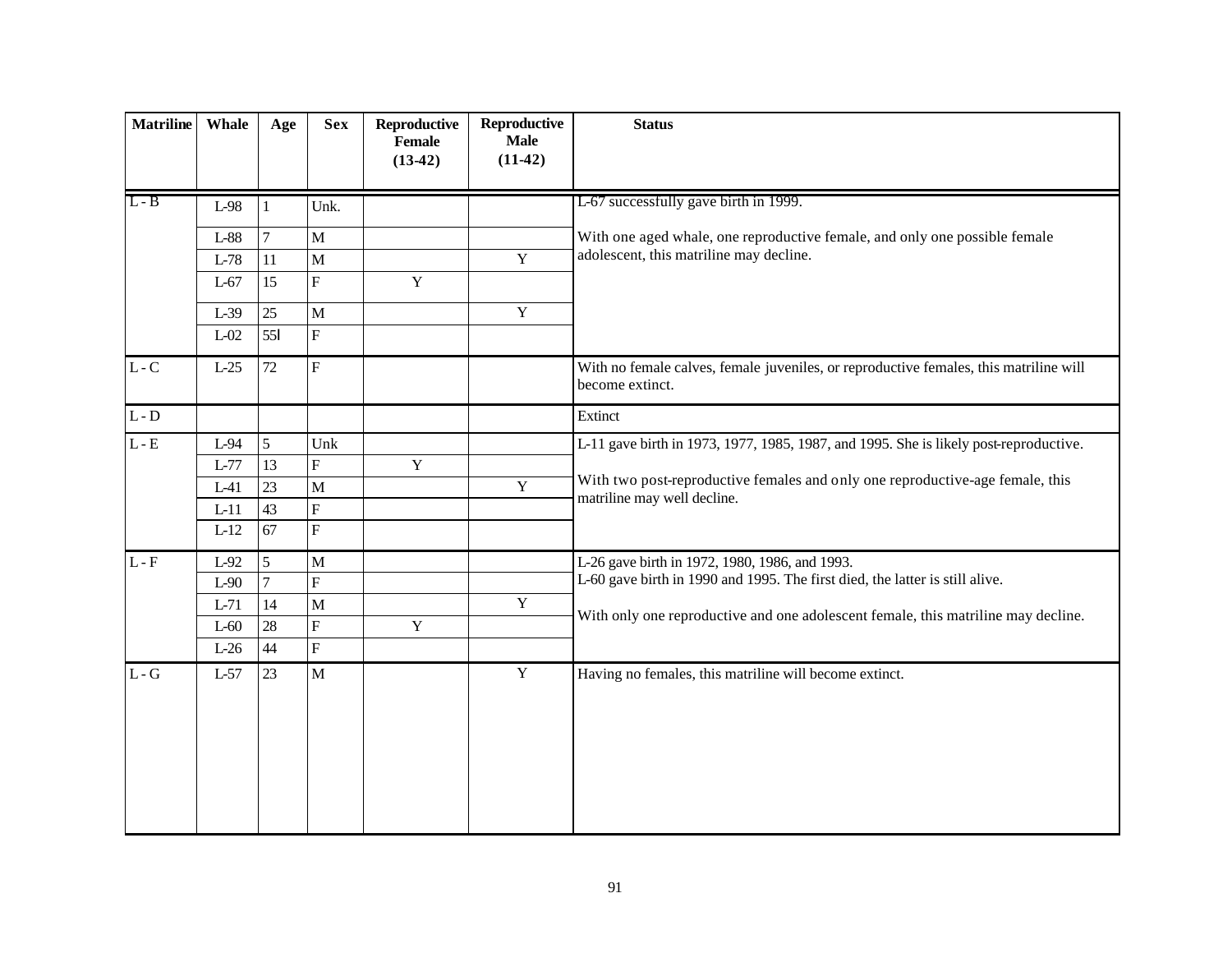| <b>Matriline</b> | Whale  | Age             | <b>Sex</b>              | Reproductive<br><b>Female</b><br>$(13-42)$ | Reproductive<br><b>Male</b><br>$(11-42)$ | <b>Status</b>                                                                                                |
|------------------|--------|-----------------|-------------------------|--------------------------------------------|------------------------------------------|--------------------------------------------------------------------------------------------------------------|
| $L - B$          | $L-98$ |                 | Unk.                    |                                            |                                          | L-67 successfully gave birth in 1999.                                                                        |
|                  |        |                 |                         |                                            |                                          |                                                                                                              |
|                  | $L-88$ | 7               | $\mathbf M$             |                                            |                                          | With one aged whale, one reproductive female, and only one possible female                                   |
|                  | $L-78$ | 11              | $\mathbf M$             |                                            | $\mathbf Y$                              | adolescent, this matriline may decline.                                                                      |
|                  | $L-67$ | 15              | $\overline{F}$          | $\mathbf{Y}$                               |                                          |                                                                                                              |
|                  | $L-39$ | 25              | $\mathbf{M}$            |                                            | $\overline{Y}$                           |                                                                                                              |
|                  | $L-02$ | 551             | ${\bf F}$               |                                            |                                          |                                                                                                              |
| $L-C$            | $L-25$ | 72              | $\overline{\mathrm{F}}$ |                                            |                                          | With no female calves, female juveniles, or reproductive females, this matriline will<br>become extinct.     |
| $L - D$          |        |                 |                         |                                            |                                          | Extinct                                                                                                      |
| $L - E$          | $L-94$ | $5\overline{)}$ | Unk                     |                                            |                                          | L-11 gave birth in 1973, 1977, 1985, 1987, and 1995. She is likely post-reproductive.                        |
|                  | $L-77$ | 13              | $\overline{F}$          | $\mathbf Y$                                |                                          |                                                                                                              |
|                  | $L-41$ | 23              | $\mathbf{M}$            |                                            | $\overline{Y}$                           | With two post-reproductive females and only one reproductive-age female, this<br>matriline may well decline. |
|                  | $L-11$ | 43              | $\mathbf F$             |                                            |                                          |                                                                                                              |
|                  | $L-12$ | 67              | $\overline{\mathrm{F}}$ |                                            |                                          |                                                                                                              |
| $L - F$          | L-92   | 5               | $\mathbf{M}$            |                                            |                                          | L-26 gave birth in 1972, 1980, 1986, and 1993.                                                               |
|                  | $L-90$ |                 | $\overline{\mathrm{F}}$ |                                            |                                          | L-60 gave birth in 1990 and 1995. The first died, the latter is still alive.                                 |
|                  | $L-71$ | 14              | $\mathbf M$             |                                            | $\mathbf Y$                              |                                                                                                              |
|                  | $L-60$ | 28              | $\overline{\mathrm{F}}$ | $\mathbf Y$                                |                                          | With only one reproductive and one adolescent female, this matriline may decline.                            |
|                  | $L-26$ | 44              | $\overline{F}$          |                                            |                                          |                                                                                                              |
| $L - G$          | $L-57$ | 23              | $\mathbf{M}$            |                                            | $\mathbf Y$                              | Having no females, this matriline will become extinct.                                                       |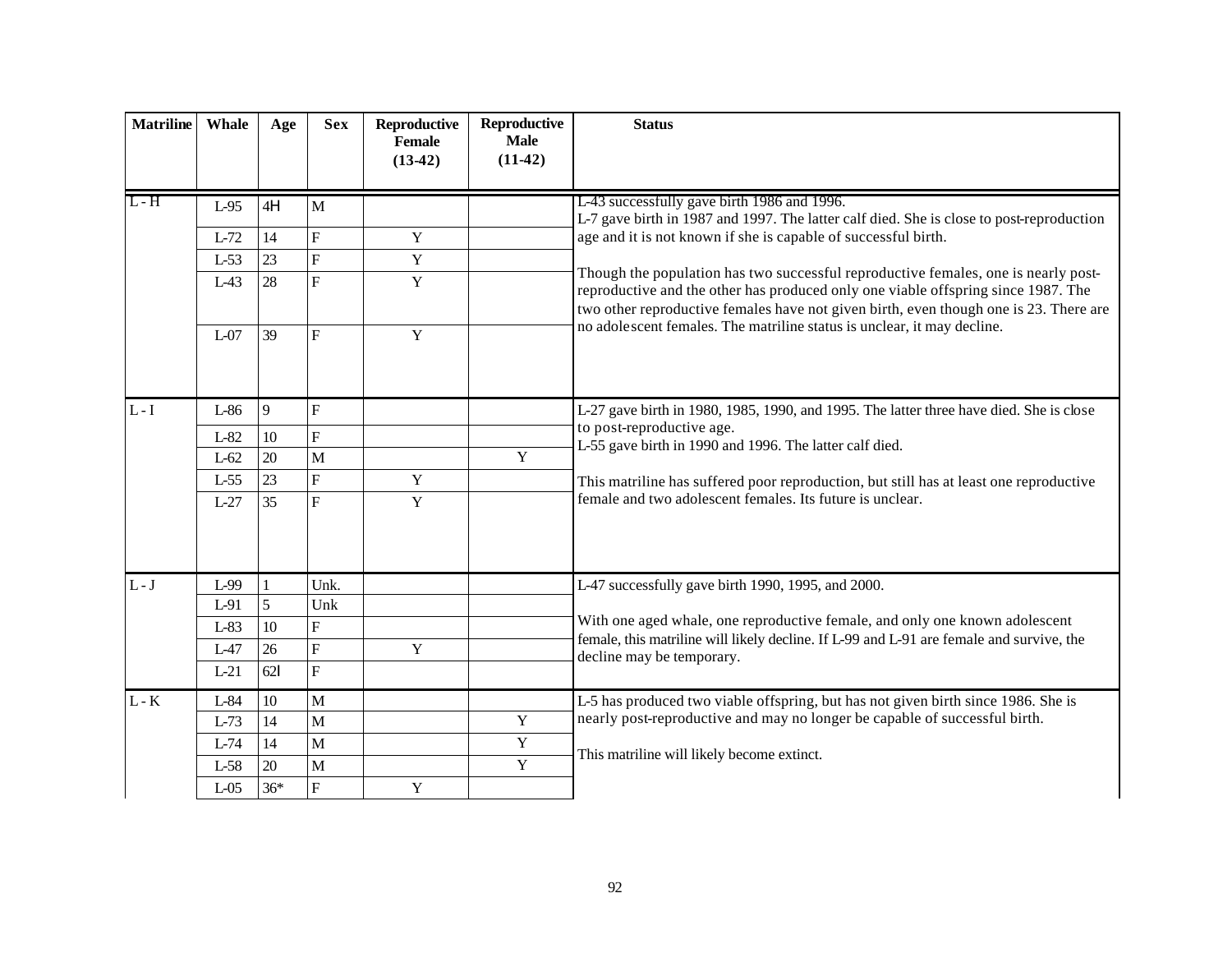| <b>Matriline</b>            | Whale  | Age    | <b>Sex</b>                | Reproductive<br>Female | Reproductive<br><b>Male</b> | <b>Status</b>                                                                                                                                                                                                                                                    |
|-----------------------------|--------|--------|---------------------------|------------------------|-----------------------------|------------------------------------------------------------------------------------------------------------------------------------------------------------------------------------------------------------------------------------------------------------------|
|                             |        |        |                           | $(13-42)$              | $(11-42)$                   |                                                                                                                                                                                                                                                                  |
|                             |        |        |                           |                        |                             |                                                                                                                                                                                                                                                                  |
| $L-H$                       | $L-95$ | 4H     | $\mathbf{M}$              |                        |                             | L-43 successfully gave birth 1986 and 1996.<br>L-7 gave birth in 1987 and 1997. The latter calf died. She is close to post-reproduction                                                                                                                          |
|                             | $L-72$ | 14     | $\overline{F}$            | Y                      |                             | age and it is not known if she is capable of successful birth.                                                                                                                                                                                                   |
|                             | $L-53$ | 23     | $\overline{F}$            | $\mathbf Y$            |                             |                                                                                                                                                                                                                                                                  |
|                             | $L-43$ | 28     | $\overline{F}$            | Y                      |                             | Though the population has two successful reproductive females, one is nearly post-<br>reproductive and the other has produced only one viable offspring since 1987. The<br>two other reproductive females have not given birth, even though one is 23. There are |
|                             | $L-07$ | 39     | $\overline{F}$            | Y                      |                             | no adole scent females. The matriline status is unclear, it may decline.                                                                                                                                                                                         |
| $L-I$                       | L-86   | 9      | ${\bf F}$                 |                        |                             | L-27 gave birth in 1980, 1985, 1990, and 1995. The latter three have died. She is close                                                                                                                                                                          |
|                             | $L-82$ | 10     | $\mathbf F$               |                        |                             | to post-reproductive age.                                                                                                                                                                                                                                        |
|                             | $L-62$ | 20     | $\overline{M}$            |                        | $\overline{Y}$              | L-55 gave birth in 1990 and 1996. The latter calf died.                                                                                                                                                                                                          |
|                             | $L-55$ | 23     | $\overline{F}$            | $\mathbf Y$            |                             | This matriline has suffered poor reproduction, but still has at least one reproductive                                                                                                                                                                           |
|                             | $L-27$ | 35     | $\overline{F}$            | Y                      |                             | female and two adolescent females. Its future is unclear.                                                                                                                                                                                                        |
|                             |        |        |                           |                        |                             |                                                                                                                                                                                                                                                                  |
| $L-J$                       | L-99   |        | Unk.                      |                        |                             | L-47 successfully gave birth 1990, 1995, and 2000.                                                                                                                                                                                                               |
|                             | $L-91$ | 5      | Unk                       |                        |                             | With one aged whale, one reproductive female, and only one known adolescent                                                                                                                                                                                      |
|                             | $L-83$ | 10     | $\mathbf F$               |                        |                             | female, this matriline will likely decline. If L-99 and L-91 are female and survive, the                                                                                                                                                                         |
|                             | $L-47$ | 26     | $\boldsymbol{\mathrm{F}}$ | Y                      |                             | decline may be temporary.                                                                                                                                                                                                                                        |
|                             | $L-21$ | 621    | $\overline{F}$            |                        |                             |                                                                                                                                                                                                                                                                  |
| $\mathbf{L}$ - $\mathbf{K}$ | L-84   | $10\,$ | $\mathbf{M}$              |                        |                             | L-5 has produced two viable offspring, but has not given birth since 1986. She is                                                                                                                                                                                |
|                             | $L-73$ | 14     | $\mathbf{M}$              |                        | $\mathbf Y$                 | nearly post-reproductive and may no longer be capable of successful birth.                                                                                                                                                                                       |
|                             | $L-74$ | 14     | $\mathbf{M}$              |                        | $\mathbf Y$                 | This matriline will likely become extinct.                                                                                                                                                                                                                       |
|                             | $L-58$ | 20     | M                         |                        | $\overline{Y}$              |                                                                                                                                                                                                                                                                  |
|                             | $L-05$ | $36*$  | $\overline{\mathrm{F}}$   | $\mathbf Y$            |                             |                                                                                                                                                                                                                                                                  |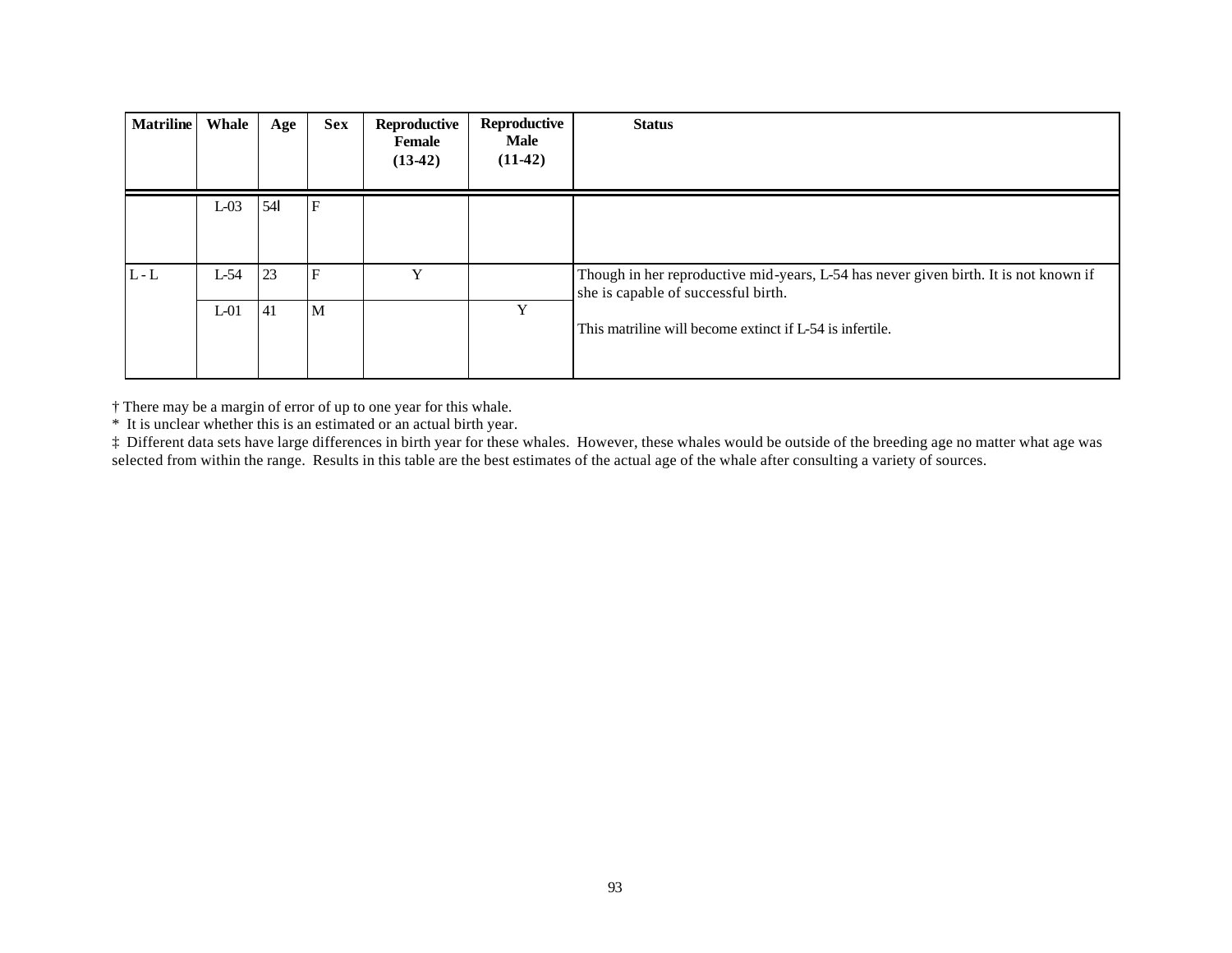| <b>Matriline</b> | Whale            | Age      | <b>Sex</b>        | Reproductive<br>Female<br>$(13-42)$ | Reproductive<br><b>Male</b><br>$(11-42)$ | <b>Status</b>                                                                                                                                                                               |
|------------------|------------------|----------|-------------------|-------------------------------------|------------------------------------------|---------------------------------------------------------------------------------------------------------------------------------------------------------------------------------------------|
|                  | $L-03$           | 54       | $\mathbf{F}$      |                                     |                                          |                                                                                                                                                                                             |
| $L - L$          | $L-54$<br>$L-01$ | 23<br>41 | $\mathbf{F}$<br>M | v                                   | Y                                        | Though in her reproductive mid-years, L-54 has never given birth. It is not known if<br>she is capable of successful birth.<br>This matriline will become extinct if $L_2$ 54 is infertile. |

† There may be a margin of error of up to one year for this whale.

\* It is unclear whether this is an estimated or an actual birth year.

‡ Different data sets have large differences in birth year for these whales. However, these whales would be outside of the breeding age no matter what age was selected from within the range. Results in this table are the best estimates of the actual age of the whale after consulting a variety of sources.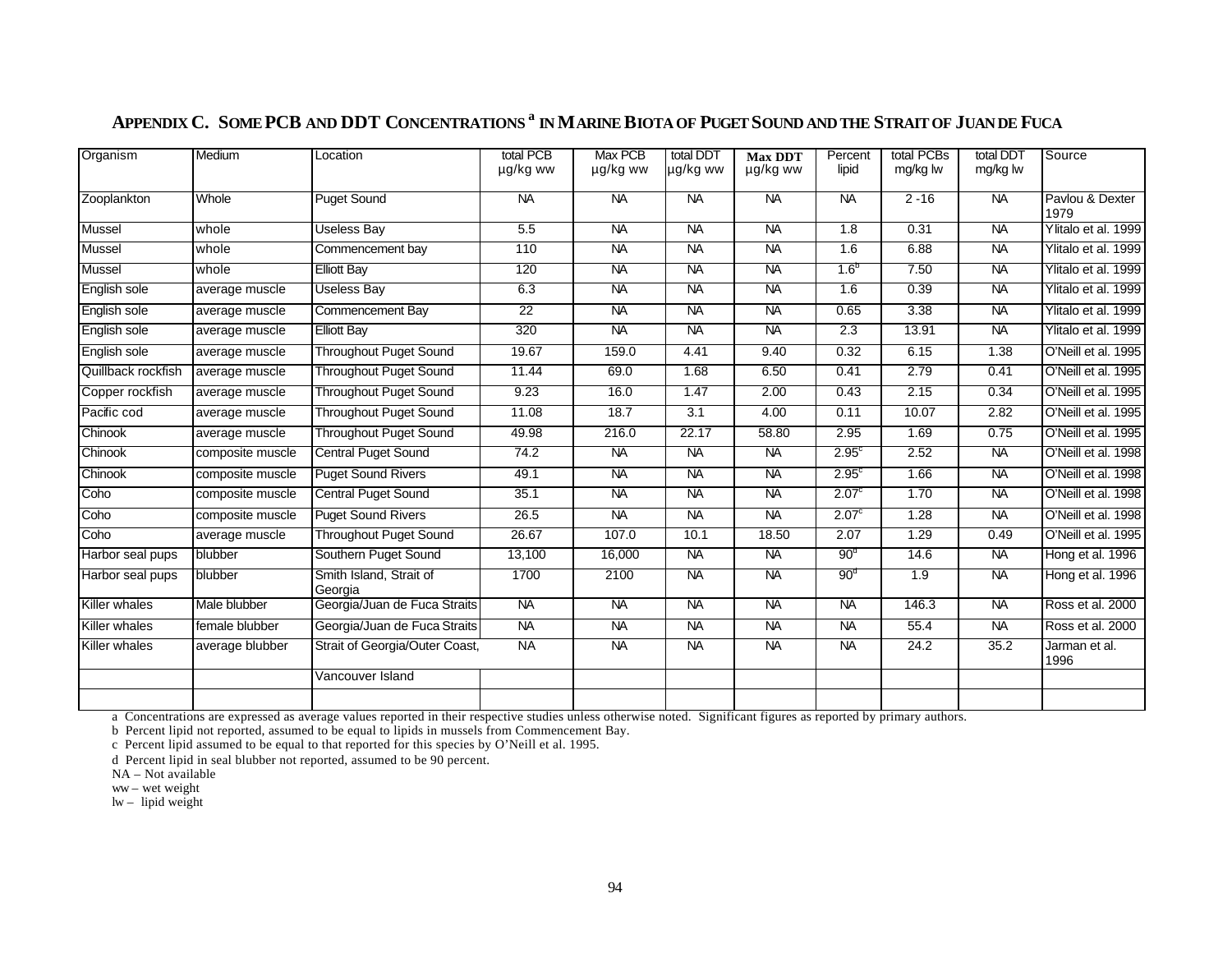| Organism           | Medium           | Location                           | total PCB       | <b>Max PCB</b> | total DDT | <b>Max DDT</b> | Percent           | total PCBs | total DDT      | Source                  |
|--------------------|------------------|------------------------------------|-----------------|----------------|-----------|----------------|-------------------|------------|----------------|-------------------------|
|                    |                  |                                    | µg/kg ww        | µg/kg ww       | µg/kg ww  | µg/kg ww       | lipid             | mg/kg lw   | mg/kg lw       |                         |
| Zooplankton        | Whole            | <b>Puget Sound</b>                 | <b>NA</b>       | <b>NA</b>      | <b>NA</b> | <b>NA</b>      | <b>NA</b>         | $2 - 16$   | <b>NA</b>      | Pavlou & Dexter<br>1979 |
| Mussel             | whole            | <b>Useless Bay</b>                 | 5.5             | <b>NA</b>      | <b>NA</b> | <b>NA</b>      | 1.8               | 0.31       | <b>NA</b>      | Ylitalo et al. 1999     |
| Mussel             | whole            | Commencement bay                   | 110             | <b>NA</b>      | <b>NA</b> | <b>NA</b>      | 1.6               | 6.88       | <b>NA</b>      | Ylitalo et al. 1999     |
| Mussel             | whole            | <b>Elliott Bay</b>                 | 120             | <b>NA</b>      | <b>NA</b> | <b>NA</b>      | 1.6 <sup>b</sup>  | 7.50       | <b>NA</b>      | Ylitalo et al. 1999     |
| English sole       | average muscle   | <b>Useless Bay</b>                 | 6.3             | <b>NA</b>      | <b>NA</b> | <b>NA</b>      | 1.6               | 0.39       | <b>NA</b>      | Ylitalo et al. 1999     |
| English sole       | average muscle   | Commencement Bay                   | $\overline{22}$ | <b>NA</b>      | <b>NA</b> | <b>NA</b>      | 0.65              | 3.38       | $\overline{M}$ | Ylitalo et al. 1999     |
| English sole       | average muscle   | <b>Elliott Bay</b>                 | 320             | <b>NA</b>      | <b>NA</b> | <b>NA</b>      | 2.3               | 13.91      | <b>NA</b>      | Ylitalo et al. 1999     |
| English sole       | average muscle   | <b>Throughout Puget Sound</b>      | 19.67           | 159.0          | 4.41      | 9.40           | 0.32              | 6.15       | 1.38           | O'Neill et al. 1995     |
| Quillback rockfish | average muscle   | <b>Throughout Puget Sound</b>      | 11.44           | 69.0           | 1.68      | 6.50           | 0.41              | 2.79       | 0.41           | O'Neill et al. 1995     |
| Copper rockfish    | average muscle   | <b>Throughout Puget Sound</b>      | 9.23            | 16.0           | 1.47      | 2.00           | 0.43              | 2.15       | 0.34           | O'Neill et al. 1995     |
| Pacific cod        | average muscle   | <b>Throughout Puget Sound</b>      | 11.08           | 18.7           | 3.1       | 4.00           | 0.11              | 10.07      | 2.82           | O'Neill et al. 1995     |
| Chinook            | average muscle   | <b>Throughout Puget Sound</b>      | 49.98           | 216.0          | 22.17     | 58.80          | 2.95              | 1.69       | 0.75           | O'Neill et al. 1995     |
| Chinook            | composite muscle | <b>Central Puget Sound</b>         | 74.2            | <b>NA</b>      | <b>NA</b> | <b>NA</b>      | 2.95 <sup>c</sup> | 2.52       | $\overline{M}$ | O'Neill et al. 1998     |
| Chinook            | composite muscle | <b>Puget Sound Rivers</b>          | 49.1            | <b>NA</b>      | <b>NA</b> | <b>NA</b>      | 2.95 <sup>c</sup> | 1.66       | <b>NA</b>      | O'Neill et al. 1998     |
| Coho               | composite muscle | <b>Central Puget Sound</b>         | 35.1            | <b>NA</b>      | <b>NA</b> | <b>NA</b>      | 2.07 <sup>c</sup> | 1.70       | <b>NA</b>      | O'Neill et al. 1998     |
| Coho               | composite muscle | <b>Puget Sound Rivers</b>          | 26.5            | <b>NA</b>      | <b>NA</b> | <b>NA</b>      | 2.07 <sup>c</sup> | 1.28       | <b>NA</b>      | O'Neill et al. 1998     |
| Coho               | average muscle   | <b>Throughout Puget Sound</b>      | 26.67           | 107.0          | 10.1      | 18.50          | 2.07              | 1.29       | 0.49           | O'Neill et al. 1995     |
| Harbor seal pups   | blubber          | Southern Puget Sound               | 13,100          | 16,000         | <b>NA</b> | <b>NA</b>      | 90 <sup>d</sup>   | 14.6       | <b>NA</b>      | Hong et al. 1996        |
| Harbor seal pups   | blubber          | Smith Island, Strait of<br>Georgia | 1700            | 2100           | <b>NA</b> | <b>NA</b>      | 90 <sup>d</sup>   | 1.9        | <b>NA</b>      | Hong et al. 1996        |
| Killer whales      | Male blubber     | Georgia/Juan de Fuca Straits       | <b>NA</b>       | <b>NA</b>      | <b>NA</b> | <b>NA</b>      | <b>NA</b>         | 146.3      | <b>NA</b>      | Ross et al. 2000        |
| Killer whales      | female blubber   | Georgia/Juan de Fuca Straits       | <b>NA</b>       | <b>NA</b>      | <b>NA</b> | <b>NA</b>      | <b>NA</b>         | 55.4       | <b>NA</b>      | Ross et al. 2000        |
| Killer whales      | average blubber  | Strait of Georgia/Outer Coast,     | <b>NA</b>       | <b>NA</b>      | <b>NA</b> | <b>NA</b>      | <b>NA</b>         | 24.2       | 35.2           | Jarman et al.<br>1996   |
|                    |                  | Vancouver Island                   |                 |                |           |                |                   |            |                |                         |
|                    |                  |                                    |                 |                |           |                |                   |            |                |                         |

# APPENDIX C. SOME PCB AND DDT CONCENTRATIONS <sup>a</sup> in Marine Biota of Puget Sound and the Strait of Juan de Fuca

a Concentrations are expressed as average values reported in their respective studies unless otherwise noted. Significant figures as reported by primary authors.

b Percent lipid not reported, assumed to be equal to lipids in mussels from Commencement Bay.

c Percent lipid assumed to be equal to that reported for this species by O'Neill et al. 1995.

d Percent lipid in seal blubber not reported, assumed to be 90 percent.

ww – wet weight

 $lw - lipid weight$ 

NA – Not available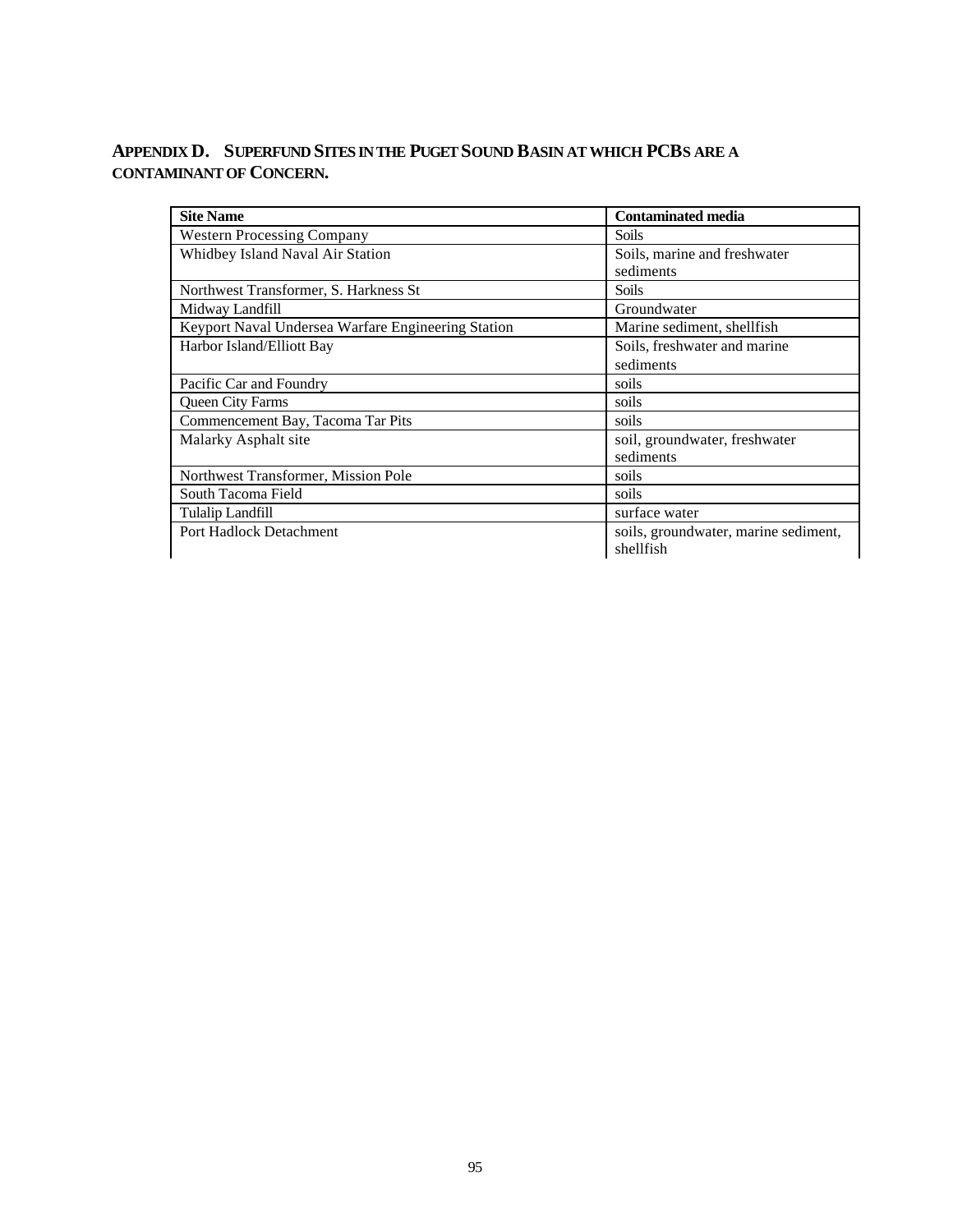# **APPENDIX D. SUPERFUND SITES IN THE PUGET SOUND BASIN AT WHICH PCBS ARE A CONTAMINANT OF CONCERN.**

| <b>Site Name</b>                                   | <b>Contaminated media</b>            |  |  |  |
|----------------------------------------------------|--------------------------------------|--|--|--|
| <b>Western Processing Company</b>                  | <b>Soils</b>                         |  |  |  |
| Whidbey Island Naval Air Station                   | Soils, marine and freshwater         |  |  |  |
|                                                    | sediments                            |  |  |  |
| Northwest Transformer, S. Harkness St.             | <b>Soils</b>                         |  |  |  |
| Midway Landfill                                    | Groundwater                          |  |  |  |
| Keyport Naval Undersea Warfare Engineering Station | Marine sediment, shellfish           |  |  |  |
| Harbor Island/Elliott Bay                          | Soils, freshwater and marine         |  |  |  |
|                                                    | sediments                            |  |  |  |
| Pacific Car and Foundry                            | soils                                |  |  |  |
| Queen City Farms                                   | soils                                |  |  |  |
| Commencement Bay, Tacoma Tar Pits                  | soils                                |  |  |  |
| Malarky Asphalt site                               | soil, groundwater, freshwater        |  |  |  |
|                                                    | sediments                            |  |  |  |
| Northwest Transformer, Mission Pole                | soils                                |  |  |  |
| South Tacoma Field                                 | soils                                |  |  |  |
| Tulalip Landfill                                   | surface water                        |  |  |  |
| Port Hadlock Detachment                            | soils, groundwater, marine sediment, |  |  |  |
|                                                    | shellfish                            |  |  |  |